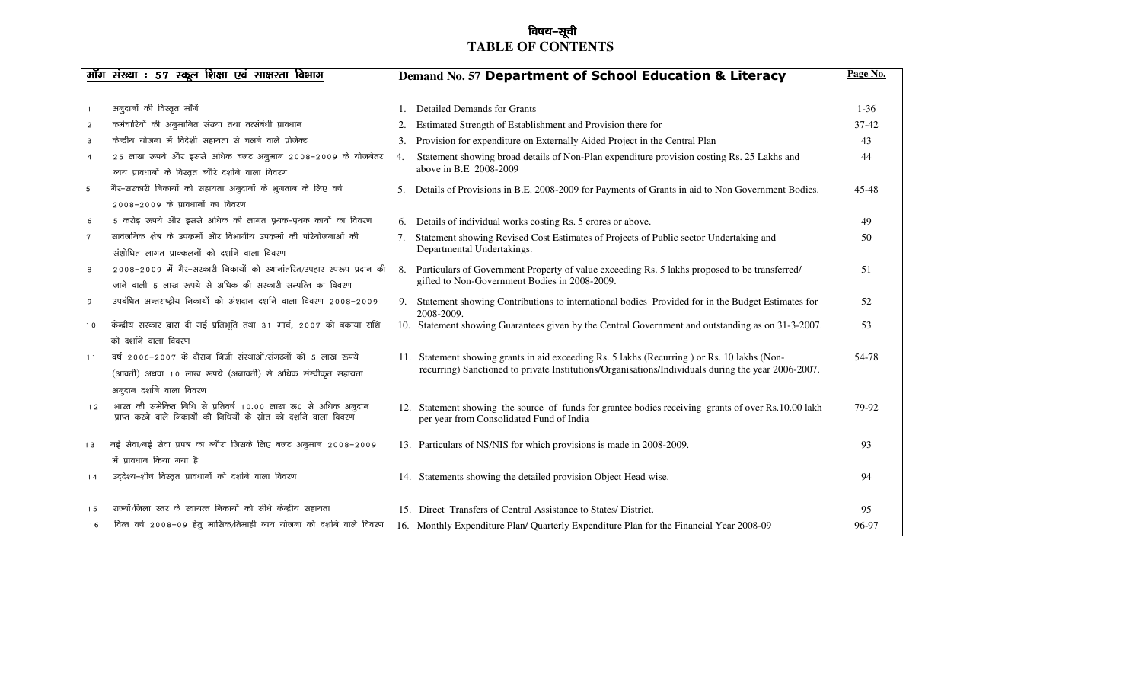#### $\sim$ िविषय $-$ सूची  **TABLE OF CONTENTS**

|                | <u>मॉग संख्या : 57 स्कूल शिक्षा एवं साक्षरता विभाग</u>                                                                               |    | Demand No. 57 Department of School Education & Literacy                                                                                         | Page No. |
|----------------|--------------------------------------------------------------------------------------------------------------------------------------|----|-------------------------------------------------------------------------------------------------------------------------------------------------|----------|
|                |                                                                                                                                      |    |                                                                                                                                                 |          |
|                | अनुदानों की विस्तृत माँगें                                                                                                           |    | Detailed Demands for Grants                                                                                                                     | $1 - 36$ |
| $\overline{2}$ | कर्मचारियों की अनुमानित संख्या तथा तत्संबंधी प्रावधान                                                                                |    | Estimated Strength of Establishment and Provision there for                                                                                     | 37-42    |
| 3              | केन्द्रीय योजना में विदेशी सहायता से चलने वाले प्रोजेक्ट                                                                             | 3. | Provision for expenditure on Externally Aided Project in the Central Plan                                                                       | 43       |
| 4              | 25 लाख रूपये और इससे अधिक बजट अनुमान 2008-2009 के योजनेतर                                                                            | 4. | Statement showing broad details of Non-Plan expenditure provision costing Rs. 25 Lakhs and                                                      | 44       |
|                | व्यय प्रावधानों के विस्तृत ब्यौरे दर्शाने वाला विवरण                                                                                 |    | above in B.E 2008-2009                                                                                                                          |          |
| $\sqrt{5}$     | गैर-सरकारी निकायों को सहायता अनुदानों के भुगतान के लिए वर्ष                                                                          | 5. | Details of Provisions in B.E. 2008-2009 for Payments of Grants in aid to Non Government Bodies.                                                 | 45-48    |
|                | 2008–2009 के प्रावधानों का विवरण                                                                                                     |    |                                                                                                                                                 |          |
| 6              | 5 करोड़ रूपये और इससे अधिक की लागत पृथक–पृथक कार्यों का विवरण                                                                        |    | 6. Details of individual works costing Rs. 5 crores or above.                                                                                   | 49       |
| $\tau$         | सार्वजनिक क्षेत्र के उपकर्मो और विभागीय उपकर्मो की परियोजनाओं की                                                                     |    | Statement showing Revised Cost Estimates of Projects of Public sector Undertaking and                                                           | 50       |
|                | संशोधित लागत प्राक्कलनों को दर्शाने वाला विवरण                                                                                       |    | Departmental Undertakings.                                                                                                                      |          |
| 8              | 2008–2009 में गैर–सरकारी निकायों को स्थानांतरित/उपहार स्परूप प्रदान की                                                               |    | 8. Particulars of Government Property of value exceeding Rs. 5 lakhs proposed to be transferred/                                                | 51       |
|                | जाने वाली 5 लाख रूपये से अधिक की सरकारी सम्पत्ति का विवरण                                                                            |    | gifted to Non-Government Bodies in 2008-2009.                                                                                                   |          |
| 9              | उपबंधित अन्तराष्ट्रीय निकायों को अंशदान दर्शाने वाला विवरण 2008-2009                                                                 | 9. | Statement showing Contributions to international bodies Provided for in the Budget Estimates for<br>2008-2009.                                  | 52       |
| 10             | केन्द्रीय सरकार द्वारा दी गई प्रतिभूति तथा 31 मार्च, 2007 को बकाया राशि                                                              |    | 10. Statement showing Guarantees given by the Central Government and outstanding as on 31-3-2007.                                               | 53       |
|                | को दर्शाने वाला विवरण                                                                                                                |    |                                                                                                                                                 |          |
| 11             | वर्ष 2006-2007 के दौरान निजी संस्थाओं/संगठनों को 5 लाख रूपये                                                                         |    | 11. Statement showing grants in aid exceeding Rs. 5 lakhs (Recurring ) or Rs. 10 lakhs (Non-                                                    | 54-78    |
|                | (आवर्ती) अथवा 10 लाख रूपये (अनावर्ती) से अधिक संस्वीकृत सहायता                                                                       |    | recurring) Sanctioned to private Institutions/Organisations/Individuals during the year 2006-2007.                                              |          |
|                | अनुदान दर्शाने वाला विवरण                                                                                                            |    |                                                                                                                                                 |          |
| 12             | भारत की समेकित निधि से प्रतिवर्ष 10.00 लाख रु0 से अधिक अनुदान<br>प्राप्त करने वाले निकायों की निधियों के स्रोत को दर्शाने वाला विवरण |    | 12. Statement showing the source of funds for grantee bodies receiving grants of over Rs.10.00 lakh<br>per year from Consolidated Fund of India | 79-92    |
| 13             | नई सेवा/नई सेवा प्रपत्र का ब्यौरा जिसके लिए बजट अनुमान 2008-2009                                                                     |    | 13. Particulars of NS/NIS for which provisions is made in 2008-2009.                                                                            | 93       |
|                | में प्रावधान किया गया है                                                                                                             |    |                                                                                                                                                 |          |
| 14             | उद्देश्य-शीर्ष विस्तृत प्रावधानों को दर्शाने वाला विवरण                                                                              |    | 14. Statements showing the detailed provision Object Head wise.                                                                                 | 94       |
| 15             | राज्यों/जिला स्तर के स्वायत्त निकायों को सीधे केन्द्रीय सहायता                                                                       |    | 15. Direct Transfers of Central Assistance to States/ District.                                                                                 | 95       |
| 16             | वित्त वर्ष २००८-०९ हेतु मासिक/तिमाही व्यय योजना को दर्शाने वाले विवरण                                                                |    | 16. Monthly Expenditure Plan/ Quarterly Expenditure Plan for the Financial Year 2008-09                                                         | 96-97    |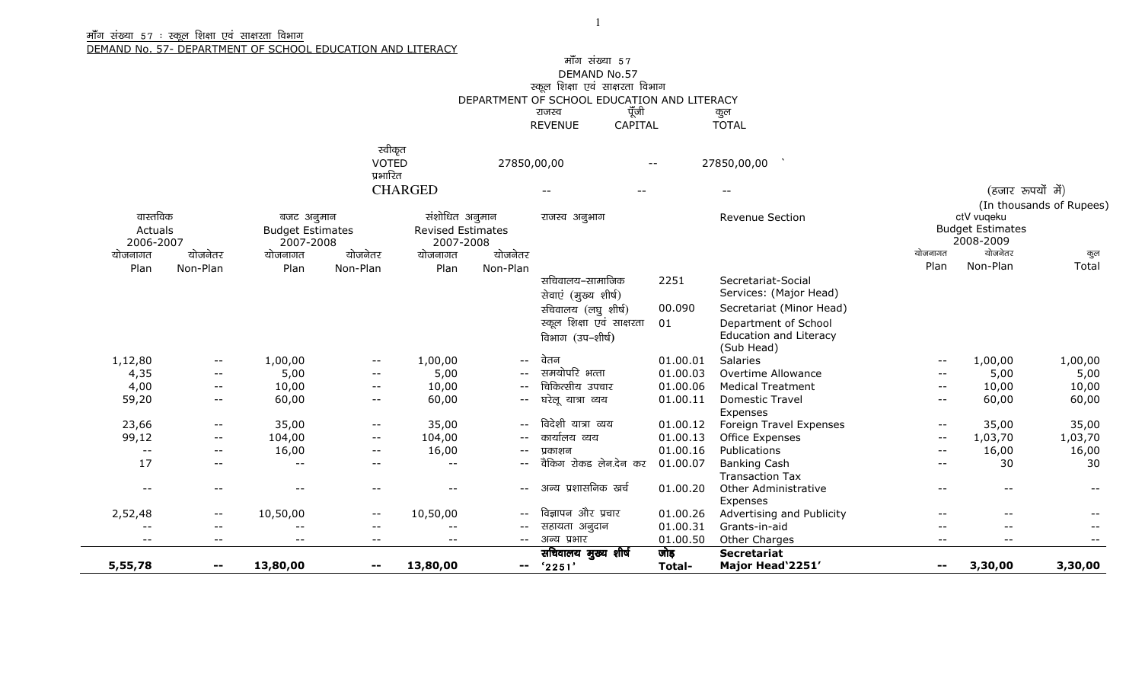#### <u>मॉॅंग संख्या 57 : स्कूल शिक्षा एवं साक्षरता विभाग</u>

DEMAND No. 57- DEPARTMENT OF SCHOOL EDUCATION AND LITERACY

### मॉॅंग संख्या 57 DEMAND No.57<br>रुकूल शिक्षा एवं साक्षरता विभाग<br>DEPARTMENT OF SCHOOL EDUCATION AND LITERACY<br>राजस्थान का अपने का स्टब्स REVENUE CAPITAL TOTAL

| स्वीकृत        |             |       |             |                 |
|----------------|-------------|-------|-------------|-----------------|
| VOTED          | 27850,00,00 | $- -$ | 27850,00,00 |                 |
| प्रभारित       |             |       |             |                 |
| <b>CHARGED</b> | $- -$       | $- -$ | $- -$       | (हजार रूपयो मे) |

|           |                   |                         |          |                          |                   |                           |          |                               | (In thousands of Rupees)<br>ctV vuqeku |                         |                   |  |
|-----------|-------------------|-------------------------|----------|--------------------------|-------------------|---------------------------|----------|-------------------------------|----------------------------------------|-------------------------|-------------------|--|
| वास्तविक  |                   | बजट अनुमान              |          | संशोधित अनुमान           |                   | राजस्व अनुभाग             |          | Revenue Section               |                                        |                         |                   |  |
| Actuals   |                   | <b>Budget Estimates</b> |          | <b>Revised Estimates</b> |                   |                           |          |                               |                                        | <b>Budget Estimates</b> |                   |  |
| 2006-2007 |                   | 2007-2008               |          | 2007-2008                |                   |                           |          |                               | योजनागत                                | 2008-2009<br>योजनेतर    |                   |  |
| योजनागत   | योजनेतर           | योजनागत                 | योजनेतर  | योजनागत                  | योजनेतर           |                           |          |                               |                                        |                         | कुल               |  |
| Plan      | Non-Plan          | Plan                    | Non-Plan | Plan                     | Non-Plan          |                           |          |                               | Plan                                   | Non-Plan                | Total             |  |
|           |                   |                         |          |                          |                   | सचिवालय–सामाजिक           | 2251     | Secretariat-Social            |                                        |                         |                   |  |
|           |                   |                         |          |                          |                   | सेवाएं (मुख्य शीर्ष)      |          | Services: (Major Head)        |                                        |                         |                   |  |
|           |                   |                         |          |                          |                   | र्सचेवालय (लघु शीर्ष)     | 00.090   | Secretariat (Minor Head)      |                                        |                         |                   |  |
|           |                   |                         |          |                          |                   | स्कूल शिक्षा एवं साक्षरता | 01       | Department of School          |                                        |                         |                   |  |
|           |                   |                         |          |                          |                   | विभाग (उप–शीर्ष)          |          | <b>Education and Literacy</b> |                                        |                         |                   |  |
|           |                   |                         |          |                          |                   |                           |          | (Sub Head)                    |                                        |                         |                   |  |
| 1,12,80   | $ -$              | 1,00,00                 | $--$     | 1,00,00                  | $ -$              | वेतन                      | 01.00.01 | <b>Salaries</b>               | $- -$                                  | 1,00,00                 | 1,00,00           |  |
| 4,35      | $ -$              | 5,00                    | $- -$    | 5,00                     | $\qquad \qquad -$ | समयोपरि भत्ता             | 01.00.03 | Overtime Allowance            | $- -$                                  | 5,00                    | 5,00              |  |
| 4,00      | $ -$              | 10,00                   | $- -$    | 10,00                    | $- -$             | चिकित्सीय उपचार           | 01.00.06 | <b>Medical Treatment</b>      | $- -$                                  | 10,00                   | 10,00             |  |
| 59,20     | $ -$              | 60,00                   | $- -$    | 60,00                    | $- -$             | घरेलू यात्रा व्यय         | 01.00.11 | <b>Domestic Travel</b>        | $- -$                                  | 60,00                   | 60,00             |  |
|           |                   |                         |          |                          |                   |                           |          | Expenses                      |                                        |                         |                   |  |
| 23,66     | $ -$              | 35,00                   | $- -$    | 35,00                    | $- -$             | विदेशी यात्रा व्यय        | 01.00.12 | Foreign Travel Expenses       | $- -$                                  | 35,00                   | 35,00             |  |
| 99,12     | $ -$              | 104,00                  | $--$     | 104,00                   | $- -$             | कार्यालय व्यय             | 01.00.13 | Office Expenses               | $- -$                                  | 1,03,70                 | 1,03,70           |  |
| $- -$     | $- -$             | 16,00                   | $- -$    | 16,00                    | $ -$              | प्रकाशन                   | 01.00.16 | <b>Publications</b>           | $- -$                                  | 16,00                   | 16,00             |  |
| 17        | $- -$             | $- -$                   | $- -$    | $- -$                    | $- -$             | वैकिंग रोकड लेन.देन कर    | 01.00.07 | <b>Banking Cash</b>           | $- -$                                  | 30                      | 30                |  |
|           |                   |                         |          |                          |                   |                           |          | <b>Transaction Tax</b>        |                                        |                         |                   |  |
| $- -$     | $- -$             | $- -$                   | $- -$    | $- -$                    | $- -$             | अन्य प्रशासनिक खर्च       | 01.00.20 | <b>Other Administrative</b>   | $- -$                                  | $- -$                   | $\qquad \qquad -$ |  |
|           |                   |                         |          |                          |                   |                           |          | Expenses                      |                                        |                         |                   |  |
| 2,52,48   | $--$              | 10,50,00                | $--$     | 10,50,00                 | $-\,-$            | विज्ञापन और प्रचार        | 01.00.26 | Advertising and Publicity     | $- -$                                  | --                      | $ -$              |  |
| $- -$     | $\qquad \qquad -$ | $\qquad \qquad -$       | $- -$    | $- -$                    | $ -$              | सहायता अनुदान             | 01.00.31 | Grants-in-aid                 |                                        | $- -$                   | $- -$             |  |
| $--$      | $- -$             | $- -$                   | $- -$    | $- -$                    | $--$              | अन्य प्रभार               | 01.00.50 | Other Charges                 | $- -$                                  | $- -$                   |                   |  |
|           |                   |                         |          |                          |                   | सचिवालय मुख्य शीर्ष       | जोड़     | <b>Secretariat</b>            |                                        |                         |                   |  |
| 5,55,78   | $- -$             | 13,80,00                | $- -$    | 13,80,00                 | $\sim$ $\sim$     | '2251'                    | Total-   | Major Head'2251'              |                                        | 3,30,00                 | 3,30,00           |  |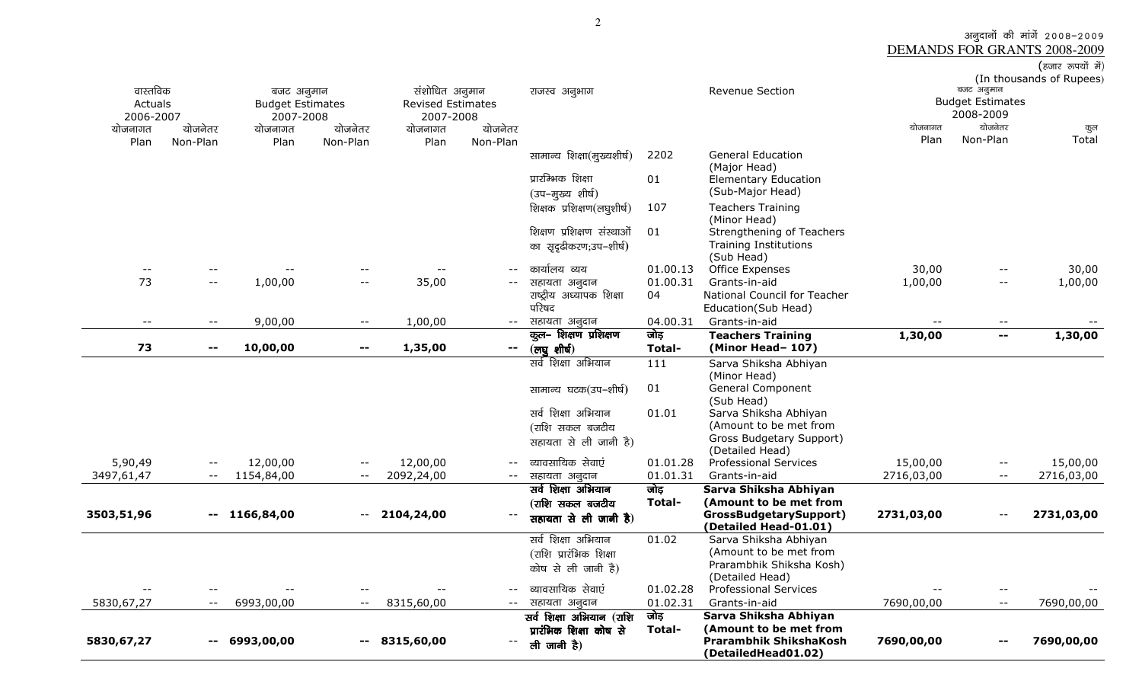अनुदानों की मांगें 2008–2009<br>DEMANDS FOR GRANTS 2008-2009<br>(हजार रुपयों में) (In thousands of Rupees)

| 5830,67,27               | $\sim$ $-$                 | 6993,00,00                            | $\qquad \qquad -$        | 8315,60,00                                 |                                               | ली जानी है)                                         |                      | <b>Prarambhik ShikshaKosh</b><br>(DetailedHead01.02)      | 7690,00,00                 |                          | 7690,00,00 |
|--------------------------|----------------------------|---------------------------------------|--------------------------|--------------------------------------------|-----------------------------------------------|-----------------------------------------------------|----------------------|-----------------------------------------------------------|----------------------------|--------------------------|------------|
|                          |                            |                                       |                          |                                            |                                               | सर्व शिक्षा अभियान (राशि<br>प्रारंभिक शिक्षा कोष से | जोड़<br>Total-       | Sarva Shiksha Abhiyan<br>(Amount to be met from           |                            |                          |            |
| 5830,67,27               | $\overline{\phantom{a}}$   | 6993,00,00                            | $- -$                    | 8315,60,00                                 | $\mathord{\hspace{1pt}\text{--}\hspace{1pt}}$ | सहायता अनुदान                                       | 01.02.31             | Grants-in-aid                                             | 7690,00,00                 | $- -$                    | 7690,00,00 |
| $\overline{\phantom{a}}$ |                            | $\overline{\phantom{m}}$ .            |                          | $ -$                                       |                                               | कोष से ली जानी है)<br>व्यावसायिक सेवाएं             | 01.02.28             | (Detailed Head)<br><b>Professional Services</b>           | $\equiv$ $\equiv$          |                          |            |
|                          |                            |                                       |                          |                                            |                                               | (राशि प्रारंभिक शिक्षा                              |                      | (Amount to be met from<br>Prarambhik Shiksha Kosh)        |                            |                          |            |
|                          |                            |                                       |                          |                                            |                                               | सर्व शिक्षा अभियान                                  | 01.02                | Sarva Shiksha Abhiyan                                     |                            |                          |            |
| 3503,51,96               | $\mathbf{u} = \mathbf{v}$  | 1166,84,00                            | $- -$                    | 2104,24,00                                 |                                               | सहायता से ली जानी है)                               |                      | GrossBudgetarySupport)<br>(Detailed Head-01.01)           | 2731,03,00                 |                          | 2731,03,00 |
|                          |                            |                                       |                          |                                            |                                               | (राशि सकल बजटीय                                     | Total-               | (Amount to be met from                                    |                            |                          |            |
|                          |                            |                                       |                          |                                            |                                               | सर्व शिक्षा अभियान                                  | जोड़                 | Sarva Shiksha Abhiyan                                     |                            |                          |            |
| 3497,61,47               | $\overline{\phantom{a}}$ . | 1154,84,00                            | $\overline{\phantom{m}}$ | 2092,24,00                                 | $- -$                                         | सहायता अनुदान                                       | 01.01.31             | Grants-in-aid                                             | 2716,03,00                 | $- -$                    | 2716,03,00 |
| 5,90,49                  | $-$                        | 12,00,00                              | $-$                      | 12,00,00                                   |                                               | व्यावसायिक सेवाएं                                   | 01.01.28             | <b>Professional Services</b>                              | 15,00,00                   | $- -$                    | 15,00,00   |
|                          |                            |                                       |                          |                                            |                                               | सहायता से ली जानी है)                               |                      | Gross Budgetary Support)<br>(Detailed Head)               |                            |                          |            |
|                          |                            |                                       |                          |                                            |                                               | (राशि सकल बजटीय                                     |                      | (Amount to be met from                                    |                            |                          |            |
|                          |                            |                                       |                          |                                            |                                               | सर्व शिक्षा अभियान                                  | 01.01                | Sarva Shiksha Abhiyan                                     |                            |                          |            |
|                          |                            |                                       |                          |                                            |                                               | सामान्य घटक(उप-शीर्ष)                               | 01                   | <b>General Component</b><br>(Sub Head)                    |                            |                          |            |
|                          |                            |                                       |                          |                                            |                                               |                                                     |                      | (Minor Head)                                              |                            |                          |            |
|                          | $\mathbf{--}$              | 10,00,00                              | $\overline{\phantom{a}}$ | 1,35,00                                    | $\overline{\phantom{a}}$                      | (लघुशीर्ष)<br>सर्व शिक्षा अभियान                    | Total-<br>111        | (Minor Head-107)<br>Sarva Shiksha Abhiyan                 |                            |                          |            |
| 73                       |                            |                                       |                          |                                            |                                               | कुल-शिक्षण प्रशिक्षण                                | जोड                  | <b>Teachers Training</b>                                  | 1,30,00                    | $\mathbf{u}$             | 1,30,00    |
| $\overline{\phantom{m}}$ | $-$                        | 9,00,00                               | $\overline{\phantom{m}}$ | 1,00,00                                    | $- -$                                         | सहायता अनुदान                                       | 04.00.31             | Grants-in-aid                                             | $\overline{\phantom{m}}$ . | $- -$                    |            |
|                          |                            |                                       |                          |                                            |                                               | परिषद                                               |                      | Education(Sub Head)                                       |                            |                          |            |
|                          | $-$                        | 1,00,00                               | $ -$                     | 35,00                                      | $\overline{\phantom{a}}$                      | सहायता अनुदान<br>राष्ट्रीय अध्यापक शिक्षा           | 04                   | National Council for Teacher                              | 1,00,00                    | $\overline{\phantom{a}}$ | 1,00,00    |
| 73                       |                            |                                       |                          |                                            |                                               | कार्यालय व्यय                                       | 01.00.13<br>01.00.31 | Office Expenses<br>Grants-in-aid                          | 30,00                      | --                       | 30,00      |
|                          |                            |                                       |                          |                                            |                                               |                                                     |                      | (Sub Head)                                                |                            |                          |            |
|                          |                            |                                       |                          |                                            |                                               | शिक्षण प्रशिक्षण संस्थाओं<br>का सुदृढीकरण;उप–शीर्ष) | 01                   | Strengthening of Teachers<br><b>Training Institutions</b> |                            |                          |            |
|                          |                            |                                       |                          |                                            |                                               |                                                     |                      | (Minor Head)                                              |                            |                          |            |
|                          |                            |                                       |                          |                                            |                                               | (उप-मुख्य शीर्ष)<br>शिक्षक प्रशिक्षण(लघूशीर्ष)      | 107                  | (Sub-Major Head)<br><b>Teachers Training</b>              |                            |                          |            |
|                          |                            |                                       |                          |                                            |                                               | प्रारम्भिक शिक्षा                                   | 01                   | <b>Elementary Education</b>                               |                            |                          |            |
|                          |                            |                                       |                          |                                            |                                               | सामान्य शिक्षा(मुख्यशीर्ष)                          | 2202                 | <b>General Education</b><br>(Major Head)                  |                            |                          |            |
| Plan                     | Non-Plan                   | Plan                                  | Non-Plan                 | Plan                                       | Non-Plan                                      |                                                     |                      |                                                           | Plan                       | Non-Plan                 | Total      |
| योजनागत                  | योजनेतर                    | योजनागत                               | योजनेतर                  | योजनागत                                    | योजनेतर                                       |                                                     |                      |                                                           | योजनागत                    | योजनेतर                  | कुल        |
| 2006-2007                |                            | 2007-2008                             |                          | 2007-2008                                  |                                               |                                                     |                      |                                                           |                            | 2008-2009                |            |
| Actuals                  |                            | बजट अनुमान<br><b>Budget Estimates</b> |                          | संशोधित अनुमान<br><b>Revised Estimates</b> |                                               | राजस्व अनुभाग                                       |                      | Revenue Section                                           |                            | <b>Budget Estimates</b>  |            |
| वास्तविक                 |                            |                                       |                          |                                            |                                               |                                                     |                      | (In thousands of Rupees)<br>बजट अनुमान                    |                            |                          |            |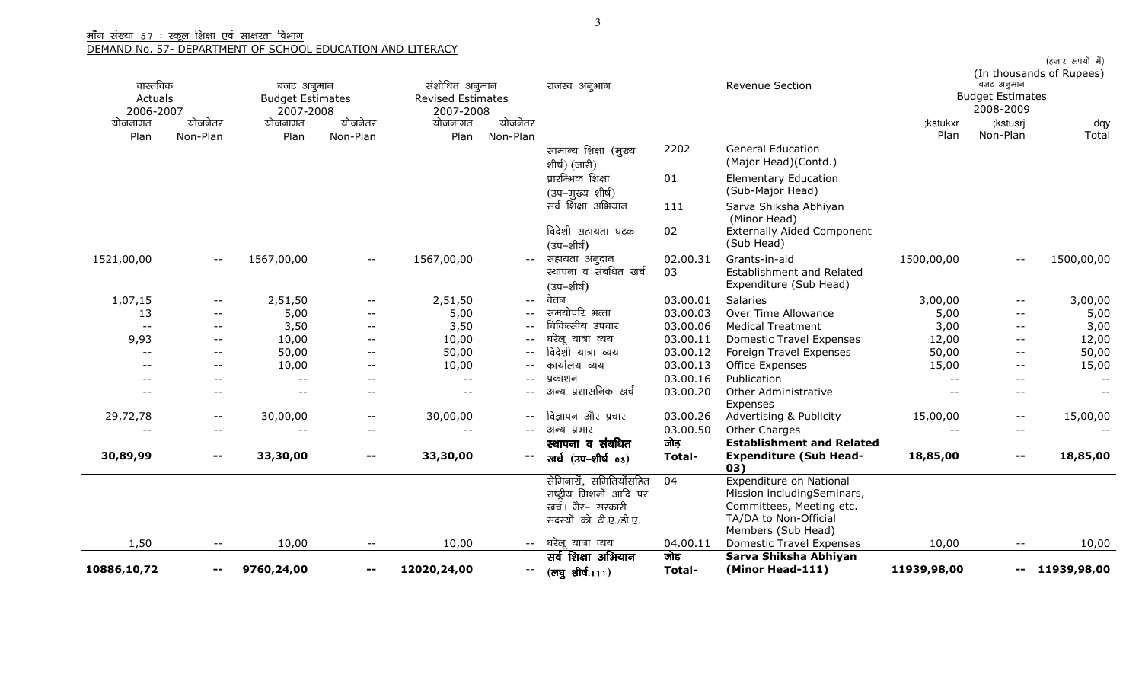|             |                          |                          |                          |                          |                   |                                        |          |                                                     |             |                            | (हजार रूपयों में)<br>(In thousands of Rupees) |
|-------------|--------------------------|--------------------------|--------------------------|--------------------------|-------------------|----------------------------------------|----------|-----------------------------------------------------|-------------|----------------------------|-----------------------------------------------|
| वास्तविक    |                          | बजट अनुमान               |                          | संशोधित अनुमान           |                   | राजस्व अनुभाग                          |          | <b>Revenue Section</b>                              |             | बजट अनुमान                 |                                               |
| Actuals     |                          | <b>Budget Estimates</b>  |                          | <b>Revised Estimates</b> |                   |                                        |          |                                                     |             | <b>Budget Estimates</b>    |                                               |
| 2006-2007   |                          | 2007-2008                |                          | 2007-2008                |                   |                                        |          |                                                     |             | 2008-2009                  |                                               |
| योजनागत     | योजनेतर                  | योजनागत                  | योजनेतर                  | योजनागत                  | योजनेतर           |                                        |          |                                                     | ;kstukxr    | ;kstusrj                   | dqy                                           |
| Plan        | Non-Plan                 | Plan                     | Non-Plan                 | Plan                     | Non-Plan          |                                        |          |                                                     | Plan        | Non-Plan                   | Total                                         |
|             |                          |                          |                          |                          |                   | सामान्य शिक्षा (मुख्य<br>शीर्ष) (जारी) | 2202     | <b>General Education</b><br>(Major Head)(Contd.)    |             |                            |                                               |
|             |                          |                          |                          |                          |                   | प्रारम्भिक शिक्षा<br>(उप-मुख्य शीर्ष)  | 01       | <b>Elementary Education</b><br>(Sub-Major Head)     |             |                            |                                               |
|             |                          |                          |                          |                          |                   | सर्व शिक्षा अभियान                     | 111      | Sarva Shiksha Abhiyan<br>(Minor Head)               |             |                            |                                               |
|             |                          |                          |                          |                          |                   | विदेशी सहायता घटक<br>(उप–शीर्ष)        | 02       | <b>Externally Aided Component</b><br>(Sub Head)     |             |                            |                                               |
| 1521,00,00  | $-\,-$                   | 1567,00,00               | $ -$                     | 1567,00,00               | $- -$             | सहायता अनुदान                          | 02.00.31 | Grants-in-aid                                       | 1500,00,00  | $-$                        | 1500,00,00                                    |
|             |                          |                          |                          |                          |                   | स्थापना व संबधित खर्च<br>(उप–शीर्ष)    | 03       | Establishment and Related<br>Expenditure (Sub Head) |             |                            |                                               |
| 1,07,15     | $\overline{\phantom{m}}$ | 2,51,50                  | $ -$                     | 2,51,50                  | $- -$             | वेतन                                   | 03.00.01 | <b>Salaries</b>                                     | 3,00,00     | $-\,-$                     | 3,00,00                                       |
| 13          | $- -$                    | 5,00                     | $\overline{\phantom{m}}$ | 5,00                     | $- -$             | समयोपरि भत्ता                          | 03.00.03 | Over Time Allowance                                 | 5,00        | $- -$                      | 5,00                                          |
| $- -$       | $--$                     | 3,50                     | $\overline{\phantom{a}}$ | 3,50                     |                   | चिकित्सीय उपचार                        | 03.00.06 | <b>Medical Treatment</b>                            | 3,00        | $- -$                      | 3,00                                          |
| 9,93        | $-\,-$                   | 10,00                    | $- -$                    | 10,00                    | $--$              | घरेलू यात्रा व्यय                      | 03.00.11 | <b>Domestic Travel Expenses</b>                     | 12,00       | $- -$                      | 12,00                                         |
| $- -$       | $--$                     | 50,00                    | $- -$                    | 50,00                    | $\qquad \qquad -$ | विदेशी यात्रा व्यय                     | 03.00.12 | Foreign Travel Expenses                             | 50,00       | $- -$                      | 50,00                                         |
|             | $--$                     | 10,00                    | $- -$                    | 10,00                    |                   | कार्यालय व्यय                          | 03.00.13 | <b>Office Expenses</b>                              | 15,00       | $- -$                      | 15,00                                         |
|             | $-$                      | $-$                      | $- -$                    | $\overline{\phantom{a}}$ | $- -$             | प्रकाशन                                | 03.00.16 | Publication                                         | $- -$       | $- -$                      |                                               |
|             | $-$                      | $-$                      | $- -$                    | $- -$                    |                   | अन्य प्रशासनिक खर्च                    | 03.00.20 | Other Administrative<br>Expenses                    |             | $\overline{\phantom{a}}$ . |                                               |
| 29,72,78    | $--$                     | 30,00,00                 | $- -$                    | 30,00,00                 |                   | विज्ञापन और प्रचार                     | 03.00.26 | Advertising & Publicity                             | 15,00,00    | $- -$                      | 15,00,00                                      |
| $- -$       | $--$                     | $\overline{\phantom{a}}$ | $- -$                    | $\overline{\phantom{m}}$ | $--$              | अन्य प्रभार                            | 03.00.50 | Other Charges                                       | $- -$       | $\qquad \qquad -$          | $--$                                          |
|             |                          |                          |                          |                          |                   | स्थापना व संबधित                       | जोड़     | <b>Establishment and Related</b>                    |             |                            |                                               |
| 30,89,99    | $\mathbf{H}=\mathbf{0}$  | 33,30,00                 | $\overline{\phantom{m}}$ | 33,30,00                 | −−                | खर्च (उप–शीर्ष 03)                     | Total-   | <b>Expenditure (Sub Head-</b><br>03)                | 18,85,00    | $\overline{\phantom{m}}$   | 18,85,00                                      |
|             |                          |                          |                          |                          |                   | सेमिनारों, समितियोंसहित                | 04       | <b>Expenditure on National</b>                      |             |                            |                                               |
|             |                          |                          |                          |                          |                   | राष्ट्रीय मिशनों आदि पर                |          | Mission includingSeminars,                          |             |                            |                                               |
|             |                          |                          |                          |                          |                   | खर्च। गैर- सरकारी                      |          | Committees, Meeting etc.                            |             |                            |                                               |
|             |                          |                          |                          |                          |                   | सदस्यों को टी.ए./डी.ए.                 |          | TA/DA to Non-Official<br>Members (Sub Head)         |             |                            |                                               |
| 1,50        | $\overline{\phantom{m}}$ | 10,00                    | $-$                      | 10,00                    | $- -$             | घरेलू यात्रा व्यय                      | 04.00.11 | <b>Domestic Travel Expenses</b>                     | 10,00       | $- -$                      | 10,00                                         |
|             |                          |                          |                          |                          |                   | सर्व शिक्षा अभियान                     | जोड़     | Sarva Shiksha Abhiyan                               |             |                            |                                               |
| 10886,10,72 |                          | 9760,24,00               | $\sim$ $-$               | 12020,24,00              | $- -$             | $(\overline{c}$ षु शीर्ष.111)          | Total-   | (Minor Head-111)                                    | 11939,98,00 | --                         | 11939,98,00                                   |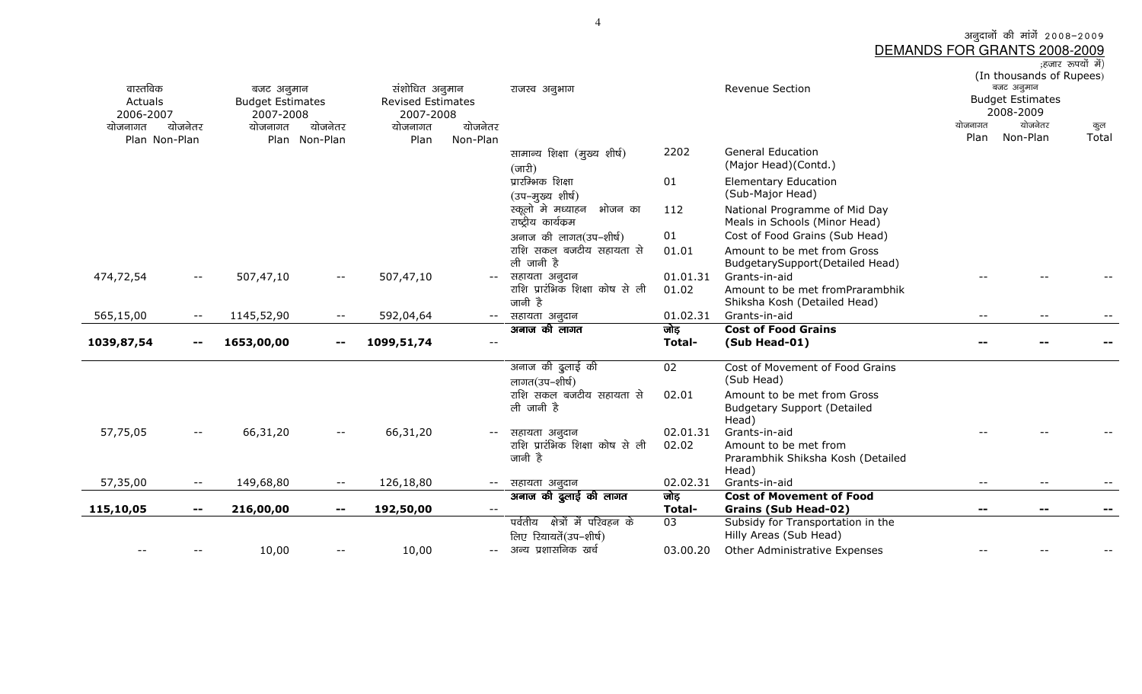अनुदानों की मांगें 2008–2009<br>DEMANDS FOR GRANTS 2008-2009<br>अज्ञार रुपयों में)

| वास्तविक<br>Actuals<br>2006-2007 |                          | बजट अनुमान<br><b>Budget Estimates</b><br>2007-2008 |                                                | संशोधित अनुमान<br><b>Revised Estimates</b><br>2007-2008 |                          | राजस्व अनुभाग                                                |               | <b>Revenue Section</b>                                                     | बजट अनुमान<br><b>Budget Estimates</b><br>2008-2009 | (In thousands of Rupees) |              |
|----------------------------------|--------------------------|----------------------------------------------------|------------------------------------------------|---------------------------------------------------------|--------------------------|--------------------------------------------------------------|---------------|----------------------------------------------------------------------------|----------------------------------------------------|--------------------------|--------------|
| योजनागत                          | योजनेतर                  | योजनागत                                            | योजनेतर                                        | योजनागत                                                 | योजनेतर                  |                                                              |               |                                                                            | योजनागत<br>Plan                                    | योजनेतर<br>Non-Plan      | कुल<br>Total |
| Plan Non-Plan                    |                          |                                                    | Plan Non-Plan                                  | Plan                                                    | Non-Plan                 | सामान्य शिक्षा (मुख्य शीर्ष)<br>$(\overline{\text{unfl}})$   | 2202          | <b>General Education</b><br>(Major Head)(Contd.)                           |                                                    |                          |              |
|                                  |                          |                                                    |                                                |                                                         |                          | प्रारम्भिक शिक्षा<br>(उप-मुख्य शीर्ष)                        | 01            | <b>Elementary Education</b><br>(Sub-Major Head)                            |                                                    |                          |              |
|                                  |                          |                                                    |                                                |                                                         |                          | स्कूलो मे मध्याहन<br>भोजन का<br>राष्ट्रीय कार्यक्रम          | 112           | National Programme of Mid Day<br>Meals in Schools (Minor Head)             |                                                    |                          |              |
|                                  |                          |                                                    |                                                |                                                         |                          | अनाज की लागत(उप-शीर्ष)                                       | 01            | Cost of Food Grains (Sub Head)                                             |                                                    |                          |              |
|                                  |                          |                                                    |                                                |                                                         |                          | राशि सकल बजटीय सहायता से<br>ली जानी है                       | 01.01         | Amount to be met from Gross<br>BudgetarySupport(Detailed Head)             |                                                    |                          |              |
| 474,72,54                        | $- -$                    | 507,47,10                                          | $--$                                           | 507,47,10                                               | $--$                     | सहायता अनूदान                                                | 01.01.31      | Grants-in-aid                                                              |                                                    |                          |              |
|                                  |                          |                                                    |                                                |                                                         |                          | राशि प्रारंभिक शिक्षा कोष से ली<br>जानी है                   | 01.02         | Amount to be met fromPrarambhik<br>Shiksha Kosh (Detailed Head)            |                                                    |                          |              |
| 565,15,00                        | $- -$                    | 1145,52,90                                         | $--$                                           | 592,04,64                                               | $--$                     | सहायता अनुदान                                                | 01.02.31      | Grants-in-aid                                                              | $- -$                                              | $- -$                    |              |
|                                  |                          |                                                    |                                                |                                                         |                          | अनाज की लागत                                                 | जोड़          | <b>Cost of Food Grains</b>                                                 |                                                    |                          |              |
| 1039,87,54                       | $\overline{\phantom{m}}$ | 1653,00,00                                         | $\hspace{0.1mm}-\hspace{0.1mm}-\hspace{0.1mm}$ | 1099,51,74                                              | $\overline{\phantom{a}}$ |                                                              | <b>Total-</b> | (Sub Head-01)                                                              |                                                    |                          |              |
|                                  |                          |                                                    |                                                |                                                         |                          | अनाज की दुलाई की<br>लागत(उप–शीर्ष)                           | 02            | Cost of Movement of Food Grains<br>(Sub Head)                              |                                                    |                          |              |
|                                  |                          |                                                    |                                                |                                                         |                          | राशि सकल बजटीय सहायता से<br>ली जानी है                       | 02.01         | Amount to be met from Gross<br><b>Budgetary Support (Detailed</b><br>Head) |                                                    |                          |              |
| 57,75,05                         | $ -$                     | 66,31,20                                           | $- -$                                          | 66,31,20                                                |                          | सहायता अनुदान                                                | 02.01.31      | Grants-in-aid                                                              |                                                    |                          |              |
|                                  |                          |                                                    |                                                |                                                         |                          | राशि प्रारंभिक शिक्षा कोष से ली                              | 02.02         | Amount to be met from                                                      |                                                    |                          |              |
|                                  |                          |                                                    |                                                |                                                         |                          | जानी है                                                      |               | Prarambhik Shiksha Kosh (Detailed                                          |                                                    |                          |              |
| 57,35,00                         | $- -$                    | 149,68,80                                          | $- -$                                          | 126,18,80                                               |                          | सहायता अनूदान                                                | 02.02.31      | Head)<br>Grants-in-aid                                                     |                                                    |                          |              |
|                                  |                          |                                                    |                                                |                                                         |                          | अनाज की ढुलाई की लागत                                        | जोड़          | <b>Cost of Movement of Food</b>                                            |                                                    |                          |              |
| 115,10,05                        | $\mathbf{u}$             | 216,00,00                                          | $\sim$ $\sim$                                  | 192,50,00                                               |                          |                                                              | Total-        | <b>Grains (Sub Head-02)</b>                                                |                                                    |                          |              |
|                                  |                          |                                                    |                                                |                                                         |                          | पर्वतीय<br>क्षेत्रों में परिवहन के<br>लिए रियायतें(उप-शीर्ष) | 03            | Subsidy for Transportation in the<br>Hilly Areas (Sub Head)                |                                                    |                          |              |
|                                  |                          | 10,00                                              | $ -$                                           | 10,00                                                   |                          | अन्य प्रशासनिक खर्च                                          | 03.00.20      | Other Administrative Expenses                                              |                                                    |                          |              |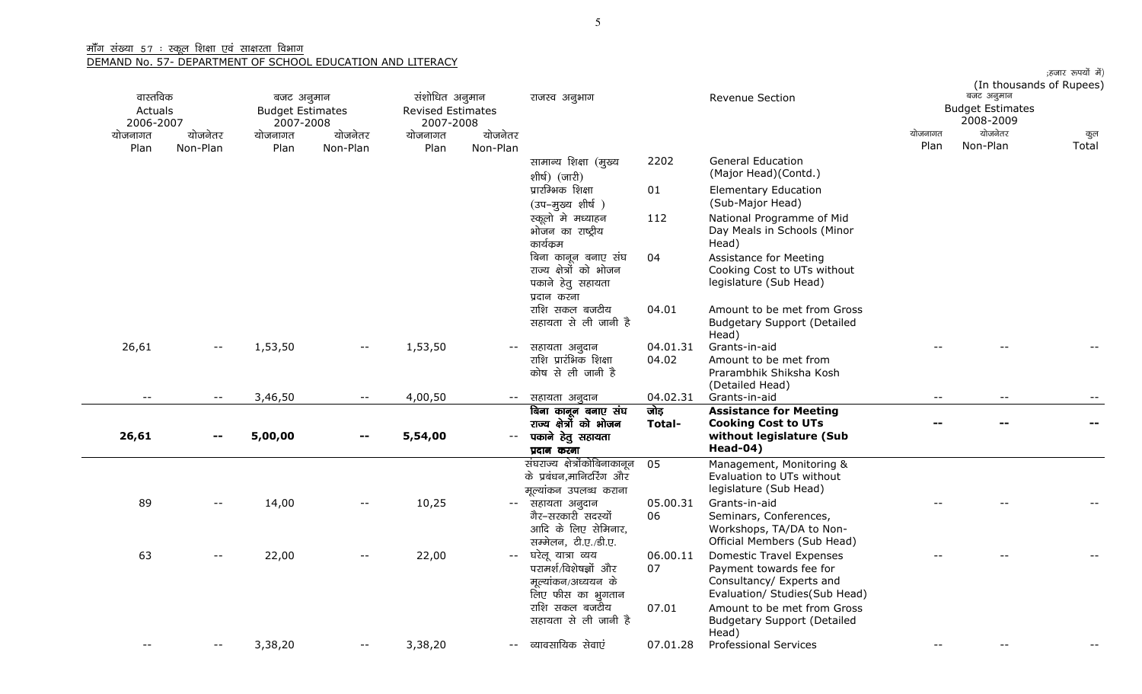| वास्तविक             |            | बजट अनुमान                           |                          | संशोधित अनुमान                        |                                                 | राजस्व अनुभाग                                                                          |                   | Revenue Section                                                                                                         |         | (In thousands of Rupees)<br>बजट अनुमान |       |
|----------------------|------------|--------------------------------------|--------------------------|---------------------------------------|-------------------------------------------------|----------------------------------------------------------------------------------------|-------------------|-------------------------------------------------------------------------------------------------------------------------|---------|----------------------------------------|-------|
| Actuals<br>2006-2007 |            | <b>Budget Estimates</b><br>2007-2008 |                          | <b>Revised Estimates</b><br>2007-2008 |                                                 |                                                                                        |                   |                                                                                                                         |         | <b>Budget Estimates</b><br>2008-2009   |       |
| योजनागत              | योजनेतर    | योजनागत                              | योजनेतर                  | योजनागत                               | योजनेतर                                         |                                                                                        |                   |                                                                                                                         | योजनागत | योजनेतर                                | कुल   |
| Plan                 | Non-Plan   | Plan                                 | Non-Plan                 | Plan                                  | Non-Plan                                        |                                                                                        |                   |                                                                                                                         | Plan    | Non-Plan                               | Total |
|                      |            |                                      |                          |                                       |                                                 | सामान्य शिक्षा (मुख्य<br>शीर्ष) (जारी)                                                 | 2202              | <b>General Education</b><br>(Major Head)(Contd.)                                                                        |         |                                        |       |
|                      |            |                                      |                          |                                       |                                                 | प्रारम्भिक शिक्षा<br>(उप-मुख्य शीर्ष)                                                  | 01                | <b>Elementary Education</b><br>(Sub-Major Head)                                                                         |         |                                        |       |
|                      |            |                                      |                          |                                       |                                                 | स्कूलो मे मध्याहन<br>भोजन का राष्ट्रीय<br>कार्यक्रम                                    | 112               | National Programme of Mid<br>Day Meals in Schools (Minor<br>Head)                                                       |         |                                        |       |
|                      |            |                                      |                          |                                       |                                                 | बिना कानून बनाए संघ<br>राज्य क्षेत्रों को भोजन<br>पकाने हेतु सहायता<br>प्रदान करना     | 04                | Assistance for Meeting<br>Cooking Cost to UTs without<br>legislature (Sub Head)                                         |         |                                        |       |
|                      |            |                                      |                          |                                       |                                                 | राशि सकल बजटीय<br>सहायता से ली जानी है                                                 | 04.01             | Amount to be met from Gross<br><b>Budgetary Support (Detailed</b><br>Head)                                              |         |                                        |       |
| 26,61                | --         | 1,53,50                              | $\overline{\phantom{m}}$ | 1,53,50                               | $--$                                            | सहायता अनुदान<br>राशि प्रारंभिक शिक्षा<br>कोष से ली जानी है                            | 04.01.31<br>04.02 | Grants-in-aid<br>Amount to be met from<br>Prarambhik Shiksha Kosh<br>(Detailed Head)                                    |         |                                        |       |
|                      | $- -$      | 3,46,50                              | $- -$                    | 4,00,50                               | $\mathord{\hspace{1pt}\text{--}\hspace{1pt}}$ . | सहायता अनुदान                                                                          | 04.02.31          | Grants-in-aid                                                                                                           | $- -$   | $-$                                    |       |
|                      |            |                                      |                          |                                       |                                                 | बिना कानून बनाए संघ                                                                    | जोड़              | <b>Assistance for Meeting</b>                                                                                           |         |                                        |       |
| 26,61                | $\sim$ $-$ | 5,00,00                              |                          | 5,54,00                               | $\mathord{\hspace{1pt}\text{--}\hspace{1pt}}$   | राज्य क्षेत्रों को भोजन<br>पकाने हेतु सहायता<br>प्रदान करना                            | Total-            | <b>Cooking Cost to UTs</b><br>without legislature (Sub<br>Head-04)                                                      |         | --                                     |       |
|                      |            |                                      |                          |                                       |                                                 | संघराज्य क्षेत्रोंकोबिनाकानून<br>के प्रबंधन,मानिटरिंग और<br>मूल्यांकन उपलब्ध कराना     | 05                | Management, Monitoring &<br>Evaluation to UTs without<br>legislature (Sub Head)                                         |         |                                        |       |
| 89                   |            | 14,00                                |                          | 10,25                                 | $--$                                            | सहायता अनुदान<br>गैर–सरकारी सदस्यों<br>आदि के लिए सेमिनार,<br>सम्मेलन, टी.ए./डी.ए.     | 05.00.31<br>06    | Grants-in-aid<br>Seminars, Conferences,<br>Workshops, TA/DA to Non-<br>Official Members (Sub Head)                      |         |                                        |       |
| 63                   |            | 22,00                                |                          | 22,00                                 | $\overline{\phantom{m}}$                        | घरेलू यात्रा व्यय<br>परामर्श/विशेषज्ञों और<br>मूल्यांकन/अध्ययन के<br>लिए फीस का भूगतान | 06.00.11<br>07    | <b>Domestic Travel Expenses</b><br>Payment towards fee for<br>Consultancy/ Experts and<br>Evaluation/ Studies(Sub Head) |         |                                        |       |
|                      |            |                                      |                          |                                       |                                                 | राशि सकल बजटीय<br>सहायता से ली जानी है                                                 | 07.01             | Amount to be met from Gross<br><b>Budgetary Support (Detailed</b><br>Head)                                              |         |                                        |       |
|                      | $- -$      | 3,38,20                              | $- -$                    | 3,38,20                               |                                                 | -- व्यावसायिक सेवाएं                                                                   | 07.01.28          | <b>Professional Services</b>                                                                                            |         |                                        |       |
|                      |            |                                      |                          |                                       |                                                 |                                                                                        |                   |                                                                                                                         |         |                                        |       |

;हजार रूपयों में)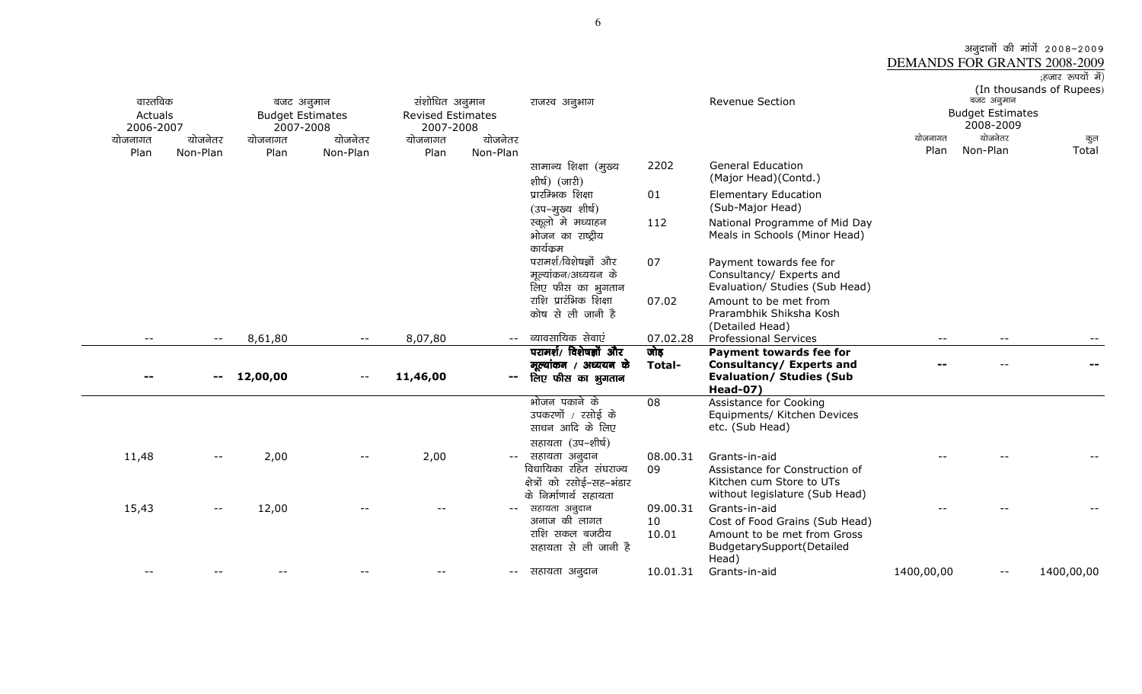# अनुदानों की मांगें 2008–2009<br>DEMANDS FOR GRANTS 2008-2009<br>हजार रुपयों में)<br>(In thousands of Rupees)

| वास्तविक<br>Actuals<br>2006-2007<br>योजनागत<br>Plan | योजनेतर<br>Non-Plan | बजट अनुमान<br><b>Budget Estimates</b><br>2007-2008<br>योजनागत<br>Plan | योजनेतर<br>Non-Plan | संशोधित अनुमान<br><b>Revised Estimates</b><br>2007-2008<br>योजनागत<br>Plan | योजनेतर<br>Non-Plan      | राजस्व अनुभाग                                                                 |                         | Revenue Section                                                                                                      | योजनागत<br>Plan | बजट अनुमान<br><b>Budget Estimates</b><br>2008-2009<br>योजनेतर<br>Non-Plan | (In thousands of Rupees)<br>कुल<br>Total |
|-----------------------------------------------------|---------------------|-----------------------------------------------------------------------|---------------------|----------------------------------------------------------------------------|--------------------------|-------------------------------------------------------------------------------|-------------------------|----------------------------------------------------------------------------------------------------------------------|-----------------|---------------------------------------------------------------------------|------------------------------------------|
|                                                     |                     |                                                                       |                     |                                                                            |                          | सामान्य शिक्षा (मुख्य<br>शीर्ष) (जारी)                                        | 2202                    | <b>General Education</b><br>(Major Head)(Contd.)                                                                     |                 |                                                                           |                                          |
|                                                     |                     |                                                                       |                     |                                                                            |                          | प्रारम्भिक शिक्षा<br>(उप–मुख्य शीर्ष)                                         | 01                      | <b>Elementary Education</b><br>(Sub-Major Head)                                                                      |                 |                                                                           |                                          |
|                                                     |                     |                                                                       |                     |                                                                            |                          | स्कूलो मे मध्याहन<br>भोजन का राष्ट्रीय<br>कार्यक्रम                           | 112                     | National Programme of Mid Day<br>Meals in Schools (Minor Head)                                                       |                 |                                                                           |                                          |
|                                                     |                     |                                                                       |                     |                                                                            |                          | परामर्श/विशेषज्ञों और<br>मूल्यांकन/अध्ययन के<br>लिए फीस का भुगतान             | 07                      | Payment towards fee for<br>Consultancy/ Experts and<br>Evaluation/ Studies (Sub Head)                                |                 |                                                                           |                                          |
|                                                     |                     |                                                                       |                     |                                                                            |                          | राशि प्रारंभिक शिक्षा<br>कोष से ली जानी है                                    | 07.02                   | Amount to be met from<br>Prarambhik Shiksha Kosh<br>(Detailed Head)                                                  |                 |                                                                           |                                          |
| $- -$                                               | $- -$               | 8,61,80                                                               | $--$                | 8,07,80                                                                    | $-$                      | व्यावसायिक सेवाएं                                                             | 07.02.28                | <b>Professional Services</b>                                                                                         | $-$             |                                                                           |                                          |
|                                                     |                     |                                                                       |                     |                                                                            |                          | परामर्श/ विशेषज्ञों और                                                        | जोड़                    | <b>Payment towards fee for</b>                                                                                       |                 |                                                                           |                                          |
|                                                     |                     |                                                                       |                     |                                                                            |                          | मूल्यांकन / अध्ययन के                                                         | Total-                  | Consultancy/ Experts and                                                                                             |                 |                                                                           |                                          |
|                                                     | $\qquad \qquad -$   | 12,00,00                                                              | $- -$               | 11,46,00                                                                   | $\overline{\phantom{m}}$ | लिए फीस का भुगतान                                                             |                         | <b>Evaluation/ Studies (Sub</b><br><b>Head-07)</b>                                                                   |                 |                                                                           |                                          |
|                                                     |                     |                                                                       |                     |                                                                            |                          | भोजन पकाने के<br>उपकरणों / रसोई के<br>साधन आदि के लिए                         | 08                      | Assistance for Cooking<br>Equipments/ Kitchen Devices<br>etc. (Sub Head)                                             |                 |                                                                           |                                          |
| 11,48                                               |                     | 2,00                                                                  |                     | 2,00                                                                       |                          | सहायता (उप-शीर्ष)<br>सहायता अनुदान                                            | 08.00.31                | Grants-in-aid                                                                                                        |                 |                                                                           |                                          |
|                                                     | $- -$               |                                                                       |                     |                                                                            | $-\,-$                   | विधायिका रहित संघराज्य<br>क्षेत्रों को रसोई–सह–भंडार<br>के निर्माणार्थ सहायता | 09                      | Assistance for Construction of<br>Kitchen cum Store to UTs<br>without legislature (Sub Head)                         |                 |                                                                           |                                          |
| 15,43                                               | $- -$               | 12,00                                                                 |                     |                                                                            | $\overline{\phantom{m}}$ | सहायता अनुदान<br>अनाज की लागत<br>राशि सकल बजटीय<br>सहायता से ली जानी है       | 09.00.31<br>10<br>10.01 | Grants-in-aid<br>Cost of Food Grains (Sub Head)<br>Amount to be met from Gross<br>BudgetarySupport(Detailed<br>Head) |                 |                                                                           |                                          |
|                                                     |                     |                                                                       |                     |                                                                            | $\overline{\phantom{m}}$ | सहायता अनुदान                                                                 | 10.01.31                | Grants-in-aid                                                                                                        | 1400,00,00      |                                                                           | 1400,00,00                               |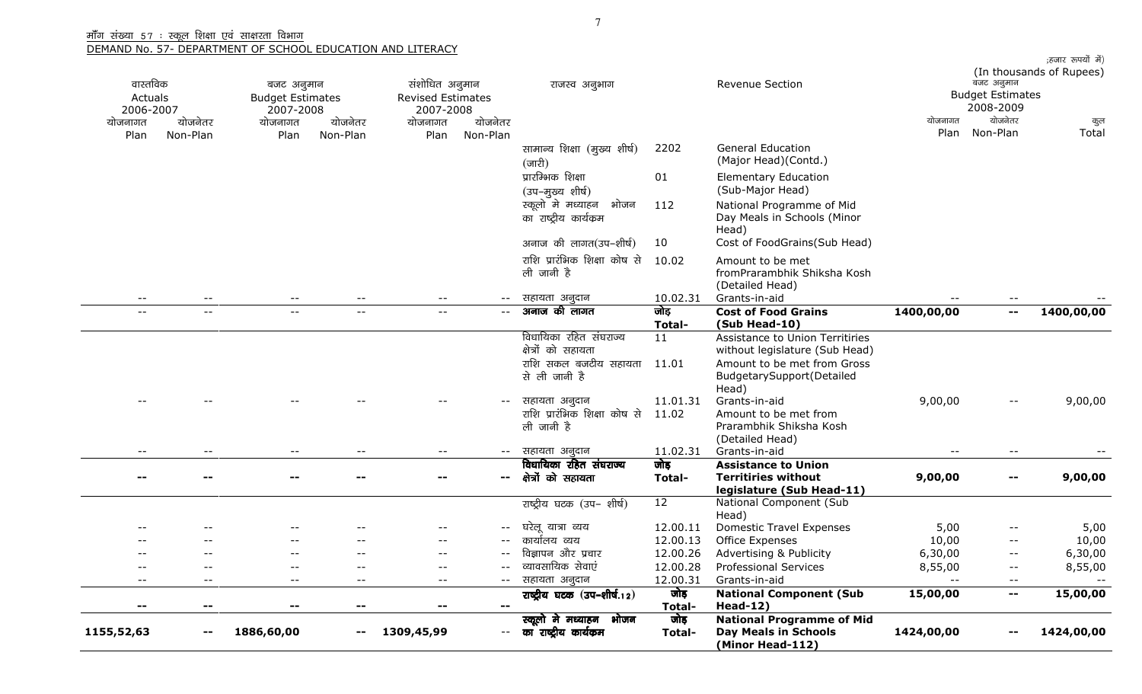| वास्तविक<br>Actuals      |          | बजट अनुमान<br><b>Budget Estimates</b> |                          | संशोधित अनुमान<br><b>Revised Estimates</b> |                              | राजस्व अनुभाग                                               |                   | Revenue Section                                                                       |                 | बजट अनुमान<br><b>Budget Estimates</b> | ;हजार रुपयों में)<br>(In thousands of Rupees) |
|--------------------------|----------|---------------------------------------|--------------------------|--------------------------------------------|------------------------------|-------------------------------------------------------------|-------------------|---------------------------------------------------------------------------------------|-----------------|---------------------------------------|-----------------------------------------------|
| 2006-2007                |          | 2007-2008                             |                          | 2007-2008                                  |                              |                                                             |                   |                                                                                       |                 | 2008-2009                             |                                               |
| योजनागत                  | योजनेतर  | योजनागत                               | योजनेतर                  | योजनागत                                    | योजनेतर                      |                                                             |                   |                                                                                       | योजनागत<br>Plan | योजनेतर<br>Non-Plan                   | कुल<br>Total                                  |
| Plan                     | Non-Plan | Plan                                  | Non-Plan                 | Plan                                       | Non-Plan                     | सामान्य शिक्षा (मुख्य शीर्ष)<br>$(\overline{\text{unfl}})$  | 2202              | <b>General Education</b><br>(Major Head)(Contd.)                                      |                 |                                       |                                               |
|                          |          |                                       |                          |                                            |                              | प्रारम्भिक शिक्षा<br>(उप–मुख्य शीर्ष)                       | 01                | <b>Elementary Education</b><br>(Sub-Major Head)                                       |                 |                                       |                                               |
|                          |          |                                       |                          |                                            |                              | स्कूलो मे मध्याहन<br>भोजन<br>का राष्ट्रीय कार्यक्रम         | 112               | National Programme of Mid<br>Day Meals in Schools (Minor<br>Head)                     |                 |                                       |                                               |
|                          |          |                                       |                          |                                            |                              | अनाज की लागत(उप-शीर्ष)                                      | 10                | Cost of FoodGrains(Sub Head)                                                          |                 |                                       |                                               |
|                          |          |                                       |                          |                                            |                              | राशि प्रारंभिक शिक्षा कोष से<br>ली जानी है                  | 10.02             | Amount to be met<br>fromPrarambhik Shiksha Kosh<br>(Detailed Head)                    |                 |                                       |                                               |
| $\qquad \qquad -$        | $ -$     | $- -$                                 |                          | $-\,-$                                     | $ -$                         | सहायता अनुदान                                               | 10.02.31          | Grants-in-aid                                                                         |                 |                                       |                                               |
| $- -$                    | $- -$    | $\overline{\phantom{m}}$ .            | $\overline{\phantom{m}}$ | $\overline{\phantom{m}}$                   | $- -$                        | अनाज की लागत                                                | जोड़<br>Total-    | <b>Cost of Food Grains</b><br>(Sub Head-10)                                           | 1400,00,00      | $\mathbf{--}$                         | 1400,00,00                                    |
|                          |          |                                       |                          |                                            |                              | विधायिका रहित संघराज्य<br>क्षेत्रों को सहायता               | 11                | Assistance to Union Territiries<br>without legislature (Sub Head)                     |                 |                                       |                                               |
|                          |          |                                       |                          |                                            |                              | राशि सकल बजटीय सहायता<br>से ली जानी है                      | 11.01             | Amount to be met from Gross<br>BudgetarySupport(Detailed<br>Head)                     |                 |                                       |                                               |
|                          |          |                                       |                          |                                            |                              | सहायता अनुदान<br>राशि प्रारंभिक शिक्षा कोष से<br>ली जानी है | 11.01.31<br>11.02 | Grants-in-aid<br>Amount to be met from<br>Prarambhik Shiksha Kosh<br>(Detailed Head)  | 9,00,00         | $- -$                                 | 9,00,00                                       |
| $- -$                    |          | $-\,-$                                |                          | $- -$                                      | $ -$                         | सहायता अनुदान                                               | 11.02.31          | Grants-in-aid                                                                         |                 | $- -$                                 |                                               |
|                          |          |                                       |                          |                                            | $\sim$ $-$                   | विधायिका रहित संघराज्य<br>क्षेत्रों को सहायता               | जोड़<br>Total-    | <b>Assistance to Union</b><br><b>Territiries without</b><br>legislature (Sub Head-11) | 9,00,00         | $\sim$                                | 9,00,00                                       |
|                          |          |                                       |                          |                                            |                              | राष्ट्रीय घटक (उप– शीर्ष)                                   | 12                | National Component (Sub<br>Head)                                                      |                 |                                       |                                               |
|                          |          |                                       |                          |                                            |                              | घरेलू यात्रा व्यय                                           | 12.00.11          | <b>Domestic Travel Expenses</b>                                                       | 5,00            | $ -$                                  | 5,00                                          |
|                          |          | $- -$                                 |                          |                                            |                              | कार्यालय व्यय                                               | 12.00.13          | Office Expenses                                                                       | 10,00           | $- -$                                 | 10,00                                         |
|                          |          | $-$                                   |                          |                                            | $- -$                        | विज्ञापन और प्रचार                                          | 12.00.26          | Advertising & Publicity                                                               | 6,30,00         | $\overline{\phantom{a}}$              | 6,30,00                                       |
| $\overline{\phantom{m}}$ | $ -$     | $\overline{\phantom{m}}$              | --                       | $\overline{\phantom{m}}$                   |                              | व्यावसायिक सेवाएं                                           | 12.00.28          | Professional Services                                                                 | 8,55,00         | $- -$                                 | 8,55,00                                       |
| $- -$                    | $- -$    | $\overline{\phantom{m}}$              | $\qquad \qquad -$        | $--$                                       | $--$                         | सहायता अनुदान                                               | 12.00.31          | Grants-in-aid                                                                         |                 | $\overline{\phantom{m}}$              |                                               |
| --                       | --       | $\overline{\phantom{a}}$              | $- -$                    | --                                         | $\qquad \qquad \blacksquare$ | राष्ट्रीय घटक (उप-शीर्ष.12)                                 | जोड़<br>Total-    | <b>National Component (Sub</b><br>$Head-12)$                                          | 15,00,00        | $\overline{\phantom{m}}$              | 15,00,00                                      |
| 1155,52,63               |          | 1886,60,00                            |                          | 1309,45,99                                 | $- -$                        | स्कूलो मे मध्याहन भोजन<br>का राष्ट्रीय कार्यक्रम            | जोड़<br>Total-    | <b>National Programme of Mid</b><br><b>Day Meals in Schools</b><br>(Minor Head-112)   | 1424,00,00      |                                       | 1424,00,00                                    |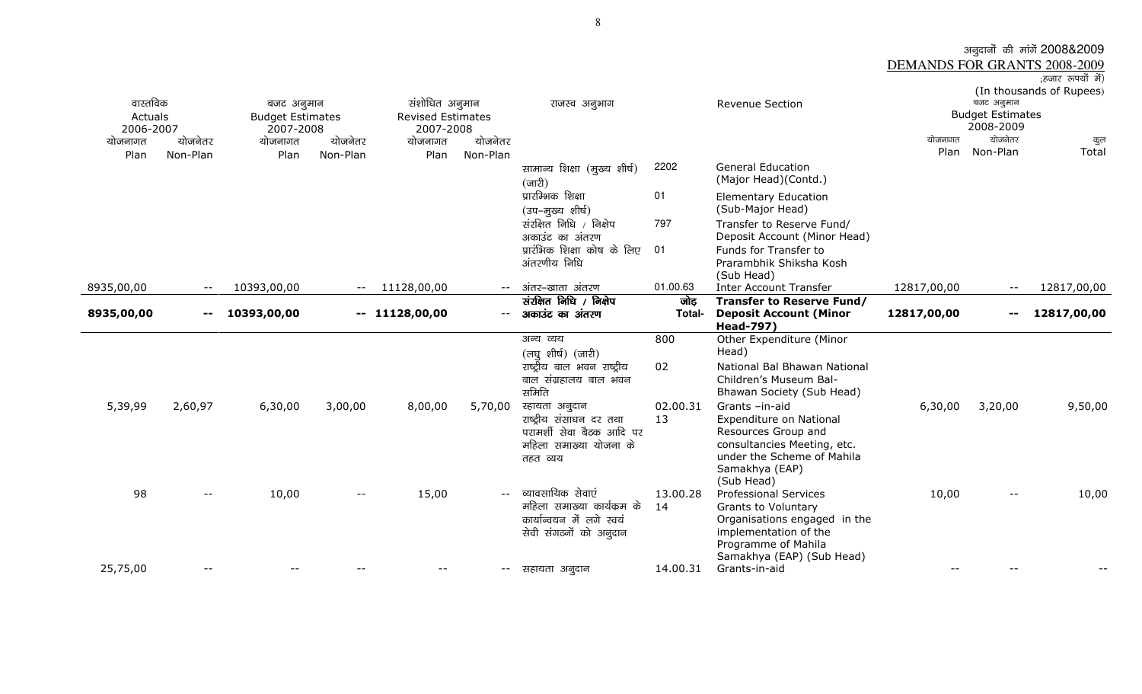|                              | अनूदानों की मांगें 2008&2009 |
|------------------------------|------------------------------|
| DEMANDS FOR GRANTS 2008-2009 |                              |
|                              | ;हजार रूपयों में)            |

| वास्तविक<br>Actuals<br>2006-2007<br>योजनागत<br>Plan | योजनेतर<br>Non-Plan | बजट अनुमान<br><b>Budget Estimates</b><br>2007-2008<br>योजनागत<br>Plan | योजनेतर<br>Non-Plan      | संशोधित अनुमान<br><b>Revised Estimates</b><br>2007-2008<br>योजनागत<br>Plan | योजनेतर<br>Non-Plan | राजस्व अनुभाग<br>सामान्य शिक्षा (मुख्य शीर्ष)<br>$(\overline{\text{unfl}})$<br>प्रारम्भिक शिक्षा<br>(उप-मुख्य शीर्ष)<br>संरक्षित निधि / निक्षेप<br>अकाउंट का अंतरण | 2202<br>01<br>797 | Revenue Section<br><b>General Education</b><br>(Major Head)(Contd.)<br><b>Elementary Education</b><br>(Sub-Major Head)<br>Transfer to Reserve Fund/<br>Deposit Account (Minor Head) | योजनागत<br>Plan | बजट अनुमान<br><b>Budget Estimates</b><br>2008-2009<br>योजनेतर<br>Non-Plan | (In thousands of Rupees)<br>कुल<br>Total |
|-----------------------------------------------------|---------------------|-----------------------------------------------------------------------|--------------------------|----------------------------------------------------------------------------|---------------------|--------------------------------------------------------------------------------------------------------------------------------------------------------------------|-------------------|-------------------------------------------------------------------------------------------------------------------------------------------------------------------------------------|-----------------|---------------------------------------------------------------------------|------------------------------------------|
| 8935,00,00                                          | $- -$               | 10393,00,00                                                           | $- -$                    | 11128,00,00                                                                | $--$                | प्रारंभिक शिक्षा कोष के लिए<br>अंतरणीय निधि<br>अंतर-खाता अंतरण                                                                                                     | 01<br>01.00.63    | Funds for Transfer to<br>Prarambhik Shiksha Kosh<br>(Sub Head)<br><b>Inter Account Transfer</b>                                                                                     | 12817,00,00     | $\overline{\phantom{m}}$ .                                                | 12817,00,00                              |
| 8935,00,00                                          | --                  | 10393,00,00                                                           |                          | $-11128,00,00$                                                             | $- -$               | संरक्षित निधि / निक्षेप<br>अकाउंट का अंतरण                                                                                                                         | जोड<br>Total-     | <b>Transfer to Reserve Fund/</b><br><b>Deposit Account (Minor</b><br><b>Head-797)</b>                                                                                               | 12817,00,00     | --                                                                        | 12817,00,00                              |
|                                                     |                     |                                                                       |                          |                                                                            |                     | अन्य व्यय<br>(लघुशीर्ष) (जारी)<br>राष्ट्रीय बाल भवन राष्ट्रीय<br>बाल संग्रहालय बाल भवन<br>समिति                                                                    | 800<br>02         | Other Expenditure (Minor<br>Head)<br>National Bal Bhawan National<br>Children's Museum Bal-<br>Bhawan Society (Sub Head)                                                            |                 |                                                                           |                                          |
| 5,39,99                                             | 2,60,97             | 6,30,00                                                               | 3,00,00                  | 8,00,00                                                                    | 5,70,00             | स्हायता अनुदान<br>राष्ट्रीय संसाधन दर तथा<br>परामर्शी सेवा बैठक आदि पर<br>महिला समाख्या योजना के<br>तहत व्यय                                                       | 02.00.31<br>13    | Grants -in-aid<br>Expenditure on National<br>Resources Group and<br>consultancies Meeting, etc.<br>under the Scheme of Mahila<br>Samakhya (EAP)<br>(Sub Head)                       | 6,30,00         | 3,20,00                                                                   | 9,50,00                                  |
| 98                                                  |                     | 10,00                                                                 | $\overline{\phantom{m}}$ | 15,00                                                                      |                     | -- व्यावसायिक सेवाएं<br>महिला समाख्या कार्यक्रम के<br>कार्यान्वयन में लगे स्वयं<br>सेवी संगठनों को अनुदान                                                          | 13.00.28<br>14    | <b>Professional Services</b><br>Grants to Voluntary<br>Organisations engaged in the<br>implementation of the<br>Programme of Mahila<br>Samakhya (EAP) (Sub Head)                    | 10,00           | $\qquad \qquad -$                                                         | 10,00                                    |
| 25,75,00                                            |                     |                                                                       |                          |                                                                            | $--$                | सहायता अनुदान                                                                                                                                                      | 14.00.31          | Grants-in-aid                                                                                                                                                                       |                 |                                                                           |                                          |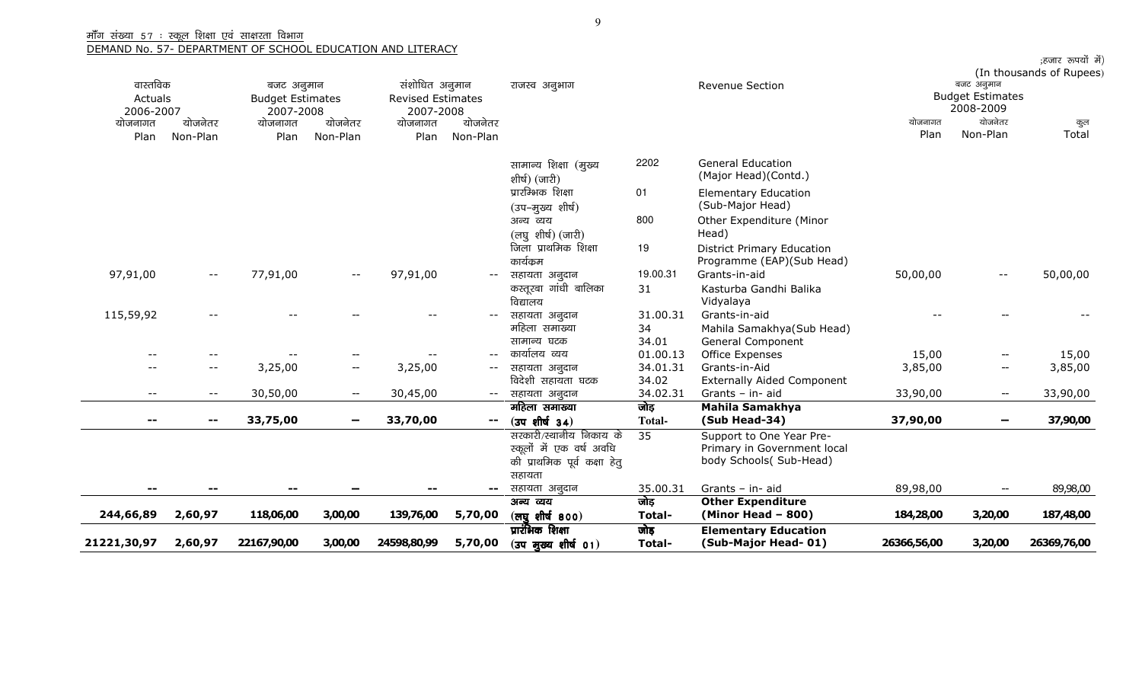| 21221,30,97 | 2,60,97  | 22167,90,00                           | 3,00,00  | 24598,80,99                                | 5,70,00                  | $(J$ उप मुख्य शीर्ष 01)                | Total-            | (Sub-Major Head-01)                                | 26366,56,00             | 3,20,00                  | 26369,76,00              |
|-------------|----------|---------------------------------------|----------|--------------------------------------------|--------------------------|----------------------------------------|-------------------|----------------------------------------------------|-------------------------|--------------------------|--------------------------|
|             |          |                                       |          |                                            |                          | प्रारंभिक शिक्षा                       | जोड़              | <b>Elementary Education</b>                        |                         |                          |                          |
| 244,66,89   | 2,60,97  | 118,06,00                             | 3,00,00  | 139,76,00                                  | 5,70,00                  | (लघुशीर्ष 800)                         | Total-            | $(Minor Head - 800)$                               | 184,28,00               | 3,20,00                  | 187,48,00                |
|             |          |                                       |          |                                            | $\overline{\phantom{a}}$ | सहायता अनुदान<br>अन्य व्यय             | 35.00.31<br>जोड़  | Grants - in- aid<br><b>Other Expenditure</b>       | 89,98,00                |                          | 89,98,00                 |
|             |          |                                       |          |                                            |                          | सहायता                                 |                   |                                                    |                         |                          |                          |
|             |          |                                       |          |                                            |                          | की प्राथमिक पूर्व कक्षा हेतु           |                   | body Schools( Sub-Head)                            |                         |                          |                          |
|             |          |                                       |          |                                            |                          | स्कूलों में एक वर्ष अवधि               |                   | Primary in Government local                        |                         |                          |                          |
|             |          |                                       |          |                                            |                          | सरकारी/स्थानीय निकाय के                | 35                | Support to One Year Pre-                           |                         |                          |                          |
|             |          | 33,75,00                              |          | 33,70,00                                   | $\sim$                   | $(J$ उप शीर्ष 34)                      | <b>Total-</b>     | (Sub Head-34)                                      | 37,90,00                |                          | 37,90,00                 |
|             |          |                                       |          |                                            |                          | महिला समाख्या                          | जोड़              | Mahila Samakhya                                    |                         |                          |                          |
| $- -$       |          | 30,50,00                              |          | 30,45,00                                   |                          | -- सहायता अनुदान                       | 34.02.31          | Grants - in- aid                                   | 33,90,00                | $\hspace{0.05cm}$        | 33,90,00                 |
| $- -$       | $- -$    | 3,25,00                               | $-\!$    | 3,25,00                                    | $- -$                    | सहायता अनुदान<br>विदेशी सहायता घटक     | 34.01.31<br>34.02 | Grants-in-Aid<br><b>Externally Aided Component</b> | 3,85,00                 | --                       | 3,85,00                  |
| $- -$       |          |                                       |          |                                            |                          | कार्यालय व्यय                          | 01.00.13          | Office Expenses                                    | 15,00                   | $-\!$                    | 15,00                    |
|             |          |                                       |          |                                            |                          | सामान्य घटक                            | 34.01             | General Component                                  |                         |                          |                          |
|             |          |                                       |          |                                            |                          | महिला समाख्या                          | 34                | Mahila Samakhya(Sub Head)                          |                         |                          |                          |
| 115,59,92   |          |                                       |          |                                            |                          | सहायता अनुदान                          | 31.00.31          | Grants-in-aid                                      |                         |                          |                          |
|             |          |                                       |          |                                            |                          | विद्यालय                               |                   | Vidyalaya                                          |                         |                          |                          |
| 97,91,00    | $- -$    |                                       | $- -$    |                                            | $--$                     | सहायता अनुदान<br>कस्तूरबा गांधी बालिका | 31                | Kasturba Gandhi Balika                             | 50,00,00                |                          |                          |
|             |          | 77,91,00                              |          | 97,91,00                                   |                          | कार्यक्रम                              | 19.00.31          | Programme (EAP)(Sub Head)<br>Grants-in-aid         |                         | $\overline{\phantom{a}}$ | 50,00,00                 |
|             |          |                                       |          |                                            |                          | जिला प्राथमिक शिक्षा                   | 19                | <b>District Primary Education</b>                  |                         |                          |                          |
|             |          |                                       |          |                                            |                          | (लघुशीर्ष) (जारी)                      |                   | Head)                                              |                         |                          |                          |
|             |          |                                       |          |                                            |                          | अन्य व्यय                              | 800               | Other Expenditure (Minor                           |                         |                          |                          |
|             |          |                                       |          |                                            |                          | (उप-मुख्य शीर्ष)                       |                   | (Sub-Major Head)                                   |                         |                          |                          |
|             |          |                                       |          |                                            |                          | प्रारम्भिक शिक्षा                      | 01                | <b>Elementary Education</b>                        |                         |                          |                          |
|             |          |                                       |          |                                            |                          | शीर्ष) (जारी)                          |                   | (Major Head)(Contd.)                               |                         |                          |                          |
|             |          |                                       |          |                                            |                          | सामान्य शिक्षा (मुख्य                  | 2202              | <b>General Education</b>                           |                         |                          |                          |
| Plan        | Non-Plan | Plan                                  | Non-Plan | Plan                                       | Non-Plan                 |                                        |                   |                                                    | Plan                    | Non-Plan                 | Total                    |
| योजनागत     | योजनेतर  | योजनागत                               | योजनेतर  | योजनागत                                    | योजनेतर                  |                                        |                   |                                                    | योजनागत                 | योजनेतर                  | कुल                      |
| 2006-2007   |          | 2007-2008                             |          | 2007-2008                                  |                          |                                        |                   |                                                    |                         | 2008-2009                |                          |
| Actuals     |          | बजट अनुमान<br><b>Budget Estimates</b> |          | संशोधित अनुमान<br><b>Revised Estimates</b> |                          | राजस्व अनुभाग                          |                   | Revenue Section                                    | <b>Budget Estimates</b> |                          |                          |
| वास्तविक    |          |                                       |          |                                            |                          |                                        |                   |                                                    |                         | बजट अनुमान               | (In thousands of Rupees) |
|             |          |                                       |          |                                            |                          |                                        |                   |                                                    |                         |                          | ;हजार रुपयों में)        |

9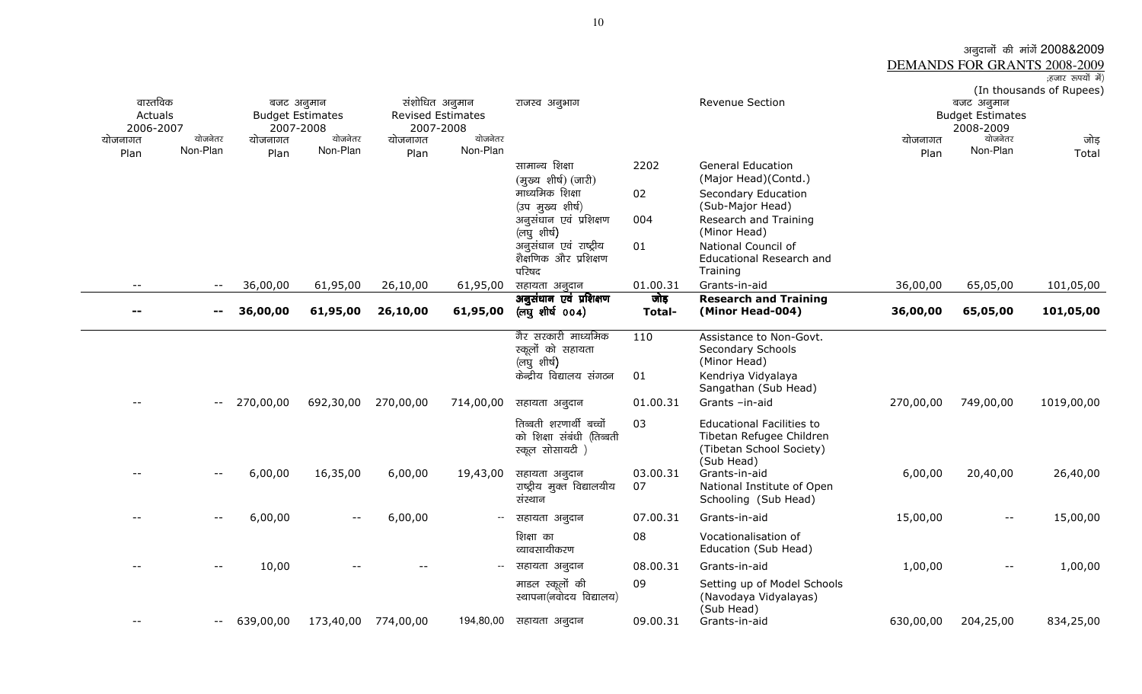## अनुदानों की मांगें 2008&2009<br><u>DEMANDS FOR GRANTS 2008-2009</u><br><sub>(हंजार रुपयों में)</sub>

| वास्तविक<br>Actuals |                              | बजट अनुमान<br><b>Budget Estimates</b> |           |           | संशोधित अनुमान<br><b>Revised Estimates</b> | राजस्व अनुभाग                           |                  | Revenue Section                               |           | बजट अनुमान<br><b>Budget Estimates</b> | (In thousands of Rupees) |
|---------------------|------------------------------|---------------------------------------|-----------|-----------|--------------------------------------------|-----------------------------------------|------------------|-----------------------------------------------|-----------|---------------------------------------|--------------------------|
| 2006-2007           |                              | 2007-2008                             |           |           | 2007-2008                                  |                                         |                  |                                               |           | 2008-2009                             |                          |
| योजनागत             | योजनेतर                      | योजनागत                               | योजनेतर   | योजनागत   | योजनेतर                                    |                                         |                  |                                               | योजनागत   | योजनेतर                               | जोड़                     |
| Plan                | Non-Plan                     | Plan                                  | Non-Plan  | Plan      | Non-Plan                                   |                                         |                  |                                               | Plan      | Non-Plan                              | Total                    |
|                     |                              |                                       |           |           |                                            | सामान्य शिक्षा                          | 2202             | <b>General Education</b>                      |           |                                       |                          |
|                     |                              |                                       |           |           |                                            | (मुख्य शीर्ष) (जारी)                    |                  | (Major Head)(Contd.)                          |           |                                       |                          |
|                     |                              |                                       |           |           |                                            | माध्यमिक शिक्षा                         | 02               | Secondary Education                           |           |                                       |                          |
|                     |                              |                                       |           |           |                                            | (उप मुख्य शीर्ष)                        |                  | (Sub-Major Head)                              |           |                                       |                          |
|                     |                              |                                       |           |           |                                            | अनुसंधान एवं प्रशिक्षण                  | 004              | Research and Training                         |           |                                       |                          |
|                     |                              |                                       |           |           |                                            | (लघुशीर्ष)                              |                  | (Minor Head)                                  |           |                                       |                          |
|                     |                              |                                       |           |           |                                            | अनुसंधान एवं राष्ट्रीय                  | 01               | National Council of                           |           |                                       |                          |
|                     |                              |                                       |           |           |                                            | शैक्षणिक और प्रशिक्षण                   |                  | <b>Educational Research and</b>               |           |                                       |                          |
|                     |                              |                                       |           |           |                                            | परिषद                                   |                  | Training                                      |           |                                       |                          |
| $ -$                | $- -$                        | 36,00,00                              | 61,95,00  | 26,10,00  | 61,95,00                                   | सहायता अनुदान<br>अनुसंधान एवं प्रशिक्षण | 01.00.31<br>जोड़ | Grants-in-aid<br><b>Research and Training</b> | 36,00,00  | 65,05,00                              | 101,05,00                |
|                     | $\qquad \qquad \blacksquare$ | 36,00,00                              | 61,95,00  | 26,10,00  | 61,95,00                                   | (লঘু शीर्ष 004)                         | <b>Total-</b>    | (Minor Head-004)                              | 36,00,00  | 65,05,00                              | 101,05,00                |
|                     |                              |                                       |           |           |                                            |                                         |                  |                                               |           |                                       |                          |
|                     |                              |                                       |           |           |                                            | गैर सरकारी माध्यमिक                     | 110              | Assistance to Non-Govt.                       |           |                                       |                          |
|                     |                              |                                       |           |           |                                            | स्कूलों को सहायता                       |                  | Secondary Schools                             |           |                                       |                          |
|                     |                              |                                       |           |           |                                            | (लघुशीर्ष)                              |                  | (Minor Head)                                  |           |                                       |                          |
|                     |                              |                                       |           |           |                                            | केन्द्रीय विद्यालय संगठन                | 01               | Kendriya Vidyalaya                            |           |                                       |                          |
|                     |                              |                                       |           |           |                                            |                                         |                  | Sangathan (Sub Head)                          |           |                                       |                          |
|                     | $- -$                        | 270,00,00                             | 692,30,00 | 270,00,00 | 714,00,00                                  | सहायता अनुदान                           | 01.00.31         | Grants -in-aid                                | 270,00,00 | 749,00,00                             | 1019,00,00               |
|                     |                              |                                       |           |           |                                            | तिब्बती शरणार्थी बच्चों                 | 03               | <b>Educational Facilities to</b>              |           |                                       |                          |
|                     |                              |                                       |           |           |                                            | को शिक्षा संबंधी (तिब्बती               |                  | Tibetan Refugee Children                      |           |                                       |                          |
|                     |                              |                                       |           |           |                                            | स्कूल सोसायटी )                         |                  | (Tibetan School Society)                      |           |                                       |                          |
|                     |                              |                                       |           |           |                                            |                                         |                  | (Sub Head)                                    |           |                                       |                          |
|                     |                              | 6,00,00                               | 16,35,00  | 6,00,00   | 19,43,00                                   | सहायता अनुदान                           | 03.00.31         | Grants-in-aid                                 | 6,00,00   | 20,40,00                              | 26,40,00                 |
|                     |                              |                                       |           |           |                                            | राष्ट्रीय मुक्त विद्यालयीय              | 07               | National Institute of Open                    |           |                                       |                          |
|                     |                              |                                       |           |           |                                            | संस्थान                                 |                  | Schooling (Sub Head)                          |           |                                       |                          |
|                     | $- -$                        | 6,00,00                               | $- -$     | 6,00,00   | $\overline{\phantom{m}}$                   | सहायता अनुदान                           | 07.00.31         | Grants-in-aid                                 | 15,00,00  | $-\,-$                                | 15,00,00                 |
|                     |                              |                                       |           |           |                                            | शिक्षा का                               | 08               | Vocationalisation of                          |           |                                       |                          |
|                     |                              |                                       |           |           |                                            | व्यावसायीकरण                            |                  | Education (Sub Head)                          |           |                                       |                          |
|                     |                              | 10,00                                 |           |           | $\overline{\phantom{a}}$                   | सहायता अनुदान                           | 08.00.31         | Grants-in-aid                                 | 1,00,00   | $\overline{\phantom{m}}$              | 1,00,00                  |
|                     |                              |                                       |           |           |                                            | माडल स्कूलों की                         | 09               | Setting up of Model Schools                   |           |                                       |                          |
|                     |                              |                                       |           |           |                                            |                                         |                  |                                               |           |                                       |                          |
|                     |                              |                                       |           |           |                                            | स्थापना(नवोदय विद्यालय)                 |                  | (Navodaya Vidyalayas)                         |           |                                       |                          |
|                     | $- -$                        | 639,00,00                             | 173,40,00 | 774,00,00 | 194,80,00                                  | सहायता अनुदान                           | 09.00.31         | (Sub Head)<br>Grants-in-aid                   | 630,00,00 | 204,25,00                             | 834,25,00                |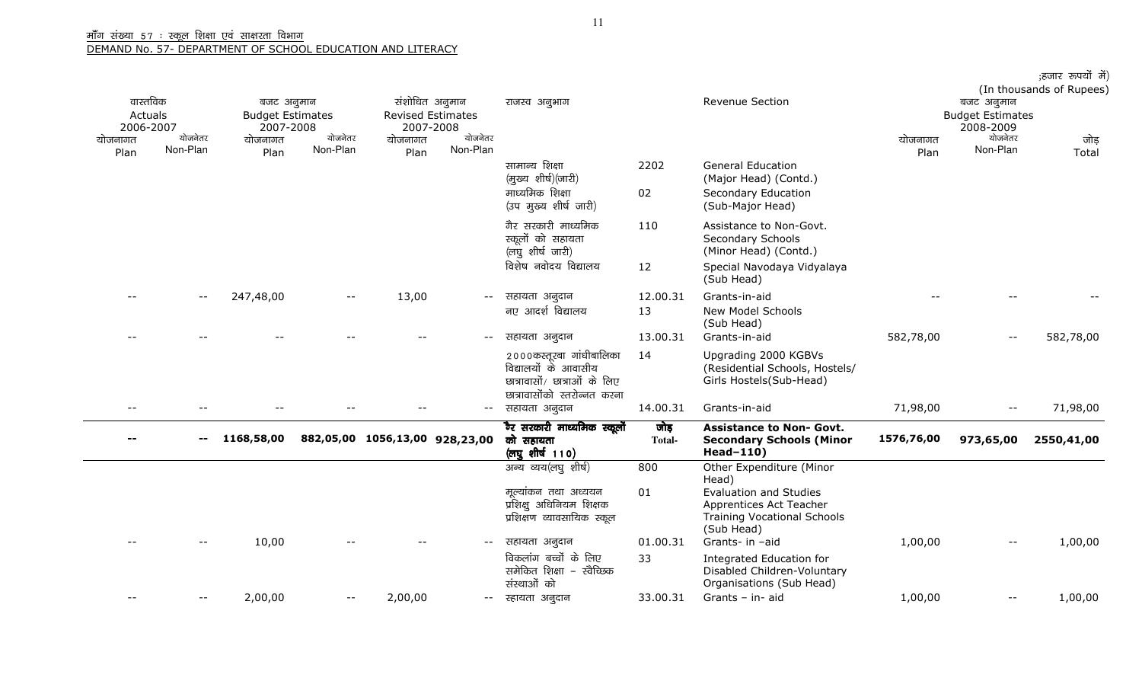|                                  |                          |                                                    |                          |                                |                                                         |                                                                                                                  |                |                                                                                                              |                                                    |                          | ;हजार रुपयों में)<br>(In thousands of Rupees) |  |
|----------------------------------|--------------------------|----------------------------------------------------|--------------------------|--------------------------------|---------------------------------------------------------|------------------------------------------------------------------------------------------------------------------|----------------|--------------------------------------------------------------------------------------------------------------|----------------------------------------------------|--------------------------|-----------------------------------------------|--|
| वास्तविक<br>Actuals<br>2006-2007 |                          | बजट अनुमान<br><b>Budget Estimates</b><br>2007-2008 |                          |                                | संशोधित अनुमान<br><b>Revised Estimates</b><br>2007-2008 | <b>Revenue Section</b><br>राजस्व अनुभाग                                                                          |                |                                                                                                              | बजट अनुमान<br><b>Budget Estimates</b><br>2008-2009 |                          |                                               |  |
| योजनागत<br>Plan                  | योजनेतर<br>Non-Plan      | योजनागत<br>Plan                                    | योजनेतर<br>Non-Plan      | योजनागत<br>Plan                | योजनेतर<br>Non-Plan                                     |                                                                                                                  |                |                                                                                                              | योजनागत<br>Plan                                    | योजनेतर<br>Non-Plan      | जोड़<br>Total                                 |  |
|                                  |                          |                                                    |                          |                                |                                                         | सामान्य शिक्षा<br>(मुख्य शीर्ष)(जारी)                                                                            | 2202           | <b>General Education</b><br>(Major Head) (Contd.)                                                            |                                                    |                          |                                               |  |
|                                  |                          |                                                    |                          |                                |                                                         | माध्यमिक शिक्षा<br>(उप मुख्य शीर्ष जारी)                                                                         | 02             | Secondary Education<br>(Sub-Major Head)                                                                      |                                                    |                          |                                               |  |
|                                  |                          |                                                    |                          |                                |                                                         | गैर सरकारी माध्यमिक<br>स्कूलों को सहायता<br>(लघुशीर्ष जारी)                                                      | 110            | Assistance to Non-Govt.<br>Secondary Schools<br>(Minor Head) (Contd.)                                        |                                                    |                          |                                               |  |
|                                  |                          |                                                    |                          |                                |                                                         | विशेष नवोदय विद्यालय                                                                                             | 12             | Special Navodaya Vidyalaya<br>(Sub Head)                                                                     |                                                    |                          |                                               |  |
|                                  | $\overline{\phantom{m}}$ | 247,48,00                                          | $\overline{\phantom{m}}$ | 13,00                          | $- -$                                                   | सहायता अनुदान                                                                                                    | 12.00.31       | Grants-in-aid                                                                                                |                                                    |                          |                                               |  |
|                                  |                          |                                                    |                          |                                |                                                         | नए आदर्श विद्यालय                                                                                                | 13             | <b>New Model Schools</b><br>(Sub Head)                                                                       |                                                    |                          |                                               |  |
|                                  |                          |                                                    |                          |                                | $ -$                                                    | सहायता अनुदान                                                                                                    | 13.00.31       | Grants-in-aid                                                                                                | 582,78,00                                          | $-$                      | 582,78,00                                     |  |
|                                  |                          |                                                    |                          |                                |                                                         | २०००कस्तूरबा गांधीबालिका<br>विद्यालयों के आवासीय<br>छात्रावासों/ छात्राओं के लिए<br>छात्रावासोंको स्तरोन्नत करना | 14             | Upgrading 2000 KGBVs<br>(Residential Schools, Hostels/<br>Girls Hostels(Sub-Head)                            |                                                    |                          |                                               |  |
|                                  |                          |                                                    |                          |                                | $- -$                                                   | सहायता अनुदान                                                                                                    | 14.00.31       | Grants-in-aid                                                                                                | 71,98,00                                           | $\overline{\phantom{m}}$ | 71,98,00                                      |  |
|                                  | $\mathbf{u}$             | 1168,58,00                                         |                          | 882,05,00 1056,13,00 928,23,00 |                                                         | ैर सरकारी माध्यमिक स्कूलों<br>को सहायता<br>(लघुशीर्ष 110)                                                        | जोड़<br>Total- | <b>Assistance to Non- Govt.</b><br><b>Secondary Schools (Minor</b><br>Head-110)                              | 1576,76,00                                         | 973,65,00                | 2550,41,00                                    |  |
|                                  |                          |                                                    |                          |                                |                                                         | अन्य व्यय(लघु शीर्ष)                                                                                             | 800            | Other Expenditure (Minor<br>Head)                                                                            |                                                    |                          |                                               |  |
|                                  |                          |                                                    |                          |                                |                                                         | मूल्यांकन तथा अध्ययन<br>प्रशिक्षु अधिनियम शिक्षक<br>प्रशिक्षण व्यावसायिक स्कूल                                   | 01             | <b>Evaluation and Studies</b><br>Apprentices Act Teacher<br><b>Training Vocational Schools</b><br>(Sub Head) |                                                    |                          |                                               |  |
|                                  |                          | 10,00                                              |                          |                                | $ -$                                                    | सहायता अनुदान                                                                                                    | 01.00.31       | Grants- in -aid                                                                                              | 1,00,00                                            | $\overline{\phantom{m}}$ | 1,00,00                                       |  |
|                                  |                          |                                                    |                          |                                |                                                         | विकलांग बच्चों के लिए<br>समेकित शिक्षा - स्वैच्छिक<br>संस्थाओं को                                                | 33             | Integrated Education for<br>Disabled Children-Voluntary<br>Organisations (Sub Head)                          |                                                    |                          |                                               |  |
|                                  | $ -$                     | 2,00,00                                            | $- -$                    | 2,00,00                        | $- -$                                                   | स्हायता अनुदान                                                                                                   | 33.00.31       | Grants - in- aid                                                                                             | 1,00,00                                            | $\overline{\phantom{m}}$ | 1,00,00                                       |  |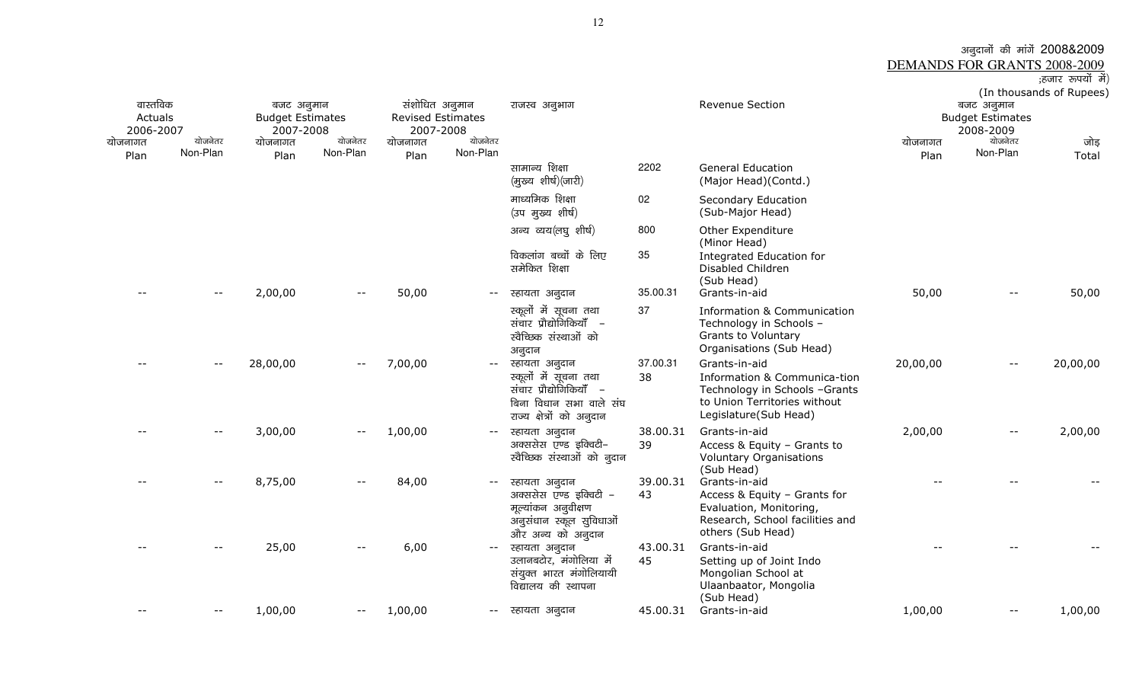### अनुदानों की मांगें 2008&2009<br>DEMANDS FOR GRANTS 2008-2009

|                          | ;हजार रूपयों में) |  |
|--------------------------|-------------------|--|
| (In thousands of Rupees) |                   |  |

| वास्तविक<br>Actuals<br>2006-2007<br>योजनागत<br>Plan | योजनेतर<br>Non-Plan | बजट अनुमान<br><b>Budget Estimates</b><br>2007-2008<br>योजनागत<br>Plan | योजनेतर<br>Non-Plan | संशोधित अनुमान<br><b>Revised Estimates</b><br>2007-2008<br>योजनागत<br>Plan | योजनेतर<br>Non-Plan | राजस्व अनुभाग                                                                                                              |                | Revenue Section                                                                                                                         | योजनागत<br>Plan | बजट अनुमान<br><b>Budget Estimates</b><br>2008-2009<br>योजनेतर<br>Non-Plan | (III UNUUSANUS VI NUPEES)<br>जोड़<br>Total |
|-----------------------------------------------------|---------------------|-----------------------------------------------------------------------|---------------------|----------------------------------------------------------------------------|---------------------|----------------------------------------------------------------------------------------------------------------------------|----------------|-----------------------------------------------------------------------------------------------------------------------------------------|-----------------|---------------------------------------------------------------------------|--------------------------------------------|
|                                                     |                     |                                                                       |                     |                                                                            |                     | सामान्य शिक्षा<br>(मुख्य शीर्ष)(जारी)                                                                                      | 2202           | <b>General Education</b><br>(Major Head)(Contd.)                                                                                        |                 |                                                                           |                                            |
|                                                     |                     |                                                                       |                     |                                                                            |                     | माध्यमिक शिक्षा<br>(उप मुख्य शीर्ष)                                                                                        | 02             | Secondary Education<br>(Sub-Major Head)                                                                                                 |                 |                                                                           |                                            |
|                                                     |                     |                                                                       |                     |                                                                            |                     | अन्य व्यय(लघु शीर्ष)<br>विकलांग बच्चों के लिए<br>समेकित शिक्षा                                                             | 800<br>35      | Other Expenditure<br>(Minor Head)<br>Integrated Education for<br>Disabled Children                                                      |                 |                                                                           |                                            |
|                                                     | $- -$               | 2,00,00                                                               |                     | 50,00                                                                      |                     | स्हायता अनुदान                                                                                                             | 35.00.31       | (Sub Head)<br>Grants-in-aid                                                                                                             | 50,00           | $- -$                                                                     | 50,00                                      |
|                                                     |                     |                                                                       |                     |                                                                            |                     | स्कूलों में सूचना तथा<br>संचार प्रौद्योगिकियाँ –<br>स्वैच्छिक संस्थाओं को<br>अनुदान                                        | 37             | <b>Information &amp; Communication</b><br>Technology in Schools -<br>Grants to Voluntary<br>Organisations (Sub Head)                    |                 |                                                                           |                                            |
|                                                     | --                  | 28,00,00                                                              | $ -$                | 7,00,00                                                                    | $- -$               | स्हायता अनुदान<br>स्कूलों में सूचना तथा<br>संचार प्रौद्योगिकियाँ –<br>बिना विधान सभा वाले संघ<br>राज्य क्षेत्रों को अनुदान | 37.00.31<br>38 | Grants-in-aid<br>Information & Communica-tion<br>Technology in Schools -Grants<br>to Union Territories without<br>Legislature(Sub Head) | 20,00,00        | $- -$                                                                     | 20,00,00                                   |
|                                                     |                     | 3,00,00                                                               |                     | 1,00,00                                                                    |                     | स्हायता अनुदान<br>अक्ससेस एण्ड इक्विटी-<br>स्वैच्छिक संस्थाओं को नुदान                                                     | 38.00.31<br>39 | Grants-in-aid<br>Access & Equity - Grants to<br><b>Voluntary Organisations</b><br>(Sub Head)                                            | 2,00,00         | --                                                                        | 2,00,00                                    |
|                                                     |                     | 8,75,00                                                               | $- -$               | 84,00                                                                      | $--$                | स्हायता अनुदान<br>अक्ससेस एण्ड इक्विटी -<br>मूल्यांकन अनुवीक्षण<br>अनुसंधान स्कूल सुविधाओं<br>और अन्य को अनुदान            | 39.00.31<br>43 | Grants-in-aid<br>Access & Equity - Grants for<br>Evaluation, Monitoring,<br>Research, School facilities and<br>others (Sub Head)        |                 |                                                                           |                                            |
|                                                     |                     | 25,00                                                                 |                     | 6,00                                                                       | $--$                | स्हायता अनुदान<br>उलानबटोर, मंगोलिया में<br>संयुक्त भारत मंगोलियायी<br>विद्यालय की स्थापना                                 | 43.00.31<br>45 | Grants-in-aid<br>Setting up of Joint Indo<br>Mongolian School at<br>Ulaanbaator, Mongolia<br>(Sub Head)                                 |                 |                                                                           |                                            |
|                                                     | $- -$               | 1,00,00                                                               | $--$                | 1,00,00                                                                    |                     | -- स्हायता अनुदान                                                                                                          | 45.00.31       | Grants-in-aid                                                                                                                           | 1,00,00         | $- -$                                                                     | 1,00,00                                    |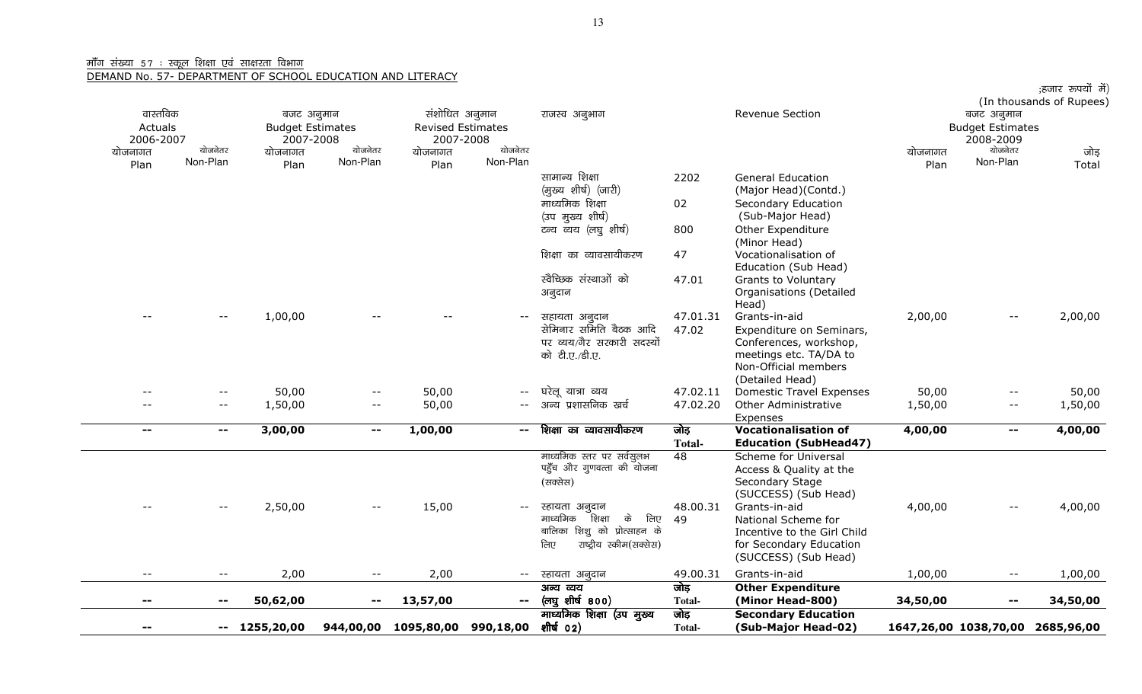## <u>मॉॅंग संख्या ५७ : स्कूल शिक्षा एवं साक्षरता विभाग</u><br><u>DEMAND No. 57- DEPARTMENT OF SCHOO</u>I

|--|

|           |                            |                         |                          |                          |                           |                                 |               |                                 |          |                          | ;हजार रूपयों में)                |
|-----------|----------------------------|-------------------------|--------------------------|--------------------------|---------------------------|---------------------------------|---------------|---------------------------------|----------|--------------------------|----------------------------------|
|           |                            |                         |                          |                          |                           |                                 |               |                                 |          |                          | (In thousands of Rupees)         |
| वास्तविक  |                            | बजट अनुमान              |                          | संशोधित अनुमान           |                           | राजस्व अनुभाग                   |               | Revenue Section                 |          | बजट अनुमान               |                                  |
| Actuals   |                            | <b>Budget Estimates</b> |                          | <b>Revised Estimates</b> |                           |                                 |               |                                 |          | <b>Budget Estimates</b>  |                                  |
| 2006-2007 |                            | 2007-2008               |                          | 2007-2008                |                           |                                 |               |                                 |          | 2008-2009                |                                  |
| योजनागत   | योजनेतर                    | योजनागत                 | योजनेतर                  | योजनागत                  | योजनेतर                   |                                 |               |                                 | योजनागत  | योजनेतर                  | जोड़                             |
| Plan      | Non-Plan                   | Plan                    | Non-Plan                 | Plan                     | Non-Plan                  |                                 |               |                                 | Plan     | Non-Plan                 | Total                            |
|           |                            |                         |                          |                          |                           | सामान्य शिक्षा                  | 2202          | <b>General Education</b>        |          |                          |                                  |
|           |                            |                         |                          |                          |                           | (मुख्य शीर्ष) (जारी)            |               | (Major Head)(Contd.)            |          |                          |                                  |
|           |                            |                         |                          |                          |                           | माध्यमिक शिक्षा                 | 02            | Secondary Education             |          |                          |                                  |
|           |                            |                         |                          |                          |                           | (उप मुख्य शीर्ष)                |               | (Sub-Major Head)                |          |                          |                                  |
|           |                            |                         |                          |                          |                           | टन्य व्यय (लघु शीर्ष)           | 800           | Other Expenditure               |          |                          |                                  |
|           |                            |                         |                          |                          |                           |                                 |               | (Minor Head)                    |          |                          |                                  |
|           |                            |                         |                          |                          |                           | शिक्षा का व्यावसायीकरण          | 47            | Vocationalisation of            |          |                          |                                  |
|           |                            |                         |                          |                          |                           |                                 |               | Education (Sub Head)            |          |                          |                                  |
|           |                            |                         |                          |                          |                           | खेच्छिक संस्थाओं को             | 47.01         | <b>Grants to Voluntary</b>      |          |                          |                                  |
|           |                            |                         |                          |                          |                           | अनुदान                          |               | Organisations (Detailed         |          |                          |                                  |
|           |                            |                         |                          |                          |                           |                                 |               | Head)                           |          |                          |                                  |
|           | $ -$                       | 1,00,00                 |                          |                          |                           | सहायता अनुदान                   | 47.01.31      | Grants-in-aid                   | 2,00,00  |                          | 2,00,00                          |
|           |                            |                         |                          |                          |                           | सेमिनार समिति बैठक आदि          | 47.02         | Expenditure on Seminars,        |          |                          |                                  |
|           |                            |                         |                          |                          |                           | पर व्यय/गैर सरकारी सदस्यों      |               | Conferences, workshop,          |          |                          |                                  |
|           |                            |                         |                          |                          |                           | को टी.ए./डी.ए.                  |               | meetings etc. TA/DA to          |          |                          |                                  |
|           |                            |                         |                          |                          |                           |                                 |               | Non-Official members            |          |                          |                                  |
|           |                            |                         |                          |                          |                           |                                 |               | (Detailed Head)                 |          |                          |                                  |
| $-$       | $- -$                      | 50,00                   | $- -$                    | 50,00                    | $- -$                     | घरेलू यात्रा व्यय               | 47.02.11      | <b>Domestic Travel Expenses</b> | 50,00    | $\overline{\phantom{m}}$ | 50,00                            |
|           | $\overline{\phantom{a}}$ . | 1,50,00                 | $\overline{\phantom{a}}$ | 50,00                    | $--$                      | अन्य प्रशासनिक खर्च             | 47.02.20      | Other Administrative            | 1,50,00  | $\overline{\phantom{m}}$ | 1,50,00                          |
|           |                            |                         |                          |                          |                           |                                 |               | Expenses                        |          |                          |                                  |
| $- -$     | --                         | 3,00,00                 | $\sim$ $\sim$            | 1,00,00                  | $\mathbf{u} = \mathbf{v}$ | शिक्षा का व्यावसायीकरण          | जोड़          | <b>Vocationalisation of</b>     | 4,00,00  | $\sim$                   | 4,00,00                          |
|           |                            |                         |                          |                          |                           |                                 | <b>Total-</b> | <b>Education (SubHead47)</b>    |          |                          |                                  |
|           |                            |                         |                          |                          |                           | माध्यमिक स्तर पर सर्वसुलभ       | 48            | Scheme for Universal            |          |                          |                                  |
|           |                            |                         |                          |                          |                           | पहुँच और गुणवत्ता की योजना      |               | Access & Quality at the         |          |                          |                                  |
|           |                            |                         |                          |                          |                           | (सक्सेस)                        |               | Secondary Stage                 |          |                          |                                  |
|           |                            |                         |                          |                          |                           |                                 |               | (SUCCESS) (Sub Head)            |          |                          |                                  |
|           | $- -$                      | 2,50,00                 | $- -$                    | 15,00                    |                           | स्हायता अनुदान                  | 48.00.31      | Grants-in-aid                   | 4,00,00  | $\overline{\phantom{m}}$ | 4,00,00                          |
|           |                            |                         |                          |                          |                           | माध्यमिक<br>शिक्षा<br>के<br>लिए | 49            | National Scheme for             |          |                          |                                  |
|           |                            |                         |                          |                          |                           | बालिका शिशु को प्रोत्साहन के    |               | Incentive to the Girl Child     |          |                          |                                  |
|           |                            |                         |                          |                          |                           | लिए<br>राष्ट्रीय स्कीम(सक्सेस)  |               | for Secondary Education         |          |                          |                                  |
|           |                            |                         |                          |                          |                           |                                 |               | (SUCCESS) (Sub Head)            |          |                          |                                  |
| $- -$     | $\overline{\phantom{a}}$   | 2,00                    | $\overline{\phantom{m}}$ | 2,00                     | $- -$                     | स्हायता अनुदान                  | 49.00.31      | Grants-in-aid                   | 1,00,00  | $- -$                    | 1,00,00                          |
|           |                            |                         |                          |                          |                           | अन्य व्यय                       | जोड़          | <b>Other Expenditure</b>        |          |                          |                                  |
| --        | $\sim$ $\sim$              | 50,62,00                | $\sim$ $-$               | 13,57,00                 | $\mathbf{--}$             | (লঘু <b>शी</b> र्ष ৪০০)         | <b>Total-</b> | (Minor Head-800)                | 34,50,00 | $\overline{\phantom{a}}$ | 34,50,00                         |
|           |                            |                         |                          |                          |                           | माध्यमिक शिक्षा (उप मुख्य       | जोड़          | <b>Secondary Education</b>      |          |                          |                                  |
| --        | $--$                       | 1255,20,00              |                          | 944,00,00 1095,80,00     | 990,18,00                 | शीर्ष 02)                       | Total-        | (Sub-Major Head-02)             |          |                          | 1647,26,00 1038,70,00 2685,96,00 |
|           |                            |                         |                          |                          |                           |                                 |               |                                 |          |                          |                                  |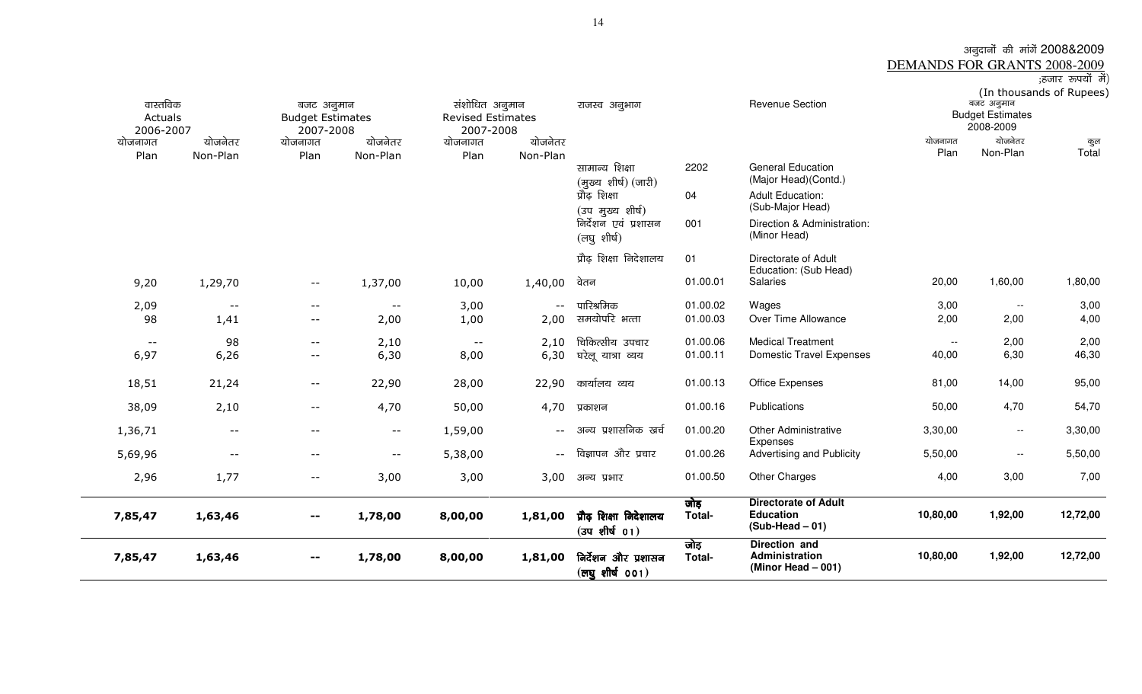# अनुदानों की मांगें 2008&2009<br>DEMANDS FOR GRANTS 2008-2009<br>हिजार रुपयों में) (In thousands of Rupees)

| वास्तविक<br>Actuals<br>2006-2007 |                          | बजट अनुमान<br><b>Budget Estimates</b><br>2007-2008 |                          | संशोधित अनुमान<br><b>Revised Estimates</b><br>2007-2008 |          | राजस्व अनुभाग                                           |                | <b>Revenue Section</b>                                               |                          | बजट अनुमान<br><b>Budget Estimates</b><br>2008-2009 | (In thousands of Rupees) |
|----------------------------------|--------------------------|----------------------------------------------------|--------------------------|---------------------------------------------------------|----------|---------------------------------------------------------|----------------|----------------------------------------------------------------------|--------------------------|----------------------------------------------------|--------------------------|
| योजनागत                          | योजनेतर                  | योजनागत                                            | योजनेतर                  | योजनागत                                                 | योजनेतर  |                                                         |                |                                                                      | योजनागत                  | योजनेतर                                            | कुल                      |
| Plan                             | Non-Plan                 | Plan                                               | Non-Plan                 | Plan                                                    | Non-Plan | सामान्य शिक्षा<br>(मुख्य शीर्ष) (जारी)                  | 2202           | <b>General Education</b><br>(Major Head)(Contd.)                     | Plan                     | Non-Plan                                           | Total                    |
|                                  |                          |                                                    |                          |                                                         |          | प्रौढ़ शिक्षा<br>(उप मुख्य शीर्ष)                       | 04             | <b>Adult Education:</b><br>(Sub-Major Head)                          |                          |                                                    |                          |
|                                  |                          |                                                    |                          |                                                         |          | निर्देशन एवं प्रशासन<br>(लघु शीर्ष)                     | 001            | Direction & Administration:<br>(Minor Head)                          |                          |                                                    |                          |
|                                  |                          |                                                    |                          |                                                         |          | प्रौढ़ शिक्षा निदेशालय                                  | 01             | Directorate of Adult<br>Education: (Sub Head)                        |                          |                                                    |                          |
| 9,20                             | 1,29,70                  | $ -$                                               | 1,37,00                  | 10,00                                                   | 1,40,00  | वेतन                                                    | 01.00.01       | <b>Salaries</b>                                                      | 20,00                    | 1,60,00                                            | 1,80,00                  |
| 2,09                             | $\overline{\phantom{m}}$ | $\overline{\phantom{m}}$                           | $ -$                     | 3,00                                                    |          | पारिश्रमिक                                              | 01.00.02       | Wages                                                                | 3,00                     | $\sim$                                             | 3,00                     |
| 98                               | 1,41                     | $\overline{\phantom{a}}$                           | 2,00                     | 1,00                                                    | 2,00     | समयोपरि भत्ता                                           | 01.00.03       | Over Time Allowance                                                  | 2,00                     | 2,00                                               | 4,00                     |
| $ -$                             | 98                       | $- -$                                              | 2,10                     | $- -$                                                   | 2,10     | चिकित्सीय उपचार                                         | 01.00.06       | <b>Medical Treatment</b>                                             | $\overline{\phantom{a}}$ | 2,00                                               | 2,00                     |
| 6,97                             | 6,26                     | $-$                                                | 6,30                     | 8,00                                                    | 6,30     | घरेलू यात्रा व्यय                                       | 01.00.11       | <b>Domestic Travel Expenses</b>                                      | 40,00                    | 6,30                                               | 46,30                    |
| 18,51                            | 21,24                    | $- -$                                              | 22,90                    | 28,00                                                   | 22,90    | कार्यालय व्यय                                           | 01.00.13       | <b>Office Expenses</b>                                               | 81,00                    | 14,00                                              | 95,00                    |
| 38,09                            | 2,10                     | $\overline{\phantom{a}}$                           | 4,70                     | 50,00                                                   | 4,70     | प्रकाशन                                                 | 01.00.16       | Publications                                                         | 50,00                    | 4,70                                               | 54,70                    |
| 1,36,71                          | $\overline{\phantom{m}}$ | $- -$                                              | $\overline{\phantom{m}}$ | 1,59,00                                                 | $--$     | अन्य प्रशासनिक खर्च                                     | 01.00.20       | <b>Other Administrative</b><br>Expenses                              | 3,30,00                  | $\overline{\phantom{a}}$                           | 3,30,00                  |
| 5,69,96                          | $\overline{\phantom{m}}$ | $ -$                                               | $- -$                    | 5,38,00                                                 | $--$     | विज्ञापन और प्रचार                                      | 01.00.26       | Advertising and Publicity                                            | 5,50,00                  | $\overline{\phantom{a}}$                           | 5,50,00                  |
| 2,96                             | 1,77                     | $- -$                                              | 3,00                     | 3,00                                                    | 3,00     | अन्य प्रभार                                             | 01.00.50       | <b>Other Charges</b>                                                 | 4,00                     | 3,00                                               | 7,00                     |
| 7,85,47                          | 1,63,46                  |                                                    | 1,78,00                  | 8,00,00                                                 | 1,81,00  | प्रौढ़ शिक्षा निदेशालय<br>$(34$ शीर्ष $01)$             | जोड़<br>Total- | <b>Directorate of Adult</b><br><b>Education</b><br>$(Sub-Head - 01)$ | 10,80,00                 | 1,92,00                                            | 12,72,00                 |
| 7,85,47                          | 1,63,46                  | $- -$                                              | 1,78,00                  | 8,00,00                                                 | 1,81,00  | निर्देशन और प्रशासन<br>$(\overline{c}$ ष्पूशीर्ष $001)$ | जोड़<br>Total- | Direction and<br>Administration<br>(Minor Head $-001$ )              | 10,80,00                 | 1,92,00                                            | 12,72,00                 |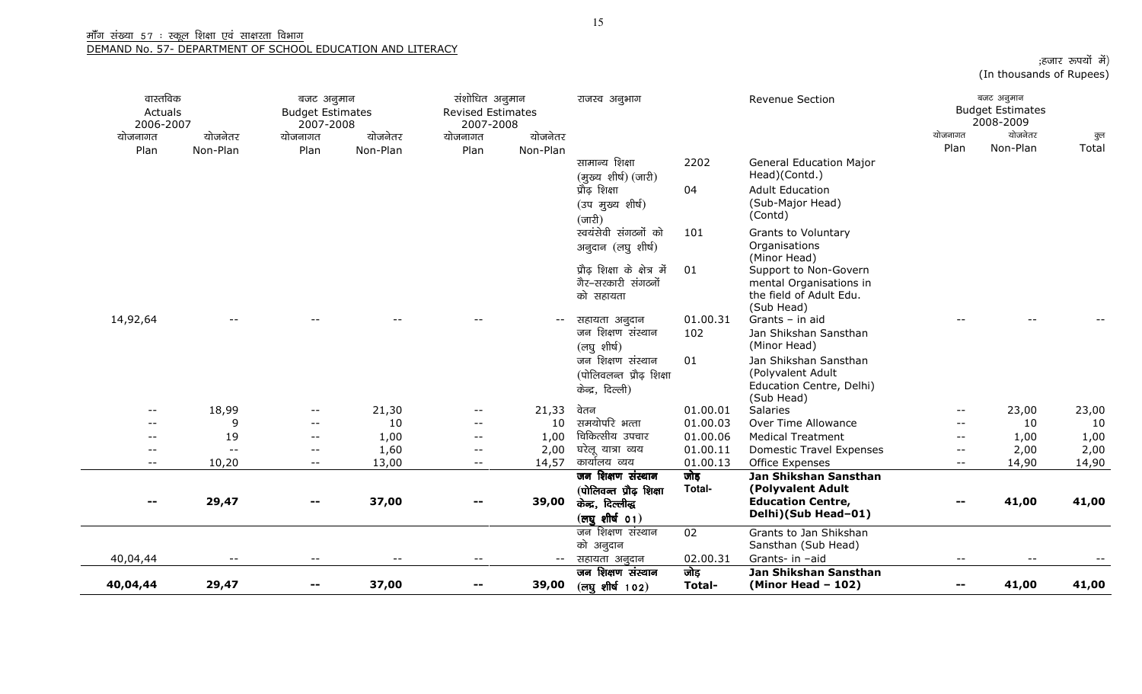| ;हजार रूपयों में)        |  |  |
|--------------------------|--|--|
| (In thousands of Rupees) |  |  |

| वास्तविक<br>Actuals<br>2006-2007 |                     | बजट अनुमान<br><b>Budget Estimates</b><br>2007-2008 |                     | संशोधित अनुमान<br><b>Revised Estimates</b><br>2007-2008 |                     | राजस्व अनुभाग                                                                                       |                 | <b>Revenue Section</b>                                                                        |                          | बजट अनुमान<br><b>Budget Estimates</b><br>2008-2009<br>योजनेतर |              |
|----------------------------------|---------------------|----------------------------------------------------|---------------------|---------------------------------------------------------|---------------------|-----------------------------------------------------------------------------------------------------|-----------------|-----------------------------------------------------------------------------------------------|--------------------------|---------------------------------------------------------------|--------------|
| योजनागत<br>Plan                  | योजनेतर<br>Non-Plan | योजनागत<br>Plan                                    | योजनेतर<br>Non-Plan | योजनागत<br>Plan                                         | योजनेतर<br>Non-Plan |                                                                                                     |                 |                                                                                               | योजनागत<br>Plan          | Non-Plan                                                      | कुल<br>Total |
|                                  |                     |                                                    |                     |                                                         |                     | सामान्य शिक्षा<br>(मुख्य शीर्ष) (जारी)                                                              | 2202            | <b>General Education Major</b><br>Head)(Contd.)                                               |                          |                                                               |              |
|                                  |                     |                                                    |                     |                                                         |                     | प्रौढ़ शिक्षा<br>(उप मुख्य शीर्ष)                                                                   | 04              | <b>Adult Education</b><br>(Sub-Major Head)<br>(Contd)                                         |                          |                                                               |              |
|                                  |                     |                                                    |                     |                                                         |                     | $(\overline{\text{unfl}})$<br>स्वयंसेवी संगठनों को                                                  | 101             | <b>Grants to Voluntary</b>                                                                    |                          |                                                               |              |
|                                  |                     |                                                    |                     |                                                         |                     | अनुदान (लघु शीर्ष)                                                                                  |                 | Organisations<br>(Minor Head)                                                                 |                          |                                                               |              |
|                                  |                     |                                                    |                     |                                                         |                     | प्रौढ़ शिक्षा के क्षेत्र में<br>गैर-सरकारी संगठनों<br>को सहायता                                     | 01              | Support to Non-Govern<br>mental Organisations in<br>the field of Adult Edu.<br>(Sub Head)     |                          |                                                               |              |
| 14,92,64                         |                     |                                                    |                     |                                                         | $- -$               | सहायता अनुदान<br>जन शिक्षण संस्थान<br>(लघुशीर्ष)                                                    | 01.00.31<br>102 | Grants - in aid<br>Jan Shikshan Sansthan<br>(Minor Head)                                      |                          |                                                               |              |
|                                  |                     |                                                    |                     |                                                         |                     | जन शिक्षण संस्थान<br>(पोलिवलन्त प्रौढ़ शिक्षा<br>केन्द्र, दिल्ली)                                   | 01              | Jan Shikshan Sansthan<br>(Polyvalent Adult<br>Education Centre, Delhi)<br>(Sub Head)          |                          |                                                               |              |
| $- -$                            | 18,99               | $- -$                                              | 21,30               | $\overline{\phantom{a}}$                                | 21,33               | वेतन                                                                                                | 01.00.01        | <b>Salaries</b>                                                                               |                          | 23,00                                                         | 23,00        |
| $- -$                            | 9                   | $\overline{\phantom{a}}$                           | 10                  | $ -$                                                    | 10                  | समयोपरि भत्ता                                                                                       | 01.00.03        | Over Time Allowance                                                                           | $- -$                    | 10                                                            | 10           |
| $- -$                            | 19                  | $--$                                               | 1,00                | $- -$                                                   | 1,00                | चिकित्सीय उपचार                                                                                     | 01.00.06        | <b>Medical Treatment</b>                                                                      | $-$                      | 1,00                                                          | 1,00         |
| $\qquad \qquad -$                | $\sim$ $\sim$       | $\overline{\phantom{a}}$                           | 1,60                | $ -$                                                    | 2,00                | घरेलू यात्रा व्यय                                                                                   | 01.00.11        | <b>Domestic Travel Expenses</b>                                                               | $- -$                    | 2,00                                                          | 2,00         |
| $--$                             | 10,20               | $--$                                               | 13,00               | $- -$                                                   | 14,57               | कार्यालय व्यय                                                                                       | 01.00.13        | Office Expenses                                                                               | $\overline{\phantom{m}}$ | 14,90                                                         | 14,90        |
| $-$                              | 29,47               | --                                                 | 37,00               |                                                         | 39,00               | जन शिक्षण संस्थान<br>(पोलिवन्त प्रौढ़ शिक्षा<br>केन्द्र, दिल्लीव्ह<br>$(\overline{c}$ युशीर्ष $01)$ | जोड़<br>Total-  | Jan Shikshan Sansthan<br>(Polyvalent Adult<br><b>Education Centre,</b><br>Delhi)(Sub Head-01) |                          | 41,00                                                         | 41,00        |
|                                  |                     |                                                    |                     |                                                         |                     | जन शिक्षण संस्थान<br>को अनुदान                                                                      | 02              | Grants to Jan Shikshan<br>Sansthan (Sub Head)                                                 |                          |                                                               |              |
| 40,04,44                         | $- -$               | $- -$                                              | $-$                 | $\qquad \qquad -$                                       | $  \,$              | सहायता अनुदान                                                                                       | 02.00.31        | Grants- in -aid                                                                               | $--$                     |                                                               |              |
| 40,04,44                         | 29,47               | --                                                 | 37,00               |                                                         | 39,00               | जन शिक्षण संस्थान<br>(लघुशीर्ष 102)                                                                 | जोड़<br>Total-  | Jan Shikshan Sansthan<br>(Minor Head $-102$ )                                                 |                          | 41,00                                                         | 41,00        |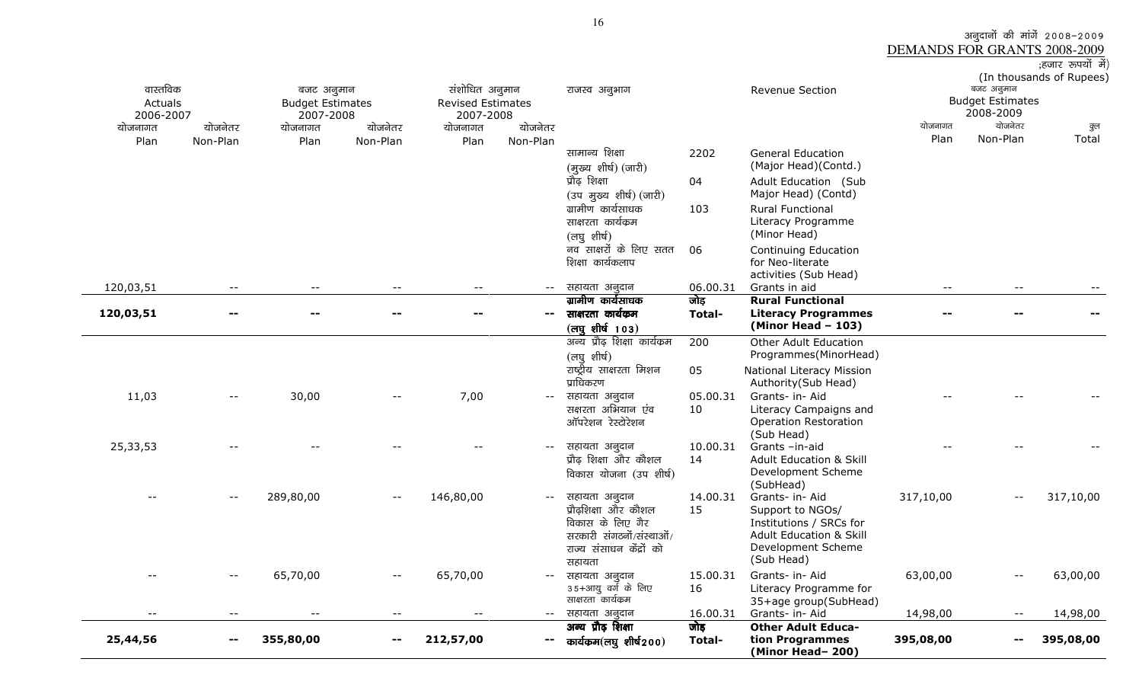3ाजुदानों की मांगें 2008–2009<br><u>DEMANDS FOR GRANTS 2008-2009</u><br>हजार रुपयों में);

| 25,44,56            | --                         | 355,80,00                             | --                  | 212,57,00                           |                          | कार्यक्रम $(\overline{eq}$ शीर्ष $200)$                                                                   | Total-         | tion Programmes<br>(Minor Head-200)                                                                                   | 395,08,00       |                                       | 395,08,00                |
|---------------------|----------------------------|---------------------------------------|---------------------|-------------------------------------|--------------------------|-----------------------------------------------------------------------------------------------------------|----------------|-----------------------------------------------------------------------------------------------------------------------|-----------------|---------------------------------------|--------------------------|
|                     |                            |                                       |                     |                                     |                          | अन्य प्रौढ़ शिक्षा                                                                                        | जोड़           | <b>Other Adult Educa-</b>                                                                                             |                 |                                       |                          |
| $-$                 | $\sim$ $\sim$              | $-\,-$                                | $-$                 | $-$                                 | $\sim$ $\sim$            | सहायता अनुदान                                                                                             | 16.00.31       | Grants- in- Aid                                                                                                       | 14,98,00        | $\overline{\phantom{m}}$ .            | 14,98,00                 |
|                     |                            | 65,70,00                              |                     | 65,70,00                            |                          | सहायता अनुदान<br>35+आयु वर्ग के लिए<br>साक्षरता कार्यक्रम                                                 | 15.00.31<br>16 | Grants- in- Aid<br>Literacy Programme for<br>35+age group(SubHead)                                                    | 63,00,00        |                                       | 63,00,00                 |
|                     |                            |                                       |                     |                                     |                          | प्रौढशिक्षा और कौशल<br>विकास के लिए गैर<br>सरकारी संगठनों/संस्थाओं/<br>राज्य संसाधन केंद्रों को<br>सहायता | 15             | Support to NGOs/<br>Institutions / SRCs for<br><b>Adult Education &amp; Skill</b><br>Development Scheme<br>(Sub Head) |                 |                                       |                          |
|                     |                            | 289,80,00                             | $ -$                | 146,80,00                           | $- -$                    | विकास योजना (उप शीर्ष)<br>सहायता अनुदान                                                                   | 14.00.31       | (SubHead)<br>Grants- in- Aid                                                                                          | 317,10,00       |                                       | 317,10,00                |
| 25,33,53            |                            |                                       |                     |                                     | $- -$                    | सहायता अनुदान<br>प्रौढ़ शिक्षा और कौशल                                                                    | 10.00.31<br>14 | (Sub Head)<br>Grants-in-aid<br><b>Adult Education &amp; Skill</b><br>Development Scheme                               |                 |                                       |                          |
| 11,03               | $\overline{\phantom{m}}$   | 30,00                                 |                     | 7,00                                |                          | सहायता अनुदान<br>सक्षरता अभियान एंव<br>ऑपरेशन रेस्टोरेशन                                                  | 05.00.31<br>10 | Grants- in- Aid<br>Literacy Campaigns and<br><b>Operation Restoration</b>                                             |                 |                                       |                          |
|                     |                            |                                       |                     |                                     |                          | (लघु शीर्ष)<br>राष्ट्रीय साक्षरता मिशन<br>प्राधिकरण                                                       | 05             | Programmes(MinorHead)<br>National Literacy Mission<br>Authority(Sub Head)                                             |                 |                                       |                          |
|                     |                            |                                       |                     |                                     |                          | $(\overline{eq}$ शीर्ष 103)<br>अन्य प्रौढ़ शिक्षा कार्यक्रम                                               | 200            | $(Minor Head - 103)$<br><b>Other Adult Education</b>                                                                  |                 |                                       |                          |
| 120,03,51           | --                         |                                       |                     |                                     | $\overline{\phantom{a}}$ | साक्षरता कार्यकम                                                                                          | Total-         | <b>Literacy Programmes</b>                                                                                            |                 |                                       |                          |
|                     |                            |                                       |                     |                                     |                          | ग्रामीण कार्यसाधक                                                                                         | जोड़           | <b>Rural Functional</b>                                                                                               |                 |                                       |                          |
| 120,03,51           | $\overline{\phantom{a}}$ . |                                       |                     |                                     | $--$                     | नव साक्षरों के लिए सतत<br>शिक्षा कार्यकलाप<br>सहायता अनुदान                                               | 06<br>06.00.31 | Continuing Education<br>for Neo-literate<br>activities (Sub Head)<br>Grants in aid                                    | $- -$           |                                       |                          |
|                     |                            |                                       |                     |                                     |                          | ग्रामीण कार्यसाधक<br>साक्षरता कार्यक्रम<br>(लघुशीर्ष)                                                     | 103            | <b>Rural Functional</b><br>Literacy Programme<br>(Minor Head)                                                         |                 |                                       |                          |
|                     |                            |                                       |                     |                                     |                          | (मुख्य शीर्ष) (जारी)<br>प्रौढ़ शिक्षा<br>(उप मुख्य शीर्ष) (जारी)                                          | 04             | Adult Education (Sub<br>Major Head) (Contd)                                                                           |                 |                                       |                          |
|                     |                            |                                       |                     |                                     |                          | सामान्य शिक्षा                                                                                            | 2202           | <b>General Education</b><br>(Major Head)(Contd.)                                                                      |                 |                                       |                          |
| योजनागत<br>Plan     | योजनेतर<br>Non-Plan        | योजनागत<br>Plan                       | योजनेतर<br>Non-Plan | योजनागत<br>Plan                     | योजनेतर<br>Non-Plan      |                                                                                                           |                |                                                                                                                       | योजनागत<br>Plan | योजनेतर<br>Non-Plan                   | कुल<br>Total             |
| 2006-2007           |                            | 2007-2008                             |                     | 2007-2008                           |                          |                                                                                                           |                |                                                                                                                       |                 | 2008-2009                             |                          |
| वास्तविक<br>Actuals |                            | बजट अनुमान<br><b>Budget Estimates</b> |                     | संशोधित अनुमान<br>Revised Estimates |                          | राजस्व अनुभाग                                                                                             |                | Revenue Section                                                                                                       |                 | बजट अनुमान<br><b>Budget Estimates</b> |                          |
|                     |                            |                                       |                     |                                     |                          |                                                                                                           |                |                                                                                                                       |                 |                                       | (In thousands of Rupees) |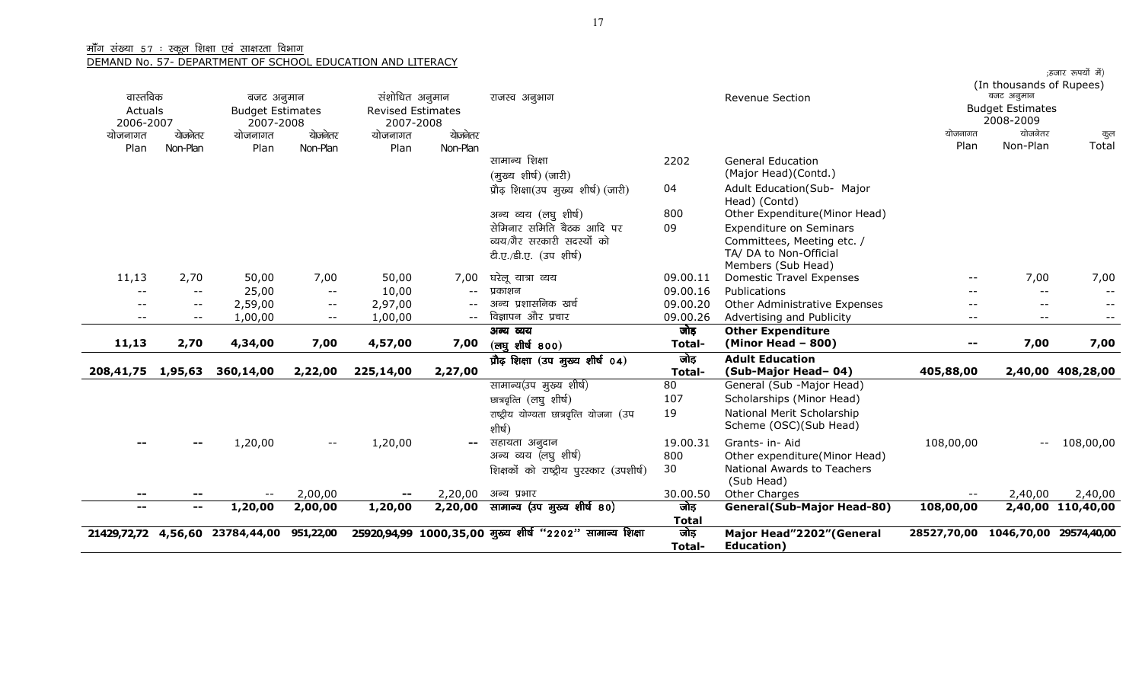| वास्तविक          |                                           |                                       |                          | संशोधित अनुमान           |          |                                                          |              | <b>Revenue Section</b>                      |                          | (In thousands of Rupees)<br>बजट अनुमान |                   |
|-------------------|-------------------------------------------|---------------------------------------|--------------------------|--------------------------|----------|----------------------------------------------------------|--------------|---------------------------------------------|--------------------------|----------------------------------------|-------------------|
| Actuals           |                                           | बजट अनुमान<br><b>Budget Estimates</b> |                          | <b>Revised Estimates</b> |          | राजस्व अनुभाग                                            |              |                                             |                          | <b>Budget Estimates</b>                |                   |
| 2006-2007         |                                           | 2007-2008                             |                          | 2007-2008                |          |                                                          |              |                                             |                          | 2008-2009                              |                   |
| योजनागत           | योजनेतर                                   | योजनागत                               | योजनेतर                  | योजनागत                  | योजनेतर  |                                                          |              |                                             | योजनागत                  | योजनेतर                                | कुल               |
| Plan              | Non-Plan                                  | Plan                                  | Non-Plan                 | Plan                     | Non-Plan |                                                          |              |                                             | Plan                     | Non-Plan                               | Total             |
|                   |                                           |                                       |                          |                          |          | सामान्य शिक्षा                                           | 2202         | <b>General Education</b>                    |                          |                                        |                   |
|                   |                                           |                                       |                          |                          |          | (मुख्य शीर्ष) (जारी)                                     |              | (Major Head)(Contd.)                        |                          |                                        |                   |
|                   |                                           |                                       |                          |                          |          | प्रौढ़ शिक्षा(उप मुख्य शीर्ष) (जारी)                     | 04           | Adult Education(Sub- Major<br>Head) (Contd) |                          |                                        |                   |
|                   |                                           |                                       |                          |                          |          | अन्य व्यय (लघु शीर्ष)                                    | 800          | Other Expenditure(Minor Head)               |                          |                                        |                   |
|                   |                                           |                                       |                          |                          |          | सेमिनार समिति बैठक आदि पर                                | 09           | <b>Expenditure on Seminars</b>              |                          |                                        |                   |
|                   |                                           |                                       |                          |                          |          | व्यय/गैर सरकारी सदस्यों को                               |              | Committees, Meeting etc. /                  |                          |                                        |                   |
|                   |                                           |                                       |                          |                          |          | टी.ए./डी.ए. (उप शीर्ष)                                   |              | TA/ DA to Non-Official                      |                          |                                        |                   |
|                   |                                           |                                       |                          |                          |          |                                                          |              | Members (Sub Head)                          |                          |                                        |                   |
| 11,13             | 2,70                                      | 50,00                                 | 7,00                     | 50,00                    | 7,00     | घरेलू यात्रा व्यय                                        | 09.00.11     | <b>Domestic Travel Expenses</b>             | --                       | 7,00                                   | 7,00              |
| $\sim$ $\sim$     | $\overline{\phantom{m}}$                  | 25,00                                 | $\overline{\phantom{m}}$ | 10,00                    | $- -$    | प्रकाशन                                                  | 09.00.16     | Publications                                | $-$                      | $- -$                                  |                   |
| $- -$             | $\overline{\phantom{m}}$                  | 2,59,00                               | $- -$                    | 2,97,00                  |          | अन्य प्रशासनिक खर्च                                      | 09.00.20     | Other Administrative Expenses               | $ -$                     | $- -$                                  | $- -$             |
| $- -$             | $- -$                                     | 1,00,00                               | $- -$                    | 1,00,00                  | $- -$    | विज्ञापन और प्रचार                                       | 09.00.26     | Advertising and Publicity                   | $- -$                    | $- -$                                  |                   |
|                   |                                           |                                       |                          |                          |          | अन्य व्यय                                                | जोड़         | <b>Other Expenditure</b>                    |                          |                                        |                   |
| 11,13             | 2,70                                      | 4,34,00                               | 7,00                     | 4,57,00                  | 7,00     | (लघू शीर्ष 800)                                          | Total-       | $(Minor Head - 800)$                        | --                       | 7,00                                   | 7,00              |
|                   |                                           |                                       |                          |                          |          | प्रौढ़ शिक्षा (उप मुख्य शीर्ष 04)                        | जोड़         | <b>Adult Education</b>                      |                          |                                        |                   |
| 208,41,75 1,95,63 |                                           | 360,14,00                             | 2,22,00                  | 225,14,00                | 2,27,00  |                                                          | Total-       | (Sub-Major Head-04)                         | 405,88,00                |                                        | 2,40,00 408,28,00 |
|                   |                                           |                                       |                          |                          |          | सामान्य(उप मुख्य शीर्ष)                                  | 80           | General (Sub -Major Head)                   |                          |                                        |                   |
|                   |                                           |                                       |                          |                          |          | छात्रवृत्ति (लघु शीर्ष)                                  | 107          | Scholarships (Minor Head)                   |                          |                                        |                   |
|                   |                                           |                                       |                          |                          |          | राष्ट्रीय योग्यता छात्रवृत्ति योजना (उप                  | 19           | National Merit Scholarship                  |                          |                                        |                   |
|                   |                                           |                                       |                          |                          |          | शीर्ष)                                                   |              | Scheme (OSC)(Sub Head)                      |                          |                                        |                   |
|                   |                                           | 1,20,00                               | $- -$                    | 1,20,00                  | $- -$    | सहायता अनुदान                                            | 19.00.31     | Grants- in- Aid                             | 108,00,00                | $\overline{\phantom{m}}$               | 108,00,00         |
|                   |                                           |                                       |                          |                          |          | अन्य व्यय (लघु शीर्ष)                                    | 800          | Other expenditure(Minor Head)               |                          |                                        |                   |
|                   |                                           |                                       |                          |                          |          | शिक्षकों को राष्ट्रीय पुरस्कार (उपशीर्ष)                 | 30           | National Awards to Teachers                 |                          |                                        |                   |
|                   |                                           | $- -$                                 | 2,00,00                  | $\sim$ $-$               | 2,20,00  | अन्य प्रभार                                              | 30.00.50     | (Sub Head)<br>Other Charges                 | $\overline{\phantom{a}}$ | 2,40,00                                | 2,40,00           |
| $- -$<br>$- -$    | $\overline{\phantom{m}}$<br>$\sim$ $\sim$ | 1,20,00                               | 2,00,00                  | 1,20,00                  | 2,20,00  | सामान्य (उप मुख्य शीर्ष 80)                              | जोड़         | <b>General(Sub-Major Head-80)</b>           | 108,00,00                |                                        | 2,40,00 110,40,00 |
|                   |                                           |                                       |                          |                          |          |                                                          | <b>Total</b> |                                             |                          |                                        |                   |
| 21429,72,72       | 4,56,60                                   | 23784,44,00                           | 951,22,00                |                          |          | 25920,94,99 1000,35,00 मुख्य शीर्ष "2202" सामान्य शिक्षा | जोड़         | Major Head"2202" (General                   | 28527,70,00              | 1046,70,00 29574,40,00                 |                   |
|                   |                                           |                                       |                          |                          |          |                                                          | Total-       | Education)                                  |                          |                                        |                   |

;हजार रूपयों में)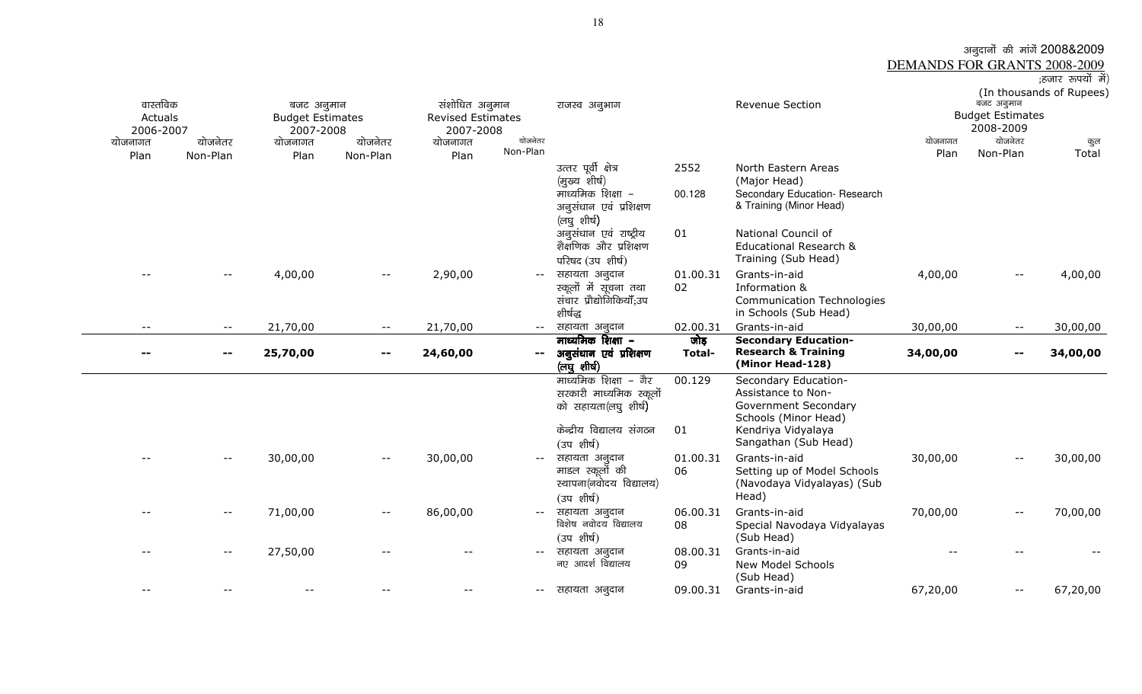# अन्नुदानों की मांगें 2008&2009<br>DEMANDS FOR GRANTS 2008-2009<br>हजार रुपयों में)<br>(In thousands of Rupees)

| वास्तविक<br>Actuals<br>2006-2007<br>योजनागत<br>Plan | योजनेतर<br>Non-Plan | बजट अनुमान<br><b>Budget Estimates</b><br>2007-2008<br>योजनागत<br>Plan | योजनेतर<br>Non-Plan      | संशोधित अनुमान<br><b>Revised Estimates</b><br>2007-2008<br>योजनागत<br>Plan | योजनेतर<br>Non-Plan      | राजस्व अनुभाग                                                                                                     |                | Revenue Section                                                                                                                          | योजनागत<br>Plan | बजट अनुमान<br><b>Budget Estimates</b><br>2008-2009<br>योजनेतर<br>Non-Plan | (In thousands of Rupees)<br>कुल<br>Total |
|-----------------------------------------------------|---------------------|-----------------------------------------------------------------------|--------------------------|----------------------------------------------------------------------------|--------------------------|-------------------------------------------------------------------------------------------------------------------|----------------|------------------------------------------------------------------------------------------------------------------------------------------|-----------------|---------------------------------------------------------------------------|------------------------------------------|
|                                                     |                     |                                                                       |                          |                                                                            |                          | उत्तर पूर्वी क्षेत्र<br>(मुख्य शीर्ष)<br>माध्यमिक शिक्षा –<br>अनुसंधान एवं प्रशिक्षण<br>(लघु शीर्ष)               | 2552<br>00.128 | North Eastern Areas<br>(Major Head)<br>Secondary Education- Research<br>& Training (Minor Head)                                          |                 |                                                                           |                                          |
|                                                     |                     |                                                                       |                          |                                                                            |                          | अनुसंधान एवं राष्ट्रीय<br>शैक्षणिक और प्रशिक्षण<br>परिषद (उप शीर्ष)                                               | 01             | National Council of<br><b>Educational Research &amp;</b><br>Training (Sub Head)                                                          |                 |                                                                           |                                          |
|                                                     |                     | 4,00,00                                                               | $- -$                    | 2,90,00                                                                    | $\overline{\phantom{m}}$ | सहायता अनुदान<br>स्कूलों में सूचना तथा<br>संचार प्रौद्योगिकियाँ;उप<br>शीर्षद्ध                                    | 01.00.31<br>02 | Grants-in-aid<br>Information &<br><b>Communication Technologies</b><br>in Schools (Sub Head)                                             | 4,00,00         |                                                                           | 4,00,00                                  |
| $- -$                                               | $- -$               | 21,70,00                                                              | $\overline{\phantom{m}}$ | 21,70,00                                                                   | $--$                     | सहायता अनुदान                                                                                                     | 02.00.31       | Grants-in-aid                                                                                                                            | 30,00,00        | $\overline{\phantom{a}}$                                                  | 30,00,00                                 |
|                                                     | $\sim$ $\sim$       | 25,70,00                                                              | $\blacksquare$           | 24,60,00                                                                   | $\sim$ $-$               | माध्यमिक शिक्षा –<br>अनुसंधान एवं प्रशिक्षण<br>(लघु शीर्ष)                                                        | जोड़<br>Total- | <b>Secondary Education-</b><br><b>Research &amp; Training</b><br>(Minor Head-128)                                                        | 34,00,00        | --                                                                        | 34,00,00                                 |
|                                                     |                     |                                                                       |                          |                                                                            |                          | माध्यमिक शिक्षा – गैर<br>सरकारी माध्यमिक स्कूलों<br>को सहायता(लघु शीर्ष)<br>केन्द्रीय विद्यालय संगठन<br>(उपशीर्ष) | 00.129<br>01   | Secondary Education-<br>Assistance to Non-<br>Government Secondary<br>Schools (Minor Head)<br>Kendriya Vidyalaya<br>Sangathan (Sub Head) |                 |                                                                           |                                          |
|                                                     | $-$                 | 30,00,00                                                              | $\overline{\phantom{m}}$ | 30,00,00                                                                   |                          | सहायता अनुदान<br>माडल स्कूलों की<br>स्थापना(नवोदय विद्यालय)<br>(उपशीर्ष)                                          | 01.00.31<br>06 | Grants-in-aid<br>Setting up of Model Schools<br>(Navodaya Vidyalayas) (Sub<br>Head)                                                      | 30,00,00        | $\overline{\phantom{m}}$                                                  | 30,00,00                                 |
|                                                     | $--$                | 71,00,00                                                              | $\overline{\phantom{m}}$ | 86,00,00                                                                   | $- -$                    | सहायता अनुदान<br>विशेष नवोदय विद्यालय<br>(उपशीर्ष)                                                                | 06.00.31<br>08 | Grants-in-aid<br>Special Navodaya Vidyalayas<br>(Sub Head)                                                                               | 70,00,00        | $\overline{\phantom{m}}$ .                                                | 70,00,00                                 |
|                                                     |                     |                                                                       |                          |                                                                            |                          |                                                                                                                   |                |                                                                                                                                          |                 |                                                                           |                                          |
|                                                     | $- -$               | 27,50,00                                                              |                          |                                                                            |                          | सहायता अनुदान<br>नए आदर्श विद्यालय                                                                                | 08.00.31<br>09 | Grants-in-aid<br>New Model Schools<br>(Sub Head)                                                                                         |                 |                                                                           |                                          |

 $\overline{\phantom{0}}$ 

18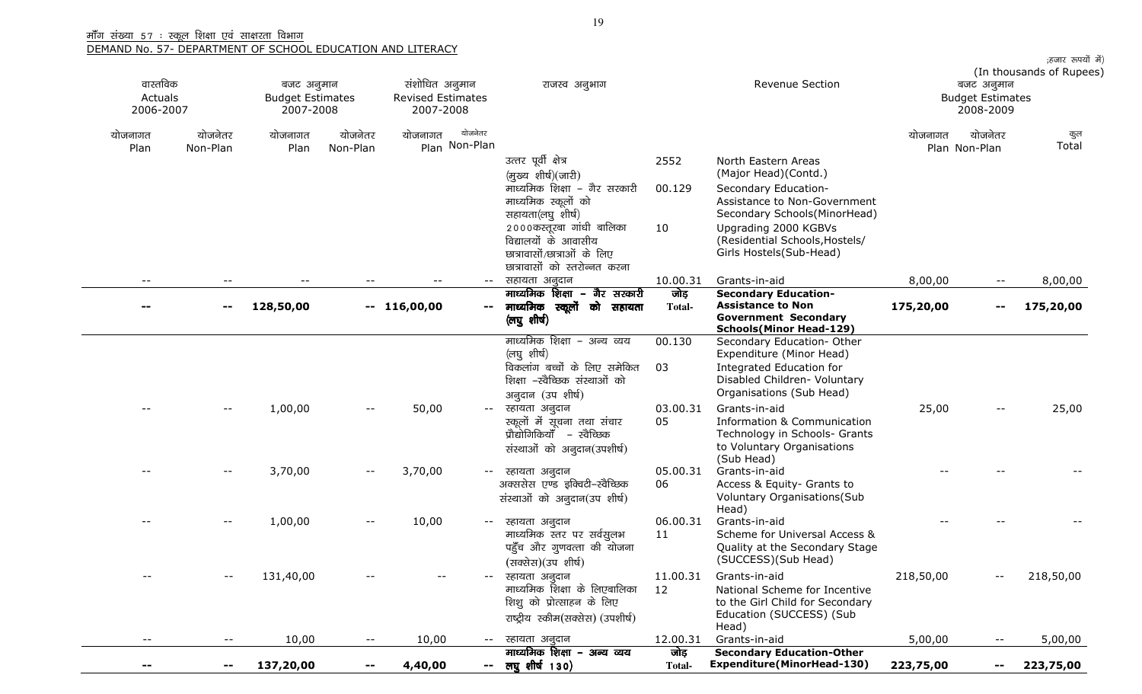| वास्तविक<br>Actuals<br>2006-2007 |                          | बजट अनुमान<br><b>Budget Estimates</b><br>2007-2008 |                          | संशोधित अनुमान<br><b>Revised Estimates</b><br>2007-2008 |                          | राजस्व अनुभाग                                                                                                    |                       | <b>Revenue Section</b>                                                                                                   |           | बजट अनुमान<br><b>Budget Estimates</b><br>2008-2009 | ;हजार रूपयों में)<br>(In thousands of Rupees) |
|----------------------------------|--------------------------|----------------------------------------------------|--------------------------|---------------------------------------------------------|--------------------------|------------------------------------------------------------------------------------------------------------------|-----------------------|--------------------------------------------------------------------------------------------------------------------------|-----------|----------------------------------------------------|-----------------------------------------------|
| योजनागत<br>Plan                  | योजनेतर<br>Non-Plan      | योजनागत<br>Plan                                    | योजनेतर<br>Non-Plan      | योजनागत                                                 | योजनेतर<br>Plan Non-Plan |                                                                                                                  |                       |                                                                                                                          | योजनागत   | योजनेतर<br>Plan Non-Plan                           | कुल<br>Total                                  |
|                                  |                          |                                                    |                          |                                                         |                          | उत्तर पूर्वी क्षेत्र<br>(मुख्य शीर्ष)(जारी)                                                                      | 2552                  | North Eastern Areas<br>(Major Head)(Contd.)                                                                              |           |                                                    |                                               |
|                                  |                          |                                                    |                          |                                                         |                          | माध्यमिक शिक्षा – गैर सरकारी<br>माध्यमिक स्कूलों को                                                              | 00.129                | Secondary Education-<br>Assistance to Non-Government                                                                     |           |                                                    |                                               |
|                                  |                          |                                                    |                          |                                                         |                          | सहायता(लघु शीर्ष)<br>2000कस्तूरबा गांधी बालिका<br>विद्यालयों के आवासीय                                           | 10                    | Secondary Schools(MinorHead)<br>Upgrading 2000 KGBVs<br>(Residential Schools, Hostels/                                   |           |                                                    |                                               |
|                                  |                          |                                                    |                          |                                                         |                          | छात्रावासों/छात्राओं के लिए<br>छात्रावासों को स्तरोन्नत करना                                                     |                       | Girls Hostels(Sub-Head)                                                                                                  |           |                                                    |                                               |
|                                  |                          |                                                    |                          |                                                         | $--$                     | सहायता अनुदान                                                                                                    | 10.00.31              | Grants-in-aid                                                                                                            | 8,00,00   |                                                    | 8,00,00                                       |
|                                  | $-$                      | 128,50,00                                          |                          | $-116,00,00$                                            |                          | माध्यमिक शिक्षा – गैर सरकारी<br>-- माध्यमिक स्कूलों को सहायता<br>(लघु शीर्ष)                                     | जोड़<br>Total-        | <b>Secondary Education-</b><br><b>Assistance to Non</b><br><b>Government Secondary</b><br><b>Schools(Minor Head-129)</b> | 175,20,00 |                                                    | 175,20,00                                     |
|                                  |                          |                                                    |                          |                                                         |                          | माध्यमिक शिक्षा – अन्य व्यय<br>(लघु शीर्ष)<br>विकलांग बच्चों के लिए समेकित<br>शिक्षा -स्वैच्छिक संस्थाओं को      | 00.130<br>03          | Secondary Education- Other<br>Expenditure (Minor Head)<br>Integrated Education for<br>Disabled Children- Voluntary       |           |                                                    |                                               |
|                                  |                          |                                                    |                          |                                                         |                          | अनुदान (उप शीर्ष)                                                                                                |                       | Organisations (Sub Head)                                                                                                 |           |                                                    |                                               |
|                                  | $-$                      | 1,00,00                                            | $--$                     | 50,00                                                   | $\frac{1}{2}$            | स्हायता अनुदान<br>स्कूलों में सूचना तथा संचार<br>प्रौद्योगिकियाँ – स्वैच्छिक<br>संस्थाओं को अनुदान(उपशीर्ष)      | 03.00.31<br>05        | Grants-in-aid<br><b>Information &amp; Communication</b><br>Technology in Schools- Grants<br>to Voluntary Organisations   | 25,00     |                                                    | 25,00                                         |
|                                  | $-$                      | 3,70,00                                            | $\qquad \qquad -$        | 3,70,00                                                 | $- -$ .                  | स्हायता अनुदान<br>अक्ससेस एण्ड इक्विटी-स्वैच्छिक<br>संस्थाओं को अनुदान(उप शीर्ष)                                 | 05.00.31<br>06        | (Sub Head)<br>Grants-in-aid<br>Access & Equity- Grants to<br>Voluntary Organisations (Sub                                |           |                                                    |                                               |
|                                  |                          | 1,00,00                                            |                          | 10,00                                                   | $--$                     | स्हायता अनुदान<br>माध्यमिक स्तर पर सर्वसुलभ<br>पहुँच और गुणवत्ता की योजना<br>(सक्सेस)(उप शीर्ष)                  | 06.00.31<br>11        | Head)<br>Grants-in-aid<br>Scheme for Universal Access &<br>Quality at the Secondary Stage<br>(SUCCESS)(Sub Head)         |           |                                                    |                                               |
|                                  | $ -$                     | 131,40,00                                          |                          |                                                         |                          | स्हायता अनुदान<br>माध्यमिक शिक्षा के लिएबालिका<br>शिशु को प्रोत्साहन के लिए<br>राष्ट्रीय स्कीम(सक्सेस) (उपशीर्ष) | 11.00.31<br>12        | Grants-in-aid<br>National Scheme for Incentive<br>to the Girl Child for Secondary<br>Education (SUCCESS) (Sub<br>Head)   | 218,50,00 |                                                    | 218,50,00                                     |
| $- -$                            | $\overline{\phantom{m}}$ | 10,00                                              | $\overline{\phantom{m}}$ | 10,00                                                   | $  \,$                   | स्हायता अनुदान                                                                                                   | 12.00.31              | Grants-in-aid                                                                                                            | 5,00,00   | $- -$                                              | 5,00,00                                       |
|                                  | $\sim$                   | 137,20,00                                          | --                       | 4,40,00                                                 |                          | माध्यमिक शिक्षा – अन्य व्यय<br>-- लघुशीर्ष 130)                                                                  | जोड़<br><b>Total-</b> | <b>Secondary Education-Other</b><br><b>Expenditure(MinorHead-130)</b>                                                    | 223,75,00 | --                                                 | 223,75,00                                     |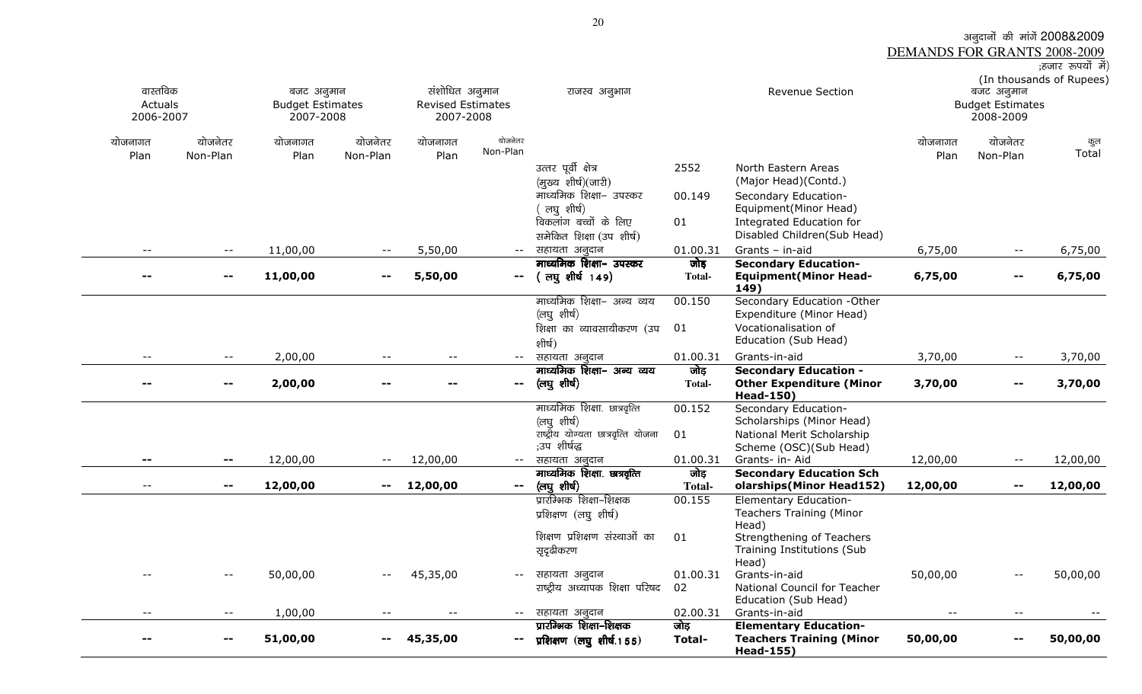अनुदानों की मांगें 2008&2009<br><u>DEMANDS FOR GRANTS 2008-2009</u><br>हजार रुपयों में)

| वास्तविक<br>Actuals<br>2006-2007 |                                               | बजट अनुमान<br><b>Budget Estimates</b><br>2007-2008 |                     | संशोधित अनुमान<br>Revised Estimates<br>2007-2008 |                     | राजस्व अनुभाग                                                          |                                  | Revenue Section                                                                  |                 | बजट अनुमान<br><b>Budget Estimates</b><br>2008-2009 | (In thousands of Rupees) |
|----------------------------------|-----------------------------------------------|----------------------------------------------------|---------------------|--------------------------------------------------|---------------------|------------------------------------------------------------------------|----------------------------------|----------------------------------------------------------------------------------|-----------------|----------------------------------------------------|--------------------------|
| योजनागत<br>Plan                  | योजनेतर<br>Non-Plan                           | योजनागत<br>Plan                                    | योजनेतर<br>Non-Plan | योजनागत<br>Plan                                  | योजनेतर<br>Non-Plan |                                                                        |                                  |                                                                                  | योजनागत<br>Plan | योजनेतर<br>Non-Plan                                | कुल<br>Total             |
|                                  |                                               |                                                    |                     |                                                  |                     | उत्तर पूर्वी क्षेत्र                                                   | 2552                             | North Eastern Areas                                                              |                 |                                                    |                          |
|                                  |                                               |                                                    |                     |                                                  |                     | (मुख्य शीर्ष)(जारी)<br>माध्यमिक शिक्षा- उपस्कर                         | 00.149                           | (Major Head)(Contd.)<br>Secondary Education-                                     |                 |                                                    |                          |
|                                  |                                               |                                                    |                     |                                                  |                     | लघु शीर्ष)                                                             |                                  | Equipment(Minor Head)                                                            |                 |                                                    |                          |
|                                  |                                               |                                                    |                     |                                                  |                     | विकलांग बच्चों के लिए                                                  | 01                               | Integrated Education for                                                         |                 |                                                    |                          |
|                                  |                                               |                                                    |                     |                                                  |                     | समेकित शिक्षा (उप शीर्ष)                                               |                                  | Disabled Children(Sub Head)                                                      |                 |                                                    |                          |
| $-\,-$                           | $- -$                                         | 11,00,00                                           | $- -$               | 5,50,00                                          | $--$                | सहायता अनुदान<br>माध्यमिक शिक्षा- उपस्कर                               | 01.00.31<br>जोड़                 | Grants - in-aid<br><b>Secondary Education-</b>                                   | 6,75,00         | $- -$                                              | 6,75,00                  |
| $-$                              | $\mathbf{u}$                                  | 11,00,00                                           | $\sim$ $\sim$       | 5,50,00                                          | $\mathbf{m} = 1$    | (लघुशीर्ष 149)                                                         | Total-                           | <b>Equipment (Minor Head-</b><br>149)                                            | 6,75,00         | $\sim$ $-$                                         | 6,75,00                  |
|                                  |                                               |                                                    |                     |                                                  |                     | माध्यमिक शिक्षा- अन्य व्यय                                             | 00.150                           | Secondary Education -Other                                                       |                 |                                                    |                          |
|                                  |                                               |                                                    |                     |                                                  |                     | (लघु शीर्ष)<br>शिक्षा का व्यावसायीकरण (उप                              | 01                               | Expenditure (Minor Head)<br>Vocationalisation of                                 |                 |                                                    |                          |
|                                  |                                               |                                                    |                     |                                                  |                     | शीर्ष)                                                                 |                                  | Education (Sub Head)                                                             |                 |                                                    |                          |
| $- -$                            | $\mathord{\hspace{1pt}\text{--}\hspace{1pt}}$ | 2,00,00                                            |                     | $-$                                              | $- -$               | सहायता अनुदान                                                          | 01.00.31                         | Grants-in-aid                                                                    | 3,70,00         | $ -$                                               | 3,70,00                  |
|                                  |                                               |                                                    |                     |                                                  |                     | माध्यमिक शिक्षा- अन्य व्यय                                             | जोड़                             | <b>Secondary Education -</b>                                                     |                 |                                                    |                          |
|                                  |                                               |                                                    |                     |                                                  |                     |                                                                        |                                  |                                                                                  |                 |                                                    |                          |
| $\sim$ $-$                       | −−                                            | 2,00,00                                            |                     |                                                  | $\mathbf{m}$        | (लघु शीर्ष)                                                            | <b>Total-</b>                    | <b>Other Expenditure (Minor</b>                                                  | 3,70,00         | $\overline{\phantom{a}}$                           | 3,70,00                  |
|                                  |                                               |                                                    |                     |                                                  |                     | माध्यमिक शिक्षा. छात्रवृत्ति                                           | 00.152                           | <b>Head-150)</b><br>Secondary Education-                                         |                 |                                                    |                          |
|                                  |                                               |                                                    |                     |                                                  |                     | (लघु शीर्ष)                                                            |                                  | Scholarships (Minor Head)                                                        |                 |                                                    |                          |
|                                  |                                               |                                                    |                     |                                                  |                     | राष्ट्रीय योग्यता छात्रवृत्ति योजना<br>;उप शीर्षद्ध                    | 01                               | National Merit Scholarship                                                       |                 |                                                    |                          |
|                                  |                                               | 12,00,00                                           | $- -$               | 12,00,00                                         | $-  \,$             | सहायता अनुदान                                                          | 01.00.31                         | Scheme (OSC)(Sub Head)<br>Grants- in- Aid                                        | 12,00,00        | $ -$                                               | 12,00,00                 |
| $\overline{\phantom{a}}$         | --                                            |                                                    | $\sim$ $-$          |                                                  |                     | माध्यमिक शिक्षा. छात्रवृत्ति                                           | जोड़                             | <b>Secondary Education Sch</b>                                                   |                 | --                                                 |                          |
|                                  |                                               | 12,00,00                                           |                     | 12,00,00                                         | $\sim$              | (लघु शीर्ष)<br>प्रारम्भिक शिक्षा–शिक्षक                                | <b>Total-</b><br>00.155          | olarships(Minor Head152)<br><b>Elementary Education-</b>                         | 12,00,00        |                                                    | 12,00,00                 |
|                                  |                                               |                                                    |                     |                                                  |                     | प्रशिक्षण (लघु शीर्ष)                                                  |                                  | <b>Teachers Training (Minor</b><br>Head)                                         |                 |                                                    |                          |
|                                  |                                               |                                                    |                     |                                                  |                     | शिक्षण प्रशिक्षण संस्थाओं का                                           | 01                               | Strengthening of Teachers                                                        |                 |                                                    |                          |
|                                  |                                               |                                                    |                     |                                                  |                     | सृदृढीकरण                                                              |                                  | Training Institutions (Sub                                                       |                 |                                                    |                          |
|                                  | $- -$                                         | 50,00,00                                           |                     | 45,35,00                                         | $ -$                | सहायता अनुदान                                                          | 01.00.31                         | Head)<br>Grants-in-aid                                                           | 50,00,00        | $\overline{\phantom{a}}$                           | 50,00,00                 |
|                                  |                                               |                                                    |                     |                                                  |                     | राष्ट्रीय अध्यापक शिक्षा परिषद                                         | 02                               | National Council for Teacher                                                     |                 |                                                    |                          |
| $-$                              | $- -$                                         |                                                    |                     | $-$                                              | $--$                |                                                                        |                                  | Education (Sub Head)                                                             | $- -$           | $\overline{\phantom{a}}$                           |                          |
|                                  |                                               | 1,00,00<br>51,00,00                                |                     | 45,35,00                                         |                     | सहायता अनुदान<br>प्रारम्भिक शिक्षा-शिक्षक<br>प्रशिक्षण (लघु शीर्ष.155) | 02.00.31<br>जोड<br><b>Total-</b> | Grants-in-aid<br><b>Elementary Education-</b><br><b>Teachers Training (Minor</b> | 50,00,00        | --                                                 | 50,00,00                 |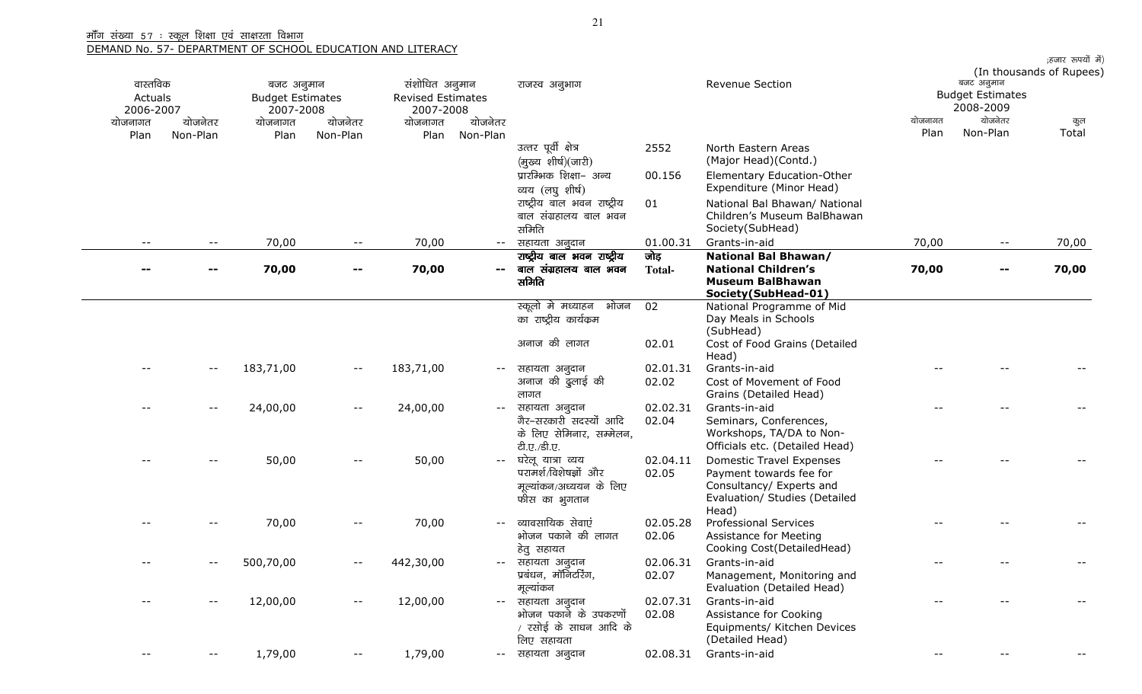|                          |                            |                         |                            |                          |          |                                                      |                   |                                                              |         |                         | ;हजार रूपयों में)        |
|--------------------------|----------------------------|-------------------------|----------------------------|--------------------------|----------|------------------------------------------------------|-------------------|--------------------------------------------------------------|---------|-------------------------|--------------------------|
| वास्तविक                 |                            | बजट अनुमान              |                            | संशोधित अनुमान           |          | राजस्व अनुभाग                                        |                   | Revenue Section                                              |         | बजट अनुमान              | (In thousands of Rupees) |
| Actuals                  |                            | <b>Budget Estimates</b> |                            | <b>Revised Estimates</b> |          |                                                      |                   |                                                              |         | <b>Budget Estimates</b> |                          |
| 2006-2007                |                            | 2007-2008               |                            | 2007-2008                |          |                                                      |                   |                                                              |         | 2008-2009               |                          |
| योजनागत                  | योजनेतर                    | योजनागत                 | योजनेतर                    | योजनागत                  | योजनेतर  |                                                      |                   |                                                              | योजनागत | योजनेतर                 | कुल                      |
| Plan                     | Non-Plan                   | Plan                    | Non-Plan                   | Plan                     | Non-Plan |                                                      |                   |                                                              | Plan    | Non-Plan                | Total                    |
|                          |                            |                         |                            |                          |          | उत्तर पूर्वी क्षेत्र                                 | 2552              | North Eastern Areas                                          |         |                         |                          |
|                          |                            |                         |                            |                          |          | (मुख्य शीर्ष)(जारी)                                  |                   | (Major Head)(Contd.)                                         |         |                         |                          |
|                          |                            |                         |                            |                          |          | प्रारम्भिक शिक्षा- अन्य                              | 00.156            | Elementary Education-Other                                   |         |                         |                          |
|                          |                            |                         |                            |                          |          | व्यय (लघु शीर्ष)                                     |                   | Expenditure (Minor Head)                                     |         |                         |                          |
|                          |                            |                         |                            |                          |          | राष्ट्रीय बाल भवन राष्ट्रीय<br>बाल संग्रहालय बाल भवन | 01                | National Bal Bhawan/ National<br>Children's Museum BalBhawan |         |                         |                          |
|                          |                            |                         |                            |                          |          | समिति                                                |                   | Society (SubHead)                                            |         |                         |                          |
| $\overline{\phantom{m}}$ | $\overline{\phantom{m}}$   | 70,00                   | $ -$                       | 70,00                    |          | सहायता अनुदान                                        | 01.00.31          | Grants-in-aid                                                | 70,00   | $--$                    | 70,00                    |
|                          |                            |                         |                            |                          |          | राष्ट्रीय बाल भवन राष्ट्रीय                          | जोड़              | National Bal Bhawan/                                         |         |                         |                          |
|                          |                            | 70,00                   |                            | 70,00                    |          | बाल संग्रहालय बाल भवन                                | Total-            | <b>National Children's</b>                                   | 70,00   |                         | 70,00                    |
|                          |                            |                         |                            |                          |          | समिति                                                |                   | <b>Museum BalBhawan</b>                                      |         |                         |                          |
|                          |                            |                         |                            |                          |          | स्कूलो मे मध्याहन भोजन                               |                   | Society (SubHead-01)                                         |         |                         |                          |
|                          |                            |                         |                            |                          |          | का राष्ट्रीय कार्यक्रम                               | 02                | National Programme of Mid<br>Day Meals in Schools            |         |                         |                          |
|                          |                            |                         |                            |                          |          |                                                      |                   | (SubHead)                                                    |         |                         |                          |
|                          |                            |                         |                            |                          |          | अनाज की लागत                                         | 02.01             | Cost of Food Grains (Detailed                                |         |                         |                          |
|                          |                            |                         |                            |                          |          |                                                      |                   | Head)                                                        |         |                         |                          |
|                          | $\overline{\phantom{m}}$   | 183,71,00               | $- -$                      | 183,71,00                |          | सहायता अनुदान                                        | 02.01.31          | Grants-in-aid                                                |         |                         |                          |
|                          |                            |                         |                            |                          |          | अनाज की ढुलाई की                                     | 02.02             | Cost of Movement of Food                                     |         |                         |                          |
|                          |                            |                         |                            |                          |          | लागत                                                 |                   | Grains (Detailed Head)                                       |         |                         |                          |
|                          | $\overline{\phantom{m}}$ . | 24,00,00                | $\overline{\phantom{m}}$ . | 24,00,00                 | $- -$    | सहायता अनुदान<br>गैर–सरकारी सदस्यों आदि              | 02.02.31<br>02.04 | Grants-in-aid<br>Seminars, Conferences,                      |         |                         |                          |
|                          |                            |                         |                            |                          |          | के लिए सेमिनार, सम्मेलन,                             |                   | Workshops, TA/DA to Non-                                     |         |                         |                          |
|                          |                            |                         |                            |                          |          | टी.ए./डी.ए.                                          |                   | Officials etc. (Detailed Head)                               |         |                         |                          |
|                          |                            | 50,00                   |                            | 50,00                    |          | घरेलू यात्रा व्यय                                    | 02.04.11          | <b>Domestic Travel Expenses</b>                              |         |                         |                          |
|                          |                            |                         |                            |                          |          | परामर्श/विशेषज्ञों और                                | 02.05             | Payment towards fee for                                      |         |                         |                          |
|                          |                            |                         |                            |                          |          | मूल्यांकन/अध्ययन के लिए                              |                   | Consultancy/ Experts and                                     |         |                         |                          |
|                          |                            |                         |                            |                          |          | फीस का भुगतान                                        |                   | Evaluation/ Studies (Detailed                                |         |                         |                          |
|                          |                            | 70,00                   |                            | 70,00                    |          | व्यावसायिक सेवाएं                                    | 02.05.28          | Head)<br><b>Professional Services</b>                        |         |                         |                          |
|                          |                            |                         |                            |                          |          | भोजन पकाने की लागत                                   | 02.06             | Assistance for Meeting                                       |         |                         |                          |
|                          |                            |                         |                            |                          |          | हेतु सहायत                                           |                   | Cooking Cost(DetailedHead)                                   |         |                         |                          |
|                          |                            | 500,70,00               |                            | 442,30,00                |          | सहायता अनुदान                                        |                   | 02.06.31 Grants-in-aid                                       |         |                         |                          |
|                          |                            |                         |                            |                          |          | प्रबंधन, मॉनिटरिंग,                                  | 02.07             | Management, Monitoring and                                   |         |                         |                          |
|                          |                            |                         |                            |                          |          | मूल्यांकन                                            |                   | Evaluation (Detailed Head)                                   |         |                         |                          |
|                          | $\overline{\phantom{m}}$   | 12,00,00                |                            | 12,00,00                 |          | सहायता अनुदान                                        | 02.07.31          | Grants-in-aid                                                |         |                         |                          |
|                          |                            |                         |                            |                          |          | भोजन पकाने के उपकरणों                                | 02.08             | Assistance for Cooking                                       |         |                         |                          |
|                          |                            |                         |                            |                          |          | रसोई के साधन आदि के<br>लिए सहायता                    |                   | Equipments/ Kitchen Devices<br>(Detailed Head)               |         |                         |                          |
|                          |                            | 1,79,00                 |                            | 1,79,00                  |          | सहायता अनुदान                                        | 02.08.31          | Grants-in-aid                                                |         |                         |                          |
|                          |                            |                         |                            |                          |          |                                                      |                   |                                                              |         |                         |                          |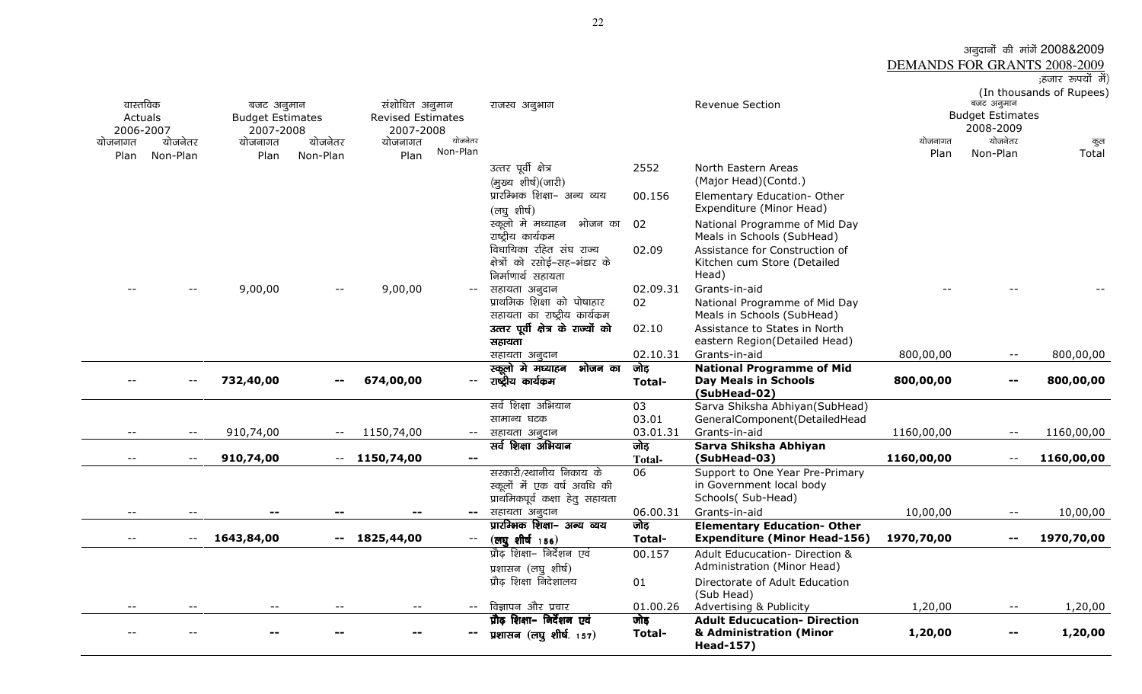|               |                 | अनूदानों की मांगें 2008&2009        |
|---------------|-----------------|-------------------------------------|
|               |                 | <b>DEMANDS FOR GRANTS 2008-2009</b> |
|               |                 | ;हजार रूपयों में)                   |
|               |                 | (In thousands of Rupees)            |
| राजस्व अनुभाग | Revenue Section | बजट अनुमान                          |
|               |                 | <b>Budget Ectimates</b>             |

| वास्तविक<br>Actuals<br>2006-2007 |          | बजट अनुमान<br><b>Budget Estimates</b><br>2007-2008 |                          | संशोधित अनुमान<br><b>Revised Estimates</b><br>2007-2008 | योजनेतर                  | राजस्व अनुभाग                                                                             |                       | Revenue Section                                                                  |                 | बजट अनुमान<br><b>Budget Estimates</b><br>2008-2009 | $\mu$ chousands of Rapecs, |
|----------------------------------|----------|----------------------------------------------------|--------------------------|---------------------------------------------------------|--------------------------|-------------------------------------------------------------------------------------------|-----------------------|----------------------------------------------------------------------------------|-----------------|----------------------------------------------------|----------------------------|
| योजनागत                          | योजनेतर  | योजनागत                                            | योजनेतर                  | योजनागत                                                 | Non-Plan                 |                                                                                           |                       |                                                                                  | योजनागत<br>Plan | योजनेतर<br>Non-Plan                                | कुल<br>Total               |
| Plan                             | Non-Plan | Plan                                               | Non-Plan                 | Plan                                                    |                          | उत्तर पूर्वी क्षेत्र<br>(मुख्य शीर्ष)(जारी)<br>प्रारम्भिक शिक्षा- अन्य व्यय               | 2552                  | North Eastern Areas<br>(Major Head)(Contd.)                                      |                 |                                                    |                            |
|                                  |          |                                                    |                          |                                                         |                          | (लघुशीर्ष)                                                                                | 00.156                | Elementary Education- Other<br>Expenditure (Minor Head)                          |                 |                                                    |                            |
|                                  |          |                                                    |                          |                                                         |                          | स्कूलो मे मध्याहन भोजन का<br>राष्ट्रीय कार्यक्रम                                          | 02                    | National Programme of Mid Day<br>Meals in Schools (SubHead)                      |                 |                                                    |                            |
|                                  |          |                                                    |                          |                                                         |                          | विधायिका रहित संघ राज्य<br>क्षेत्रों को रसोई-सह-भंडार के<br>निर्माणार्थ सहायता            | 02.09                 | Assistance for Construction of<br>Kitchen cum Store (Detailed<br>Head)           |                 |                                                    |                            |
|                                  |          | 9,00,00                                            |                          | 9,00,00                                                 | $- -$                    | सहायता अनुदान                                                                             | 02.09.31              | Grants-in-aid                                                                    |                 |                                                    |                            |
|                                  |          |                                                    |                          |                                                         |                          | प्राथमिक शिक्षा को पोषाहार<br>सहायता का राष्ट्रीय कार्यक्रम                               | 02                    | National Programme of Mid Day<br>Meals in Schools (SubHead)                      |                 |                                                    |                            |
|                                  |          |                                                    |                          |                                                         |                          | उत्तर पूर्वी क्षेत्र के राज्यों को                                                        | 02.10                 | Assistance to States in North                                                    |                 |                                                    |                            |
|                                  |          |                                                    |                          |                                                         |                          | सहायता                                                                                    |                       | eastern Region(Detailed Head)                                                    |                 |                                                    |                            |
|                                  |          |                                                    |                          |                                                         |                          | सहायता अनुदान                                                                             | 02.10.31              | Grants-in-aid                                                                    | 800,00,00       | $\overline{\phantom{a}}$                           | 800,00,00                  |
|                                  |          |                                                    |                          |                                                         |                          | स्कूलो मे मध्याहन<br>भोजन का                                                              | जोड                   | <b>National Programme of Mid</b>                                                 |                 |                                                    |                            |
|                                  |          | 732,40,00                                          | $\sim$ $-$               | 674,00,00                                               | $- -$                    | राष्ट्रीय कार्यकम                                                                         | Total-                | <b>Day Meals in Schools</b><br>(SubHead-02)                                      | 800,00,00       |                                                    | 800,00,00                  |
|                                  |          |                                                    |                          |                                                         |                          | सर्व शिक्षा अभियान                                                                        | 03                    | Sarva Shiksha Abhiyan(SubHead)                                                   |                 |                                                    |                            |
|                                  |          |                                                    |                          |                                                         |                          | सामान्य घटक                                                                               | 03.01                 | GeneralComponent(DetailedHead                                                    |                 |                                                    |                            |
| $ -$                             | $- -$    | 910,74,00                                          | $\overline{\phantom{a}}$ | 1150,74,00                                              | $-  \sim$                | सहायता अनूदान                                                                             | 03.01.31              | Grants-in-aid                                                                    | 1160,00,00      | $\overline{\phantom{m}}$                           | 1160,00,00                 |
| $- -$                            | $- -$    | 910,74,00                                          |                          | $-1150,74,00$                                           | $\sim$ $\sim$            | सर्व शिक्षा अभियान                                                                        | जोड़<br><b>Total-</b> | Sarva Shiksha Abhiyan<br>(SubHead-03)                                            | 1160,00,00      | $\mathord{\hspace{1pt}\text{--}\hspace{1pt}}$      | 1160,00,00                 |
|                                  |          |                                                    |                          |                                                         |                          | सरकारी/स्थानीय निकाय के<br>स्कूलों में एक वर्ष अवधि की<br>प्राथमिकपूर्व कक्षा हेतु सहायता | 06                    | Support to One Year Pre-Primary<br>in Government local body<br>Schools(Sub-Head) |                 |                                                    |                            |
|                                  |          |                                                    |                          |                                                         | $\overline{\phantom{a}}$ | सहायता अनुदान                                                                             | 06.00.31              | Grants-in-aid                                                                    | 10,00,00        |                                                    | 10,00,00                   |
|                                  |          |                                                    |                          |                                                         |                          | प्रारम्भिक शिक्षा– अन्य व्यय                                                              | जोड़                  | <b>Elementary Education- Other</b>                                               |                 |                                                    |                            |
| --                               | $- -$    | 1643,84,00                                         |                          | $-1825,44,00$                                           | $- -$                    | $(\overline{eq}$ शीर्ष $156)$                                                             | <b>Total-</b>         | <b>Expenditure (Minor Head-156)</b>                                              | 1970,70,00      |                                                    | 1970,70,00                 |
|                                  |          |                                                    |                          |                                                         |                          | प्रौढ़ शिक्षा- निर्देशन एवं<br>प्रशासन (लघु शीर्ष)                                        | 00.157                | Adult Educucation- Direction &<br>Administration (Minor Head)                    |                 |                                                    |                            |
|                                  |          |                                                    |                          |                                                         |                          | प्रौढ़ शिक्षा निदेशालय                                                                    | 01                    | Directorate of Adult Education<br>(Sub Head)                                     |                 |                                                    |                            |
| $- -$                            |          |                                                    |                          | $\overline{\phantom{m}}$                                | $- -$                    | विज्ञापन और प्रचार                                                                        | 01.00.26              | Advertising & Publicity                                                          | 1,20,00         | $\overline{\phantom{a}}$                           | 1,20,00                    |
|                                  |          |                                                    |                          |                                                         |                          | प्रौढ़ शिक्षा- निर्देशन एवं                                                               | जोड़                  | <b>Adult Educucation- Direction</b>                                              |                 |                                                    |                            |
|                                  |          |                                                    |                          |                                                         | --                       | प्रशासन $($ लघु शीर्ष. $157)$                                                             | Total-                | & Administration (Minor<br><b>Head-157)</b>                                      | 1,20,00         |                                                    | 1,20,00                    |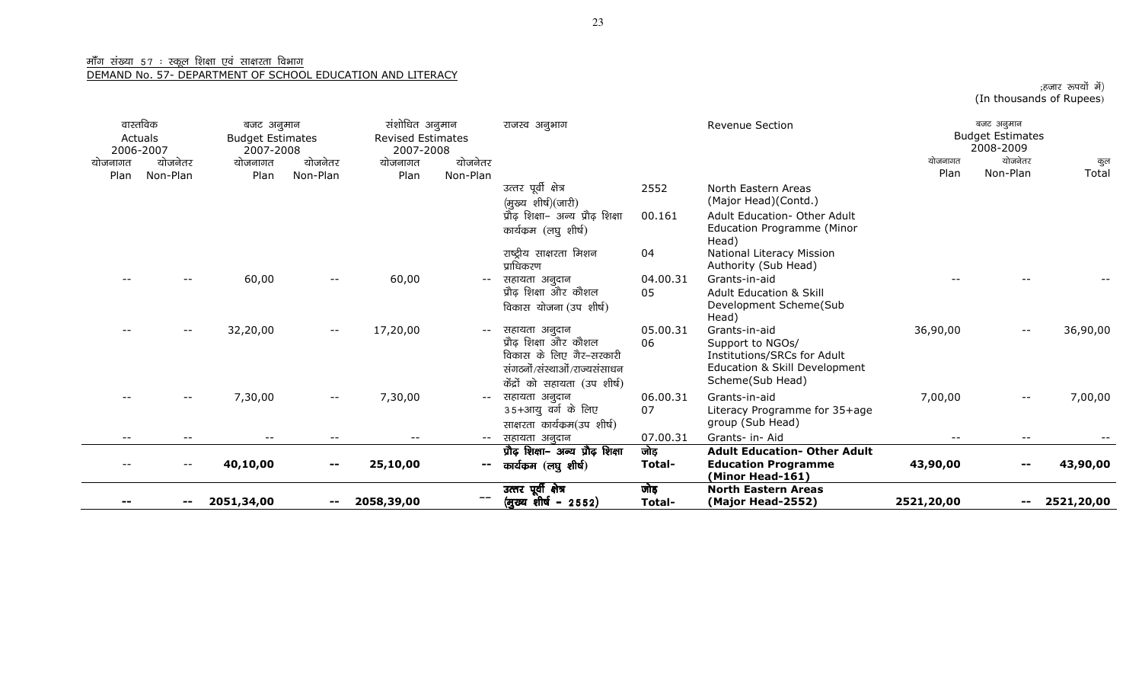--

-- 2051,34,00

-- 2058,39,00 **--** 

<u>माँग संख्या 57 : स्कूल शिक्षा एवं साक्षरता विभाग</u><br>DEMAND No. 57- DEPARTMENT OF SCHOOL EDUCATION AND LITERACY

|                 | वास्तविक<br>Actuals<br>2006-2007 | बजट अनुमान<br><b>Budget Estimates</b><br>2007-2008 |                     | संशोधित अनुमान<br><b>Revised Estimates</b><br>2007-2008 |                     | राजस्व अनुभाग                                                                                                                      |                | Revenue Section                                                                                                       |                 | बजट अनुमान<br><b>Budget Estimates</b><br>2008-2009 |              |
|-----------------|----------------------------------|----------------------------------------------------|---------------------|---------------------------------------------------------|---------------------|------------------------------------------------------------------------------------------------------------------------------------|----------------|-----------------------------------------------------------------------------------------------------------------------|-----------------|----------------------------------------------------|--------------|
| योजनागत<br>Plan | योजनेतर<br>Non-Plan              | योजनागत<br>Plan                                    | योजनेतर<br>Non-Plan | योजनागत<br>Plan                                         | योजनेतर<br>Non-Plan |                                                                                                                                    |                |                                                                                                                       | योजनागत<br>Plan | योजनेतर<br>Non-Plan                                | कुल<br>Total |
|                 |                                  |                                                    |                     |                                                         |                     | उत्तर पूर्वी क्षेत्र<br>(मुख्य शीर्ष)(जारी)                                                                                        | 2552           | North Eastern Areas<br>(Major Head)(Contd.)                                                                           |                 |                                                    |              |
|                 |                                  |                                                    |                     |                                                         |                     | प्रौढ़ शिक्षा- अन्य प्रौढ़ शिक्षा<br>कार्यक्रम (लघु शीर्ष)                                                                         | 00.161         | Adult Education- Other Adult<br>Education Programme (Minor<br>Head)                                                   |                 |                                                    |              |
|                 |                                  |                                                    |                     |                                                         |                     | राष्ट्रीय साक्षरता मिशन<br>प्राधिकरण                                                                                               | 04             | National Literacy Mission<br>Authority (Sub Head)                                                                     |                 |                                                    |              |
|                 |                                  | 60,00                                              | $- -$               | 60,00                                                   | $--$                | सहायता अनुदान<br>प्रौढ़ शिक्षा और कौशल<br>विकास योजना (उप शीर्ष)                                                                   | 04.00.31<br>05 | Grants-in-aid<br><b>Adult Education &amp; Skill</b><br>Development Scheme(Sub<br>Head)                                |                 |                                                    |              |
|                 |                                  | 32,20,00                                           | $- -$               | 17,20,00                                                | $--$                | सहायता अनुदान<br>प्रौढ़ शिक्षा और कौशल<br>विकास के लिए गैर-सरकारी<br>संगठनों/संस्थाओं/राज्यसंसाधन<br>केंद्रों को सहायता (उप शीर्ष) | 05.00.31<br>06 | Grants-in-aid<br>Support to NGOs/<br>Institutions/SRCs for Adult<br>Education & Skill Development<br>Scheme(Sub Head) | 36,90,00        | $-\,-$                                             | 36,90,00     |
|                 |                                  | 7,30,00                                            | $- -$               | 7,30,00                                                 | $--$                | सहायता अनुदान<br>35+आयु वर्ग के लिए<br>साक्षरता कार्यक्रम(उप शीर्ष)                                                                | 06.00.31<br>07 | Grants-in-aid<br>Literacy Programme for 35+age<br>group (Sub Head)                                                    | 7,00,00         | $- -$                                              | 7,00,00      |
| $- -$           | $- -$                            | $- -$                                              | $- -$               | $\qquad \qquad -$                                       | $--$                | सहायता अनुदान                                                                                                                      | 07.00.31       | Grants- in- Aid                                                                                                       | $- -$           | $\overline{\phantom{m}}$                           |              |
|                 |                                  | 40,10,00                                           |                     | 25,10,00                                                | $\mathbf{m}$        | प्रौढ़ शिक्षा- अन्य प्रौढ़ शिक्षा<br>कार्यकम (लघु शीर्ष)                                                                           | जोड़<br>Total- | <b>Adult Education- Other Adult</b><br><b>Education Programme</b><br>(Minor Head-161)                                 | 43,90,00        | --                                                 | 43,90,00     |

लोड़ Total-

North Eastern Areas (Major Head-2552) 2521,20,00

उत्तर पूर्वी क्षेत्र<br>(मुख्य शीर्ष – 2552)

हजार रूपयों में)<br>(In thousands of Rupees)

-- 2521,20,00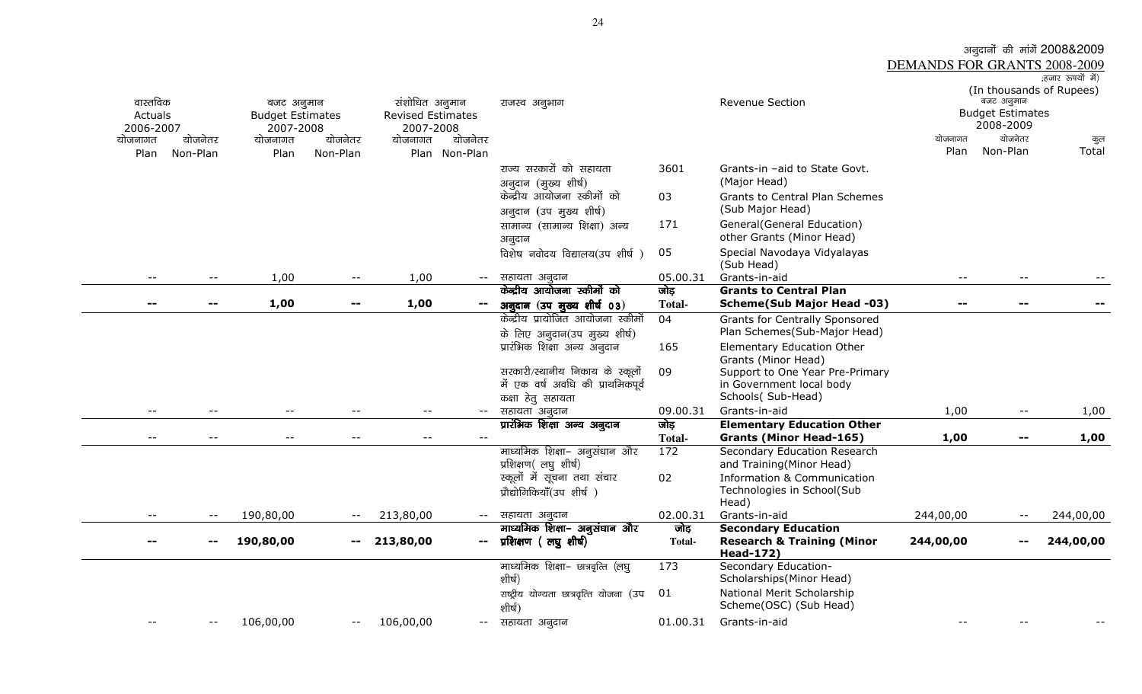## अनुदानों की मांगें 2008&2009<br><u>DEMANDS FOR GRANTS 2008-2009</u><br>(हंस क्रिपयें में)

| वास्तविक<br>Actuals<br>2006-2007<br>योजनागत<br>Plan | योजनेतर<br>Non-Plan      | बजट अनुमान<br><b>Budget Estimates</b><br>2007-2008<br>योजनागत<br>Plan | योजनेतर<br>Non-Plan        | संशोधित अनुमान<br><b>Revised Estimates</b><br>2007-2008<br>योजनागत<br>Plan Non-Plan | योजनेतर | राजस्व अनुभाग                                        |                | <b>Revenue Section</b>                                                                  | योजनागत<br>Plan | (In thousands of Rupees)<br>बजट अनुमान<br><b>Budget Estimates</b><br>2008-2009<br>योजनेतर<br>Non-Plan | कुल<br>Total |
|-----------------------------------------------------|--------------------------|-----------------------------------------------------------------------|----------------------------|-------------------------------------------------------------------------------------|---------|------------------------------------------------------|----------------|-----------------------------------------------------------------------------------------|-----------------|-------------------------------------------------------------------------------------------------------|--------------|
|                                                     |                          |                                                                       |                            |                                                                                     |         | राज्य सरकारों को सहायता<br>अनुदान (मुख्य शीर्ष)      | 3601           | Grants-in -aid to State Govt.<br>(Major Head)                                           |                 |                                                                                                       |              |
|                                                     |                          |                                                                       |                            |                                                                                     |         | केन्द्रीय आयोजना स्कीमों को                          | 03             | Grants to Central Plan Schemes<br>(Sub Major Head)                                      |                 |                                                                                                       |              |
|                                                     |                          |                                                                       |                            |                                                                                     |         | अनुदान (उप मुख्य शीर्ष)                              |                |                                                                                         |                 |                                                                                                       |              |
|                                                     |                          |                                                                       |                            |                                                                                     |         | सामान्य (सामान्य शिक्षा) अन्य<br>अनुदान              | 171            | General (General Education)<br>other Grants (Minor Head)                                |                 |                                                                                                       |              |
|                                                     |                          |                                                                       |                            |                                                                                     |         | विशेष नवोदय विद्यालय(उप शीर्ष)                       | 05             | Special Navodaya Vidyalayas<br>(Sub Head)                                               |                 |                                                                                                       |              |
| $-$                                                 | $- -$                    | 1,00                                                                  | $-\,-$                     | 1,00                                                                                | $--$    | सहायता अनुदान                                        | 05.00.31       | Grants-in-aid                                                                           | $- -$           | $- -$                                                                                                 |              |
|                                                     |                          |                                                                       |                            |                                                                                     |         | केन्द्रीय आयोजना स्कीमों को                          | जोड़           | <b>Grants to Central Plan</b>                                                           |                 |                                                                                                       |              |
| $\overline{\phantom{m}}$                            | $\sim$ $-$               | 1,00                                                                  | --                         | 1,00                                                                                |         | अनुदान (उप मुख्य शीर्ष 03)                           | <b>Total-</b>  | <b>Scheme(Sub Major Head -03)</b>                                                       | --              | --                                                                                                    |              |
|                                                     |                          |                                                                       |                            |                                                                                     |         | केन्द्रीय प्रायोजित आयोजना स्कीमों                   | 04             | <b>Grants for Centrally Sponsored</b>                                                   |                 |                                                                                                       |              |
|                                                     |                          |                                                                       |                            |                                                                                     |         | के लिए अनुदान(उप मुख्य शीर्ष)                        |                | Plan Schemes(Sub-Major Head)                                                            |                 |                                                                                                       |              |
|                                                     |                          |                                                                       |                            |                                                                                     |         | प्रारंभिक शिक्षा अन्य अनुदान                         | 165            | Elementary Education Other<br>Grants (Minor Head)                                       |                 |                                                                                                       |              |
|                                                     |                          |                                                                       |                            |                                                                                     |         | सरकारी/स्थानीय निकाय के स्कूलों                      | 09             | Support to One Year Pre-Primary                                                         |                 |                                                                                                       |              |
|                                                     |                          |                                                                       |                            |                                                                                     |         | में एक वर्ष अवधि की प्राथमिकपूर्व                    |                | in Government local body                                                                |                 |                                                                                                       |              |
|                                                     |                          |                                                                       |                            |                                                                                     |         | कक्षा हेतु सहायता                                    |                | Schools(Sub-Head)                                                                       |                 |                                                                                                       |              |
| $\qquad \qquad -$                                   |                          |                                                                       |                            | $ -$                                                                                | $--$    | सहायता अनुदान                                        | 09.00.31       | Grants-in-aid                                                                           | 1,00            | $\overline{\phantom{a}}$ .                                                                            | 1,00         |
|                                                     |                          |                                                                       |                            |                                                                                     |         | प्रारंभिक शिक्षा अन्य अनुदान                         | जोड़           | <b>Elementary Education Other</b>                                                       |                 |                                                                                                       |              |
| $\overline{\phantom{m}}$                            | $\overline{\phantom{m}}$ | $\overline{\phantom{m}}$                                              | $\overline{\phantom{m}}$ . | $\overline{\phantom{m}}$                                                            | $-$     |                                                      | <b>Total-</b>  | <b>Grants (Minor Head-165)</b>                                                          | 1,00            | $\sim$ $-$                                                                                            | 1,00         |
|                                                     |                          |                                                                       |                            |                                                                                     |         | माध्यमिक शिक्षा– अनुसंधान और<br>प्रशिक्षण(लघुशीर्ष)  | 172            | Secondary Education Research<br>and Training (Minor Head)                               |                 |                                                                                                       |              |
|                                                     |                          |                                                                       |                            |                                                                                     |         | स्कूलों में सूचना तथा संचार                          | 02             | <b>Information &amp; Communication</b>                                                  |                 |                                                                                                       |              |
|                                                     |                          |                                                                       |                            |                                                                                     |         | प्रौद्योगिकियाँ(उप शीर्ष)                            |                | Technologies in School(Sub<br>Head)                                                     |                 |                                                                                                       |              |
| $- -$                                               |                          | 190,80,00                                                             |                            | 213,80,00                                                                           | $--$    | सहायता अनुदान                                        | 02.00.31       | Grants-in-aid                                                                           | 244,00,00       | $- -$                                                                                                 | 244,00,00    |
| $- -$                                               |                          | 190,80,00                                                             | $\overline{\phantom{m}}$   | 213,80,00                                                                           | $--$    | माध्यमिक शिक्षा– अनुसंधान और<br>प्रशिक्षण (लघुशीर्ष) | जोड़<br>Total- | <b>Secondary Education</b><br><b>Research &amp; Training (Minor</b><br><b>Head-172)</b> | 244,00,00       | --                                                                                                    | 244,00,00    |
|                                                     |                          |                                                                       |                            |                                                                                     |         | माध्यमिक शिक्षा– छात्रवृत्ति (लघु<br>शीर्ष)          | 173            | Secondary Education-<br>Scholarships(Minor Head)                                        |                 |                                                                                                       |              |
|                                                     |                          |                                                                       |                            |                                                                                     |         | राष्ट्रीय योग्यता छात्रवृत्ति योजना (उप<br>शीर्ष)    | 01             | National Merit Scholarship<br>Scheme(OSC) (Sub Head)                                    |                 |                                                                                                       |              |
|                                                     |                          | 106,00,00                                                             | $\overline{\phantom{a}}$   | 106,00,00                                                                           | $--$    | सहायता अनुदान                                        | 01.00.31       | Grants-in-aid                                                                           |                 |                                                                                                       |              |
|                                                     |                          |                                                                       |                            |                                                                                     |         |                                                      |                |                                                                                         |                 |                                                                                                       |              |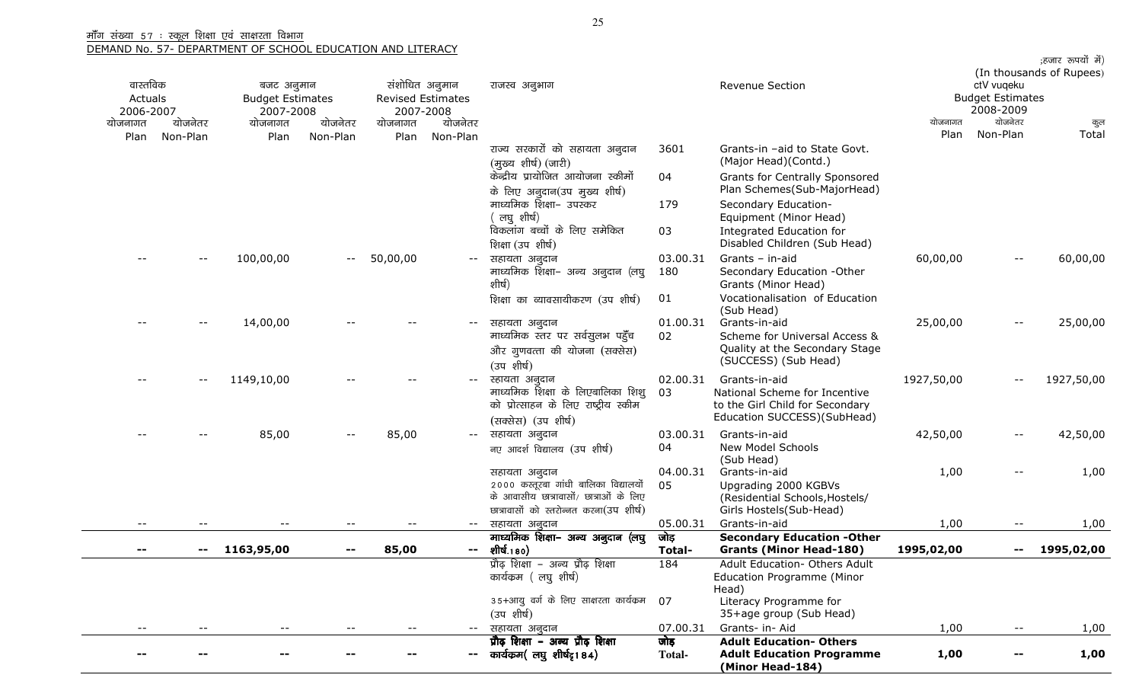| वास्तविक<br>Actuals |          | बजट अनुमान<br><b>Budget Estimates</b> |          | संशोधित अनुमान<br><b>Revised Estimates</b> |                          | राजस्व अनुभाग                                                                                                                               |                       | <b>Revenue Section</b>                                                                                           |            | ctV vuqeku<br><b>Budget Estimates</b> | ;हजार रूपयों में)<br>(In thousands of Rupees) |
|---------------------|----------|---------------------------------------|----------|--------------------------------------------|--------------------------|---------------------------------------------------------------------------------------------------------------------------------------------|-----------------------|------------------------------------------------------------------------------------------------------------------|------------|---------------------------------------|-----------------------------------------------|
| 2006-2007           |          | 2007-2008                             |          | 2007-2008                                  |                          |                                                                                                                                             |                       |                                                                                                                  |            | 2008-2009                             |                                               |
| योजनागत             | योजनेतर  | योजनागत                               | योजनेतर  | योजनागत                                    | योजनेतर                  |                                                                                                                                             |                       |                                                                                                                  | योजनागत    | योजनेतर                               | कुल                                           |
| Plan                | Non-Plan | Plan                                  | Non-Plan | Plan                                       | Non-Plan                 | राज्य सरकारों को सहायता अनुदान<br>(मुख्य शीर्ष) (जारी)                                                                                      | 3601                  | Grants-in -aid to State Govt.<br>(Major Head)(Contd.)                                                            | Plan       | Non-Plan                              | Total                                         |
|                     |          |                                       |          |                                            |                          | केन्द्रीय प्रायोजित आयोजना स्कीमों<br>के लिए अनुदान(उप मुख्य शीर्ष)                                                                         | 04                    | Grants for Centrally Sponsored<br>Plan Schemes(Sub-MajorHead)                                                    |            |                                       |                                               |
|                     |          |                                       |          |                                            |                          | माध्यमिक शिक्षा– उपस्कर<br>लघु शीर्ष)                                                                                                       | 179                   | Secondary Education-<br>Equipment (Minor Head)                                                                   |            |                                       |                                               |
|                     |          |                                       |          |                                            |                          | विकलांग बच्चों के लिए समेकित<br>शिक्षा (उप शीर्ष)                                                                                           | 03                    | Integrated Education for<br>Disabled Children (Sub Head)                                                         |            |                                       |                                               |
|                     | $- -$    | 100,00,00                             | $- -$    | 50,00,00                                   | $\overline{\phantom{m}}$ | सहायता अनुदान<br>माध्यमिक शिक्षा– अन्य अनुदान (लघु<br>शीर्ष)                                                                                | 03.00.31<br>180       | Grants - in-aid<br>Secondary Education -Other<br>Grants (Minor Head)                                             | 60,00,00   | $- -$                                 | 60,00,00                                      |
|                     |          |                                       |          |                                            |                          | शिक्षा का व्यावसायीकरण (उप शीर्ष)                                                                                                           | 01                    | Vocationalisation of Education<br>(Sub Head)                                                                     |            |                                       |                                               |
|                     |          | 14,00,00                              |          |                                            |                          | सहायता अनुदान<br>माध्यमिक स्तर पर सर्वसूलभ पहुँच                                                                                            | 01.00.31<br>02        | Grants-in-aid<br>Scheme for Universal Access &                                                                   | 25,00,00   | $- -$                                 | 25,00,00                                      |
|                     |          |                                       |          |                                            |                          | और गुणवत्ता की योजना (सक्सेस)<br>(उप शीर्ष)                                                                                                 |                       | Quality at the Secondary Stage<br>(SUCCESS) (Sub Head)                                                           |            |                                       |                                               |
|                     |          | 1149,10,00                            |          |                                            |                          | स्हायता अनुदान<br>माध्यमिक शिक्षा के लिएबालिका शिशु<br>को प्रोत्साहन के लिए राष्ट्रीय स्कीम                                                 | 02.00.31<br>03        | Grants-in-aid<br>National Scheme for Incentive<br>to the Girl Child for Secondary<br>Education SUCCESS)(SubHead) | 1927,50,00 |                                       | 1927,50,00                                    |
|                     |          | 85,00                                 |          | 85,00                                      | $--$                     | (सक्सेस) (उप शीर्ष)<br>सहायता अनुदान                                                                                                        | 03.00.31              | Grants-in-aid                                                                                                    | 42,50,00   | $\overline{\phantom{m}}$              | 42,50,00                                      |
|                     |          |                                       |          |                                            |                          | नए आदर्श विद्यालय (उप शीर्ष)                                                                                                                | 04                    | New Model Schools<br>(Sub Head)                                                                                  |            |                                       |                                               |
|                     |          |                                       |          |                                            |                          | सहायता अनुदान<br>2000 कस्तूरबा गांधी बालिका विद्यालयों<br>के आवासीय छात्रावासों/ छात्राओं के लिए<br>छात्रावासों को स्तरोन्नत करना(उप शीर्ष) | 04.00.31<br>05        | Grants-in-aid<br>Upgrading 2000 KGBVs<br>(Residential Schools, Hostels/<br>Girls Hostels(Sub-Head)               | 1,00       |                                       | 1,00                                          |
| $- -$               |          |                                       |          |                                            | $- -$ .                  | सहायता अनुदान                                                                                                                               | 05.00.31              | Grants-in-aid                                                                                                    | 1,00       | $- -$                                 | 1,00                                          |
|                     |          |                                       |          |                                            |                          | माध्यमिक शिक्षा- अन्य अनुदान (लघु                                                                                                           | जोड़                  | <b>Secondary Education -Other</b>                                                                                |            |                                       |                                               |
|                     | --       | 1163,95,00                            |          | 85,00                                      | $\qquad \qquad -$        | शीर्ष.180)                                                                                                                                  | Total-                | <b>Grants (Minor Head-180)</b>                                                                                   | 1995,02,00 | --                                    | 1995,02,00                                    |
|                     |          |                                       |          |                                            |                          | प्रौढ़ शिक्षा – अन्य प्रौढ़ शिक्षा<br>कार्यक्रम ( लघु शीर्ष)                                                                                | 184                   | Adult Education- Others Adult<br><b>Education Programme (Minor</b><br>Head)                                      |            |                                       |                                               |
|                     |          |                                       |          |                                            |                          | 35+आयु वर्ग के लिए साक्षरता कार्यक्रम<br>(उप शीर्ष)                                                                                         | 07                    | Literacy Programme for<br>35+age group (Sub Head)                                                                |            |                                       |                                               |
| $ -$                | $- -$    |                                       |          | $ -$                                       | $--$                     | सहायता अनुदान                                                                                                                               | 07.00.31              | Grants- in- Aid                                                                                                  | 1,00       | $\sim$ $-$                            | 1,00                                          |
| --                  |          |                                       |          |                                            |                          | प्रौढ़ शिक्षा – अन्य प्रौढ़ शिक्षा<br>-- कार्यकम( लघु शीर्षदृ184)                                                                           | जोड़<br><b>Total-</b> | <b>Adult Education- Others</b><br><b>Adult Education Programme</b><br>(Minor Head-184)                           | 1,00       |                                       | 1,00                                          |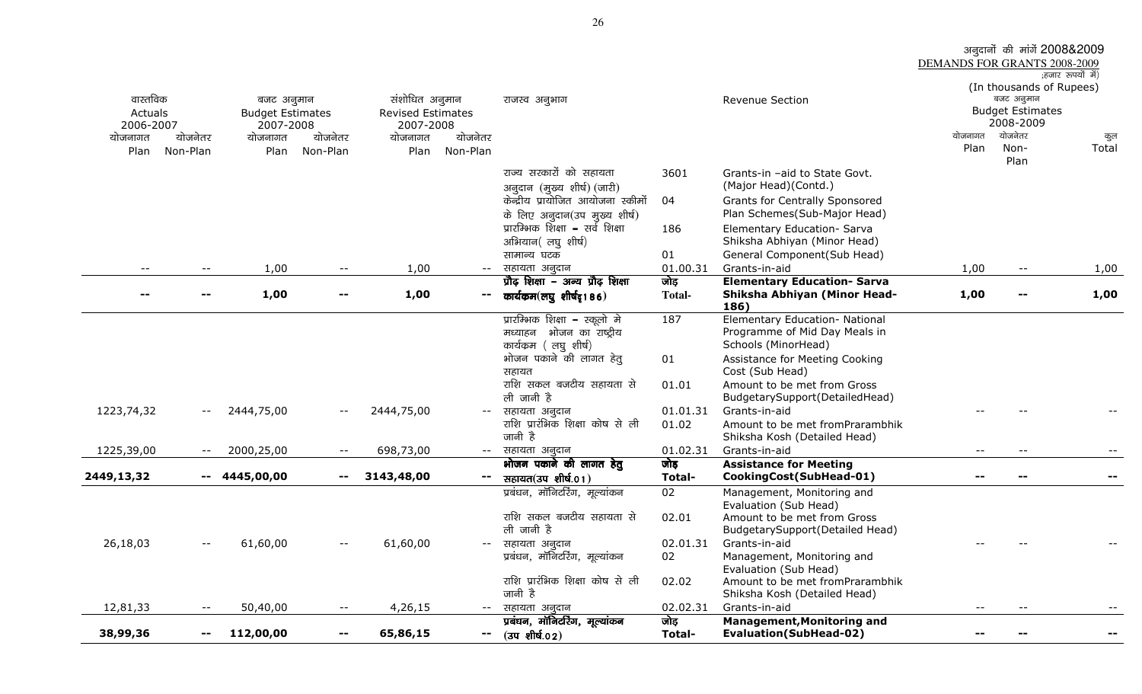|                              |                          |                                       |                          |                                            |                          |                                                                                     |                       |                                                                                        | DEMANDS FOR GRANTS 2008-2009 | अनुदानों की मांगें 2008&2009                                                   |                   |
|------------------------------|--------------------------|---------------------------------------|--------------------------|--------------------------------------------|--------------------------|-------------------------------------------------------------------------------------|-----------------------|----------------------------------------------------------------------------------------|------------------------------|--------------------------------------------------------------------------------|-------------------|
| वास्तविक<br>Actuals          |                          | बजट अनुमान<br><b>Budget Estimates</b> |                          | संशोधित अनुमान<br><b>Revised Estimates</b> |                          | राजस्व अनुभाग                                                                       |                       | Revenue Section                                                                        |                              | (In thousands of Rupees)<br>बजट अनुमान<br><b>Budget Estimates</b><br>2008-2009 | :हजार रूपयों में) |
| 2006-2007<br>योजनागत<br>Plan | योजनेतर<br>Non-Plan      | 2007-2008<br>योजनागत<br>Plan          | योजनेतर<br>Non-Plan      | 2007-2008<br>योजनागत<br>Plan               | योजनेतर<br>Non-Plan      |                                                                                     |                       |                                                                                        | योजनागत<br>Plan              | योजनेतर<br>Non-<br>Plan                                                        | कुल<br>Total      |
|                              |                          |                                       |                          |                                            |                          | राज्य सरकारों को सहायता<br>अनुदान (मुख्य शीर्ष) (जारी)                              | 3601                  | Grants-in -aid to State Govt.<br>(Major Head)(Contd.)                                  |                              |                                                                                |                   |
|                              |                          |                                       |                          |                                            |                          | केन्द्रीय प्रायोजित आयोजना स्कीमों<br>के लिए अनुदान(उप मुख्य शीर्ष)                 | 04                    | Grants for Centrally Sponsored<br>Plan Schemes(Sub-Major Head)                         |                              |                                                                                |                   |
|                              |                          |                                       |                          |                                            |                          | प्रारम्भिक शिक्षा – सर्व शिक्षा<br>अभियान(लघुशीर्ष)                                 | 186                   | Elementary Education- Sarva<br>Shiksha Abhiyan (Minor Head)                            |                              |                                                                                |                   |
|                              |                          |                                       |                          |                                            |                          | सामान्य घटक                                                                         | 01                    | General Component(Sub Head)                                                            |                              |                                                                                |                   |
| $- -$                        |                          | 1,00                                  | $\overline{\phantom{m}}$ | 1,00                                       | $--$                     | सहायता अनुदान                                                                       | 01.00.31              | Grants-in-aid                                                                          | 1,00                         | $- -$                                                                          | 1,00              |
|                              |                          | 1,00                                  |                          | 1,00                                       |                          | प्रौढ़ शिक्षा – अन्य प्रौढ़ शिक्षा<br>कार्यकम(लघु शीर्षद्र186)                      | जोड़<br><b>Total-</b> | <b>Elementary Education- Sarva</b><br>Shiksha Abhiyan (Minor Head-<br>186)             | 1,00                         | --                                                                             | 1,00              |
|                              |                          |                                       |                          |                                            |                          | प्रारम्भिक शिक्षा – स्कूलो मे<br>मध्याहन भोजन का राष्ट्रीय<br>कार्यक्रम (लघु शीर्ष) | 187                   | Elementary Education- National<br>Programme of Mid Day Meals in<br>Schools (MinorHead) |                              |                                                                                |                   |
|                              |                          |                                       |                          |                                            |                          | भोजन पकाने की लागत हेतु<br>सहायत                                                    | 01                    | Assistance for Meeting Cooking<br>Cost (Sub Head)                                      |                              |                                                                                |                   |
|                              |                          |                                       |                          |                                            |                          | राशि सकल बजटीय सहायता से<br>ली जानी है                                              | 01.01                 | Amount to be met from Gross<br>BudgetarySupport(DetailedHead)                          |                              |                                                                                |                   |
| 1223,74,32                   | $--$                     | 2444,75,00                            | $- -$                    | 2444,75,00                                 | $--$                     | सहायता अनुदान<br>राशि प्रारंभिक शिक्षा कोष से ली<br>जानी है                         | 01.01.31<br>01.02     | Grants-in-aid<br>Amount to be met fromPrarambhik<br>Shiksha Kosh (Detailed Head)       |                              |                                                                                |                   |
| 1225,39,00                   | $- -$                    | 2000,25,00                            | $\overline{\phantom{m}}$ | 698,73,00                                  | $--$                     | सहायता अनुदान                                                                       | 01.02.31              | Grants-in-aid                                                                          | --                           | $- -$                                                                          |                   |
|                              |                          |                                       |                          |                                            |                          | भोजन पकाने की लागत हेतु                                                             | जोड़                  | <b>Assistance for Meeting</b>                                                          |                              |                                                                                |                   |
| 2449,13,32                   |                          | $-4445,00,00$                         | $--$                     | 3143,48,00                                 | $\overline{\phantom{m}}$ | सहायत(उप शीर्ष.01)                                                                  | Total-                | CookingCost(SubHead-01)                                                                | --                           | --                                                                             |                   |
|                              |                          |                                       |                          |                                            |                          | प्रबंधन, मॉनिटरिंग, मूल्यांकन                                                       | 02                    | Management, Monitoring and<br>Evaluation (Sub Head)                                    |                              |                                                                                |                   |
|                              |                          |                                       |                          |                                            |                          | राशि सकल बजटीय सहायता से<br>ली जानी है                                              | 02.01                 | Amount to be met from Gross<br>BudgetarySupport(Detailed Head)                         |                              |                                                                                |                   |
| 26,18,03                     | $--$                     | 61,60,00                              | $\overline{\phantom{m}}$ | 61,60,00                                   | $--$                     | सहायता अनुदान                                                                       | 02.01.31              | Grants-in-aid                                                                          |                              |                                                                                |                   |
|                              |                          |                                       |                          |                                            |                          | प्रबंधन, मॉनिटरिंग, मूल्यांकन                                                       | 02                    | Management, Monitoring and<br>Evaluation (Sub Head)                                    |                              |                                                                                |                   |
|                              |                          |                                       |                          |                                            |                          | राशि प्रारंभिक शिक्षा कोष से ली<br>जानी है                                          | 02.02                 | Amount to be met fromPrarambhik<br>Shiksha Kosh (Detailed Head)                        |                              |                                                                                |                   |
| 12,81,33                     | $\overline{\phantom{m}}$ | 50,40,00                              | $- -$                    | 4,26,15                                    | $--$                     | सहायता अनुदान                                                                       | 02.02.31              | Grants-in-aid                                                                          | --                           | $\qquad \qquad -$                                                              | --                |
| 38,99,36                     | $\sim$                   | 112,00,00                             | $\overline{\phantom{m}}$ | 65,86,15                                   | $\overline{\phantom{m}}$ | प्रबंधन, मॉनिटरिंग, मूल्यांकन<br>$(34 \text{ m})$                                   | जोड़<br>Total-        | <b>Management, Monitoring and</b><br><b>Evaluation(SubHead-02)</b>                     | --                           | $\qquad \qquad \blacksquare$                                                   | −−                |

26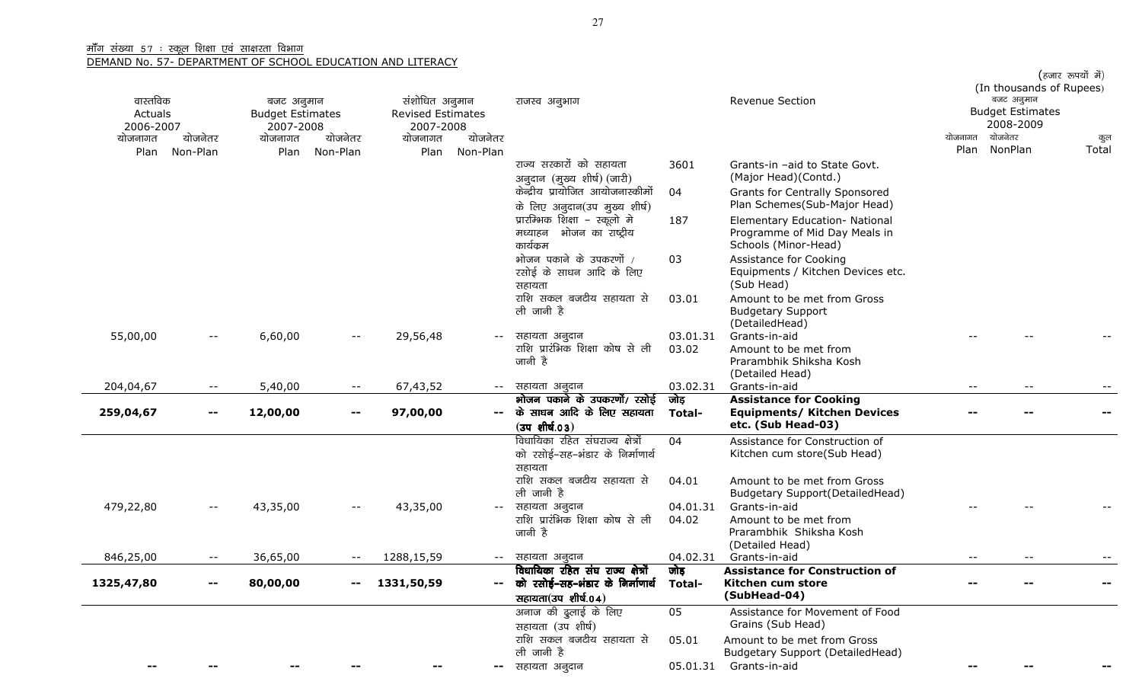| वास्तविक<br>Actuals<br>2006-2007 |                          | बजट अनुमान<br><b>Budget Estimates</b><br>2007-2008 |                                               | संशोधित अनुमान<br><b>Revised Estimates</b><br>2007-2008 |                     | राजस्व अनुभाग                                                                               |                       | <b>Revenue Section</b>                                                                    | योजनागत | (In thousands of Rupees)<br>बजट अनुमान<br><b>Budget Estimates</b><br>2008-2009<br>योजनेतर |              |
|----------------------------------|--------------------------|----------------------------------------------------|-----------------------------------------------|---------------------------------------------------------|---------------------|---------------------------------------------------------------------------------------------|-----------------------|-------------------------------------------------------------------------------------------|---------|-------------------------------------------------------------------------------------------|--------------|
| योजनागत<br>Plan                  | योजनेतर<br>Non-Plan      | योजनागत<br>Plan                                    | योजनेतर<br>Non-Plan                           | योजनागत<br>Plan                                         | योजनेतर<br>Non-Plan |                                                                                             |                       |                                                                                           | Plan    | NonPlan                                                                                   | कुल<br>Total |
|                                  |                          |                                                    |                                               |                                                         |                     | राज्य सरकारों को सहायता<br>अनूदान (मुख्य शीर्ष) (जारी)                                      | 3601                  | Grants-in -aid to State Govt.<br>(Major Head)(Contd.)                                     |         |                                                                                           |              |
|                                  |                          |                                                    |                                               |                                                         |                     | केन्द्रीय प्रायोजित आयोजनास्कीमों<br>के लिए अनुदान(उप मुख्य शीर्ष)                          | 04                    | Grants for Centrally Sponsored<br>Plan Schemes(Sub-Major Head)                            |         |                                                                                           |              |
|                                  |                          |                                                    |                                               |                                                         |                     | प्रारम्भिक शिक्षा – स्कूलो मे<br>मध्याहन भोजन का राष्ट्रीय<br>कार्यक्रम                     | 187                   | Elementary Education- National<br>Programme of Mid Day Meals in<br>Schools (Minor-Head)   |         |                                                                                           |              |
|                                  |                          |                                                    |                                               |                                                         |                     | भोजन पकाने के उपकरणों /<br>रसोई के साधन आदि के लिए<br>सहायता                                | 03                    | Assistance for Cooking<br>Equipments / Kitchen Devices etc.<br>(Sub Head)                 |         |                                                                                           |              |
|                                  |                          |                                                    |                                               |                                                         |                     | राशि सकल बजटीय सहायता से<br>ली जानी है                                                      | 03.01                 | Amount to be met from Gross<br><b>Budgetary Support</b><br>(DetailedHead)                 |         |                                                                                           |              |
| 55,00,00                         | $- -$                    | 6,60,00                                            | $ -$                                          | 29,56,48                                                |                     | सहायता अनुदान<br>राशि प्रारंभिक शिक्षा कोष से ली<br>जानी है                                 | 03.01.31<br>03.02     | Grants-in-aid<br>Amount to be met from<br>Prarambhik Shiksha Kosh<br>(Detailed Head)      |         |                                                                                           |              |
| 204,04,67                        | $- -$                    | 5,40,00                                            | $- -$                                         | 67,43,52                                                | $- -$               | सहायता अनूदान                                                                               | 03.02.31              | Grants-in-aid                                                                             | $- -$   | $ -$                                                                                      |              |
| 259,04,67                        | $\overline{\phantom{a}}$ | 12,00,00                                           | --                                            | 97,00,00                                                |                     | भोजन पकाने के उपकरणों/ रसोई<br>के साधन आदि के लिए सहायता<br>$(34 \text{ m})$                | जोड़<br>Total-        | <b>Assistance for Cooking</b><br><b>Equipments/ Kitchen Devices</b><br>etc. (Sub Head-03) |         |                                                                                           |              |
|                                  |                          |                                                    |                                               |                                                         |                     | विधायिका रहित संघराज्य क्षेत्रों<br>को रसोई–सह–भंडार के निर्माणार्थ<br>सहायता               | 04                    | Assistance for Construction of<br>Kitchen cum store(Sub Head)                             |         |                                                                                           |              |
|                                  |                          |                                                    |                                               |                                                         |                     | राशि सकल बजटीय सहायता से<br>ली जानी है                                                      | 04.01                 | Amount to be met from Gross<br>Budgetary Support(DetailedHead)                            |         |                                                                                           |              |
| 479,22,80                        | $ -$                     | 43,35,00                                           | $-$                                           | 43,35,00                                                |                     | सहायता अनुदान<br>राशि प्रारंभिक शिक्षा कोष से ली<br>जानी है                                 | 04.01.31<br>04.02     | Grants-in-aid<br>Amount to be met from<br>Prarambhik Shiksha Kosh<br>(Detailed Head)      |         |                                                                                           |              |
| 846,25,00                        | $- -$                    | 36,65,00                                           |                                               | 1288,15,59                                              | $- -$               | सहायता अनुदान                                                                               | 04.02.31              | Grants-in-aid                                                                             | $- -$   | $- -$                                                                                     |              |
| 1325,47,80                       | --                       | 80,00,00                                           | $\mathord{\hspace{1pt}\text{--}\hspace{1pt}}$ | 1331,50,59                                              |                     | विधायिका रहित संघ राज्य क्षेत्रों<br>को रसोई–सह–भंडार के निर्माणार्थ<br>सहायता(उप शीर्ष.04) | जोड़<br><b>Total-</b> | <b>Assistance for Construction of</b><br>Kitchen cum store<br>(SubHead-04)                |         |                                                                                           |              |
|                                  |                          |                                                    |                                               |                                                         |                     | अनाज की दुलाई के लिए<br>सहायता (उप शीर्ष)                                                   | 05                    | Assistance for Movement of Food<br>Grains (Sub Head)                                      |         |                                                                                           |              |
|                                  |                          |                                                    |                                               |                                                         |                     | राशि सकल बजटीय सहायता से<br>ली जानी है                                                      | 05.01                 | Amount to be met from Gross<br>Budgetary Support (DetailedHead)                           |         |                                                                                           |              |
|                                  |                          |                                                    |                                               |                                                         |                     | सहायता अनुदान                                                                               | 05.01.31              | Grants-in-aid                                                                             |         |                                                                                           |              |

(हजार रूपयों में)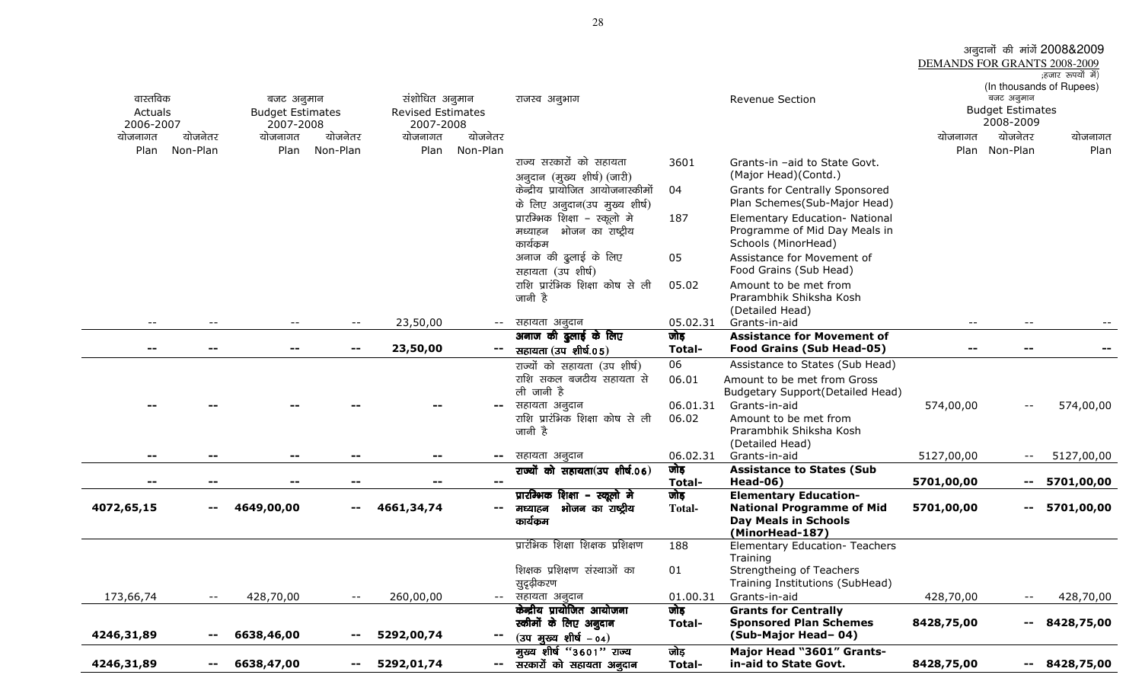|            |                                               |                                       |                   |                          |          |                                                  |                   |                                                  | DEMANDS FOR GRANTS 2008-2009 |                          | अनुदानों की मांगें 2008&2009 |
|------------|-----------------------------------------------|---------------------------------------|-------------------|--------------------------|----------|--------------------------------------------------|-------------------|--------------------------------------------------|------------------------------|--------------------------|------------------------------|
|            |                                               |                                       |                   |                          |          |                                                  |                   |                                                  |                              |                          | ;हजार रूपयों में)            |
| वास्तविक   |                                               |                                       |                   | संशोधित अनुमान           |          |                                                  |                   | Revenue Section                                  |                              | बजट अनुमान               | (In thousands of Rupees)     |
| Actuals    |                                               | बजट अनुमान<br><b>Budget Estimates</b> |                   | <b>Revised Estimates</b> |          | राजस्व अनुभाग                                    |                   |                                                  |                              | <b>Budget Estimates</b>  |                              |
| 2006-2007  |                                               | 2007-2008                             |                   | 2007-2008                |          |                                                  |                   |                                                  |                              | 2008-2009                |                              |
| योजनागत    | योजनेतर                                       | योजनागत                               | योजनेतर           | योजनागत                  | योजनेतर  |                                                  |                   |                                                  | योजनागत                      | योजनेतर                  | योजनागत                      |
| Plan       | Non-Plan                                      | Plan                                  | Non-Plan          | Plan                     | Non-Plan |                                                  |                   |                                                  |                              | Plan Non-Plan            | Plan                         |
|            |                                               |                                       |                   |                          |          | राज्य सरकारों को सहायता                          | 3601              | Grants-in -aid to State Govt.                    |                              |                          |                              |
|            |                                               |                                       |                   |                          |          | अनुदान (मुख्य शीर्ष) (जारी)                      |                   | (Major Head)(Contd.)                             |                              |                          |                              |
|            |                                               |                                       |                   |                          |          | केन्द्रीय प्रायोजित आयोजनास्कीमों                | 04                | Grants for Centrally Sponsored                   |                              |                          |                              |
|            |                                               |                                       |                   |                          |          | के लिए अनुदान(उप मुख्य शीर्ष)                    |                   | Plan Schemes(Sub-Major Head)                     |                              |                          |                              |
|            |                                               |                                       |                   |                          |          | प्रारम्भिक शिक्षा – स्कूलो मे                    | 187               | Elementary Education- National                   |                              |                          |                              |
|            |                                               |                                       |                   |                          |          | मध्याहन भोजन का राष्ट्रीय                        |                   | Programme of Mid Day Meals in                    |                              |                          |                              |
|            |                                               |                                       |                   |                          |          | कार्यक्रम                                        |                   | Schools (MinorHead)                              |                              |                          |                              |
|            |                                               |                                       |                   |                          |          | अनाज की दुलाई के लिए                             | 05                | Assistance for Movement of                       |                              |                          |                              |
|            |                                               |                                       |                   |                          |          | सहायता (उप शीर्ष)                                |                   | Food Grains (Sub Head)                           |                              |                          |                              |
|            |                                               |                                       |                   |                          |          | राशि प्रारंभिक शिक्षा कोष से ली                  | 05.02             | Amount to be met from                            |                              |                          |                              |
|            |                                               |                                       |                   |                          |          | जानी है                                          |                   | Prarambhik Shiksha Kosh                          |                              |                          |                              |
|            |                                               |                                       |                   |                          |          |                                                  |                   | (Detailed Head)                                  |                              |                          |                              |
| $- -$      |                                               | $\qquad \qquad -$                     | $--$              | 23,50,00                 | $--$     | सहायता अनुदान                                    | 05.02.31          | Grants-in-aid                                    | $--$                         | $- -$                    |                              |
|            |                                               |                                       |                   |                          |          | अनाज की ढुलाई के लिए                             | जोड़              | <b>Assistance for Movement of</b>                |                              |                          |                              |
| --         |                                               |                                       |                   | 23,50,00                 |          | सहायता (उप शीर्ष.05)                             | Total-            | Food Grains (Sub Head-05)                        |                              |                          |                              |
|            |                                               |                                       |                   |                          |          | राज्यों को सहायता (उप शीर्ष)                     | 06                | Assistance to States (Sub Head)                  |                              |                          |                              |
|            |                                               |                                       |                   |                          |          | राशि सकल बजटीय सहायता से                         | 06.01             | Amount to be met from Gross                      |                              |                          |                              |
|            |                                               |                                       |                   |                          |          | ली जानी है                                       |                   | <b>Budgetary Support(Detailed Head)</b>          |                              |                          |                              |
|            |                                               |                                       |                   |                          | --       | सहायता अनुदान<br>राशि प्रारंभिक शिक्षा कोष से ली | 06.01.31<br>06.02 | Grants-in-aid                                    | 574,00,00                    | $- -$                    | 574,00,00                    |
|            |                                               |                                       |                   |                          |          | जानी है                                          |                   | Amount to be met from<br>Prarambhik Shiksha Kosh |                              |                          |                              |
|            |                                               |                                       |                   |                          |          |                                                  |                   | (Detailed Head)                                  |                              |                          |                              |
|            |                                               |                                       |                   |                          | −−       | सहायता अनुदान                                    | 06.02.31          | Grants-in-aid                                    | 5127,00,00                   | $- -$                    | 5127,00,00                   |
|            |                                               |                                       |                   |                          |          | राज्यों को सहायता(उप शीर्ष.06)                   | जोड़              | <b>Assistance to States (Sub</b>                 |                              |                          |                              |
|            |                                               |                                       |                   |                          |          |                                                  | Total-            | <b>Head-06)</b>                                  | 5701,00,00                   | $\qquad \qquad -$        | 5701,00,00                   |
|            |                                               |                                       |                   |                          |          | प्रारम्भिक शिक्षा – स्कूलो मे                    | जोड़              | <b>Elementary Education-</b>                     |                              |                          |                              |
| 4072,65,15 | $\qquad \qquad -$                             | 4649,00,00                            | $\qquad \qquad -$ | 4661,34,74               | н.       | भोजन का राष्ट्रीय<br>मध्याहन                     | <b>Total-</b>     | <b>National Programme of Mid</b>                 | 5701,00,00                   |                          | $-5701,00,00$                |
|            |                                               |                                       |                   |                          |          | कार्यक्रम                                        |                   | <b>Day Meals in Schools</b>                      |                              |                          |                              |
|            |                                               |                                       |                   |                          |          | प्रारंभिक शिक्षा शिक्षक प्रशिक्षण                |                   | (MinorHead-187)                                  |                              |                          |                              |
|            |                                               |                                       |                   |                          |          |                                                  | 188               | Elementary Education- Teachers<br>Training       |                              |                          |                              |
|            |                                               |                                       |                   |                          |          | शिक्षक प्रशिक्षण संस्थाओं का                     | 01                | Strengtheing of Teachers                         |                              |                          |                              |
|            |                                               |                                       |                   |                          |          | सुदृढ़ीकरण                                       |                   | Training Institutions (SubHead)                  |                              |                          |                              |
| 173,66,74  | $\overline{\phantom{m}}$ .                    | 428,70,00                             | $--$              | 260,00,00                | $- -$    | सहायता अनुदान                                    | 01.00.31          | Grants-in-aid                                    | 428,70,00                    | $\overline{\phantom{m}}$ | 428,70,00                    |
|            |                                               |                                       |                   |                          |          | केन्द्रीय प्रायोजित आयोजना                       | जोड़              | <b>Grants for Centrally</b>                      |                              |                          |                              |
|            |                                               |                                       |                   |                          |          | स्कीमों के लिए अनुदान                            | Total-            | <b>Sponsored Plan Schemes</b>                    | 8428,75,00                   | --                       | 8428,75,00                   |
| 4246,31,89 | $\mathord{\hspace{1pt}\text{--}\hspace{1pt}}$ | 6638,46,00                            | $\sim$ $-$        | 5292,00,74               | --       | $(34 \text{ g}$ स्र्ख्य शीर्ष – 04)              |                   | (Sub-Major Head-04)                              |                              |                          |                              |
|            |                                               |                                       |                   |                          |          | मुख्य शीर्ष "3601" राज्य                         | जोड़              | Major Head "3601" Grants-                        |                              |                          |                              |
| 4246,31,89 | $\overline{\phantom{m}}$                      | 6638,47,00                            | $\qquad \qquad -$ | 5292,01,74               | −−.      | सरकारों को सहायता अनुदान                         | Total-            | in-aid to State Govt.                            | 8428,75,00                   | $--$                     | 8428,75,00                   |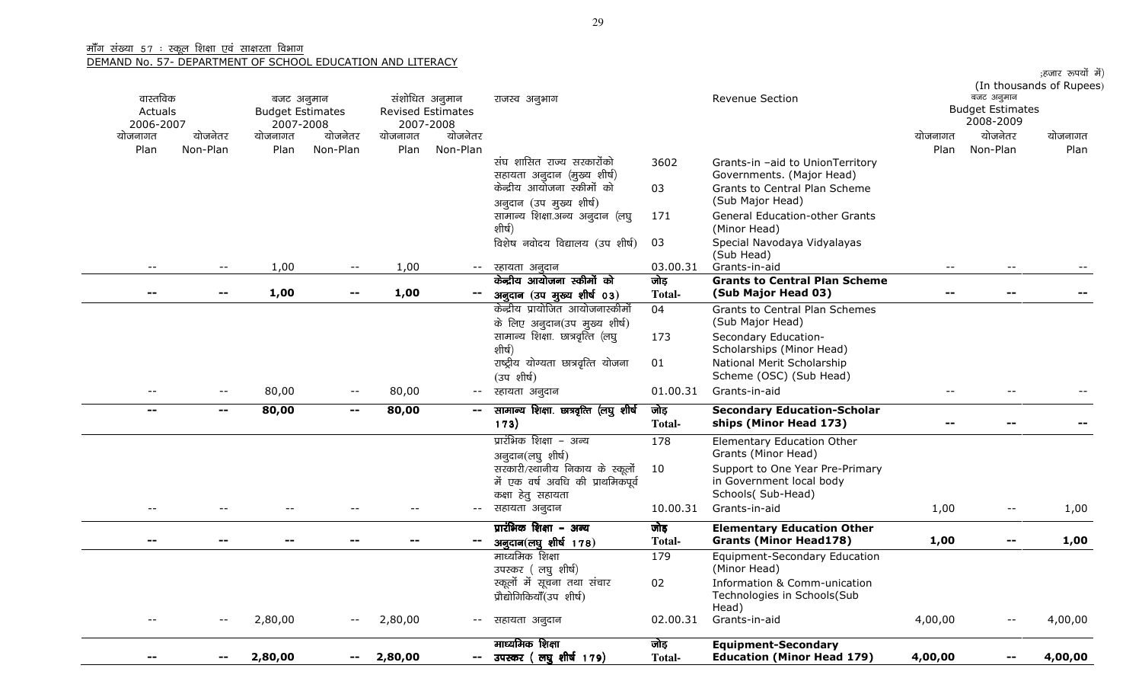| वास्तविक<br>Actuals<br>2006-2007 |          | बजट अनुमान<br><b>Budget Estimates</b><br>2007-2008 |            | संशोधित अनुमान<br>Revised Estimates<br>2007-2008 |                                               | राजस्व अनुभाग                                                        |               | Revenue Section                                             |                          | बजट अनुमान<br><b>Budget Estimates</b><br>2008-2009 | ;हजार रूपयों में)<br>(In thousands of Rupees) |
|----------------------------------|----------|----------------------------------------------------|------------|--------------------------------------------------|-----------------------------------------------|----------------------------------------------------------------------|---------------|-------------------------------------------------------------|--------------------------|----------------------------------------------------|-----------------------------------------------|
| योजनागत                          | योजनेतर  | योजनागत                                            | योजनेतर    | योजनागत                                          | योजनेतर                                       |                                                                      |               |                                                             | योजनागत                  | योजनेतर                                            | योजनागत                                       |
| Plan                             | Non-Plan | Plan                                               | Non-Plan   | Plan                                             | Non-Plan                                      | संघ शासित राज्य सरकारोंको                                            | 3602          | Grants-in -aid to UnionTerritory                            | Plan                     | Non-Plan                                           | Plan                                          |
|                                  |          |                                                    |            |                                                  |                                               | सहायता अनुदान (मुख्य शीर्ष)<br>केन्द्रीय आयोजना स्कीमों को           | 03            | Governments. (Major Head)<br>Grants to Central Plan Scheme  |                          |                                                    |                                               |
|                                  |          |                                                    |            |                                                  |                                               | अनुदान (उप मुख्य शीर्ष)<br>सामान्य शिक्षा.अन्य अनुदान (लघु           | 171           | (Sub Major Head)<br><b>General Education-other Grants</b>   |                          |                                                    |                                               |
|                                  |          |                                                    |            |                                                  |                                               | शीर्ष)<br>विशेष नवोदय विद्यालय (उप शीर्ष)                            | 03            | (Minor Head)<br>Special Navodaya Vidyalayas                 |                          |                                                    |                                               |
|                                  | $- -$    | 1,00                                               |            | 1,00                                             | $--$                                          | स्हायता अनुदान                                                       | 03.00.31      | (Sub Head)<br>Grants-in-aid                                 | $- -$                    |                                                    |                                               |
|                                  |          |                                                    |            |                                                  |                                               | केन्द्रीय आयोजना स्कीमों को                                          | जोड़          | <b>Grants to Central Plan Scheme</b>                        |                          |                                                    |                                               |
| --                               | --       | 1,00                                               |            | 1,00                                             |                                               | अनुदान (उप मुख्य शीर्ष 03)<br>केन्द्रीय प्रायोजित आयोजनास्कीमों      | <b>Total-</b> | (Sub Major Head 03)                                         | $\overline{\phantom{a}}$ |                                                    |                                               |
|                                  |          |                                                    |            |                                                  |                                               | के लिए अनुदान(उप मुख्य शीर्ष)                                        | 04            | Grants to Central Plan Schemes<br>(Sub Major Head)          |                          |                                                    |                                               |
|                                  |          |                                                    |            |                                                  |                                               | सामान्य शिक्षा. छात्रवृत्ति (लघु<br>शीर्ष)                           | 173           | Secondary Education-<br>Scholarships (Minor Head)           |                          |                                                    |                                               |
|                                  |          |                                                    |            |                                                  |                                               | राष्ट्रीय योग्यता छात्रवृत्ति योजना<br>(उपशीर्ष)                     | 01            | National Merit Scholarship<br>Scheme (OSC) (Sub Head)       |                          |                                                    |                                               |
|                                  | $--$     | 80,00                                              |            | 80,00                                            | $---$                                         | स्हायता अनुदान                                                       | 01.00.31      | Grants-in-aid                                               | $-$                      |                                                    |                                               |
| $- -$                            | --       | 80,00                                              | $\sim$ $-$ | 80,00                                            | $\sim$ $\sim$                                 | सामान्य शिक्षा. छात्रवृत्ति (लघु शीर्ष                               | जोड़          | <b>Secondary Education-Scholar</b>                          |                          |                                                    |                                               |
|                                  |          |                                                    |            |                                                  |                                               | 173)                                                                 | <b>Total-</b> | ships (Minor Head 173)                                      |                          |                                                    |                                               |
|                                  |          |                                                    |            |                                                  |                                               | प्रारंभिक शिक्षा – अन्य<br>अनुदान(लघु शीर्ष)                         | 178           | Elementary Education Other<br>Grants (Minor Head)           |                          |                                                    |                                               |
|                                  |          |                                                    |            |                                                  |                                               | सरकारी/स्थानीय निकाय के स्कूलों<br>में एक वर्ष अवधि की प्राथमिकपूर्व | 10            | Support to One Year Pre-Primary<br>in Government local body |                          |                                                    |                                               |
|                                  |          |                                                    |            |                                                  |                                               | कक्षा हेतु सहायता                                                    |               | Schools( Sub-Head)                                          |                          |                                                    |                                               |
|                                  |          |                                                    |            |                                                  | $--$                                          | सहायता अनुदान                                                        | 10.00.31      | Grants-in-aid                                               | 1,00                     | $\overline{\phantom{m}}$                           | 1,00                                          |
|                                  |          |                                                    |            |                                                  |                                               | प्रारंभिक शिक्षा – अन्य                                              | जोड़          | <b>Elementary Education Other</b>                           |                          |                                                    |                                               |
| --                               | --       |                                                    | --         | $-$                                              | $\mathord{\hspace{1pt}\text{--}\hspace{1pt}}$ | अनुदान(लघुशीर्ष 178)                                                 | <b>Total-</b> | <b>Grants (Minor Head178)</b>                               | 1,00                     | $\sim$                                             | 1,00                                          |
|                                  |          |                                                    |            |                                                  |                                               | माध्यमिक शिक्षा<br>उपस्कर (लघु शीर्ष)                                | 179           | Equipment-Secondary Education<br>(Minor Head)               |                          |                                                    |                                               |
|                                  |          |                                                    |            |                                                  |                                               | स्कूलों में सूचना तथा संचार                                          | 02            | Information & Comm-unication                                |                          |                                                    |                                               |
|                                  |          |                                                    |            |                                                  |                                               | प्रौद्योगिकियाँ(उप शीर्ष)                                            |               | Technologies in Schools(Sub<br>Head)                        |                          |                                                    |                                               |
| $\overline{\phantom{m}}$         | --       | 2,80,00                                            |            | 2,80,00                                          |                                               | -- सहायता अनुदान                                                     | 02.00.31      | Grants-in-aid                                               | 4,00,00                  |                                                    | 4,00,00                                       |
|                                  |          |                                                    |            |                                                  |                                               | माध्यमिक शिक्षा                                                      | जोड़          | <b>Equipment-Secondary</b>                                  |                          |                                                    |                                               |
| --                               | −−       | 2,80,00                                            | н.         | 2,80,00                                          | $--$                                          | उपस्कर (लघुशीर्ष 179)                                                | <b>Total-</b> | <b>Education (Minor Head 179)</b>                           | 4,00,00                  |                                                    | 4,00,00                                       |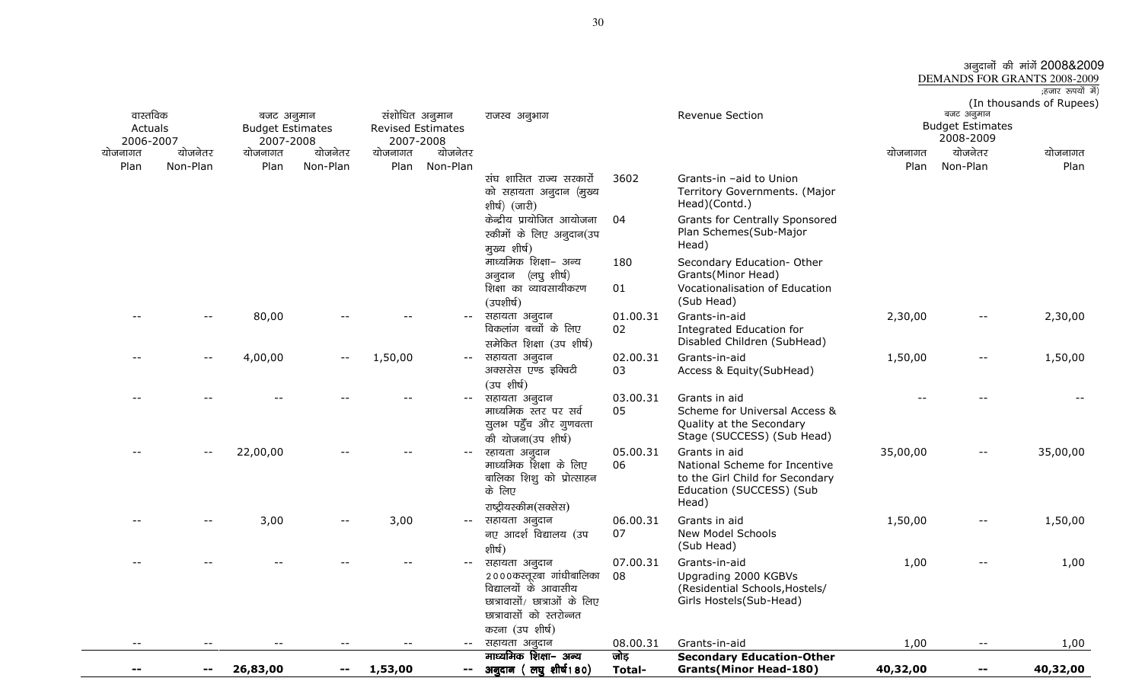|                              | अनुदानों की मांगें 2008&2009 |  |                   |  |
|------------------------------|------------------------------|--|-------------------|--|
| DEMANDS FOR GRANTS 2008-2009 |                              |  |                   |  |
|                              |                              |  | ;हजार रूपयों में) |  |
|                              | (In thousands of Rupees)     |  |                   |  |

| वास्तविक             |                          | बजट अनुमान                           |                          | संशोधित अनुमान                        |                          | राजस्व अनुभाग                                                                                                                                    |                | Revenue Section                                                                                                        |          | बजट अनुमान                           | (In thousands of Rupees |
|----------------------|--------------------------|--------------------------------------|--------------------------|---------------------------------------|--------------------------|--------------------------------------------------------------------------------------------------------------------------------------------------|----------------|------------------------------------------------------------------------------------------------------------------------|----------|--------------------------------------|-------------------------|
| Actuals<br>2006-2007 |                          | <b>Budget Estimates</b><br>2007-2008 |                          | <b>Revised Estimates</b><br>2007-2008 |                          |                                                                                                                                                  |                |                                                                                                                        |          | <b>Budget Estimates</b><br>2008-2009 |                         |
| योजनागत              | योजनेतर                  | योजनागत                              | योजनेतर                  | योजनागत                               | योजनेतर                  |                                                                                                                                                  |                |                                                                                                                        | योजनागत  | योजनेतर                              | योजनागत                 |
| Plan                 | Non-Plan                 | Plan                                 | Non-Plan                 | Plan                                  | Non-Plan                 |                                                                                                                                                  |                |                                                                                                                        | Plan     | Non-Plan                             | Plan                    |
|                      |                          |                                      |                          |                                       |                          | संघ शासित राज्य सरकारों<br>को सहायता अनुदान (मुख्य<br>शीर्ष) (जारी)                                                                              | 3602           | Grants-in -aid to Union<br>Territory Governments. (Major<br>Head)(Contd.)                                              |          |                                      |                         |
|                      |                          |                                      |                          |                                       |                          | केन्द्रीय प्रायोजित आयोजना<br>स्कीमों के लिए अनुदान(उप<br>मुख्य शीर्ष)                                                                           | 04             | <b>Grants for Centrally Sponsored</b><br>Plan Schemes(Sub-Major<br>Head)                                               |          |                                      |                         |
|                      |                          |                                      |                          |                                       |                          | माध्यमिक शिक्षा- अन्य<br>अनुदान (लघु शीर्ष)                                                                                                      | 180            | Secondary Education- Other<br>Grants(Minor Head)                                                                       |          |                                      |                         |
|                      |                          |                                      |                          |                                       |                          | शिक्षा का व्यावसायीकरण<br>(उपशीर्ष)                                                                                                              | 01             | Vocationalisation of Education<br>(Sub Head)                                                                           |          |                                      |                         |
|                      |                          | 80,00                                |                          |                                       | $- -$                    | सहायता अनुदान<br>विकलांग बच्चों के लिए<br>समेकित शिक्षा (उप शीर्ष)                                                                               | 01.00.31<br>02 | Grants-in-aid<br>Integrated Education for<br>Disabled Children (SubHead)                                               | 2,30,00  |                                      | 2,30,00                 |
|                      | $\overline{\phantom{m}}$ | 4,00,00                              | $\overline{\phantom{m}}$ | 1,50,00                               | $--$                     | सहायता अनुदान<br>अक्ससेस एण्ड इक्विटी<br>(उपशीर्ष)                                                                                               | 02.00.31<br>03 | Grants-in-aid<br>Access & Equity(SubHead)                                                                              | 1,50,00  | $-$                                  | 1,50,00                 |
|                      |                          |                                      |                          |                                       |                          | सहायता अनुदान<br>माध्यमिक स्तर पर सर्व<br>सुलभ पहुँच और गुणवत्ता<br>की योजना(उप शीर्ष)                                                           | 03.00.31<br>05 | Grants in aid<br>Scheme for Universal Access &<br>Quality at the Secondary<br>Stage (SUCCESS) (Sub Head)               |          |                                      |                         |
|                      | $-\,-$                   | 22,00,00                             |                          |                                       |                          | स्हायता अनुदान<br>माध्यमिक शिक्षा के लिए<br>बालिका शिशु को प्रोत्साहन<br>के लिए<br>राष्ट्रीयस्कीम(सक्सेस)                                        | 05.00.31<br>06 | Grants in aid<br>National Scheme for Incentive<br>to the Girl Child for Secondary<br>Education (SUCCESS) (Sub<br>Head) | 35,00,00 | $-$                                  | 35,00,00                |
|                      |                          | 3,00                                 | $- -$                    | 3,00                                  | $\overline{\phantom{m}}$ | सहायता अनुदान<br>नए आदर्श विद्यालय (उप<br>शीर्ष)                                                                                                 | 06.00.31<br>07 | Grants in aid<br>New Model Schools<br>(Sub Head)                                                                       | 1,50,00  | $\overline{\phantom{a}}$             | 1,50,00                 |
|                      |                          |                                      |                          |                                       |                          | सहायता अनुदान<br>२०००कस्तूरबा गांधीबालिका<br>विद्यालयों के आवासीय<br>छात्रावासों/ छात्राओं के लिए<br>छात्रावासों को स्तरोन्नत<br>करना (उप शीर्ष) | 07.00.31<br>08 | Grants-in-aid<br>Upgrading 2000 KGBVs<br>(Residential Schools, Hostels/<br>Girls Hostels(Sub-Head)                     | 1,00     |                                      | 1,00                    |
| $- -$                |                          |                                      |                          |                                       | $--$                     | सहायता अनुदान                                                                                                                                    | 08.00.31       | Grants-in-aid                                                                                                          | 1,00     | $\overline{\phantom{m}}$             | 1,00                    |
|                      |                          |                                      |                          |                                       |                          | माध्यमिक शिक्षा- अन्य                                                                                                                            | जोड़           | <b>Secondary Education-Other</b>                                                                                       |          |                                      |                         |
|                      | $\sim$ $-$               | 26,83,00                             | --                       | 1,53,00                               | --                       | अनुदान (लघुशीर्ष180)                                                                                                                             | Total-         | <b>Grants(Minor Head-180)</b>                                                                                          | 40,32,00 | $\sim$ $-$                           | 40,32,00                |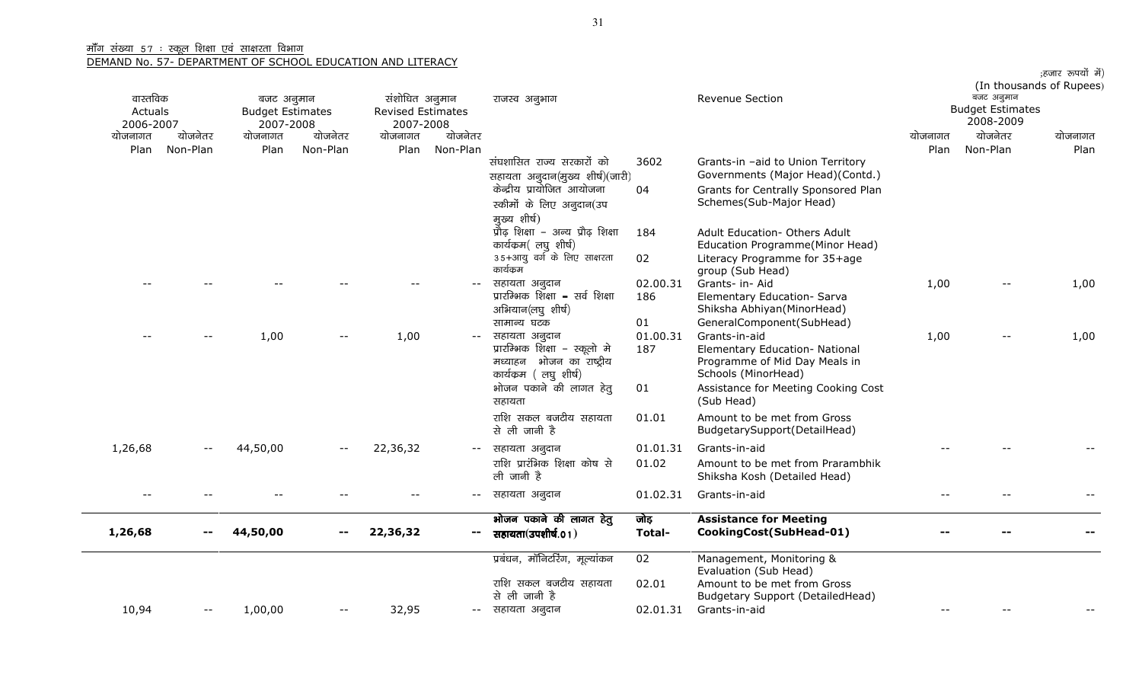|         | वास्तविक<br>Actuals<br>2006-2007 |          | बजट अनुमान<br><b>Budget Estimates</b><br>2007-2008 |          | संशोधित अनुमान<br><b>Revised Estimates</b><br>2007-2008 | राजस्व अनुभाग                                                                                                                                  |                             | <b>Revenue Section</b>                                                                                                                                                      |         | (In thousands of Rupees)<br><b>Budget Estimates</b> |         |
|---------|----------------------------------|----------|----------------------------------------------------|----------|---------------------------------------------------------|------------------------------------------------------------------------------------------------------------------------------------------------|-----------------------------|-----------------------------------------------------------------------------------------------------------------------------------------------------------------------------|---------|-----------------------------------------------------|---------|
| योजनागत | योजनेतर                          | योजनागत  | योजनेतर                                            | योजनागत  | योजनेतर                                                 |                                                                                                                                                |                             |                                                                                                                                                                             | योजनागत | योजनेतर                                             | योजनागत |
| Plan    | Non-Plan                         | Plan     | Non-Plan                                           | Plan     | Non-Plan                                                | संघशासित राज्य सरकारों को<br>सहायता अनुदान(मुख्य शीर्ष)(जारी)                                                                                  | 3602                        | Grants-in -aid to Union Territory<br>Governments (Major Head)(Contd.)                                                                                                       | Plan    | Non-Plan                                            | Plan    |
|         |                                  |          |                                                    |          |                                                         | केन्द्रीय प्रायोजित आयोजना<br>स्कीमों के लिए अनुदान(उप<br>मुख्य शीर्ष)                                                                         | 04                          | Grants for Centrally Sponsored Plan<br>Schemes(Sub-Major Head)                                                                                                              |         |                                                     |         |
|         |                                  |          |                                                    |          |                                                         | प्रौढ़ शिक्षा - अन्य प्रौढ़ शिक्षा<br>कार्यक्रम(लघू शीर्ष)                                                                                     | 184                         | <b>Adult Education- Others Adult</b><br>Education Programme(Minor Head)                                                                                                     |         |                                                     |         |
|         |                                  |          |                                                    |          |                                                         | 35+आयू वर्ग के लिए साक्षरता<br>कार्यक्रम                                                                                                       | 02                          | Literacy Programme for 35+age<br>group (Sub Head)                                                                                                                           |         |                                                     |         |
|         |                                  |          |                                                    |          |                                                         | सहायता अनुदान<br>प्रारम्भिक शिक्षा – सर्व शिक्षा<br>अभियान(लघु शीर्ष)                                                                          | 02.00.31<br>186             | Grants- in- Aid<br>Elementary Education- Sarva<br>Shiksha Abhiyan(MinorHead)                                                                                                | 1,00    | $\qquad \qquad -$                                   | 1,00    |
|         |                                  | 1,00     |                                                    | 1,00     |                                                         | सामान्य घटक<br>सहायता अनुदान<br>प्रारम्भिक शिक्षा – स्कूलो मे<br>मध्याहन भोजन का राष्ट्रीय<br>कार्यक्रम (लघु शीर्ष)<br>भोजन पकाने की लागत हेतू | 01<br>01.00.31<br>187<br>01 | GeneralComponent(SubHead)<br>Grants-in-aid<br>Elementary Education- National<br>Programme of Mid Day Meals in<br>Schools (MinorHead)<br>Assistance for Meeting Cooking Cost | 1,00    | $- -$                                               | 1,00    |
|         |                                  |          |                                                    |          |                                                         | सहायता<br>राशि सकल बजटीय सहायता<br>से ली जानी है                                                                                               | 01.01                       | (Sub Head)<br>Amount to be met from Gross<br>BudgetarySupport(DetailHead)                                                                                                   |         |                                                     |         |
| 1,26,68 |                                  | 44,50,00 |                                                    | 22,36,32 | $--$                                                    | सहायता अनुदान                                                                                                                                  | 01.01.31                    | Grants-in-aid                                                                                                                                                               |         |                                                     |         |
|         |                                  |          |                                                    |          |                                                         | राशि प्रारंभिक शिक्षा कोष से<br>ली जानी है                                                                                                     | 01.02                       | Amount to be met from Prarambhik<br>Shiksha Kosh (Detailed Head)                                                                                                            |         |                                                     |         |
|         |                                  |          |                                                    |          | $- -$                                                   | सहायता अनुदान                                                                                                                                  | 01.02.31                    | Grants-in-aid                                                                                                                                                               |         |                                                     |         |
| 1,26,68 |                                  | 44,50,00 |                                                    | 22,36,32 | $- -$                                                   | भोजन पकाने की लागत हेतु<br>सहायता(उपशीर्ष.01)                                                                                                  | जोड़<br>Total-              | <b>Assistance for Meeting</b><br>CookingCost(SubHead-01)                                                                                                                    |         |                                                     |         |
|         |                                  |          |                                                    |          |                                                         | प्रबंधन, मॉनिटरिंग, मूल्यांकन                                                                                                                  | 02                          | Management, Monitoring &<br>Evaluation (Sub Head)                                                                                                                           |         |                                                     |         |
|         |                                  |          |                                                    |          |                                                         | राशि सकल बजटीय सहायता<br>से ली जानी है                                                                                                         | 02.01                       | Amount to be met from Gross<br>Budgetary Support (DetailedHead)                                                                                                             |         |                                                     |         |
| 10,94   | --                               | 1,00,00  |                                                    | 32,95    |                                                         | -- सहायता अनुदान                                                                                                                               | 02.01.31                    | Grants-in-aid                                                                                                                                                               |         |                                                     |         |

;हजार रूपयों में)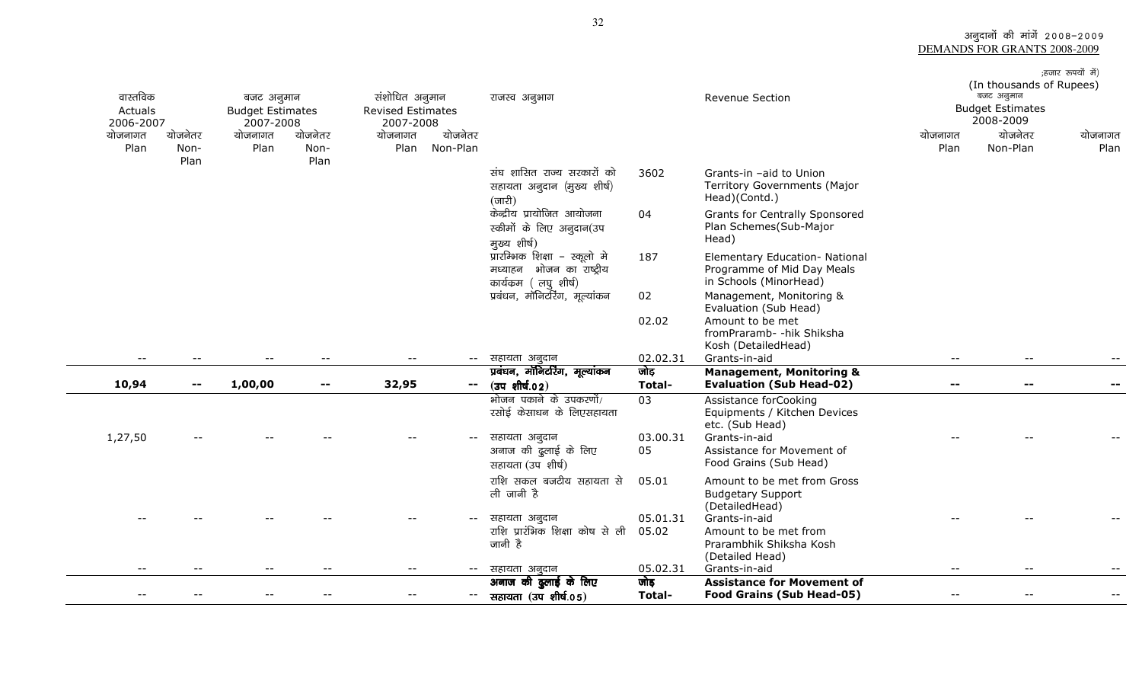अनुदानों की मांगें 2008–2009<br>DEMANDS FOR GRANTS 2008-2009

| वास्तविक<br>Actuals<br>2006-2007<br>योजनागत<br>Plan | योजनेतर<br>Non-<br>Plan | बजट अनुमान<br><b>Budget Estimates</b><br>2007-2008<br>योजनागत<br>Plan | योजनेतर<br>Non-<br>Plan  | संशोधित अनुमान<br><b>Revised Estimates</b><br>2007-2008<br>योजनेतर<br>योजनागत<br>Non-Plan<br>Plan | राजस्व अनुभाग<br>संघ शासित राज्य सरकारों को<br>सहायता अनुदान (मुख्य शीर्ष)<br>$(\overline{\text{unfl}})$<br>केन्द्रीय प्रायोजित आयोजना<br>स्कीमों के लिए अनुदान(उप<br>मुख्य शीर्ष)<br>प्रारम्भिक शिक्षा – स्कूलो मे<br>भोजन का राष्ट्रीय<br>मध्याहन<br>कार्यक्रम (लघु शीर्ष)<br>प्रबंधन, मॉनिटरिंग, मूल्यांकन | 3602<br>04<br>187<br>02<br>02.02 | Revenue Section<br>Grants-in -aid to Union<br><b>Territory Governments (Major</b><br>Head)(Contd.)<br>Grants for Centrally Sponsored<br>Plan Schemes(Sub-Major<br>Head)<br>Elementary Education- National<br>Programme of Mid Day Meals<br>in Schools (MinorHead)<br>Management, Monitoring &<br>Evaluation (Sub Head)<br>Amount to be met<br>fromPraramb- - hik Shiksha | योजनागत<br>Plan          | (In thousands of Rupees)<br>बजट अनुमान<br><b>Budget Estimates</b><br>2008-2009<br>योजनेतर<br>Non-Plan | ;हजार रूपयों में)<br>योजनागत<br>Plan |
|-----------------------------------------------------|-------------------------|-----------------------------------------------------------------------|--------------------------|---------------------------------------------------------------------------------------------------|---------------------------------------------------------------------------------------------------------------------------------------------------------------------------------------------------------------------------------------------------------------------------------------------------------------|----------------------------------|--------------------------------------------------------------------------------------------------------------------------------------------------------------------------------------------------------------------------------------------------------------------------------------------------------------------------------------------------------------------------|--------------------------|-------------------------------------------------------------------------------------------------------|--------------------------------------|
| $\overline{\phantom{a}}$                            | $- -$                   | $\overline{\phantom{a}}$                                              | $\overline{\phantom{a}}$ | $- -$<br>$- -$                                                                                    | सहायता अनुदान                                                                                                                                                                                                                                                                                                 | 02.02.31                         | Kosh (DetailedHead)<br>Grants-in-aid                                                                                                                                                                                                                                                                                                                                     | $\overline{\phantom{m}}$ | $- -$                                                                                                 |                                      |
| 10,94                                               | $\sim$ $-$              | 1,00,00                                                               | $\mathbf{u}$             | 32,95<br>−−.                                                                                      | प्रबंधन, मॉनिटरिंग, मूल्यांकन<br>$(34 \text{ m})$                                                                                                                                                                                                                                                             | जोड़<br><b>Total-</b>            | <b>Management, Monitoring &amp;</b><br><b>Evaluation (Sub Head-02)</b>                                                                                                                                                                                                                                                                                                   | $\overline{\phantom{a}}$ | --                                                                                                    |                                      |
| 1,27,50                                             |                         |                                                                       |                          |                                                                                                   | भोजन पकाने के उपकरणों/<br>रसोई केसाधन के लिएसहायता<br>सहायता अनुदान<br>अनाज की दुलाई के लिए<br>सहायता (उप शीर्ष)                                                                                                                                                                                              | 03<br>03.00.31<br>05             | Assistance forCooking<br>Equipments / Kitchen Devices<br>etc. (Sub Head)<br>Grants-in-aid<br>Assistance for Movement of<br>Food Grains (Sub Head)                                                                                                                                                                                                                        |                          |                                                                                                       |                                      |
|                                                     |                         |                                                                       |                          |                                                                                                   | राशि सकल बजटीय सहायता से<br>ली जानी है<br>सहायता अनुदान<br>राशि प्रारंभिक शिक्षा कोष से ली<br>जानी है                                                                                                                                                                                                         | 05.01<br>05.01.31<br>05.02       | Amount to be met from Gross<br><b>Budgetary Support</b><br>(DetailedHead)<br>Grants-in-aid<br>Amount to be met from<br>Prarambhik Shiksha Kosh<br>(Detailed Head)                                                                                                                                                                                                        |                          |                                                                                                       |                                      |
| $ -$                                                |                         |                                                                       |                          | $ -$<br>$- -$                                                                                     | सहायता अनुदान<br>अनाज की दुलाई के लिए                                                                                                                                                                                                                                                                         | 05.02.31<br>जोड़                 | Grants-in-aid<br><b>Assistance for Movement of</b>                                                                                                                                                                                                                                                                                                                       | $ -$                     | $ -$                                                                                                  |                                      |
|                                                     |                         |                                                                       |                          |                                                                                                   | सहायता (उप शीर्ष.05)                                                                                                                                                                                                                                                                                          | <b>Total-</b>                    | <b>Food Grains (Sub Head-05)</b>                                                                                                                                                                                                                                                                                                                                         |                          |                                                                                                       |                                      |

 $\overline{\phantom{0}}$ 

 $\sim$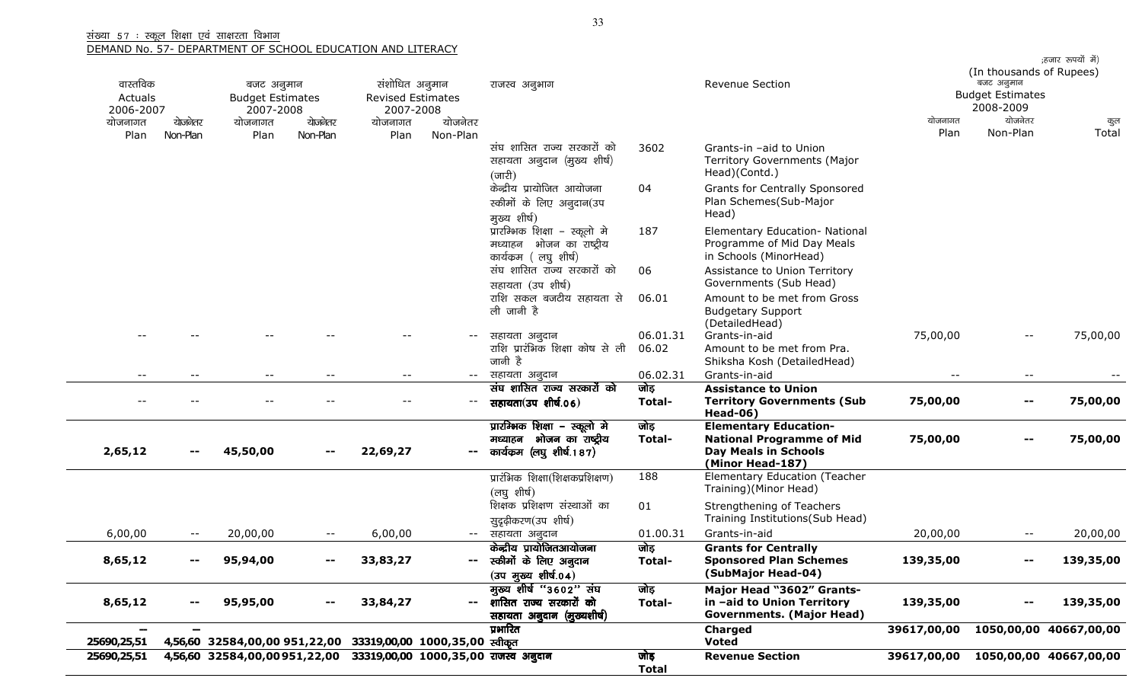| वास्तविक<br>Actuals<br>2006-2007 |                          | बजट अनुमान<br><b>Budget Estimates</b><br>2007-2008 |                          | संशोधित अनुमान<br><b>Revised Estimates</b><br>2007-2008 |              | राजस्व अनुभाग                                                                                                         |                      | <b>Revenue Section</b>                                                                                              |             | (In thousands of Rupees)<br>बजट अनुमान<br><b>Budget Estimates</b><br>2008-2009 | ;हजार रुपयों में)      |
|----------------------------------|--------------------------|----------------------------------------------------|--------------------------|---------------------------------------------------------|--------------|-----------------------------------------------------------------------------------------------------------------------|----------------------|---------------------------------------------------------------------------------------------------------------------|-------------|--------------------------------------------------------------------------------|------------------------|
| योजनागत                          | योजनेतर                  | योजनागत                                            | योजनेतर                  | योजनागत                                                 | योजनेतर      |                                                                                                                       |                      |                                                                                                                     | योजनागत     | योजनेतर                                                                        | कुल                    |
| Plan                             | Non-Plan                 | Plan                                               | Non-Plan                 | Plan                                                    | Non-Plan     | संघ शासित राज्य सरकारों को<br>सहायता अनुदान (मुख्य शीर्ष)<br>$(\overline{\text{unfl}})$<br>केन्द्रीय प्रायोजित आयोजना | 3602<br>04           | Grants-in -aid to Union<br>Territory Governments (Major<br>Head)(Contd.)<br><b>Grants for Centrally Sponsored</b>   | Plan        | Non-Plan                                                                       | Total                  |
|                                  |                          |                                                    |                          |                                                         |              | स्कीमों के लिए अनुदान(उप<br>मुख्य शीर्ष)                                                                              |                      | Plan Schemes(Sub-Major<br>Head)                                                                                     |             |                                                                                |                        |
|                                  |                          |                                                    |                          |                                                         |              | प्रारम्भिक शिक्षा - स्कूलो मे<br>भोजन का राष्ट्रीय<br>मध्याहन<br>कार्यक्रम (लघु शीर्ष)                                | 187                  | Elementary Education- National<br>Programme of Mid Day Meals<br>in Schools (MinorHead)                              |             |                                                                                |                        |
|                                  |                          |                                                    |                          |                                                         |              | संघ शासित राज्य सरकारों को<br>सहायता (उप शीर्ष)                                                                       | 06                   | Assistance to Union Territory<br>Governments (Sub Head)                                                             |             |                                                                                |                        |
|                                  |                          |                                                    |                          |                                                         |              | राशि सकल बजटीय सहायता से<br>ली जानी है                                                                                | 06.01                | Amount to be met from Gross<br><b>Budgetary Support</b><br>(DetailedHead)                                           |             |                                                                                |                        |
|                                  |                          |                                                    |                          |                                                         | $-$          | सहायता अनूदान<br>राशि प्रारंभिक शिक्षा कोष से ली<br>जानी है                                                           | 06.01.31<br>06.02    | Grants-in-aid<br>Amount to be met from Pra.<br>Shiksha Kosh (DetailedHead)                                          | 75,00,00    | $ -$                                                                           | 75,00,00               |
|                                  |                          | $\qquad \qquad -$                                  | $\overline{\phantom{a}}$ | $- -$                                                   | $- -$        | सहायता अनुदान                                                                                                         | 06.02.31             | Grants-in-aid                                                                                                       | $- -$       | $\overline{\phantom{m}}$                                                       |                        |
|                                  |                          |                                                    |                          |                                                         | $-\,-$       | संघ शासित राज्य सरकारों को<br>सहायता(उप शीर्ष.06)                                                                     | जोड़<br>Total-       | <b>Assistance to Union</b><br><b>Territory Governments (Sub</b><br><b>Head-06)</b>                                  | 75,00,00    | $-$                                                                            | 75,00,00               |
| 2,65,12                          | $\sim$ $-$               | 45,50,00                                           | --                       | 22,69,27                                                | $\sim$       | प्रारम्भिक शिक्षा – स्कूलो मे<br>भोजन का राष्ट्रीय<br>मध्याहन<br>कार्यकम (लघु शीर्ष.187)                              | जोड़<br>Total-       | <b>Elementary Education-</b><br><b>National Programme of Mid</b><br><b>Day Meals in Schools</b><br>(Minor Head-187) | 75,00,00    | $\sim$ $-$                                                                     | 75,00,00               |
|                                  |                          |                                                    |                          |                                                         |              | प्रारंभिक शिक्षा(शिक्षकप्रशिक्षण)<br>(लघुशीर्ष)                                                                       | 188                  | Elementary Education (Teacher<br>Training)(Minor Head)                                                              |             |                                                                                |                        |
|                                  |                          |                                                    |                          |                                                         |              | शिक्षक प्रशिक्षण संस्थाओं का<br>सुदृढ़ीकरण(उप शीर्ष)                                                                  | 01                   | Strengthening of Teachers<br>Training Institutions(Sub Head)                                                        |             |                                                                                |                        |
| 6,00,00                          | $- -$                    | 20,00,00                                           | $\overline{\phantom{a}}$ | 6,00,00                                                 | $--$         | सहायता अनुदान                                                                                                         | 01.00.31             | Grants-in-aid                                                                                                       | 20,00,00    |                                                                                | 20,00,00               |
| 8,65,12                          |                          | 95,94,00                                           |                          | 33,83,27                                                |              | केन्द्रीय प्रायोजितआयोजना<br>-- स्कीमों के लिए अनुदान<br>$(30 \frac{1}{2})$ अर्थि $(0.4)$                             | जोड़<br>Total-       | <b>Grants for Centrally</b><br><b>Sponsored Plan Schemes</b><br>(SubMajor Head-04)                                  | 139,35,00   |                                                                                | 139,35,00              |
| 8,65,12                          | $\overline{\phantom{a}}$ | 95,95,00                                           | $\overline{\phantom{a}}$ | 33,84,27                                                | $\mathbf{m}$ | मुख्य शीर्ष "3602" संघ<br>शासित राज्य सरकारों को<br>सहायता अनुदान (मुख्यशीर्ष)                                        | जोड़<br>Total-       | Major Head "3602" Grants-<br>in -aid to Union Territory<br><b>Governments. (Major Head)</b>                         | 139,35,00   | $\sim$ $-$                                                                     | 139,35,00              |
| 25690,25,51                      |                          | 4,56,60 32584,00,00 951,22,00                      |                          | 33319,00,00 1000,35,00 स्वीकृत                          |              | प्रभारित                                                                                                              |                      | <b>Charged</b><br><b>Voted</b>                                                                                      | 39617,00,00 |                                                                                | 1050,00,00 40667,00,00 |
| 25690,25,51                      |                          | 4,56,60 32584,00,00951,22,00                       |                          |                                                         |              | 33319,00,00 1000,35,00 राजस्व अनुदान                                                                                  | जोड़<br><b>Total</b> | <b>Revenue Section</b>                                                                                              | 39617,00,00 |                                                                                | 1050,00,00 40667,00,00 |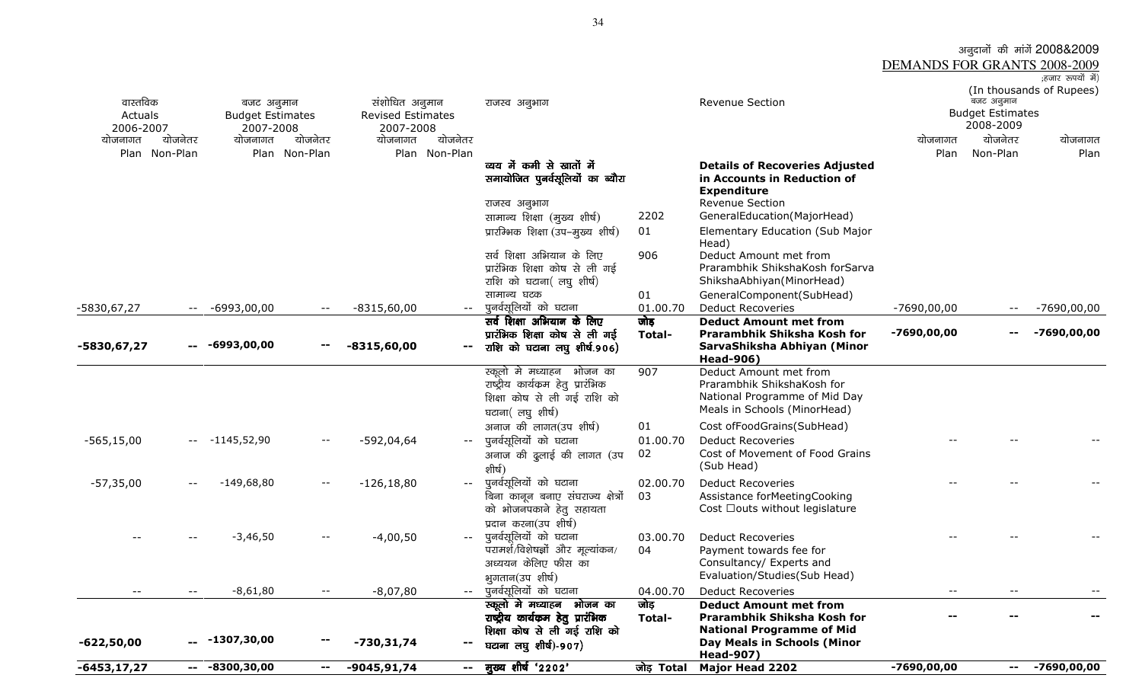अनुदानों की मांगें 2008&2009 DEMANDS FOR GRANTS 2008-2009;हजार रुपयों में) (In thousands of Rupees) वास्तविक Actuals 2006-2007 योजनेतर बजट अनुमान Budget Estimates 2007-2008 योजनेतर संशोधित अनुमान Revised Estimates 2007-2008 योजनेतर jktLo vuqHkkx Revenue Section ctV vuqeku Budget Estimates 2008-2009 योजनागत Plan Non-Planयोजनागत Plan Non-Planयोजनागत Plan Non-Planयोजनागत Planयोजनेतर Non-Planयोजनागत Planव्यय में कमी से खातों में समायोजित पुनर्वसूलियों का ब्यौरा<br>' Details of Recoveries Adjusted in Accounts in Reduction of **Expenditure** राजस्व अनुभाग सारा पार्टी के पार्टी पर्वता पर Revenue Section 2202 GeneralEducation(MajorHead) सामान्य शिक्षा (मुख्य शीर्ष) प्रारम्भिक शिक्षा (उप–मुख्य शीर्ष) 01 Elementary Education (Sub Major Head) 906 Deduct Amount met from सर्व शिक्षा अभियान के लिए प्रारंभिक शिक्षा कोष से ली गई राशि को घटाना( लघु शीर्ष) Prarambhik ShikshaKosh forSarva ShikshaAbhiyan(MinorHead) lkekU; ?kVd 01 GeneralComponent(SubHead) -5830,67,27 -6993,00,00 -- -8315,60,00 -- iquo Zlwfy;ksa dks ?kVkuk 01.00.70 Deduct Recoveries -7690,00,00 -- -7690,00,00 -5830,67,27 -- -6993,00,00 -- -8315,60,00 -- सर्व शिक्षा अभियान के लिए प्रारंभिक शिक्षा कोष से ली गई राशि को घटाना लघु शीर्ष.906) जोड Total-Deduct Amount met from<br>Prarambhik Shiksha Kosh for SarvaShiksha Abhiyan (Minor Head-906) 907 Deduct Amount met from -7690,00,00 -- -7690,00,00 स्कूलो मे मध्याहन भोजन का राष्ट्रीय कार्यक्रम हेतू प्रारंभिक शिक्षा कोष से ली गई राशि को घटाना( लघु शीर्ष) अनाज की लागत $(\bar{\mathsf{v}}\mathsf{u}$  शीर्ष) Prarambhik ShikshaKosh for National Programme of Mid Day Meals in Schools (MinorHead) 01 Cost ofFoodGrains(SubHead)<br>01.00.70 Deduct Recoveries -565,15,000 -- -1145,52,90 -- -592,04,64 -- पुनर्वसूलियों को घटाना - 01.00.70 Deduct Recoveries -- -- -- -- -- -- -- --<br>असा की उससे की साथ (एक 92) - Gost of Movement of Eood Grains अनाज की ढूलाई की लागत (उप গীর্ঘ) पुनर्वसुलियों को घटाना 02 Cost of Movement of Food Grains (Sub Head) -57,35,00 -- -149,68,80 -- -126,18,80 -- iquo Zlwfy;ksa dks ?kVkuk 02.00.70 Deduct Recoveries -- -- -- बिना कानन बनाए संघराज्य क्षेत्रों को भोजनपकाने हेतु सहायता प्रदान करना(उप शीर्ष) पूनर्वसूलियों को घटाना 03 Assistance forMeetingCooking Cost I outs without legislature Cost Iouts without legislature --

> $\overline{u}$ रामर्श/विशेषज्ञों और मुल्यांकन/ अध्ययन केलिए फीस का भूगतान(उप शीर्ष) पुनर्वसुलियों को घटाना

Ldwyks es e Ldwyks es eks es e/;kgu Hkkstu dk राष्ट्रीय कार्यक्रम हेतु प्रारंभिक शिक्षा कोष से ली गई राशि को जोड Total-

?kVkuk y?kq 'kh"kZ ?kVkuk y?kq **)-**907½

Evaluation/Studies(Sub Head) --

-- iquo Zlwfy;ksa dks ?kVkuk 03.00.70 Deduct Recoveries -- -- --

-- iquo Zlwfy;ksa dks ?kVkuk 04.00.70 Deduct Recoveries -- -- --

 Consultancy/ Experts and Evaluation/Studies(Sub Head)

Deduct Amount met from<br>Prarambhik Shiksha Kosh for National Programme of Mid Day Meals in Schools (Minor

04 Payment towards fee for

Head-907) **Major Head 2202** 

 $-3,46,50$  --  $-4,00,50$ 

-1307,30,00 -- -730,31,74

 $-8,61,80$   $-8,07,80$ 

-622,50,00

-6453,17,27 -- -8300,30,00 -- -9045,91,74 -- eq[; 'kh"kZ ^2202\* ^2202\* tksM+ Total Major Head 2202 -7690,00,00 -- -7690,00,00

-- --

--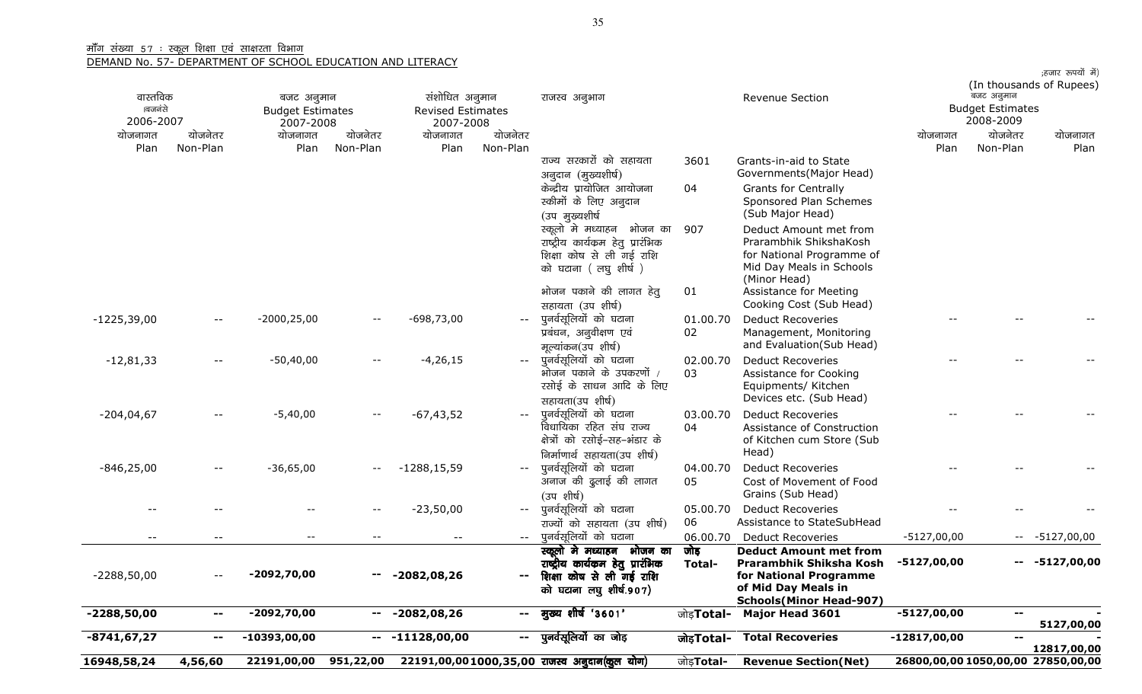| 16948,58,24                      | 4,56,60             | 22191,00,00                                        | 951,22,00                |                                                         |                                               | 22191,00,001000,35,00 राजस्व अनुदान(कूल योग)                                                                                                                                          | जोड़ <b>Total-</b>       | <b>Revenue Section(Net)</b>                                                                                                                                                                               | 26800,00,00 1050,00,00 27850,00,00 |                                                    |                  |
|----------------------------------|---------------------|----------------------------------------------------|--------------------------|---------------------------------------------------------|-----------------------------------------------|---------------------------------------------------------------------------------------------------------------------------------------------------------------------------------------|--------------------------|-----------------------------------------------------------------------------------------------------------------------------------------------------------------------------------------------------------|------------------------------------|----------------------------------------------------|------------------|
| -8741,67,27                      | $-$                 | $-10393,00,00$                                     | $\mathbf{u}$             | $-11128,00,00$                                          | $\sim$                                        | पुनर्वसूलियों का जोड़                                                                                                                                                                 | जोड़Total-               | <b>Total Recoveries</b>                                                                                                                                                                                   | $-12817,00,00$                     | $\overline{\phantom{a}}$                           | 12817,00,00      |
| $-2288,50,00$                    | --                  | $-2092,70,00$                                      | $\overline{\phantom{m}}$ | $-2082,08,26$                                           | $\sim$                                        | मुख्य शीर्ष '3601'                                                                                                                                                                    | जोड़ <b>Total-</b>       | <b>Major Head 3601</b>                                                                                                                                                                                    | $-5127,00,00$                      | $\mathbf{u}$                                       | 5127,00,00       |
| $-2288,50,00$                    |                     | -2092,70,00                                        | --                       | $-2082,08,26$                                           | $\mathord{\hspace{1pt}\text{--}\hspace{1pt}}$ | स्कूलो मे मध्याहन भोजन का<br>राष्ट्रीय कार्यक्रम हेतु प्रारंभिक<br>शिक्षा कोष से ली गई राशि<br>को घटाना लघु शीर्ष.907)                                                                | जोड़<br>Total-           | <b>Deduct Amount met from</b><br>Prarambhik Shiksha Kosh<br>for National Programme<br>of Mid Day Meals in<br><b>Schools(Minor Head-907)</b>                                                               | -5127,00,00                        |                                                    | $-- -5127,00,00$ |
| $-$                              | --                  | $- -$                                              | $\overline{\phantom{m}}$ | $\sim$ $-$                                              | $  \,$                                        | पूनर्वसूलियों को घटाना                                                                                                                                                                | 06.00.70                 | <b>Deduct Recoveries</b>                                                                                                                                                                                  | $-5127,00,00$                      |                                                    | $-- -5127,00,00$ |
|                                  |                     |                                                    |                          | $-23,50,00$                                             | $- -$ .                                       | पुनर्वसूलियों को घटाना<br>राज्यों को सहायता (उप शीर्ष)                                                                                                                                | 05.00.70<br>06           | <b>Deduct Recoveries</b><br>Assistance to StateSubHead                                                                                                                                                    |                                    |                                                    |                  |
| $-846, 25, 00$                   |                     | $-36,65,00$                                        |                          | $-1288, 15, 59$                                         |                                               | निर्माणार्थ सहायता(उप शीर्ष)<br>पूनर्वसूलियों को घटाना<br>अनाज की दुलाई की लागत<br>(उप शीर्ष)                                                                                         | 04.00.70<br>05           | Deduct Recoveries<br>Cost of Movement of Food<br>Grains (Sub Head)                                                                                                                                        |                                    |                                                    |                  |
| $-204,04,67$                     |                     | $-5,40,00$                                         | $-$                      | $-67,43,52$                                             | $- -$                                         | पुनर्वसूलियों को घटाना<br>विधायिका रहित संघ राज्य<br>क्षेत्रों को रसोई-सह-भंडार के                                                                                                    | 03.00.70<br>04           | <b>Deduct Recoveries</b><br>Assistance of Construction<br>of Kitchen cum Store (Sub<br>Head)                                                                                                              |                                    |                                                    |                  |
| $-12,81,33$                      | $--$                | $-50,40,00$                                        |                          | $-4,26,15$                                              | $\sim$ $\sim$                                 | पूनर्वसूलियों को घटाना<br>भोजन पकाने के उपकरणों /<br>रसोई के साधन आदि के लिए<br>सहायता(उप शीर्ष)                                                                                      | 02.00.70<br>03           | <b>Deduct Recoveries</b><br>Assistance for Cooking<br>Equipments/ Kitchen<br>Devices etc. (Sub Head)                                                                                                      |                                    |                                                    |                  |
| $-1225,39,00$                    | $\qquad \qquad -$   | $-2000, 25, 00$                                    |                          | $-698,73,00$                                            |                                               | पूनर्वसूलियों को घटाना<br>प्रबंधन, अनुवीक्षण एवं<br>मूल्यांकन(उप शीर्ष)                                                                                                               | 01.00.70<br>02           | <b>Deduct Recoveries</b><br>Management, Monitoring<br>and Evaluation(Sub Head)                                                                                                                            |                                    |                                                    |                  |
|                                  |                     |                                                    |                          |                                                         |                                               | (उप मुख्यशीर्ष<br>स्कूलो मे मध्याहन भोजन का<br>राष्ट्रीय कार्यक्रम हेतू प्रारंभिक<br>शिक्षा कोष से ली गई राशि<br>को घटाना (लघु शीर्ष)<br>भोजन पकाने की लागत हेतु<br>सहायता (उप शीर्ष) | 907<br>01                | (Sub Major Head)<br>Deduct Amount met from<br>Prarambhik ShikshaKosh<br>for National Programme of<br>Mid Day Meals in Schools<br>(Minor Head)<br><b>Assistance for Meeting</b><br>Cooking Cost (Sub Head) |                                    |                                                    |                  |
|                                  |                     |                                                    |                          |                                                         |                                               | राज्य सरकारों को सहायता<br>अनुदान (मुख्यशीर्ष)<br>केन्द्रीय प्रायोजित आयोजना<br>स्कीमों के लिए अनुदान                                                                                 | 3601<br>04               | Grants-in-aid to State<br>Governments (Major Head)<br><b>Grants for Centrally</b><br>Sponsored Plan Schemes                                                                                               |                                    |                                                    |                  |
| योजनागत<br>Plan                  | योजनेतर<br>Non-Plan | योजनागत<br>Plan                                    | योजनेतर<br>Non-Plan      | योजनागत<br>Plan                                         | योजनेतर<br>Non-Plan                           |                                                                                                                                                                                       |                          |                                                                                                                                                                                                           | योजनागत<br>Plan                    | योजनेतर<br>Non-Plan                                | योजनागत<br>Plan  |
| वास्तविक<br>ाबजनंसे<br>2006-2007 |                     | बजट अनुमान<br><b>Budget Estimates</b><br>2007-2008 |                          | संशोधित अनुमान<br><b>Revised Estimates</b><br>2007-2008 |                                               | राजस्व अनुभाग                                                                                                                                                                         |                          | <b>Revenue Section</b>                                                                                                                                                                                    |                                    | बजट अनुमान<br><b>Budget Estimates</b><br>2008-2009 |                  |
|                                  |                     |                                                    |                          |                                                         |                                               |                                                                                                                                                                                       | (In thousands of Rupees) |                                                                                                                                                                                                           |                                    |                                                    |                  |

;हजार रूपयों में)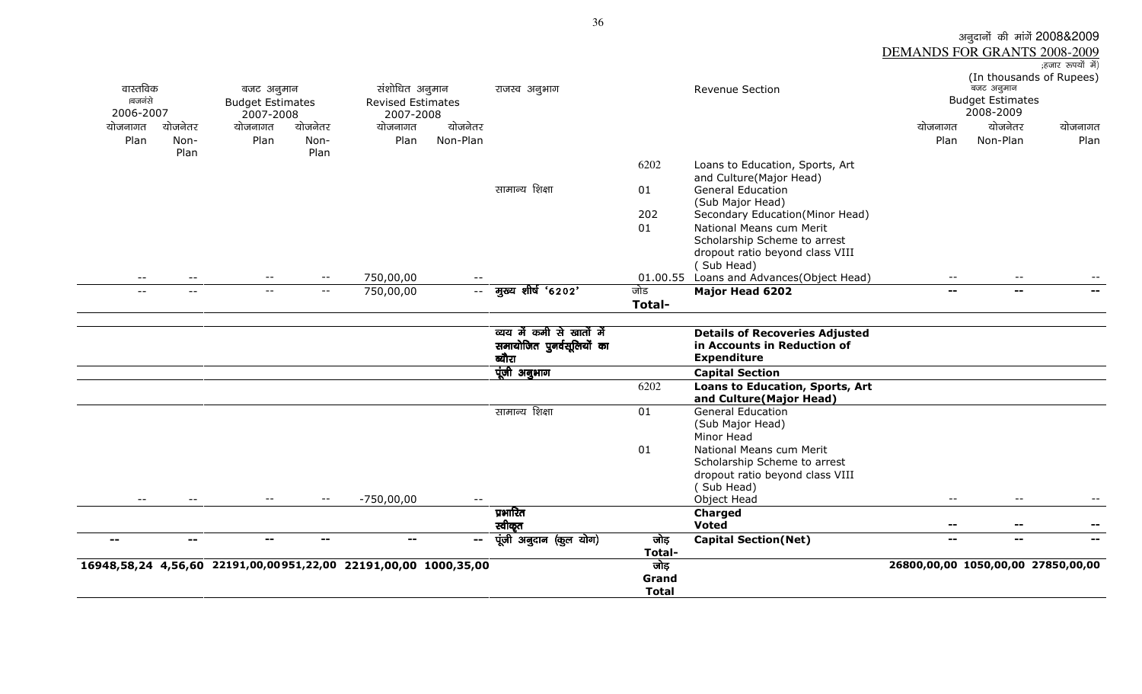|                      |                            |                                      |         |                                                                 |               |                                                        | Grand<br><b>Total</b> |                                                                                           |                              |                                      |                                    |
|----------------------|----------------------------|--------------------------------------|---------|-----------------------------------------------------------------|---------------|--------------------------------------------------------|-----------------------|-------------------------------------------------------------------------------------------|------------------------------|--------------------------------------|------------------------------------|
|                      |                            |                                      |         | 16948,58,24 4,56,60 22191,00,00951,22,00 22191,00,00 1000,35,00 |               |                                                        | जोड़                  |                                                                                           |                              |                                      | 26800,00,00 1050,00,00 27850,00,00 |
| $-$                  | $\sim$ $\sim$              | $\overline{\phantom{m}}$             | --      | --                                                              | $\mathbf{m}$  | पूंजी अनुदान (कुल योग)                                 | जोड़<br>Total-        | <b>Capital Section(Net)</b>                                                               | $\mathbf{u}$                 | $\sim$ $\sim$                        |                                    |
|                      |                            |                                      |         |                                                                 |               | प्रभारित<br>स्वीकृत                                    |                       | Charged<br><b>Voted</b>                                                                   | --                           | $\overline{\phantom{a}}$             |                                    |
|                      |                            | $ -$                                 | $- -$   | $-750,00,00$                                                    |               |                                                        |                       | Object Head                                                                               | $- -$                        | $- -$                                |                                    |
|                      |                            |                                      |         |                                                                 |               |                                                        |                       | dropout ratio beyond class VIII<br>(Sub Head)                                             |                              |                                      |                                    |
|                      |                            |                                      |         |                                                                 |               |                                                        |                       | Scholarship Scheme to arrest                                                              |                              |                                      |                                    |
|                      |                            |                                      |         |                                                                 |               |                                                        | 01                    | National Means cum Merit                                                                  |                              |                                      |                                    |
|                      |                            |                                      |         |                                                                 |               |                                                        |                       | Minor Head                                                                                |                              |                                      |                                    |
|                      |                            |                                      |         |                                                                 |               |                                                        |                       | (Sub Major Head)                                                                          |                              |                                      |                                    |
|                      |                            |                                      |         |                                                                 |               | सामान्य शिक्षा                                         | 01                    | and Culture(Major Head)<br><b>General Education</b>                                       |                              |                                      |                                    |
|                      |                            |                                      |         |                                                                 |               |                                                        | 6202                  | <b>Loans to Education, Sports, Art</b>                                                    |                              |                                      |                                    |
|                      |                            |                                      |         |                                                                 |               | पूंजी अनुभाग                                           |                       | <b>Capital Section</b>                                                                    |                              |                                      |                                    |
|                      |                            |                                      |         |                                                                 |               | ब्यौरा                                                 |                       | <b>Expenditure</b>                                                                        |                              |                                      |                                    |
|                      |                            |                                      |         |                                                                 |               | व्यय में कमी से खातों में<br>समायोजित पुनर्वसूलियों का |                       | <b>Details of Recoveries Adjusted</b><br>in Accounts in Reduction of                      |                              |                                      |                                    |
|                      |                            |                                      |         |                                                                 |               |                                                        |                       |                                                                                           |                              |                                      |                                    |
|                      |                            |                                      |         |                                                                 |               |                                                        | <b>Total-</b>         |                                                                                           |                              |                                      |                                    |
|                      | $\overline{\phantom{a}}$ . | $- -$                                | $- -$   | 750,00,00                                                       | $\sim$ $\sim$ | मुख्य शीर्ष '6202'                                     | जोड                   | Major Head 6202                                                                           | $-1$                         | $\mathbf{u}$                         |                                    |
| $- -$                | $ -$                       | $- -$                                | $- -$   | 750,00,00                                                       |               |                                                        |                       | dropout ratio beyond class VIII<br>(Sub Head)<br>01.00.55 Loans and Advances(Object Head) | $--$                         | $- -$                                |                                    |
|                      |                            |                                      |         |                                                                 |               |                                                        |                       | Scholarship Scheme to arrest                                                              |                              |                                      |                                    |
|                      |                            |                                      |         |                                                                 |               |                                                        | 01                    | National Means cum Merit                                                                  |                              |                                      |                                    |
|                      |                            |                                      |         |                                                                 |               |                                                        | 202                   | (Sub Major Head)<br>Secondary Education(Minor Head)                                       |                              |                                      |                                    |
|                      |                            |                                      |         |                                                                 |               | सामान्य शिक्षा                                         | 01                    | <b>General Education</b>                                                                  |                              |                                      |                                    |
|                      |                            |                                      |         |                                                                 |               |                                                        |                       | and Culture(Major Head)                                                                   |                              |                                      |                                    |
|                      | Plan                       |                                      | Plan    |                                                                 |               |                                                        | 6202                  | Loans to Education, Sports, Art                                                           |                              |                                      |                                    |
| Plan                 | Non-                       | Plan                                 | Non-    | Plan                                                            | Non-Plan      |                                                        |                       |                                                                                           | Plan                         | Non-Plan                             | Plan                               |
| योजनागत              | योजनेतर                    | योजनागत                              | योजनेतर | योजनागत                                                         | योजनेतर       |                                                        |                       |                                                                                           | योजनागत                      | योजनेतर                              | योजनागत                            |
| ।बजनंसे<br>2006-2007 |                            | <b>Budget Estimates</b><br>2007-2008 |         | <b>Revised Estimates</b><br>2007-2008                           |               |                                                        |                       |                                                                                           |                              | <b>Budget Estimates</b><br>2008-2009 |                                    |
| वास्तविक             |                            | बजट अनुमान                           |         | संशोधित अनुमान                                                  |               | राजस्व अनुभाग                                          |                       | <b>Revenue Section</b>                                                                    |                              | .<br>बजट अनुमान                      |                                    |
|                      |                            |                                      |         |                                                                 |               |                                                        |                       |                                                                                           |                              |                                      | (In thousands of Rupees)           |
|                      |                            |                                      |         |                                                                 |               |                                                        |                       |                                                                                           | DEMANDS FOR GRANTS 2008-2009 |                                      | ;हजार रूपयों में)                  |

अनुदानों की मांगें 2008&2009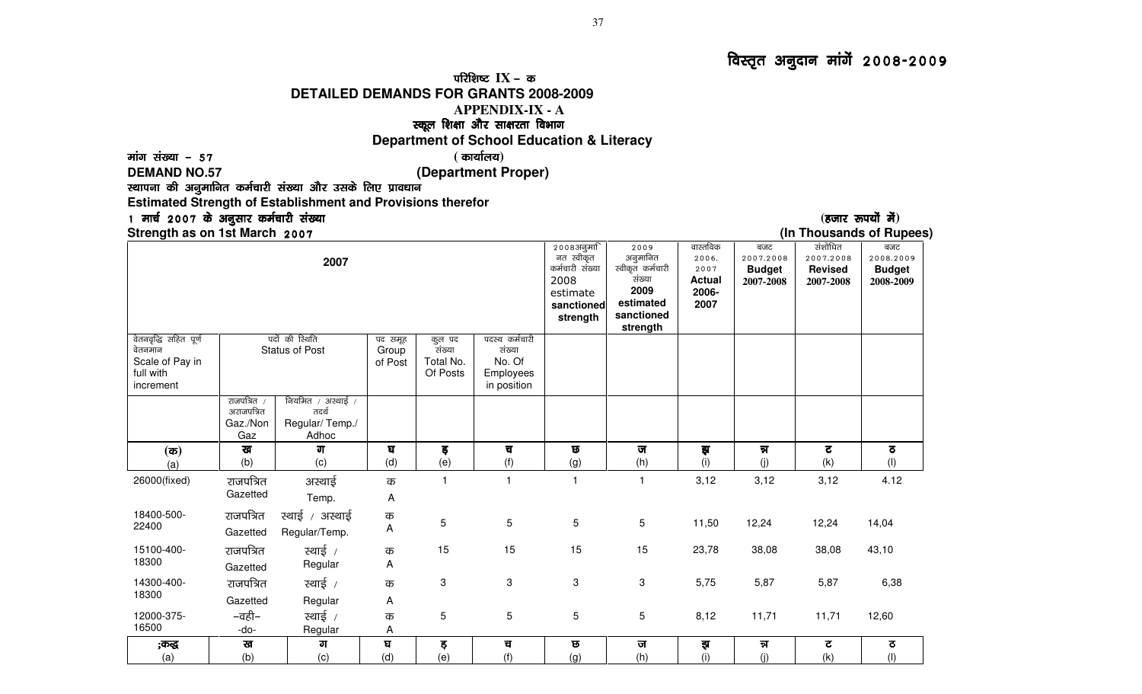## परिशिष्ट $IX$  – क

### **DETAILED DEMANDS FOR GRANTS 2008-2009**

### **APPENDIX-IX - A**

# स्कूल शिक्षा और साक्षरता विभाग<br>Imant of Sobool Educatio

## **Department of School Education & Literacy**

### ekax la[;k & 57 ekax la[;k 57 57 **(** dk;kZy;**) DEMAND NO.57 (Department Proper)**

स्थापना की अनुमानित कर्मचारी संख्या और उसके लिए प्रावधान

**Estimated Strength of Establishment and Provisions therefor** 

# 1 मार्च 2007 के अनुसार कर्मचारी संख्या<br>Strength as on 1st March 2007

**Strength as on 1st March 2007** 

|                                                                               |                                              |                                                       |                             |                                           |                                                                |                                                                                          |                                                                                               |                                                             |                                                |                                                     | . н.                                           |
|-------------------------------------------------------------------------------|----------------------------------------------|-------------------------------------------------------|-----------------------------|-------------------------------------------|----------------------------------------------------------------|------------------------------------------------------------------------------------------|-----------------------------------------------------------------------------------------------|-------------------------------------------------------------|------------------------------------------------|-----------------------------------------------------|------------------------------------------------|
|                                                                               |                                              | 2007                                                  |                             |                                           |                                                                | 2008अनुमा<br>नत स्वीकृत<br>कर्मचारी संख्या<br>2008<br>estimate<br>sanctioned<br>strength | 2009<br>अनुमानित<br>स्वीकृत कर्मचारी<br>संख्या<br>2009<br>estimated<br>sanctioned<br>strength | वास्तविक<br>2006.<br>2007<br><b>Actual</b><br>2006-<br>2007 | बजट<br>2007.2008<br><b>Budget</b><br>2007-2008 | संशोधित<br>2007.2008<br><b>Revised</b><br>2007-2008 | बजट<br>2008.2009<br><b>Budget</b><br>2008-2009 |
| वेतनवृद्धि सहित पूर्ण<br>वेतनमान<br>Scale of Pay in<br>full with<br>increment |                                              | पदों की रिथति<br><b>Status of Post</b>                | पद समूह<br>Group<br>of Post | कुल पद<br>संख्या<br>Total No.<br>Of Posts | पदस्थ कर्मचारी<br>संख्या<br>No. Of<br>Employees<br>in position |                                                                                          |                                                                                               |                                                             |                                                |                                                     |                                                |
|                                                                               | राजपत्रित /<br>अराजपत्रित<br>Gaz./Non<br>Gaz | नियमित / अस्थाई /<br>तदर्थ<br>Regular/Temp./<br>Adhoc |                             |                                           |                                                                |                                                                                          |                                                                                               |                                                             |                                                |                                                     |                                                |
| $(\overline{\mathfrak{a}})$<br>(a)                                            | ख<br>(b)                                     | ग<br>(c)                                              | घ<br>(d)                    | इ<br>(e)                                  | च<br>(f)                                                       | ত<br>(g)                                                                                 | ज<br>(h)                                                                                      | इा<br>(i)                                                   | न्न<br>(j)                                     | ट<br>(k)                                            | ਨ<br>(1)                                       |
| 26000(fixed)                                                                  | राजपत्रित<br>Gazetted                        | अस्थाई<br>Temp.                                       | क<br>A                      | $\blacktriangleleft$                      | $\overline{1}$                                                 | $\mathbf{1}$                                                                             | $\mathbf{1}$                                                                                  | 3,12                                                        | 3,12                                           | 3,12                                                | 4.12                                           |
| 18400-500-<br>22400                                                           | राजपत्रित<br>Gazetted                        | स्थाई / अस्थाई<br>Regular/Temp.                       | क<br>Α                      | 5                                         | $\sqrt{5}$                                                     | 5                                                                                        | 5                                                                                             | 11,50                                                       | 12,24                                          | 12,24                                               | 14,04                                          |
| 15100-400-<br>18300                                                           | राजपत्रित<br>Gazetted                        | स्थाई /<br>Regular                                    | क<br>Α                      | 15                                        | 15                                                             | 15                                                                                       | 15                                                                                            | 23,78                                                       | 38,08                                          | 38,08                                               | 43,10                                          |
| 14300-400-<br>18300                                                           | राजपत्रित<br>Gazetted                        | रथाई /<br>Regular                                     | क<br>A                      | 3                                         | $\ensuremath{\mathsf{3}}$                                      | 3                                                                                        | 3                                                                                             | 5,75                                                        | 5,87                                           | 5,87                                                | 6,38                                           |
| 12000-375-<br>16500                                                           | –वही–<br>-do-                                | स्थाई /<br>Regular                                    | क<br>Α                      | 5                                         | $\overline{5}$                                                 | 5                                                                                        | 5                                                                                             | 8,12                                                        | 11,71                                          | 11,71                                               | 12,60                                          |
| ;कद्ध<br>(a)                                                                  | ख<br>(b)                                     | ग<br>(c)                                              | घ<br>(d)                    | ड़<br>(e)                                 | च<br>(f)                                                       | छ<br>(g)                                                                                 | ज<br>(h)                                                                                      | इा<br>(i)                                                   | न्न<br>(j)                                     | ट<br>(k)                                            | $\sigma$<br>(1)                                |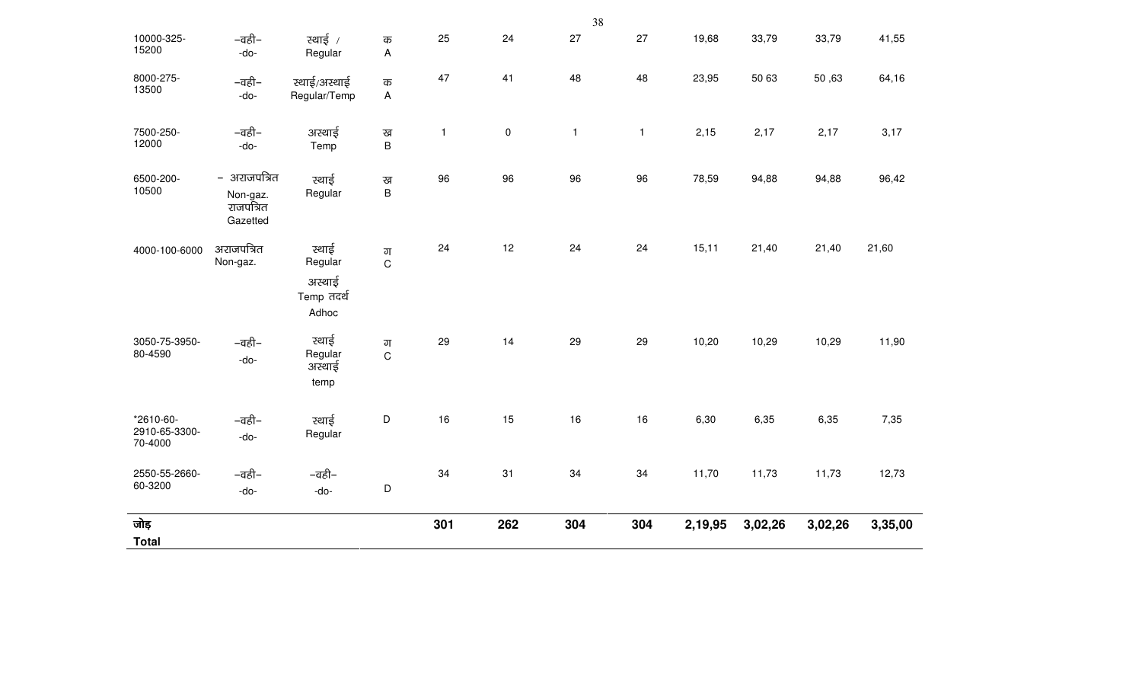|                                       |                                                   |                                                   |                   |              |           | 38           |              |         |         |         |         |
|---------------------------------------|---------------------------------------------------|---------------------------------------------------|-------------------|--------------|-----------|--------------|--------------|---------|---------|---------|---------|
| 10000-325-<br>15200                   | –वही–<br>-do-                                     | स्थाई /<br>Regular                                | क<br>A            | 25           | 24        | 27           | 27           | 19,68   | 33,79   | 33,79   | 41,55   |
| 8000-275-<br>13500                    | –वही–<br>-do-                                     | स्थाई/अस्थाई<br>Regular/Temp                      | क<br>$\mathsf{A}$ | 47           | 41        | 48           | 48           | 23,95   | 50 63   | 50,63   | 64,16   |
| 7500-250-<br>12000                    | –वही–<br>-do-                                     | अस्थाई<br>Temp                                    | ख<br>B            | $\mathbf{1}$ | $\pmb{0}$ | $\mathbf{1}$ | $\mathbf{1}$ | 2,15    | 2,17    | 2,17    | 3,17    |
| 6500-200-<br>10500                    | - अराजपत्रित<br>Non-gaz.<br>राजपत्रित<br>Gazetted | स्थाई<br>Regular                                  | ख<br>$\sf B$      | 96           | 96        | 96           | 96           | 78,59   | 94,88   | 94,88   | 96,42   |
| 4000-100-6000                         | अराजपत्रित<br>Non-gaz.                            | स्थाई<br>Regular<br>अस्थाई<br>Temp तदर्थ<br>Adhoc | ग<br>$\mathsf C$  | 24           | 12        | 24           | 24           | 15,11   | 21,40   | 21,40   | 21,60   |
| 3050-75-3950-<br>80-4590              | –वही–<br>-do-                                     | स्थाई<br>Regular<br>अस्थाई<br>temp                | ग<br>$\mathsf C$  | 29           | 14        | 29           | 29           | 10,20   | 10,29   | 10,29   | 11,90   |
| *2610-60-<br>2910-65-3300-<br>70-4000 | –वही–<br>-do-                                     | स्थाई<br>Regular                                  | $\mathsf D$       | 16           | 15        | 16           | 16           | 6,30    | 6,35    | 6,35    | 7,35    |
| 2550-55-2660-<br>60-3200              | –वही–<br>-do-                                     | –वही–<br>-do-                                     | $\mathsf D$       | 34           | 31        | 34           | 34           | 11,70   | 11,73   | 11,73   | 12,73   |
| जोड़<br><b>Total</b>                  |                                                   |                                                   |                   | 301          | 262       | 304          | 304          | 2,19,95 | 3,02,26 | 3,02,26 | 3,35,00 |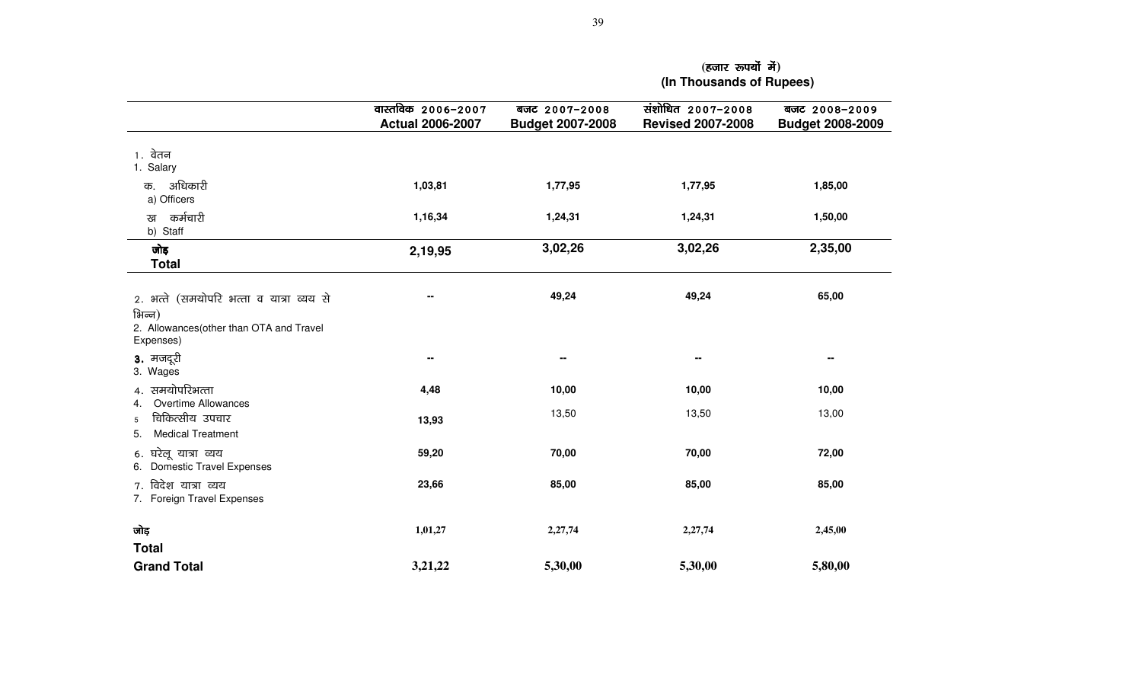|                                                                                                             | वास्तविक 2006-2007<br><b>Actual 2006-2007</b> | बजट 2007-2008<br><b>Budget 2007-2008</b> | संशोधित 2007-2008<br><b>Revised 2007-2008</b> | बजट 2008-2009<br><b>Budget 2008-2009</b> |
|-------------------------------------------------------------------------------------------------------------|-----------------------------------------------|------------------------------------------|-----------------------------------------------|------------------------------------------|
| 1. वेतन<br>1. Salary                                                                                        |                                               |                                          |                                               |                                          |
| अधिकारी<br>क.<br>a) Officers                                                                                | 1,03,81                                       | 1,77,95                                  | 1,77,95                                       | 1,85,00                                  |
| कर्मचारी<br>ख<br>b) Staff                                                                                   | 1,16,34                                       | 1,24,31                                  | 1,24,31                                       | 1,50,00                                  |
| जोड़<br><b>Total</b>                                                                                        | 2,19,95                                       | 3,02,26                                  | 3,02,26                                       | 2,35,00                                  |
| 2. भत्ते (समयोपरि भत्ता व यात्रा व्यय से<br>भिन्न)<br>2. Allowances (other than OTA and Travel<br>Expenses) |                                               | 49,24                                    | 49,24                                         | 65,00                                    |
| 3. मजदूरी<br>3. Wages                                                                                       | н.                                            | --                                       | $\mathbf{H}$                                  | --                                       |
| 4. समयोपरिभत्ता                                                                                             | 4,48                                          | 10,00                                    | 10,00                                         | 10,00                                    |
| Overtime Allowances<br>4.<br>चिकित्सीय उपचार<br>5<br><b>Medical Treatment</b><br>5.                         | 13,93                                         | 13,50                                    | 13,50                                         | 13,00                                    |
| 6. घरेलू यात्रा व्यय<br>6. Domestic Travel Expenses                                                         | 59,20                                         | 70,00                                    | 70,00                                         | 72,00                                    |
| 7. विदेश यात्रा व्यय<br>7. Foreign Travel Expenses                                                          | 23,66                                         | 85,00                                    | 85,00                                         | 85,00                                    |
| जोड़                                                                                                        | 1,01,27                                       | 2,27,74                                  | 2,27,74                                       | 2,45,00                                  |
| <b>Total</b><br><b>Grand Total</b>                                                                          | 3,21,22                                       | 5,30,00                                  | 5,30,00                                       | 5,80,00                                  |

 **(**gtkj :i;ksa esa gtkj esa**) (In Thousands of Rupees)**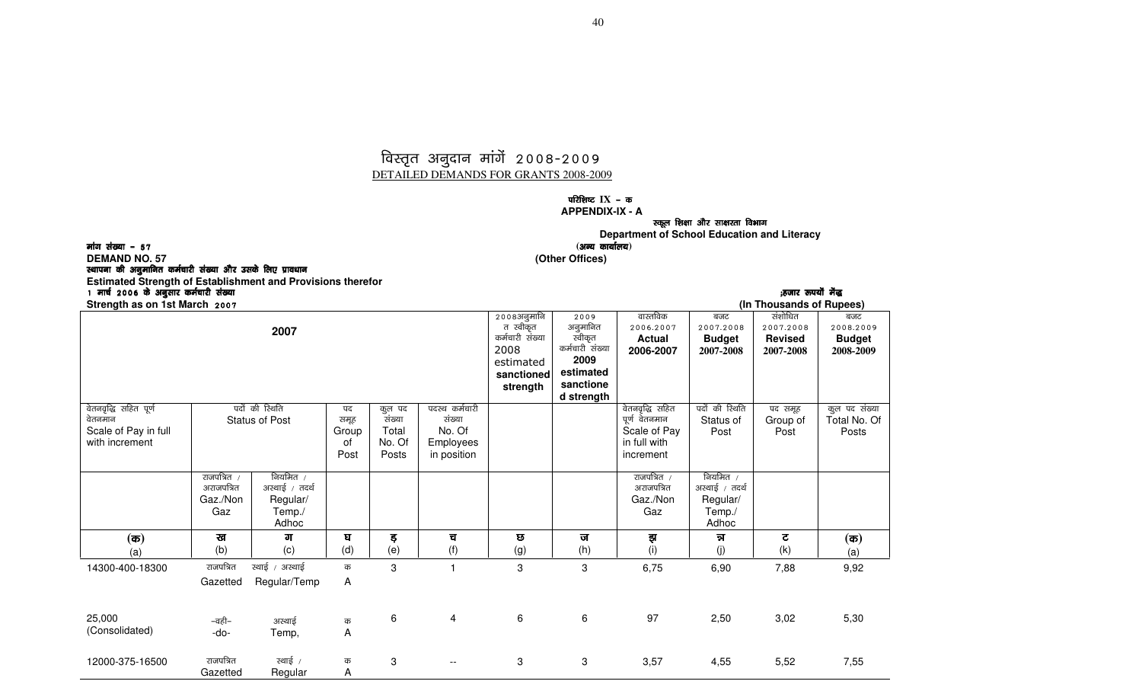### विस्तृत अनुदान मांगें 2008-2009 DETAILED DEMANDS FOR GRANTS 2008-2009

#### **परिशिष्ट IX** - क  **APPENDIX-IX - A**

स्कूल शिक्षा और साक्षरता विभाग

**Department of School Education and Literacy r** (अन्य कार्यालय) । (अन्य कार्यालय) । (अन्य कार्यालय) । (अन्य कार्यालय) । (अन्य कार्यालय)

मांग संख्या  $-57$ 

**DEMAND NO. 57 (Other Offices)** 

स्थापना की अनुमानित कर्मचारी संख्या और उसके लिए प्रावधान

Gazetted

Regular

A

**Estimated Strength of Establishment and Provisions therefor** 1 ekp Z 2006 d s vuqlkj deZpkjh la[;k d vuqlkj la[;k (gtkj :i;ksa esa) (gtkj esa)esa) **Strength as on 1st March 2007 2007** 2008अनुमानि त स्वीकृत कर्मचारी संख्या 2008 estimated **sanctioned strength** 2009 अनुमानित ''उ<br>स्वीकृत कर्मचारी संख्या **2009 estimated sanctione d strength** वास्तविक 2006-2007 **Actual 2006-2007** बजट 2007-2008 **Budget**  2007-2008संशोधित 2007-2008 **Revised**  2007-2008बजट 2008-2009 **Budget**  2008-2009वेतनवृद्धि सहित पूर्ण वेतनमान Scale of Pay in full with increment पदों की रिथति Status of Post पद समूह Group of Post कुल पद संख्या Total No. Of Posts पदस्थ कर्मचारी संख्या No. Of Employees in position वेतनवृद्धि सहित पूर्ण वेतनमान Scale of Pay in full with increment पदों की रिथति Status of Post पद समूह Group of Post कूल पद संख्या Total No. Of Posts राजपत्रित $\sqrt{}$ अराजपत्रित Gaz./Non Gaz नियमित $\,$  /  $\,$ अस्थाई *।* तदर्थ Regular/ Temp./ Adhoc राजपत्रित $\;$  / अराजपत्रित Gaz./Non Gaz नियमित $\,$  /  $\,$ अस्थाई *।* तदर्थ Regular/ Temp./ Adhoc **(**d**)** (a) ख (b)  $\overline{d}$  (c) ?k (d)  $\overline{5}$ (e) च (f)  $\overline{\mathbf{e}}$  (g) ज (h) इा (i) ™k (j)  $\overline{\mathbf{c}}$  (k) **(**d**)** (a) 14300-400-18300 राजपत्रित Gazetted स्थाई / अस्थाई Regular/Temp क A 3 1 3 3 6,75 6,90 7,88 9,92 25,000 (Consolidated)  $-\overline{a}\overline{b}$ न -do-अस्थाई Temp,क<br>A <sub>西</sub> 6 4 6 6 97 2,50 3,02 5,30<br>A 12000-375-16500 राजपत्रित रथाई / क 3 -- 3 3 3,57 4,55 5,52 7,55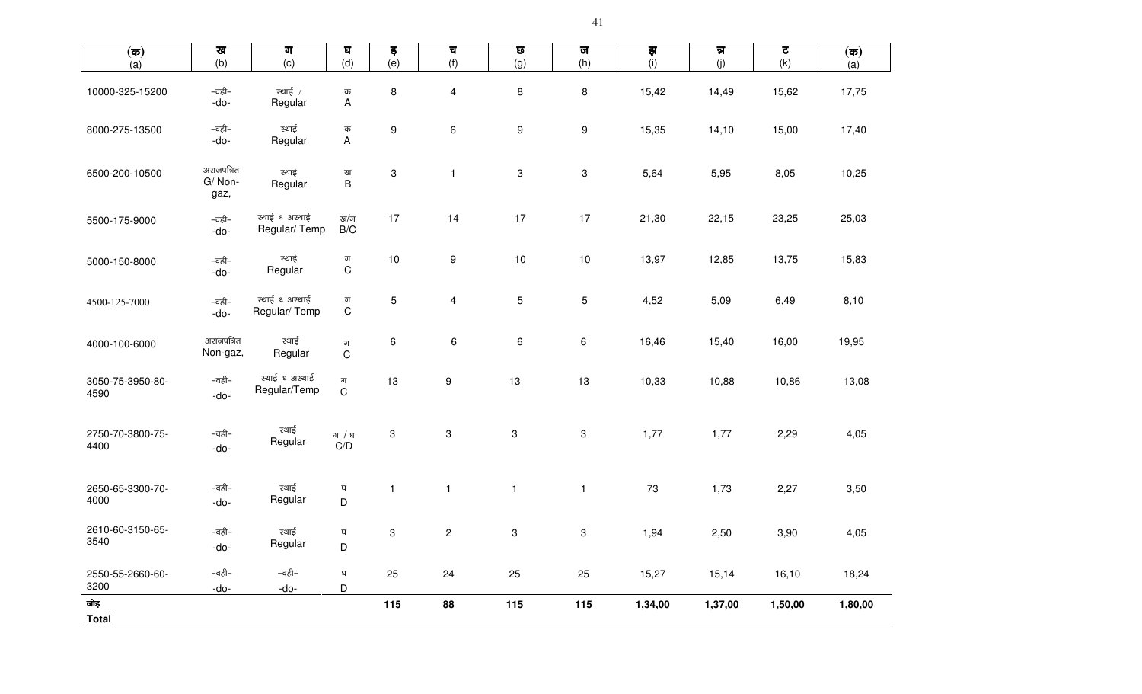| $(\overline{\mathfrak{a}})$ | ख                            | $\overline{\text{d} \text{d}}$ | $\mathbf{g}$                   | ड़           | च                         | $\pmb{\overline{\omega}}$ | ज                | झ       | न्न     | $\overline{\mathbf{c}}$ | $(\overline{\mathbf{a}})$ |
|-----------------------------|------------------------------|--------------------------------|--------------------------------|--------------|---------------------------|---------------------------|------------------|---------|---------|-------------------------|---------------------------|
| (a)                         | (b)                          | (c)                            | (d)                            | (e)          | (f)                       | (g)                       | (h)              | (i)     | (j)     | (k)                     | (a)                       |
| 10000-325-15200             | –वही–<br>-do-                | स्थाई /<br>Regular             | क<br>Α                         | 8            | $\overline{\mathbf{4}}$   | $\bf 8$                   | $\, 8$           | 15,42   | 14,49   | 15,62                   | 17,75                     |
| 8000-275-13500              | –वही–<br>-do-                | स्थाई<br>Regular               | क<br>A                         | 9            | 6                         | $\boldsymbol{9}$          | $\boldsymbol{9}$ | 15,35   | 14,10   | 15,00                   | 17,40                     |
| 6500-200-10500              | अराजपत्रित<br>G/Non-<br>gaz, | स्थाई<br>Regular               | ख<br>$\sf B$                   | 3            | $\mathbf{1}$              | $\sqrt{3}$                | 3                | 5,64    | 5,95    | 8,05                    | 10,25                     |
| 5500-175-9000               | –वही–<br>-do-                | स्थाई ६ अस्थाई<br>Regular/Temp | ख/ग<br>$\mathsf{B}/\mathsf{C}$ | 17           | 14                        | 17                        | 17               | 21,30   | 22,15   | 23,25                   | 25,03                     |
| 5000-150-8000               | –वही–<br>-do-                | स्थाई<br>Regular               | ग<br>$\mathbf C$               | 10           | 9                         | $10$                      | $10$             | 13,97   | 12,85   | 13,75                   | 15,83                     |
| 4500-125-7000               | –वही–<br>-do-                | स्थाई ६ अस्थाई<br>Regular/Temp | ग<br>$\mathsf C$               | 5            | 4                         | $5\phantom{.0}$           | 5                | 4,52    | 5,09    | 6,49                    | 8,10                      |
| 4000-100-6000               | अराजपत्रित<br>Non-gaz,       | स्थाई<br>Regular               | ग<br>$\mathsf C$               | 6            | 6                         | 6                         | 6                | 16,46   | 15,40   | 16,00                   | 19,95                     |
| 3050-75-3950-80-<br>4590    | –वही–<br>-do-                | स्थाई ६ अस्थाई<br>Regular/Temp | ग<br>$\mathsf{C}$              | 13           | 9                         | 13                        | 13               | 10,33   | 10,88   | 10,86                   | 13,08                     |
| 2750-70-3800-75-<br>4400    | –वही–<br>-do-                | स्थाई<br>Regular               | ग $/$ घ<br>C/D                 | 3            | $\ensuremath{\mathsf{3}}$ | $\sqrt{3}$                | 3                | 1,77    | 1,77    | 2,29                    | 4,05                      |
| 2650-65-3300-70-<br>4000    | –वही–<br>-do-                | स्थाई<br>Regular               | घ<br>D                         | $\mathbf{1}$ | $\mathbf{1}$              | $\mathbf{1}$              | $\mathbf{1}$     | 73      | 1,73    | 2,27                    | 3,50                      |
| 2610-60-3150-65-<br>3540    | –वही–<br>-do-                | स्थाई<br>Regular               | घ<br>D                         | 3            | $\overline{c}$            | $\sqrt{3}$                | 3                | 1,94    | 2,50    | 3,90                    | 4,05                      |
| 2550-55-2660-60-<br>3200    | –वही–<br>-do-                | –वही–<br>-do-                  | घ<br>D                         | 25           | 24                        | 25                        | 25               | 15,27   | 15,14   | 16,10                   | 18,24                     |
| जोड़<br><b>Total</b>        |                              |                                |                                | 115          | 88                        | 115                       | 115              | 1,34,00 | 1,37,00 | 1,50,00                 | 1,80,00                   |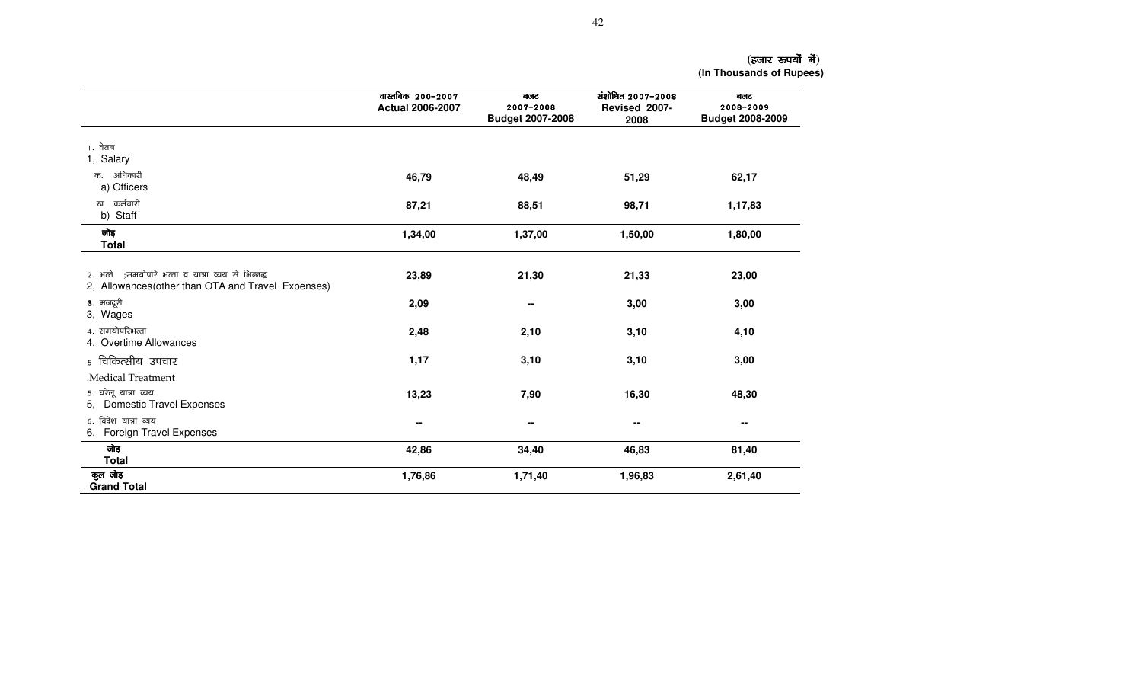**(**gtkj :i;ksa esa gtkj :i;ksa **) (In Thousands of Rupees)** 

|                                                                                                         | वास्तविक 200-2007<br><b>Actual 2006-2007</b> | बजट<br>2007-2008<br><b>Budget 2007-2008</b> | संशोधित 2007-2008<br>Revised 2007-<br>2008 | बजट<br>2008-2009<br><b>Budget 2008-2009</b> |
|---------------------------------------------------------------------------------------------------------|----------------------------------------------|---------------------------------------------|--------------------------------------------|---------------------------------------------|
| 1. वेतन<br>1, Salary                                                                                    |                                              |                                             |                                            |                                             |
| अधिकारी<br>क.<br>a) Officers                                                                            | 46,79                                        | 48,49                                       | 51,29                                      | 62,17                                       |
| कर्मचारी<br>ख<br>b) Staff                                                                               | 87,21                                        | 88,51                                       | 98,71                                      | 1,17,83                                     |
| जोड़<br><b>Total</b>                                                                                    | 1,34,00                                      | 1,37,00                                     | 1,50,00                                    | 1,80,00                                     |
| 2. भत्ते ;समयोपरि भत्ता व यात्रा व्यय से भिन्नद्ध<br>2, Allowances (other than OTA and Travel Expenses) | 23,89                                        | 21,30                                       | 21,33                                      | 23,00                                       |
| 3. मजदूरी<br>3, Wages                                                                                   | 2,09                                         | $\blacksquare$                              | 3,00                                       | 3,00                                        |
| 4. समयोपरिभत्ता<br>4, Overtime Allowances                                                               | 2,48                                         | 2,10                                        | 3,10                                       | 4,10                                        |
| 5 चिकित्सीय उपचार                                                                                       | 1,17                                         | 3,10                                        | 3,10                                       | 3,00                                        |
| Medical Treatment                                                                                       |                                              |                                             |                                            |                                             |
| 5. घरेलू यात्रा व्यय<br>5, Domestic Travel Expenses                                                     | 13,23                                        | 7,90                                        | 16,30                                      | 48,30                                       |
| 6. विदेश यात्रा व्यय<br>6, Foreign Travel Expenses                                                      | --                                           | --                                          | --                                         | $\blacksquare$                              |
| जोड़<br><b>Total</b>                                                                                    | 42,86                                        | 34,40                                       | 46,83                                      | 81,40                                       |
| कुल जोड़<br><b>Grand Total</b>                                                                          | 1,76,86                                      | 1,71,40                                     | 1,96,83                                    | 2,61,40                                     |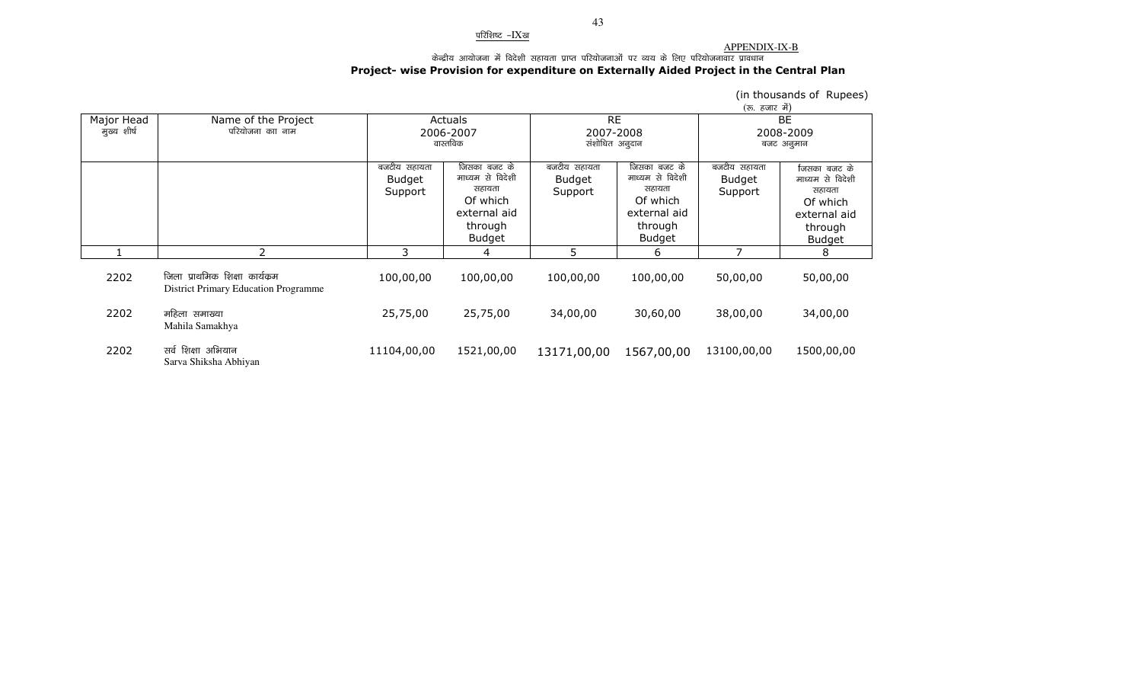#### <u>परिशिष्ट -IXख</u>

# <u>APPENDIX-IX-B</u><br>केन्द्रीय आयोजना में विदेशी सहायता प्राप्त परियोजनाओं पर व्यय के लिए परियोजनावार प्रावधान<br>Project- wise Provision for expenditure on Externally Aided Project in the Central Plan

|                           |                                                                               |                                          |                                                                                                    |                                          |                                                                                             | (रु. हजार में)                    | (in thousands of Rupees)                                                                           |
|---------------------------|-------------------------------------------------------------------------------|------------------------------------------|----------------------------------------------------------------------------------------------------|------------------------------------------|---------------------------------------------------------------------------------------------|-----------------------------------|----------------------------------------------------------------------------------------------------|
| Major Head<br>मुख्य शीर्ष | Name of the Project<br>परियोजना काा नाम                                       |                                          | Actuals<br>2006-2007<br>वास्तविक                                                                   | <b>RE</b><br>2007-2008<br>संशोधित अनुदान |                                                                                             |                                   | <b>BE</b><br>2008-2009<br>बजट अनुमान                                                               |
|                           |                                                                               | बजटीय सहायता<br><b>Budget</b><br>Support | जिसका बजट के<br>माध्यम से विदेशी<br>सहायता<br>Of which<br>external aid<br>through<br><b>Budget</b> | बजटीय सहायता<br>Budget<br>Support        | जिसका बजट के<br>माध्यम से विदेशी<br>सहायता<br>Of which<br>external aid<br>through<br>Budget | बजटीय सहायता<br>Budget<br>Support | जिसका बजट के<br>माध्यम से विदेशी<br>सहायता<br>Of which<br>external aid<br>through<br><b>Budget</b> |
|                           | 2                                                                             | 3                                        | 4                                                                                                  | 5                                        | 6                                                                                           |                                   | 8                                                                                                  |
| 2202                      | जिला प्राथमिक शिक्षा कार्यक्रम<br><b>District Primary Education Programme</b> | 100,00,00                                | 100,00,00                                                                                          | 100,00,00                                | 100,00,00                                                                                   | 50,00,00                          | 50,00,00                                                                                           |
| 2202                      | महिला समाख्या<br>Mahila Samakhya                                              | 25,75,00                                 | 25,75,00                                                                                           | 34,00,00                                 | 30,60,00                                                                                    | 38,00,00                          | 34,00,00                                                                                           |
| 2202                      | सर्व शिक्षा अभियान<br>Sarva Shiksha Abhiyan                                   | 11104,00,00                              | 1521,00,00                                                                                         | 13171,00,00                              | 1567,00,00                                                                                  | 13100,00,00                       | 1500,00,00                                                                                         |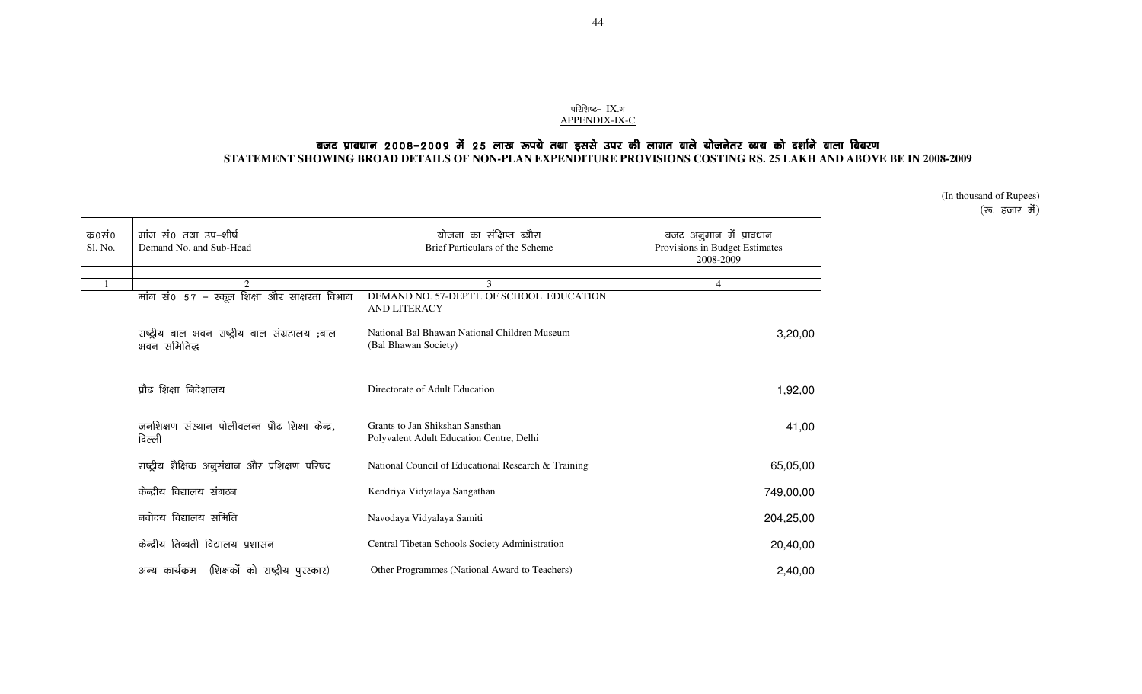# <u>परिशिष्ट- IX.ज</u><br>APPENDIX-IX-C

# बजट प्रावधान 2008–2009 में 25 लाख रूपये तथा इससे उपर की लागत वाले योजनेतर व्यय को दर्शाने वाला विवरण

**STATEMENT SHOWING BROAD DETAILS OF NON-PLAN EXPENDITURE PROVISIONS COSTING RS. 25 LAKH AND ABOVE BE IN 2008-2009** 

(In thousand of Rupees)  $(\overline{\mathbf{r}}$ , हजार में)

| क0सं0<br>Sl. No. | मांग सं0 तथा उप-शीर्ष<br>Demand No. and Sub-Head               | योजना का संक्षिप्त ब्यौरा<br>Brief Particulars of the Scheme                | बजट अनुमान में प्रावधान<br>Provisions in Budget Estimates<br>2008-2009 |
|------------------|----------------------------------------------------------------|-----------------------------------------------------------------------------|------------------------------------------------------------------------|
|                  | 2                                                              | 3                                                                           | $\overline{4}$                                                         |
|                  | मांग सं0 57 - स्कूल शिक्षा और साक्षरता विभाग                   | DEMAND NO. 57-DEPTT. OF SCHOOL EDUCATION<br><b>AND LITERACY</b>             |                                                                        |
|                  | राष्ट्रीय बाल भवन राष्ट्रीय बाल संग्रहालय ;बाल<br>भवन समितिद्ध | National Bal Bhawan National Children Museum<br>(Bal Bhawan Society)        | 3,20,00                                                                |
|                  | प्रौढ शिक्षा निदेशालय                                          | Directorate of Adult Education                                              | 1,92,00                                                                |
|                  | जनशिक्षण संस्थान पोलीवलन्त प्रौढ शिक्षा केन्द्र,<br>दिल्ली     | Grants to Jan Shikshan Sansthan<br>Polyvalent Adult Education Centre, Delhi | 41,00                                                                  |
|                  | राष्ट्रीय शैक्षिक अनुसंधान और प्रशिक्षण परिषद                  | National Council of Educational Research & Training                         | 65,05,00                                                               |
|                  | केन्द्रीय विद्यालय संगठन                                       | Kendriya Vidyalaya Sangathan                                                | 749,00,00                                                              |
|                  | नवोदय विद्यालय समिति                                           | Navodaya Vidyalaya Samiti                                                   | 204,25,00                                                              |
|                  | केन्द्रीय तिब्बती विद्यालय प्रशासन                             | Central Tibetan Schools Society Administration                              | 20,40,00                                                               |
|                  | (शिक्षकों को राष्ट्रीय पुरस्कार)<br>अन्य कार्यक्रम             | Other Programmes (National Award to Teachers)                               | 2,40,00                                                                |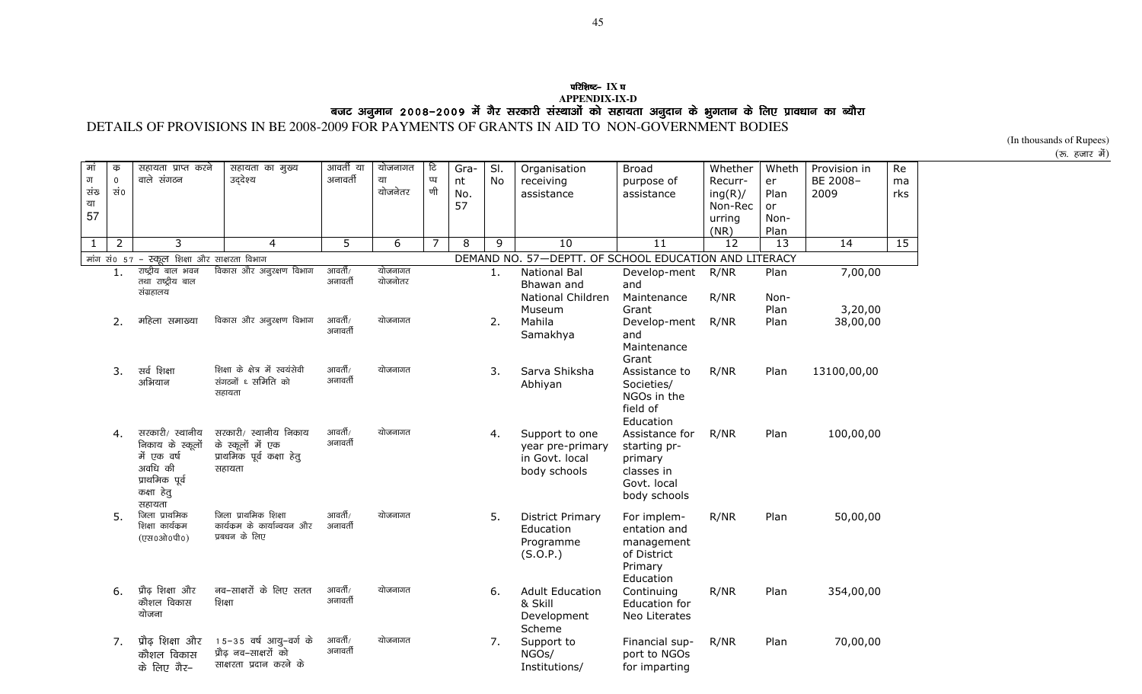# **परिशिष्ट- IX** घ APPENDIX-IX-D<br>DETAILS OF PROVISIONS IN BE 2008-2009 FOR PAYMENTS OF GRANTS IN AID TO NON-GOVERNMENT BODIES<br>DETAILS OF PROVISIONS IN BE 2008-2009 FOR PAYMENTS OF GRANTS IN AID TO NON-GOVERNMENT BODIES

(In thousands of Rupees)

(रु. हजार में)

| मां<br>ग<br>संख<br>या<br>57 | क<br>$\mathbf 0$<br>ਬਂ0 | सहायता प्राप्त करने<br>वाले संगठन                                                                       | सहायता का मुख्य<br>उद्देश्य                                                       | आवर्ती या<br>अनावर्ती | योजनागत<br>या<br>योजनेतर | टि<br>प्प<br>णी | Gra-<br>nt<br>No.<br>57 | SI.<br>No | Organisation<br>receiving<br>assistance                              | <b>Broad</b><br>purpose of<br>assistance                                               | Whether<br>Recurr-<br>ing(R)/<br>Non-Rec<br>urring<br>(NR) | Wheth<br>er<br>Plan<br>or<br>Non-<br>Plan | Provision in<br>BE 2008-<br>2009 | Re<br>ma<br>rks |
|-----------------------------|-------------------------|---------------------------------------------------------------------------------------------------------|-----------------------------------------------------------------------------------|-----------------------|--------------------------|-----------------|-------------------------|-----------|----------------------------------------------------------------------|----------------------------------------------------------------------------------------|------------------------------------------------------------|-------------------------------------------|----------------------------------|-----------------|
| $\mathbf{1}$                | 2                       | 3                                                                                                       | 4                                                                                 | 5                     | 6                        | $\overline{7}$  | 8                       | 9         | 10                                                                   | 11                                                                                     | 12                                                         | 13                                        | 14                               | 15              |
|                             |                         | मांग सं0 57 - स्कूल शिक्षा और साक्षरता विभाग                                                            |                                                                                   |                       |                          |                 |                         |           | DEMAND NO. 57-DEPTT. OF SCHOOL EDUCATION AND LITERACY                |                                                                                        |                                                            |                                           |                                  |                 |
|                             | 1.                      | राष्ट्रीय बाल भवन<br>तथा राष्ट्रीय बाल<br>संग्रहालय                                                     | विकास और अनुरक्षण विभाग                                                           | आवर्ती/<br>अनावर्ती   | योजनागत<br>योजनोतर       |                 |                         | 1.        | <b>National Bal</b><br>Bhawan and<br>National Children               | Develop-ment<br>and<br>Maintenance                                                     | R/NR<br>R/NR                                               | Plan<br>Non-                              | 7,00,00                          |                 |
|                             |                         |                                                                                                         |                                                                                   |                       |                          |                 |                         |           | Museum                                                               | Grant                                                                                  |                                                            | Plan                                      | 3,20,00                          |                 |
|                             | 2.                      | महिला समाख्या                                                                                           | विकास और अनुरक्षण विभाग                                                           | आवर्ती/<br>अनावर्ती   | योजनागत                  |                 |                         | 2.        | Mahila<br>Samakhya                                                   | Develop-ment<br>and<br>Maintenance<br>Grant                                            | R/NR                                                       | Plan                                      | 38,00,00                         |                 |
|                             | 3.                      | सर्व शिक्षा<br>अभियान                                                                                   | शिक्षा के क्षेत्र में स्वयंसेवी<br>संगठनों ६ समिति को<br>सहायता                   | आवर्ती/<br>अनावर्ती   | योजनागत                  |                 |                         | 3.        | Sarva Shiksha<br>Abhiyan                                             | Assistance to<br>Societies/<br>NGOs in the<br>field of<br>Education                    | R/NR                                                       | Plan                                      | 13100,00,00                      |                 |
|                             | 4.                      | सरकारी/ स्थानीय<br>निकाय के स्कूलों<br>में एक वर्ष<br>अवधि की<br>प्राथमिक पूर्व<br>कक्षा हेतु<br>सहायता | सरकारी/ स्थानीय निकाय<br>के स्कूलों में एक<br>प्राथमिक पूर्व कक्षा हेतू<br>सहायता | आवर्ती/<br>अनावर्ती   | योजनागत                  |                 |                         | 4.        | Support to one<br>year pre-primary<br>in Govt. local<br>body schools | Assistance for<br>starting pr-<br>primary<br>classes in<br>Govt. local<br>body schools | R/NR                                                       | Plan                                      | 100,00,00                        |                 |
|                             | 5.                      | जिला प्राथमिक<br>शिक्षा कार्यक्रम<br>(एस०ओ०पी०)                                                         | जिला प्राथमिक शिक्षा<br>कार्यक्रम के कार्यान्वयन और<br>प्रबधन के लिए              | आवर्ती/<br>अनावर्ती   | योजनागत                  |                 |                         | 5.        | <b>District Primary</b><br>Education<br>Programme<br>(S.O.P.)        | For implem-<br>entation and<br>management<br>of District<br>Primary<br>Education       | R/NR                                                       | Plan                                      | 50,00,00                         |                 |
|                             | 6.                      | प्रौढ शिक्षा और<br>कौशल विकास<br>योजना                                                                  | नव-साक्षरों के लिए सतत<br>शिक्षा                                                  | आवर्ती/<br>अनावर्ती   | योजनागत                  |                 |                         | 6.        | <b>Adult Education</b><br>& Skill<br>Development<br>Scheme           | Continuing<br>Education for<br>Neo Literates                                           | R/NR                                                       | Plan                                      | 354,00,00                        |                 |
|                             | 7.                      | प्रौढ़ शिक्षा और<br>कौशल विकास<br>के लिए गैर-                                                           | 15-35 वर्ष आयु-वर्ग के<br>प्रौढ नव–साक्षरों को<br>साक्षरता प्रदान करने के         | आवर्ती/<br>अनावर्ती   | योजनागत                  |                 |                         | 7.        | Support to<br>NGOs/<br>Institutions/                                 | Financial sup-<br>port to NGOs<br>for imparting                                        | R/NR                                                       | Plan                                      | 70,00,00                         |                 |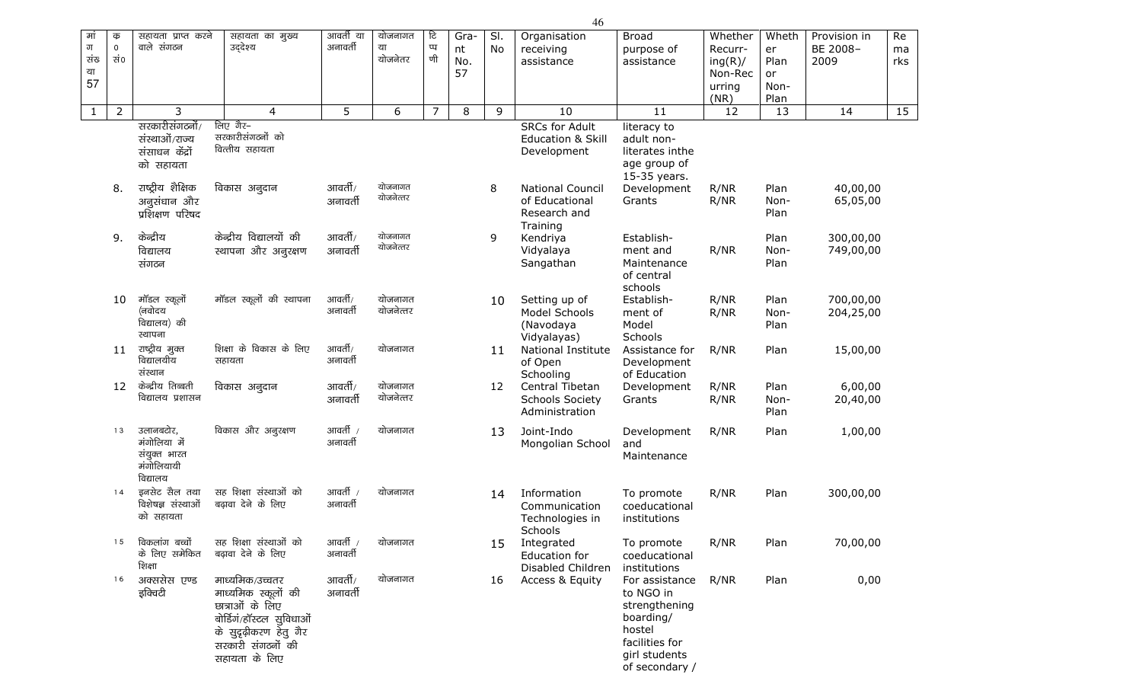| मां<br>ग<br>संख<br>या<br>57 | क<br>$\mathsf{O}\xspace$<br>ਬਂ0 | सहायता प्राप्त करने<br>वाले संगठन                                   | सहायता का मुख्य<br>उद्देश्य                                                                                                                           | आवर्ती या<br>अनावर्ती | योजनागत<br>या<br>योजनेतर | टि<br>प्प<br>णी | Gra-<br>nt<br>No.<br>57 | SI.<br>No | Organisation<br>receiving<br>assistance                               | <b>Broad</b><br>purpose of<br>assistance                                                                                 | Whether<br>Recurr-<br>ing(R)/<br>Non-Rec<br>urring<br>(NR) | Wheth<br>er<br>Plan<br>or<br>Non-<br>Plan | Provision in<br>BE 2008-<br>2009 | Re<br>ma<br>rks |
|-----------------------------|---------------------------------|---------------------------------------------------------------------|-------------------------------------------------------------------------------------------------------------------------------------------------------|-----------------------|--------------------------|-----------------|-------------------------|-----------|-----------------------------------------------------------------------|--------------------------------------------------------------------------------------------------------------------------|------------------------------------------------------------|-------------------------------------------|----------------------------------|-----------------|
| $\mathbf{1}$                | $\overline{2}$                  | 3                                                                   | $\overline{4}$                                                                                                                                        | 5                     | 6                        | $\overline{7}$  | 8                       | 9         | 10                                                                    | 11                                                                                                                       | 12                                                         | 13                                        | 14                               | 15              |
|                             |                                 | सरकारीसंगठनों/<br>संस्थाओं/राज्य<br>संसाधन केंद्रों<br>को सहायता    | लिए गैर-<br>सरकारीसंगठनों को<br>वित्तीय सहायता                                                                                                        |                       |                          |                 |                         |           | <b>SRCs for Adult</b><br><b>Education &amp; Skill</b><br>Development  | literacy to<br>adult non-<br>literates inthe<br>age group of<br>15-35 years.                                             |                                                            |                                           |                                  |                 |
|                             | 8.                              | राष्ट्रीय शैक्षिक<br>अनुसंधान और<br>प्रशिक्षण परिषद                 | विकास अनुदान                                                                                                                                          | आवर्ती/<br>अनावर्ती   | योजनागत<br>योजनेत्तर     |                 |                         | 8         | <b>National Council</b><br>of Educational<br>Research and<br>Training | Development<br>Grants                                                                                                    | R/NR<br>R/NR                                               | Plan<br>Non-<br>Plan                      | 40,00,00<br>65,05,00             |                 |
|                             | 9.                              | केन्द्रीय<br>विद्यालय<br>संगठन                                      | केन्द्रीय विद्यालयों की<br>स्थापना और अनुरक्षण                                                                                                        | आवर्ती/<br>अनावर्ती   | योजनागत<br>योजनेत्तर     |                 |                         | 9         | Kendriya<br>Vidyalaya<br>Sangathan                                    | Establish-<br>ment and<br>Maintenance<br>of central<br>schools                                                           | R/NR                                                       | Plan<br>Non-<br>Plan                      | 300,00,00<br>749,00,00           |                 |
|                             | 10                              | मॉडल स्कूलों<br>(नवोदय<br>विद्यालय) की<br>स्थापना                   | मॉडल स्कूलों की स्थापना                                                                                                                               | आवर्ती/<br>अनावर्ती   | योजनागत<br>योजनेत्तर     |                 |                         | 10        | Setting up of<br>Model Schools<br>(Navodaya<br>Vidyalayas)            | Establish-<br>ment of<br>Model<br>Schools                                                                                | R/NR<br>R/NR                                               | Plan<br>Non-<br>Plan                      | 700,00,00<br>204,25,00           |                 |
|                             | 11                              | राष्ट्रीय मुक्त<br>विद्यालयीय<br>संस्थान                            | शिक्षा के विकास के लिए<br>सहायता                                                                                                                      | आवर्ती/<br>अनावर्ती   | योजनागत                  |                 |                         | 11        | National Institute<br>of Open<br>Schooling                            | Assistance for<br>Development<br>of Education                                                                            | R/NR                                                       | Plan                                      | 15,00,00                         |                 |
|                             | 12                              | केन्द्रीय तिब्बती<br>विद्यालय प्रशासन                               | विकास अनुदान                                                                                                                                          | आवर्ती/<br>अनावर्ती   | योजनागत<br>योजनेत्तर     |                 |                         | 12        | Central Tibetan<br><b>Schools Society</b><br>Administration           | Development<br>Grants                                                                                                    | R/NR<br>R/NR                                               | Plan<br>Non-<br>Plan                      | 6,00,00<br>20,40,00              |                 |
|                             | 13                              | उलानबटोर,<br>मंगोलिया में<br>संयुक्त भारत<br>मंगोलियायी<br>विद्यालय | विकास और अनुरक्षण                                                                                                                                     | आवर्ती /<br>अनावर्ती  | योजनागत                  |                 |                         | 13        | Joint-Indo<br>Mongolian School                                        | Development<br>and<br>Maintenance                                                                                        | R/NR                                                       | Plan                                      | 1,00,00                          |                 |
|                             | 14                              | इनसेट सैल तथा<br>विशेषज्ञ संस्थाओं<br>को सहायता                     | सह शिक्षा संस्थाओं को<br>बढ़ावा देने के लिए                                                                                                           | आवर्ती /<br>अनावर्ती  | योजनागत                  |                 |                         | 14        | Information<br>Communication<br>Technologies in<br>Schools            | To promote<br>coeducational<br>institutions                                                                              | R/NR                                                       | Plan                                      | 300,00,00                        |                 |
|                             | 15                              | विकलांग बच्चों<br>के लिए समेकित<br>शिक्षा                           | सह शिक्षा संस्थाओं को<br>बढ़ावा देने के लिए                                                                                                           | आवर्ती /<br>अनावर्ती  | योजनागत                  |                 |                         | 15        | Integrated<br>Education for<br>Disabled Children                      | To promote<br>coeducational<br>institutions                                                                              | R/NR                                                       | Plan                                      | 70,00,00                         |                 |
|                             | 16                              | अक्ससेस एण्ड<br>इक्विटी                                             | माध्यमिक/उच्चतर<br>माध्यमिक स्कूलों की<br>छात्राओं के लिए<br>बोर्डिगं/हॉस्टल सुविधाओं<br>के सुदृढ़ीकरण हेतु गैर<br>सरकारी संगठनों की<br>सहायता के लिए | आवर्ती/<br>अनावर्ती   | योजनागत                  |                 |                         | 16        | Access & Equity                                                       | For assistance<br>to NGO in<br>strengthening<br>boarding/<br>hostel<br>facilities for<br>girl students<br>of secondary / | R/NR                                                       | Plan                                      | 0,00                             |                 |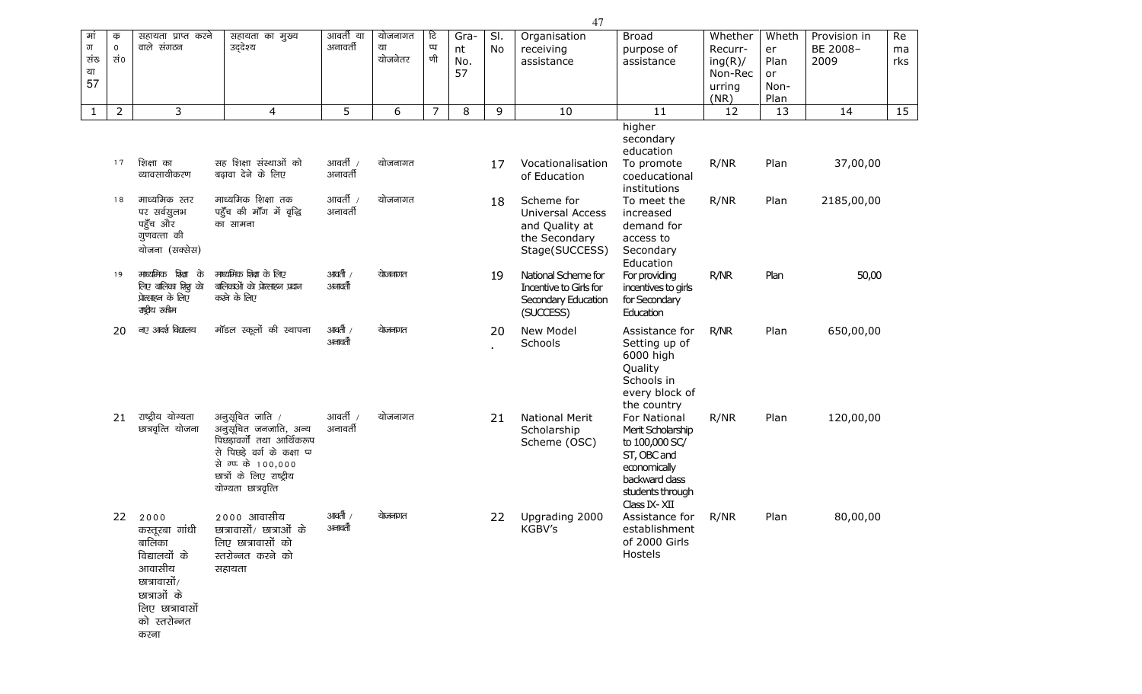| मां<br>ग<br>संख<br>या<br>57 | क<br>$\mathsf{O}\xspace$<br>ਬਂ0 | सहायता प्राप्त करने<br>वाले संगठन                                                                                                     | सहायता का मुख्य<br>उद्देश्य                                                                                                                                                    | आवर्ती या<br>अनावर्ती | योजनागत<br>या<br>योजनेतर | टि<br>प्प<br>णी | Gra-<br>nt<br>No.<br>57 | SI.<br>No | Organisation<br>receiving<br>assistance                                             | <b>Broad</b><br>purpose of<br>assistance                                                                                                | Whether<br>Recurr-<br>ing(R)/<br>Non-Rec<br>urring<br>(NR) | Wheth<br>er<br>Plan<br>or<br>Non-<br>Plan | Provision in<br>BE 2008-<br>2009 | Re<br>ma<br>rks |
|-----------------------------|---------------------------------|---------------------------------------------------------------------------------------------------------------------------------------|--------------------------------------------------------------------------------------------------------------------------------------------------------------------------------|-----------------------|--------------------------|-----------------|-------------------------|-----------|-------------------------------------------------------------------------------------|-----------------------------------------------------------------------------------------------------------------------------------------|------------------------------------------------------------|-------------------------------------------|----------------------------------|-----------------|
| $\mathbf{1}$                | $\overline{2}$                  | 3                                                                                                                                     | $\overline{4}$                                                                                                                                                                 | 5                     | 6                        | $\overline{7}$  | 8                       | 9         | 10                                                                                  | 11                                                                                                                                      | 12                                                         | 13                                        | 14                               | 15              |
|                             | 17                              | शिक्षा का<br>व्यावसायीकरण                                                                                                             | सह शिक्षा संस्थाओं को<br>बढ़ावा देने के लिए                                                                                                                                    | आवर्ती /<br>अनावर्ती  | योजनागत                  |                 |                         | 17        | Vocationalisation<br>of Education                                                   | higher<br>secondary<br>education<br>To promote<br>coeducational<br>institutions                                                         | R/NR                                                       | Plan                                      | 37,00,00                         |                 |
|                             | 18                              | माध्यमिक स्तर<br>पर सर्वसुलभ<br>पहुँच और<br>गुणवत्ता की<br>योजना (सक्सेस)                                                             | माध्यमिक शिक्षा तक<br>पहुँच की माँग में वृद्धि<br>का सामना                                                                                                                     | आवर्ती /<br>अनावर्ती  | योजनागत                  |                 |                         | 18        | Scheme for<br>Universal Access<br>and Quality at<br>the Secondary<br>Stage(SUCCESS) | To meet the<br>increased<br>demand for<br>access to<br>Secondary<br>Education                                                           | R/NR                                                       | Plan                                      | 2185,00,00                       |                 |
|                             | 19                              | माध्यमिक शिक्षा के<br>लिए बालिका शिशू को<br>प्रोत्साहन के लिए<br>राष्ट्रीय ख्रीम                                                      | माध्यमिक शिक्षा के लिए<br>बालिकाओं को प्रोत्साहन प्रदान<br>करने के लिए                                                                                                         | आवर्ती /<br>अनावती    | येाजनागत                 |                 |                         | 19        | National Scheme for<br>Incentive to Girls for<br>Secondary Education<br>(SUCCESS)   | For providing<br>incentives to girls<br>for Secondary<br>Education                                                                      | R/NR                                                       | Plan                                      | 50,00                            |                 |
|                             | 20                              | नए आर्द्श विद्यालय                                                                                                                    | मॉडल स्कूलों की स्थापना                                                                                                                                                        | आवती /<br>अनावर्ती    | योजनागत                  |                 |                         | 20        | New Model<br>Schools                                                                | Assistance for<br>Setting up of<br>6000 high<br>Quality<br>Schools in<br>every block of<br>the country                                  | R/NR                                                       | Plan                                      | 650,00,00                        |                 |
|                             | 21                              | राष्ट्रीय योग्यता<br>छात्रवृत्ति योजना                                                                                                | अनुसूचित जाति /<br>अनुसूचित जनजाति, अन्य<br>पिछड़ावर्गो तथा आर्थिकरूप<br>से पिछड़े वर्ग के कक्षा प्र<br>से ग्प्प के 100,000<br>छात्रों के लिए राष्ट्रीय<br>योग्यता छात्रवृत्ति | आवर्ती /<br>अनावर्ती  | योजनागत                  |                 |                         | 21        | <b>National Merit</b><br>Scholarship<br>Scheme (OSC)                                | For National<br>Merit Scholarship<br>to 100,000 SC/<br>ST, OBC and<br>economically<br>backward dass<br>students through<br>Class IX-XII | R/NR                                                       | Plan                                      | 120,00,00                        |                 |
|                             | 22                              | 2000<br>कस्तूरबा गांधी<br>बालिका<br>विद्यालयों के<br>आवासीय<br>छात्रावासों/<br>छात्राओं के<br>लिए छात्रावासों<br>को स्तरोन्नत<br>करना | २००० आवासीय<br>छात्रावासों/ छात्राओं के<br>लिए छात्रावासों को<br>स्तरोन्नत करने को<br>सहायता                                                                                   | आवती /<br>अनावर्ती    | येाजनागत                 |                 |                         | 22        | Upgrading 2000<br>KGBV's                                                            | Assistance for<br>establishment<br>of 2000 Girls<br>Hostels                                                                             | R/NR                                                       | Plan                                      | 80,00,00                         |                 |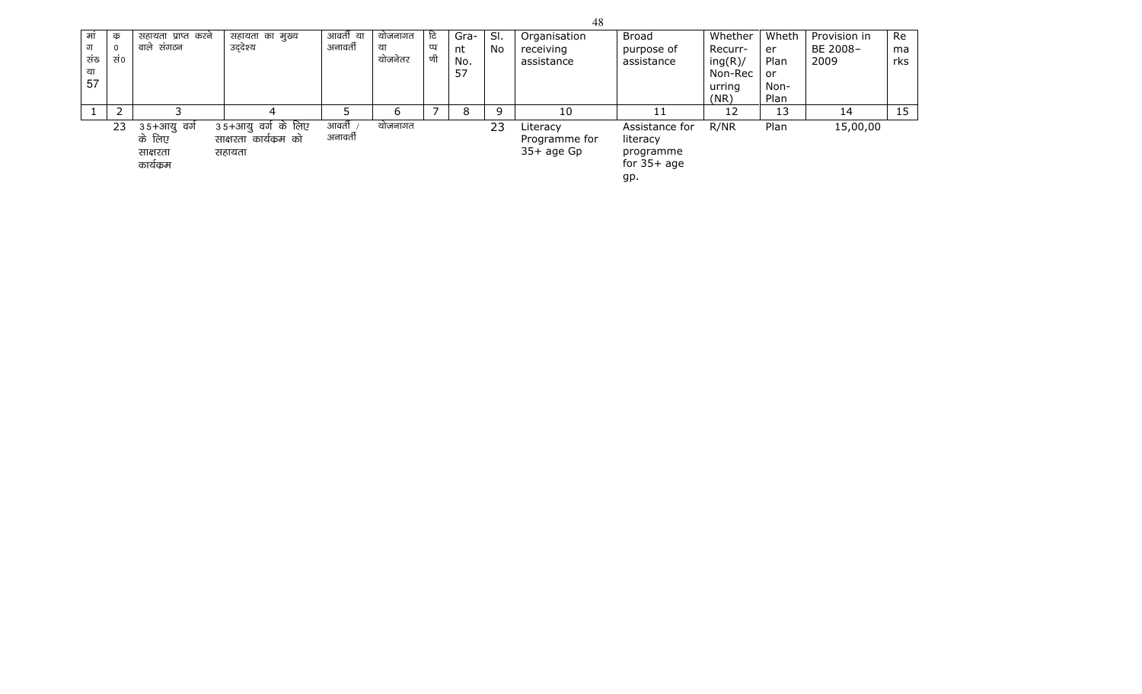| मां | क           | सहायता प्राप्त करने | सहायता का मुख्य       | आवर्ती या | योजनागत | टि | Gra- | SI. | Organisation  | <b>Broad</b>   | Whether | Wheth | Provision in | Re  |
|-----|-------------|---------------------|-----------------------|-----------|---------|----|------|-----|---------------|----------------|---------|-------|--------------|-----|
| ग   | $\mathbf 0$ | वाले संगठन          | उद्देश्य              | अनावर्ती  | या      | π  | nt   | No  | receiving     | purpose of     | Recurr- | er    | BE 2008-     | ma  |
| संख | सं0         |                     |                       |           | योजनेतर | णी | No.  |     | assistance    | assistance     | ing(R)/ | Plan  | 2009         | rks |
| या  |             |                     |                       |           |         |    | 57   |     |               |                | Non-Rec | or    |              |     |
| 57  |             |                     |                       |           |         |    |      |     |               |                | urring  | Non-  |              |     |
|     |             |                     |                       |           |         |    |      |     |               |                | (NR)    | Plan  |              |     |
|     |             |                     |                       |           | 6       |    | 8    | Q   | 10            | 11             | 12      | 13    | 14           | 15  |
|     | 23          | ३५+आयु वर्ग         | ३५+आयु वर्ग के लिए    | आवती ,    | योजनागत |    |      | 23  | Literacy      | Assistance for | R/NR    | Plan  | 15,00,00     |     |
|     |             | के लिए              | साक्षरता कार्यक्रम को | अनावर्ती  |         |    |      |     | Programme for | literacy       |         |       |              |     |
|     |             | साक्षरता            | सहायता                |           |         |    |      |     | $35+$ age Gp  | programme      |         |       |              |     |
|     |             | कार्यक्रम           |                       |           |         |    |      |     |               | for $35+age$   |         |       |              |     |
|     |             |                     |                       |           |         |    |      |     |               | gp.            |         |       |              |     |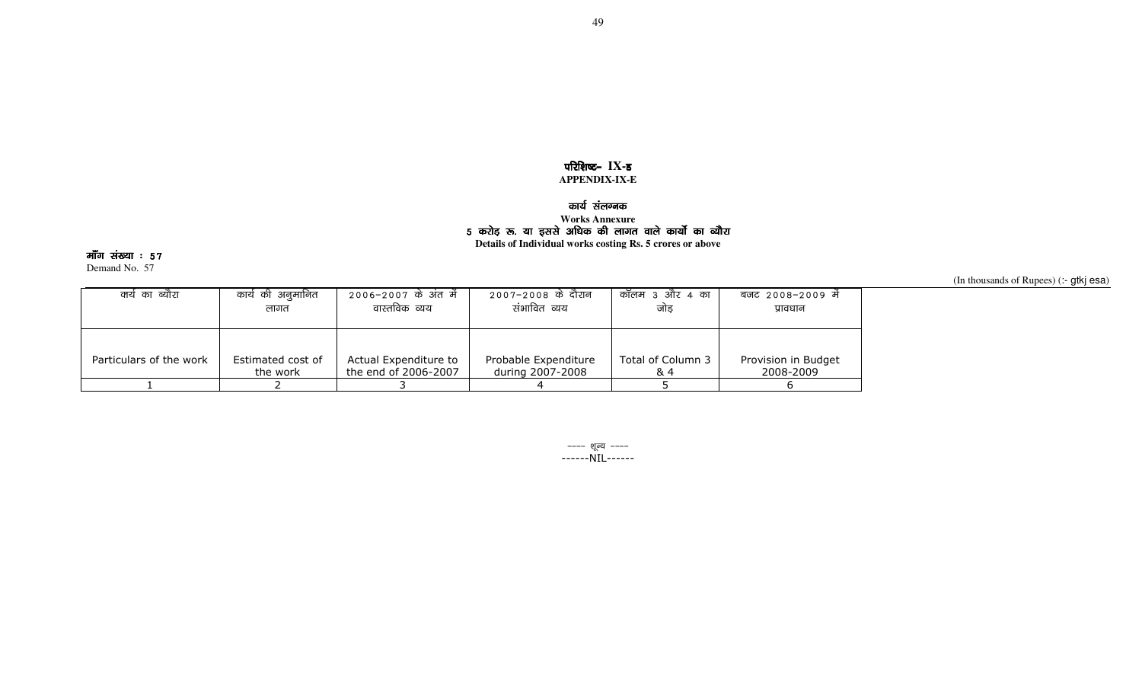### परिशिष्ट- IX-ड **APPENDIX-IX-E**

# कार्य संलग्नक<br><u>.</u>

# Works Annexure<br><mark>5 करोड़ रू. या इससे अधिक की</mark> लागत वाले कार्यो का व्यौरा

**Details of Individual works costing Rs. 5 crores or above** 

मॉॅंग संख्या ः ५७

Demand No. 57

(In thousands of Rupees) (:- gtkj esa)

| क्ये का ब्यौरा          | कार्य की अनुमानित | 2006–2007 के अंत में  | 2007–2008 के दौरान   | कॉलम ३ और ४ का    | बजट 2008-2009 में   |
|-------------------------|-------------------|-----------------------|----------------------|-------------------|---------------------|
|                         | लागत              | वास्तविक व्यय         | संभावित व्यय         | जोड               | प्रावधान            |
| Particulars of the work | Estimated cost of | Actual Expenditure to | Probable Expenditure | Total of Column 3 | Provision in Budget |
|                         | the work          | the end of 2006-2007  | during 2007-2008     | & 4               | 2008-2009           |
|                         |                   |                       |                      |                   |                     |

---- शूल्य ----------NIL------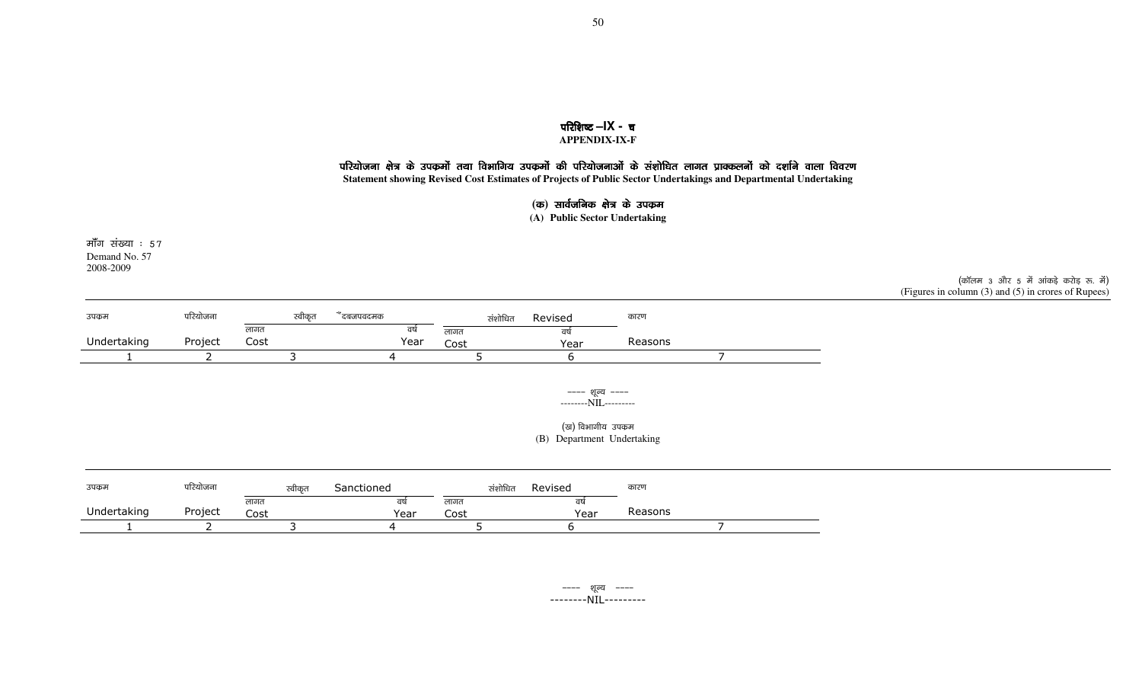### परिशिष्ट –**IX** - च **APPENDIX-IX-F**

### परियोजना क्षेत्र के उपकर्मो तथा विभागिय उपकर्मो की परियोजनाओं के संशोधित लागत प्राक्कलनों को दर्शाने वाला विवरण

**Statement showing Revised Cost Estimates of Projects of Public Sector Undertakings and Departmental Undertaking** 

### (क) सार्वजनिक क्षेत्र के उपक्रम

**(A) Public Sector Undertaking** 

मॉॅंग संख्या ः ५७ Demand No. 57 2008-2009

(कॉलम 3 और 5 में आंकड़े करोड़ रू. में) (Figures in column (3) and (5) in crores of Rupees)

| उपकम        | परियोजना | स्वीकृत      | दबजपवदमक   | संशोधित      | Revised    | कारण    |  |
|-------------|----------|--------------|------------|--------------|------------|---------|--|
| Undertaking | Project  | लागत<br>Cost | qu<br>Year | लागत<br>Cost | वष<br>Year | Reasons |  |
|             |          |              |            |              |            |         |  |

---- शून्य ------------NIL---------

(ख) विभागीय उपक्रम (B) Department Undertaking

| उपकुम       | परियोजना |              | स्वीकृत | Sanctioned | संशोधित      | Revised | कारण    |  |
|-------------|----------|--------------|---------|------------|--------------|---------|---------|--|
| Undertaking | Project  | लागर<br>Cost |         | Year       | लागत<br>Cost | Year    | Reasons |  |
|             |          |              |         |            |              |         |         |  |

---- शूल्य ----<br>--------NIL--------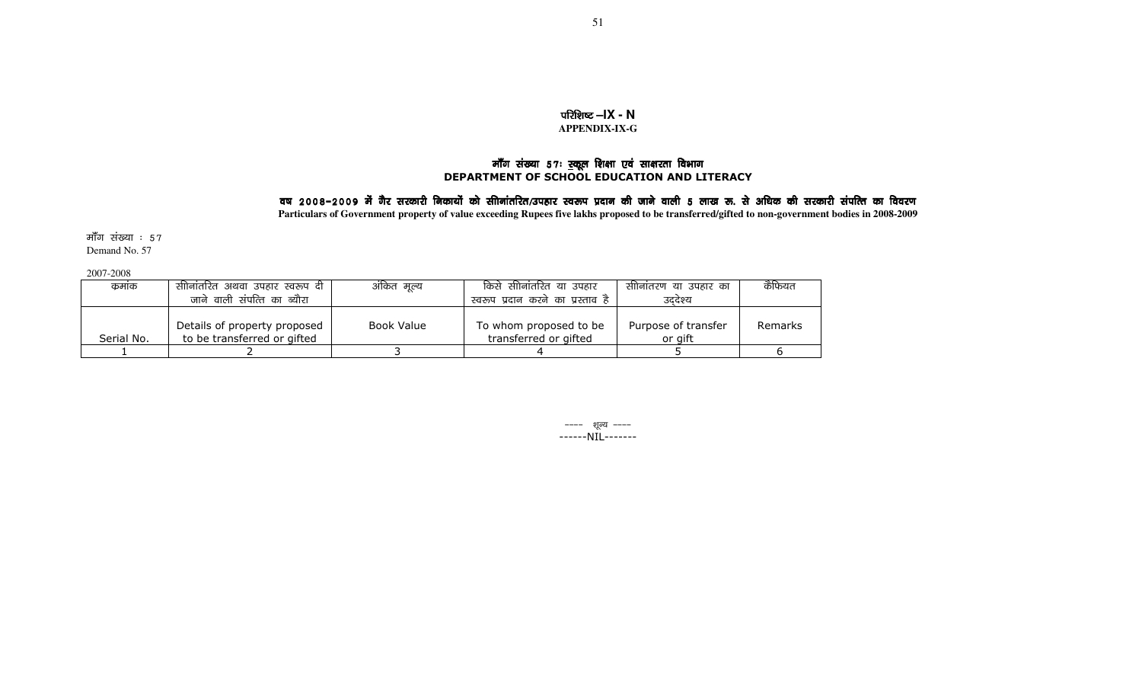### **ufterive –IX - N APPENDIX-IX-G**

# मॉॅंग संख्या 57: स्कूल शिक्षा एवं साक्षरता विभाग<br>DEPARTMENT OF SCHOOL EDUCATION AND LITERACY

## वष 2008–2009 में गैर सरकारी निकायों को सीानांतरित/उपहार स्वरूप प्रदान की जाने वाली 5 लाख रू. से अधिक की सरकारी संपत्ति का विवरण

**Particulars of Government property of value exceeding Rupees five lakhs proposed to be transferred/gifted to non-government bodies in 2008-2009** 

मॉॅंग संख्या ः ५७ Demand No. 57

2007-2008

| कमाक       | सीनितरित अथवा उपहार स्वरूप दी ! | ओकेत मूल्य | किसे सीीनांतरित या उपहार          | सीोनांतरण या उपहार का | कैफियत  |
|------------|---------------------------------|------------|-----------------------------------|-----------------------|---------|
|            | जाने वाली संपत्ति का ब्यौरा     |            | स्वरूप प्रदान करने का प्रस्ताव है | उददेश्य               |         |
|            |                                 |            |                                   |                       |         |
|            | Details of property proposed    | Book Value | To whom proposed to be            | Purpose of transfer   | Remarks |
| Serial No. | to be transferred or gifted     |            | transferred or gifted             | or gift               |         |
|            |                                 |            |                                   |                       |         |

&&&& 'kwU; &&&& ------NIL-------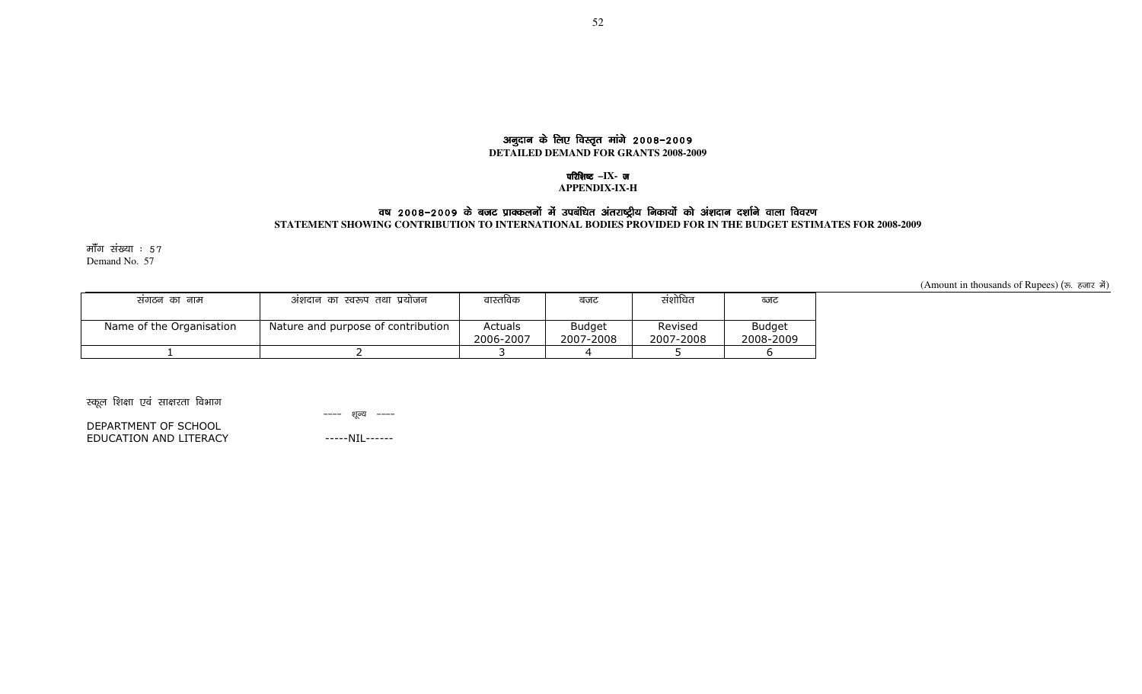### अनुदान के लिए विस्तृत मांगे 2008-2009 **DETAILED DEMAND FOR GRANTS 2008-2009**

### परिशिष्ट –IX- ज

#### **APPENDIX-IX-H**

### वष 2008–2009 के बजट प्राक्कलनों में उपबंधित अंतराष्ट्रीय निकायों को अंशदान दर्शाने वाला विवरण

### **STATEMENT SHOWING CONTRIBUTION TO INTERNATIONAL BODIES PROVIDED FOR IN THE BUDGET ESTIMATES FOR 2008-2009**

मॉॅंग संख्या  $:57$ Demand No. 57

(Amount in thousands of Rupees) (रू. हजार में)

| सगठन का नाम              | अशदान का स्वरूप तथा प्रयोजन        | वास्तविक             | बजट                        | संशोधित              | ब्जट                       |
|--------------------------|------------------------------------|----------------------|----------------------------|----------------------|----------------------------|
| Name of the Organisation | Nature and purpose of contribution | Actuals<br>2006-2007 | <b>Budget</b><br>2007-2008 | Revised<br>2007-2008 | <b>Budget</b><br>2008-2009 |
|                          |                                    |                      |                            |                      |                            |

स्कूल शिक्षा एवं साक्षरता विभाग

---- शूल्य ----

DEPARTMENT OF SCHOOL EDUCATION AND LITERACY

-----NIL------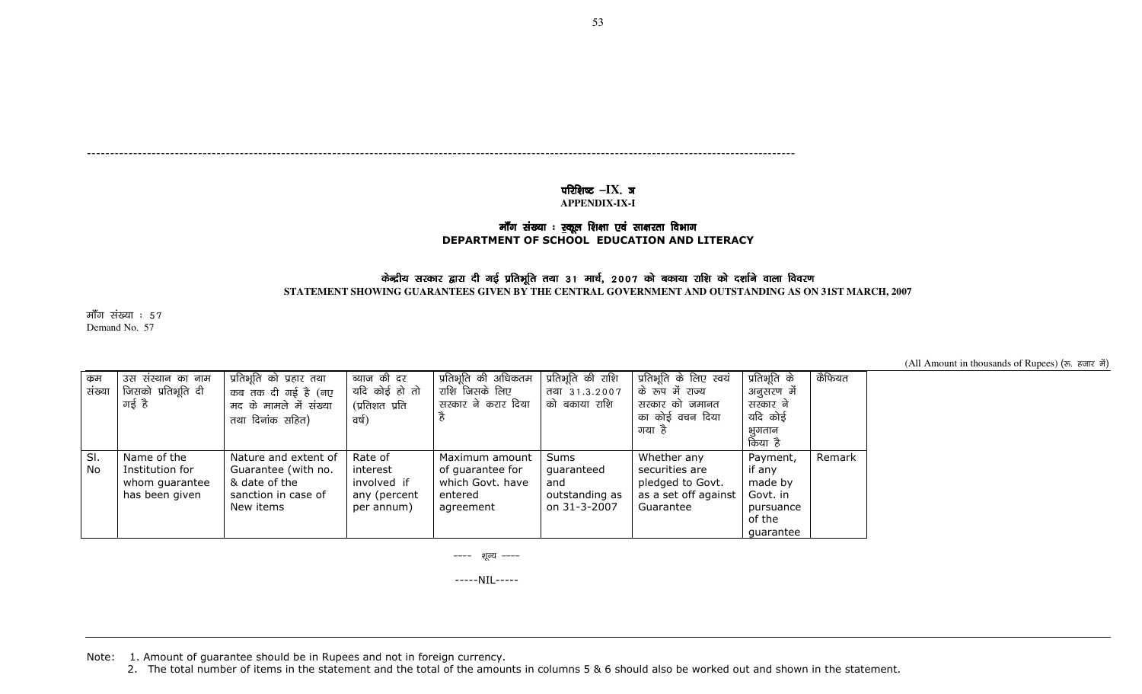---------------------------------------------------------------------------------------------------------------------------------------------------------

## परिशिष्ट –IX. ज

**APPENDIX-IX-I** 

# कॉॅंग संख्या : <u>स्</u>कूल शिक्षा एवं साक्षरता विभाग<br>DEPARTMENT OF SCHOOL EDUCATION AND LITERACY

### केन्द्रीय सरकार द्वारा दी गई प्रतिभूति तथा 31 मार्च, 2007 को बकाया राशि को दर्शाने वाला विवरण

**STATEMENT SHOWING GUARANTEES GIVEN BY THE CENTRAL GOVERNMENT AND OUTSTANDING AS ON 31ST MARCH, 2007** 

मॉॅंग संख्या :  $57$ Demand No. 57

(All Amount in thousands of Rupees) (रू. हजार में)

| कुम<br>संख्या | उस संस्थान का नाम<br>जिसको प्रतिभूति दी<br>गई है                   | प्रतिभूति को प्रहार तथा<br>कब तक दी गई है (नए<br>मद के मामले में संख्या<br>तथा दिनांक सहित)      | ब्याज की दर<br>यदि कोई हो तो<br>(प्रतिशत प्रति<br>वर्ष)          | प्रतिभूति की अधिकतम<br>राशि जिसके लिए<br>सरकार ने करार दिया                    | प्रतिभूति की राशि<br>तथा 31.3.2007<br>को बकाया राशि                | प्रतिभूति के लिए स्वयं<br>के रूप में राज्य<br>सरकार को जमानत<br>का कोई वचन दिया<br>गया है | प्रतिभूति के<br>अनुसरण में<br>सरकार ने<br>यदि कोई<br>भगतान<br>किया है         | कैफियत |
|---------------|--------------------------------------------------------------------|--------------------------------------------------------------------------------------------------|------------------------------------------------------------------|--------------------------------------------------------------------------------|--------------------------------------------------------------------|-------------------------------------------------------------------------------------------|-------------------------------------------------------------------------------|--------|
| SI.<br>No     | Name of the<br>Institution for<br>whom guarantee<br>has been given | Nature and extent of<br>Guarantee (with no.<br>& date of the<br>sanction in case of<br>New items | Rate of<br>interest<br>involved if<br>any (percent<br>per annum) | Maximum amount<br>of quarantee for<br>which Govt, have<br>entered<br>agreement | <b>Sums</b><br>quaranteed<br>and<br>outstanding as<br>on 31-3-2007 | Whether any<br>securities are<br>pledged to Govt.<br>as a set off against<br>Guarantee    | Payment,<br>if anv<br>made by<br>Govt. in<br>pursuance<br>of the<br>quarantee | Remark |

---- शूल्य ----

-----NIL-----

Note: 1. Amount of guarantee should be in Rupees and not in foreign currency.

2. The total number of items in the statement and the total of the amounts in columns 5 & 6 should also be worked out and shown in the statement.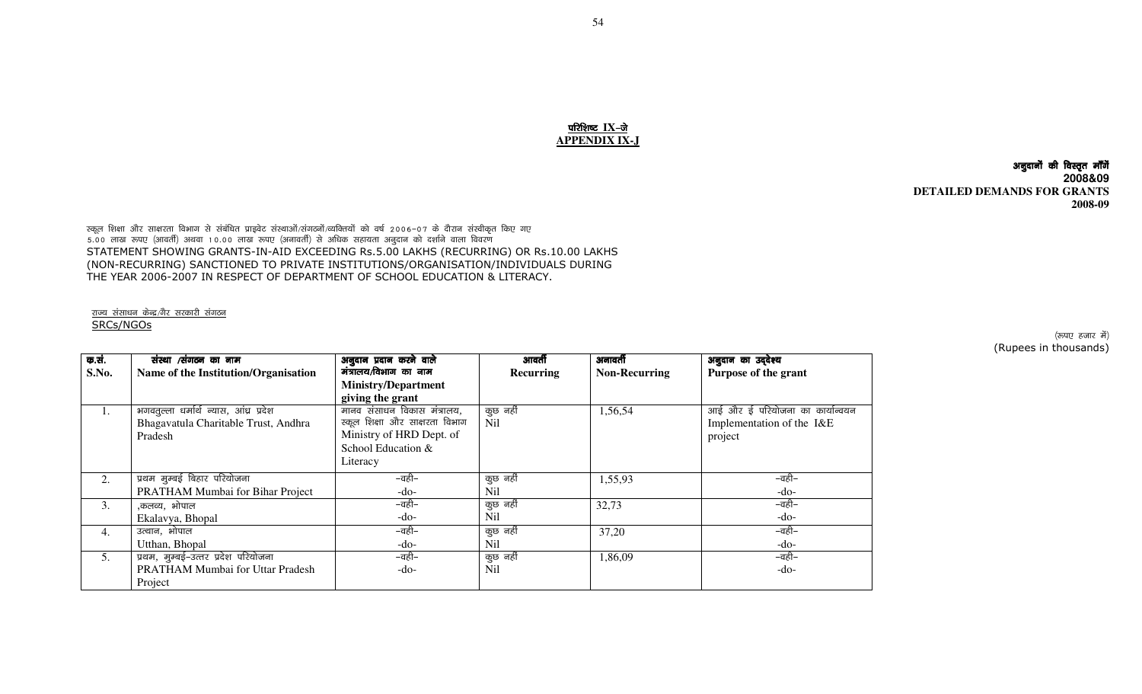### परिशिष्ट IX-जे **APPENDIX IX-J**

अनुदानों की विस्तृत मॉॅंगें **2008&09 DETAILED DEMANDS FOR GRANTS 2008-09** 

स्कूल शिक्षा और साक्षरता विभाग से संबंधित प्राइवेट संस्थाओं/संगठनों/व्यक्तियों को वर्ष 2006–07 के दौरान संस्वीकृत किए गए<br>5.00 लाख रूपए (आवर्ती) अथवा 10.00 लाख रूपए (अनावर्ती) से अधिक सहायता अनुदान को दर्शाने वाला विवरण STATEMENT SHOWING GRANTS-IN-AID EXCEEDING Rs.5.00 LAKHS (RECURRING) OR Rs.10.00 LAKHS (NON-RECURRING) SANCTIONED TO PRIVATE INSTITUTIONS/ORGANISATION/INDIVIDUALS DURING THE YEAR 2006-2007 IN RESPECT OF DEPARTMENT OF SCHOOL EDUCATION & LITERACY.

<u>राज्य संसाधन केन्द्र/गैर सरकारी संगठन</u> SRCs/NGOs

| क.सं. | संस्था /संगठन का नाम                   | अनुदान प्रदान करने वाले        | आवर्ती           | अनावर्ती             | अनुदान का उद्देश्य              |
|-------|----------------------------------------|--------------------------------|------------------|----------------------|---------------------------------|
| S.No. | Name of the Institution/Organisation   | मंत्रालय/विभाग का नाम          | Recurring        | <b>Non-Recurring</b> | Purpose of the grant            |
|       |                                        | <b>Ministry/Department</b>     |                  |                      |                                 |
|       |                                        | giving the grant               |                  |                      |                                 |
| ı.    | भगवतुल्ला धर्मार्थ न्यास, आंध्र प्रदेश | मानव संसाधन विकास मंत्रालय,    | कुछ नहीं         | 1,56,54              | आई और ई परियोजना का कार्यान्वयन |
|       | Bhagavatula Charitable Trust, Andhra   | स्कूल शिक्षा और साक्षरता विभाग | N <sub>i</sub> l |                      | Implementation of the I&E       |
|       | Pradesh                                | Ministry of HRD Dept. of       |                  |                      | project                         |
|       |                                        | School Education &             |                  |                      |                                 |
|       |                                        | Literacy                       |                  |                      |                                 |
| 2.    | प्रथम मुम्बई बिहार परियोजना            | –वही–                          | कुछ नहीं         | 1,55,93              | –वही–                           |
|       | PRATHAM Mumbai for Bihar Project       | $-do-$                         | Nil              |                      | -do-                            |
| 3.    | ,कलव्य, भोपाल                          | –वही–                          | कुछ नहीं         | 32,73                | –वही–                           |
|       | Ekalavya, Bhopal                       | -do-                           | Nil              |                      | -do-                            |
| 4.    | उत्थान, भोपाल                          | –वही–                          | कुछ नहीं         | 37,20                | –वही–                           |
|       | Utthan, Bhopal                         | -do-                           | <b>Nil</b>       |                      | -do-                            |
| 5.    | प्रथम, मुम्बई-उत्तर प्रदेश परियोजना    | –वही–                          | कुछ नहीं         | 1,86,09              | –वही–                           |
|       | PRATHAM Mumbai for Uttar Pradesh       | -do-                           | <b>Nil</b>       |                      | $-do-$                          |
|       | Project                                |                                |                  |                      |                                 |

(रूपए हजार में) (Rupees in thousands)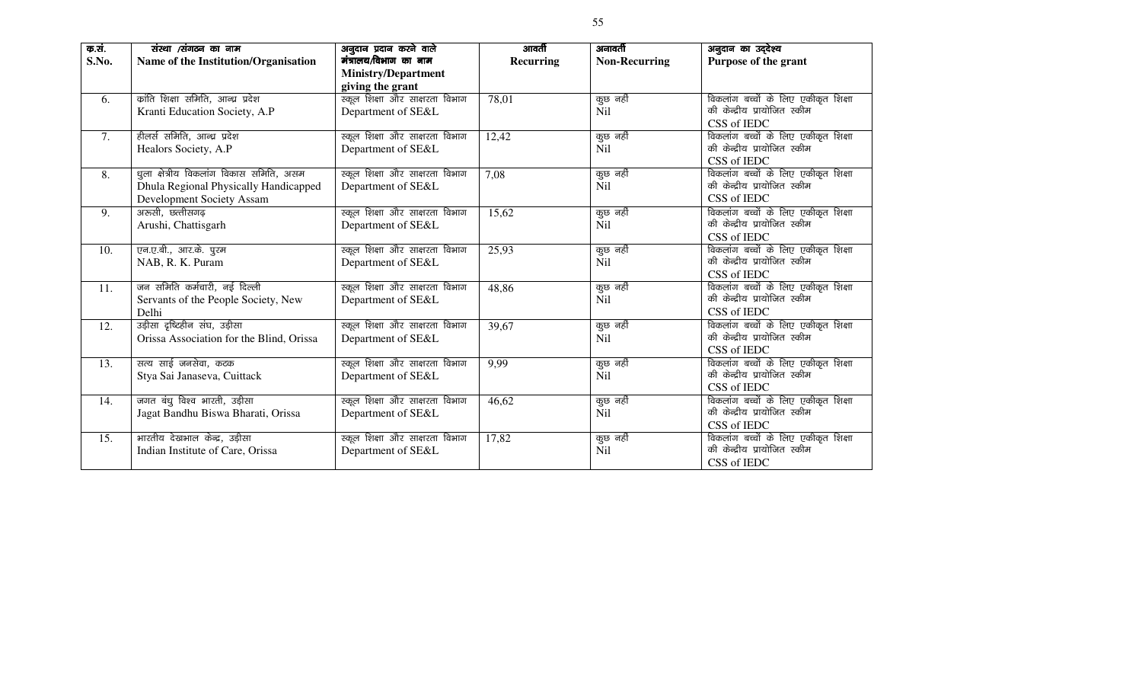| क.सं.<br>S.No. | संस्था ⁄संगठन का नाम<br>Name of the Institution/Organisation                                                  | अनुदान प्रदान करने वाले<br>मंत्रालय/विभाग का नाम<br><b>Ministry/Department</b><br>giving the grant | आवर्ती<br>Recurring | अनावर्ती<br><b>Non-Recurring</b> | अनुदान का उद्देश्य<br>Purpose of the grant                                         |
|----------------|---------------------------------------------------------------------------------------------------------------|----------------------------------------------------------------------------------------------------|---------------------|----------------------------------|------------------------------------------------------------------------------------|
| 6.             | कांति शिक्षा समिति, आन्ध्र प्रदेश<br>Kranti Education Society, A.P                                            | स्कूल शिक्षा और साक्षरता विभाग<br>Department of SE&L                                               | 78,01               | कुछ नहीं<br><b>Nil</b>           | विकलांग बच्चों के लिए एकीकृत शिक्षा<br>की केन्द्रीय प्रायोजित स्कीम<br>CSS of IEDC |
| 7.             | हीलर्स समिति, आन्ध्र प्रदेश<br>Healors Society, A.P                                                           | स्कूल शिक्षा और साक्षरता विभाग<br>Department of SE&L                                               | 12,42               | कुछ नहीं<br><b>Nil</b>           | विकलांग बच्चों के लिए एकीकृत शिक्षा<br>की केन्द्रीय प्रायोजित स्कीम<br>CSS of IEDC |
| 8.             | धूला क्षेत्रीय विकलांग विकास समिति, असम<br>Dhula Regional Physically Handicapped<br>Development Society Assam | स्कूल शिक्षा और साक्षरता विभाग<br>Department of SE&L                                               | 7,08                | कुछ नहीं<br><b>Nil</b>           | विकलांग बच्चों के लिए एकीकृत शिक्षा<br>की केन्द्रीय प्रायोजित स्कीम<br>CSS of IEDC |
| 9.             | अरुसी, छत्तीसगढ़<br>Arushi, Chattisgarh                                                                       | स्कूल शिक्षा और साक्षरता विभाग<br>Department of SE&L                                               | 15,62               | कुछ नहीं<br>Nil                  | विकलांग बच्चों के लिए एकीकृत शिक्षा<br>की केन्द्रीय प्रायोजित स्कीम<br>CSS of IEDC |
| 10.            | एन.ए.बी., आर.के. पुरम<br>NAB, R. K. Puram                                                                     | स्कूल शिक्षा और साक्षरता विभाग<br>Department of SE&L                                               | 25,93               | कुछ नहीं<br>N <sub>i</sub>       | विकलांग बच्चों के लिए एकीकृत शिक्षा<br>की केन्द्रीय प्रायोजित स्कीम<br>CSS of IEDC |
| 11.            | जन समिति कर्मचारी, नई दिल्ली<br>Servants of the People Society, New<br>Delhi                                  | स्कूल शिक्षा और साक्षरता विभाग<br>Department of SE&L                                               | 48,86               | कुछ नहीं<br>Nil                  | विकलांग बच्चों के लिए एकीकृत शिक्षा<br>की केन्द्रीय प्रायोजित स्कीम<br>CSS of IEDC |
| 12.            | उड़ीसा दृष्टिहीन संघ, उड़ीसा<br>Orissa Association for the Blind, Orissa                                      | स्कूल शिक्षा और साक्षरता विभाग<br>Department of SE&L                                               | 39,67               | कुछ नहीं<br>N <sub>i</sub>       | विकलांग बच्चों के लिए एकीकृत शिक्षा<br>की केन्द्रीय प्रायोजित स्कीम<br>CSS of IEDC |
| 13.            | सत्य साई जनसेवा, कटक<br>Stya Sai Janaseva, Cuittack                                                           | स्कूल शिक्षा और साक्षरता विभाग<br>Department of SE&L                                               | 9,99                | कुछ नहीं<br>N <sub>i</sub>       | विकलांग बच्चों के लिए एकीकृत शिक्षा<br>की केन्द्रीय प्रायोजित स्कीम<br>CSS of IEDC |
| 14.            | जगत बंधु विश्व भारती, उड़ीसा<br>Jagat Bandhu Biswa Bharati, Orissa                                            | स्कूल शिक्षा और साक्षरता विभाग<br>Department of SE&L                                               | 46,62               | कुछ नहीं<br><b>Nil</b>           | विकलांग बच्चों के लिए एकीकृत शिक्षा<br>की केन्द्रीय प्रायोजित स्कीम<br>CSS of IEDC |
| 15.            | भारतीय देखभाल केन्द्र, उड़ीसा<br>Indian Institute of Care, Orissa                                             | स्कूल शिक्षा और साक्षरता विभाग<br>Department of SE&L                                               | 17,82               | कुछ नहीं<br>N <sub>il</sub>      | विकलांग बच्चों के लिए एकीकृत शिक्षा<br>की केन्द्रीय प्रायोजित स्कीम<br>CSS of IEDC |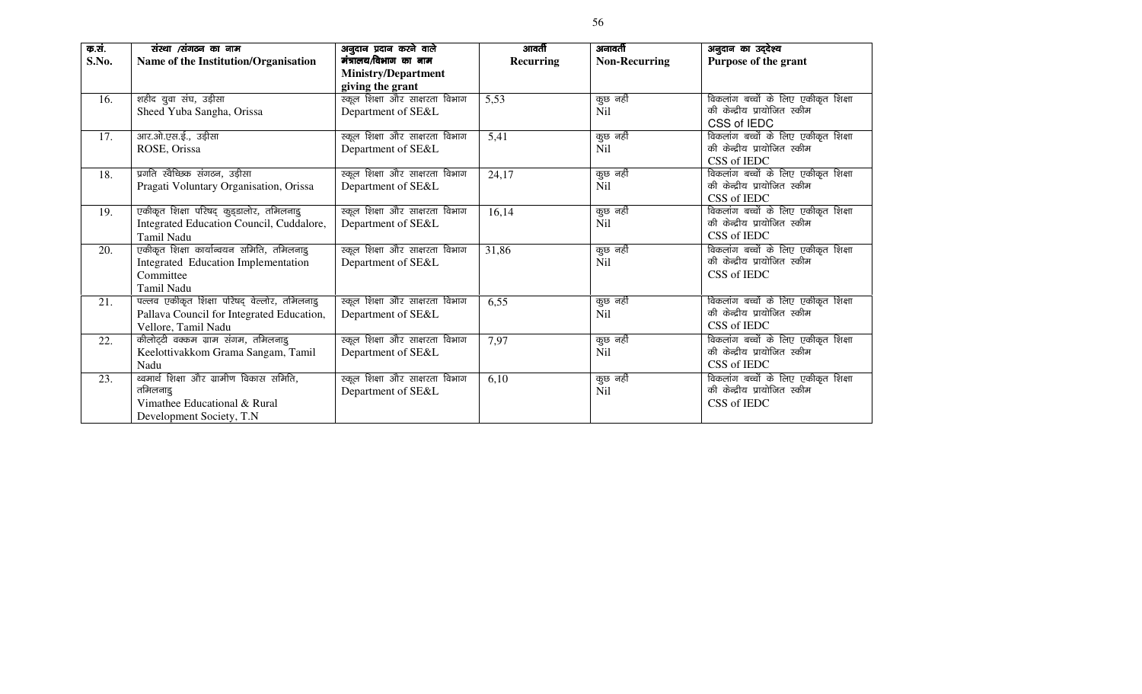| क.सं. | संस्था ⁄संगठन का नाम                         | अनुदान प्रदान करने वाले        | आवर्ती           | अनावर्ती             | अनुदान का उद्देश्य                  |
|-------|----------------------------------------------|--------------------------------|------------------|----------------------|-------------------------------------|
| S.No. | Name of the Institution/Organisation         | मंत्रालय/विभाग का नाम          | <b>Recurring</b> | <b>Non-Recurring</b> | Purpose of the grant                |
|       |                                              | <b>Ministry/Department</b>     |                  |                      |                                     |
|       |                                              | giving the grant               |                  |                      |                                     |
| 16.   | शहीद युवा संघ, उड़ीसा                        | स्कूल शिक्षा और साक्षरता विभाग | 5,53             | कुछ नहीं             | विकलांग बच्चों के लिए एकीकृत शिक्षा |
|       | Sheed Yuba Sangha, Orissa                    | Department of SE&L             |                  | <b>Nil</b>           | की केन्द्रीय प्रायोजित स्कीम        |
|       |                                              |                                |                  |                      | CSS of IEDC                         |
| 17.   | आर.ओ.एस.ई., उड़ीसा                           | स्कूल शिक्षा और साक्षरता विभाग | 5,41             | कुछ नहीं             | विकलांग बच्चों के लिए एकीकृत शिक्षा |
|       | ROSE, Orissa                                 | Department of SE&L             |                  | N <sub>i</sub>       | की केन्द्रीय प्रायोजित स्कीम        |
|       |                                              |                                |                  |                      | CSS of IEDC                         |
| 18.   | प्रगति स्वैच्छिक संगठन, उड़ीसा               | स्कूल शिक्षा और साक्षरता विभाग | 24,17            | कुछ नहीं             | विकलांग बच्चों के लिए एकीकृत शिक्षा |
|       | Pragati Voluntary Organisation, Orissa       | Department of SE&L             |                  | N <sub>il</sub>      | की केन्द्रीय प्रायोजित स्कीम        |
|       |                                              |                                |                  |                      | CSS of IEDC                         |
| 19.   | एकीकृत शिक्षा परिषद् कुड्डालोर, तमिलनाडु     | स्कूल शिक्षा और साक्षरता विभाग | 16,14            | कुछ नहीं             | विकलांग बच्चों के लिए एकीकृत शिक्षा |
|       | Integrated Education Council, Cuddalore,     | Department of SE&L             |                  | N <sub>il</sub>      | की केन्द्रीय प्रायोजित स्कीम        |
|       | Tamil Nadu                                   |                                |                  |                      | CSS of IEDC                         |
| 20.   | एकीकृत शिक्षा कार्यान्वयन समिति, तमिलनाडु    | स्कूल शिक्षा और साक्षरता विभाग | 31,86            | कुछ नहीं             | विकलांग बच्चों के लिए एकीकृत शिक्षा |
|       | <b>Integrated Education Implementation</b>   | Department of SE&L             |                  | <b>Nil</b>           | की केन्द्रीय प्रायोजित स्कीम        |
|       | Committee                                    |                                |                  |                      | CSS of IEDC                         |
|       | <b>Tamil Nadu</b>                            |                                |                  |                      |                                     |
| 21.   | पल्लव एकीकृत शिक्षा परिषद् वेल्लोर, तमिलनाडु | स्कूल शिक्षा और साक्षरता विभाग | 6,55             | कुछ नहीं             | विकलांग बच्चों के लिए एकीकृत शिक्षा |
|       | Pallava Council for Integrated Education,    | Department of SE&L             |                  | N <sub>il</sub>      | की केन्द्रीय प्रायोजित स्कीम        |
|       | Vellore, Tamil Nadu                          |                                |                  |                      | CSS of IEDC                         |
| 22.   | कीलोट्टी वक्कम ग्राम संगम, तमिलनाडू          | स्कूल शिक्षा और साक्षरता विभाग | 7,97             | कुछ नहीं             | विकलांग बच्चों के लिए एकीकृत शिक्षा |
|       | Keelottivakkom Grama Sangam, Tamil           | Department of SE&L             |                  | N <sub>il</sub>      | की केन्द्रीय प्रायोजित स्कीम        |
|       | Nadu                                         |                                |                  |                      | CSS of IEDC                         |
| 23.   | थ्वमार्थ शिक्षा और ग्रामीण विकास समिति,      | स्कूल शिक्षा और साक्षरता विभाग | 6,10             | कुछ नहीं             | विकलांग बच्चों के लिए एकीकृत शिक्षा |
|       | तमिलनाड                                      | Department of SE&L             |                  | <b>Nil</b>           | की केन्द्रीय प्रायोजित स्कीम        |
|       | Vimathee Educational & Rural                 |                                |                  |                      | CSS of IEDC                         |
|       | Development Society, T.N.                    |                                |                  |                      |                                     |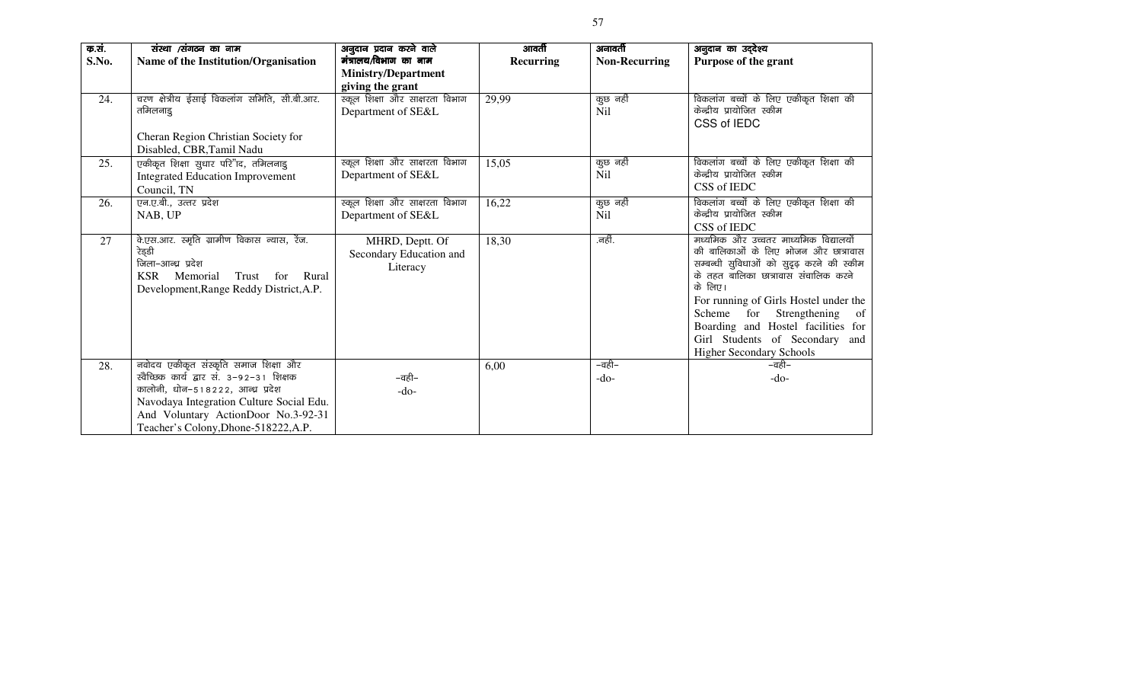| क.सं. | संस्था /संगठन का नाम                            | अनुदान प्रदान करने वाले        | आवर्ती           | अनावर्ती             | अनुदान का उद्देश्य                                                                |
|-------|-------------------------------------------------|--------------------------------|------------------|----------------------|-----------------------------------------------------------------------------------|
| S.No. | Name of the Institution/Organisation            | मंत्रालय/विभाग का नाम          | <b>Recurring</b> | <b>Non-Recurring</b> | <b>Purpose of the grant</b>                                                       |
|       |                                                 | <b>Ministry/Department</b>     |                  |                      |                                                                                   |
|       |                                                 | giving the grant               |                  |                      |                                                                                   |
| 24.   | चरण क्षेत्रीय ईसाई विकलांग समिति, सी.बी.आर.     | स्कूल शिक्षा और साक्षरता विभाग | 29,99            | कुछ नहीं             | विकलांग बच्चों के लिए एकीकृत शिक्षा की                                            |
|       | तमिलनाडू                                        | Department of SE&L             |                  | N <sub>i</sub> l     | केन्द्रीय प्रायोजित स्कीम                                                         |
|       |                                                 |                                |                  |                      | CSS of IEDC                                                                       |
|       | Cheran Region Christian Society for             |                                |                  |                      |                                                                                   |
|       | Disabled, CBR, Tamil Nadu                       |                                |                  |                      |                                                                                   |
| 25.   | एकीकृत शिक्षा सुधार परि"ाद, तमिलनाडु            | स्कूल शिक्षा और साक्षरता विभाग | 15,05            | कुछ नहीं             | विकलांग बच्चों के लिए एकीकृत शिक्षा की<br>केन्द्रीय प्रायोजित स्कीम               |
|       | <b>Integrated Education Improvement</b>         | Department of SE&L             |                  | <b>Nil</b>           | CSS of IEDC                                                                       |
|       | Council, TN                                     |                                |                  |                      |                                                                                   |
| 26.   | एन.ए.बी., उत्तर प्रदेश                          | स्कूल शिक्षा और साक्षरता विभाग | 16,22            | कुछ नहीं             | विकलांग बच्चों के लिए एकीकृत शिक्षा की                                            |
|       | NAB, UP                                         | Department of SE&L             |                  | N <sub>il</sub>      | केन्द्रीय प्रायोजित स्कीम                                                         |
|       |                                                 |                                |                  |                      | CSS of IEDC                                                                       |
| 27    | वे.एस.आर. स्मृति ग्रामीण विकास न्यास, रेंज.     | MHRD, Deptt. Of                | 18,30            | .नहीं.               | मध्यमिक और उच्चतर माध्यमिक विद्यालयों                                             |
|       | रेड्डी<br>जिला–आन्ध्र प्रदेश                    | Secondary Education and        |                  |                      | की बालिकाओं के लिए भोजन और छात्रावास<br>सम्बन्धी सुविधाओं को सुदृढ़ करने की स्कीम |
|       | <b>KSR</b><br>Memorial<br>Trust<br>Rural<br>for | Literacy                       |                  |                      | के तहत बालिका छात्रावास संचालिक करने                                              |
|       | Development, Range Reddy District, A.P.         |                                |                  |                      | के लिए।                                                                           |
|       |                                                 |                                |                  |                      | For running of Girls Hostel under the                                             |
|       |                                                 |                                |                  |                      | Scheme for Strengthening<br>of                                                    |
|       |                                                 |                                |                  |                      | Boarding and Hostel facilities for                                                |
|       |                                                 |                                |                  |                      | Girl Students of Secondary and                                                    |
|       |                                                 |                                |                  |                      | <b>Higher Secondary Schools</b>                                                   |
| 28.   | नवोदय एकीकृत संस्कृति समाज शिक्षा और            |                                | 6,00             | –वही–                | –वही–                                                                             |
|       | खेच्छिक कार्य द्वार सं. 3-92-31 शिक्षक          | –वही–                          |                  | $-do-$               | $-do-$                                                                            |
|       | कालोनी, धोन-518222, आन्ध्र प्रदेश               | -do-                           |                  |                      |                                                                                   |
|       | Navodaya Integration Culture Social Edu.        |                                |                  |                      |                                                                                   |
|       | And Voluntary ActionDoor No.3-92-31             |                                |                  |                      |                                                                                   |
|       | Teacher's Colony, Dhone-518222, A.P.            |                                |                  |                      |                                                                                   |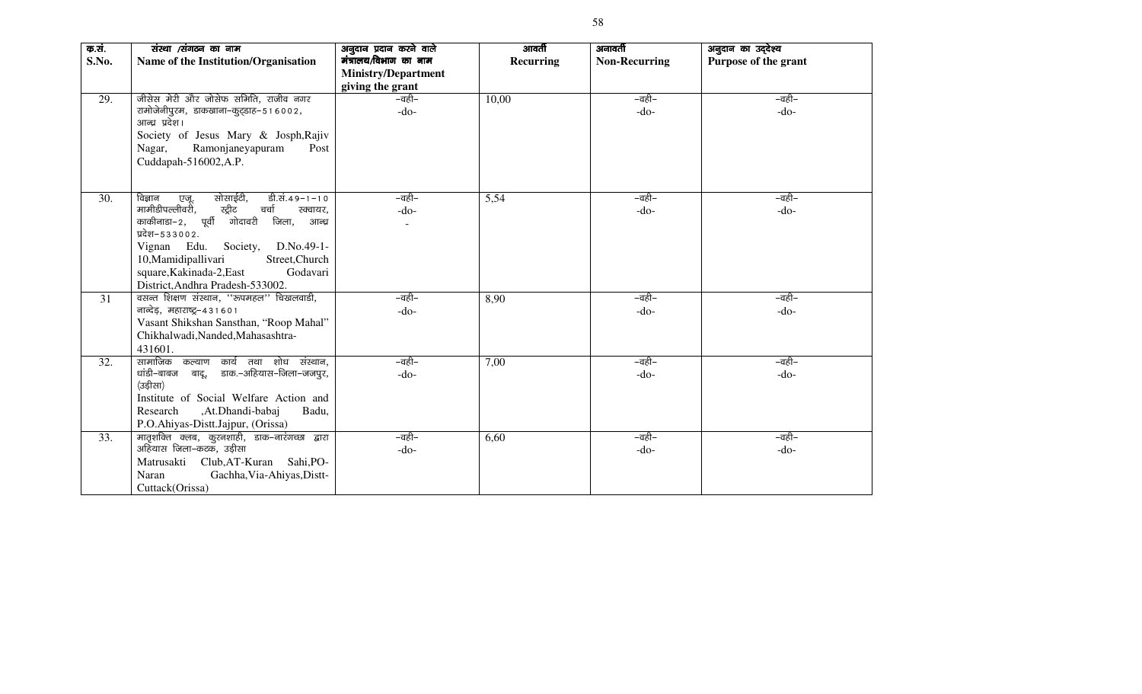| क.सं.<br>S.No. | संस्था /संगठन का नाम<br>Name of the Institution/Organisation                        | अनुदान प्रदान करने वाले<br>मंत्रालय/विभाग का नाम<br><b>Ministry/Department</b> | आवर्ती<br>Recurring | अनावर्ती<br><b>Non-Recurring</b> | अनुदान का उद्देश्य<br>Purpose of the grant |
|----------------|-------------------------------------------------------------------------------------|--------------------------------------------------------------------------------|---------------------|----------------------------------|--------------------------------------------|
|                |                                                                                     | giving the grant                                                               |                     |                                  |                                            |
| 29.            | जीसेस मेरी और जोसेफ समिति, राजीव नगर<br>रामोजेनीपुरम, डाकखाना-कुट्डाह-516002,       | –वही–                                                                          | 10,00               | –वही–                            | –वही–                                      |
|                | आन्ध्र प्रदेश।                                                                      | $-do-$                                                                         |                     | $-do-$                           | $-do-$                                     |
|                | Society of Jesus Mary & Josph, Rajiv                                                |                                                                                |                     |                                  |                                            |
|                | Ramonjaneyapuram<br>Nagar,<br>Post                                                  |                                                                                |                     |                                  |                                            |
|                | Cuddapah-516002, A.P.                                                               |                                                                                |                     |                                  |                                            |
| 30.            | सोसाईटी,<br>डी.सं.49-1-10<br>विज्ञान                                                | –वही–                                                                          |                     | –वही–                            | –वही–                                      |
|                | एजू.<br>मामीडीपल्लीवरी,<br>स्ट्रीट<br>चर्चा<br>रक्वायर,                             | $-do-$                                                                         | 5,54                | $-do-$                           | $-do-$                                     |
|                | काकीनाडा–2, पूर्वी<br>गोदावरी<br>जिला, आन्ध्र                                       |                                                                                |                     |                                  |                                            |
|                | प्रदेश–533002.                                                                      |                                                                                |                     |                                  |                                            |
|                | Vignan Edu.<br>Society,<br>D.No.49-1-                                               |                                                                                |                     |                                  |                                            |
|                | Street, Church<br>10, Mamidipallivari                                               |                                                                                |                     |                                  |                                            |
|                | square, Kakinada-2, East<br>Godavari                                                |                                                                                |                     |                                  |                                            |
|                | District, Andhra Pradesh-533002.                                                    |                                                                                |                     |                                  |                                            |
| 31             | वसन्त शिक्षण संस्थान, "रूपमहल" चिखलवाडी,<br>नान्देड़, महाराष्ट्र-431601             | –वही–<br>$-do-$                                                                | 8,90                | –वही–<br>$-do-$                  | –वही–<br>$-do-$                            |
|                | Vasant Shikshan Sansthan, "Roop Mahal"                                              |                                                                                |                     |                                  |                                            |
|                | Chikhalwadi, Nanded, Mahasashtra-                                                   |                                                                                |                     |                                  |                                            |
|                | 431601.                                                                             |                                                                                |                     |                                  |                                            |
| 32.            | सामाजिक कल्याण कार्य तथा शोध संस्थान,                                               | –वही–                                                                          | 7,00                | –वही–                            | –वही–                                      |
|                | धांडी–बाबज बादू, डाक.–अहियास–जिला–जजपुर,                                            | $-do-$                                                                         |                     | $-do-$                           | $-do-$                                     |
|                | (उड़ीसा)                                                                            |                                                                                |                     |                                  |                                            |
|                | Institute of Social Welfare Action and                                              |                                                                                |                     |                                  |                                            |
|                | ,At.Dhandi-babaj<br>Badu,<br>Research                                               |                                                                                |                     |                                  |                                            |
| 33.            | P.O.Ahiyas-Distt.Jajpur, (Orissa)<br>मातृशक्ति क्लब, कुरनशाही, डाक-नारंगच्छा द्वारा | –वही–                                                                          | 6,60                | –वही–                            | –वही–                                      |
|                | अहियास जिला-कटक, उड़ीसा                                                             | $-do-$                                                                         |                     | $-do-$                           | $-do-$                                     |
|                | Matrusakti Club, AT-Kuran<br>Sahi, PO-                                              |                                                                                |                     |                                  |                                            |
|                | Gachha, Via-Ahiyas, Distt-<br>Naran                                                 |                                                                                |                     |                                  |                                            |
|                | Cuttack(Orissa)                                                                     |                                                                                |                     |                                  |                                            |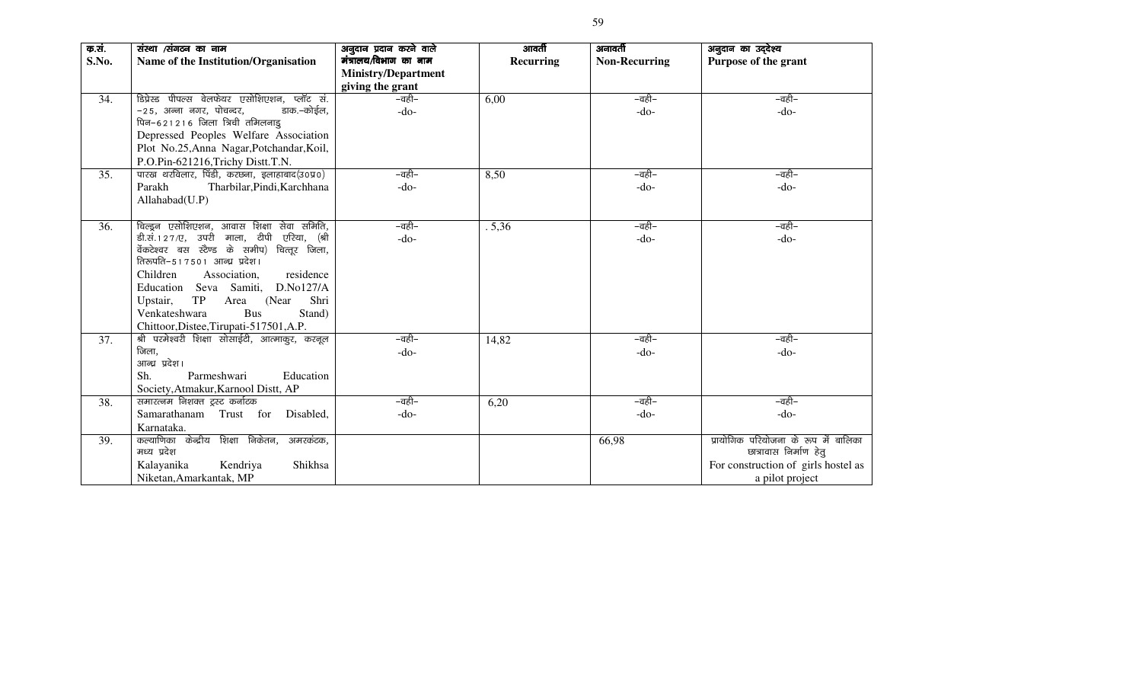| क.सं. | संस्था /संगठन का नाम                           | अनुदान प्रदान करने वाले    | आवर्ती           | अनावर्ती             | अनुदान का उद्देश्य                   |
|-------|------------------------------------------------|----------------------------|------------------|----------------------|--------------------------------------|
| S.No. | Name of the Institution/Organisation           | मंत्रालय/विभाग का नाम      | <b>Recurring</b> | <b>Non-Recurring</b> | Purpose of the grant                 |
|       |                                                | <b>Ministry/Department</b> |                  |                      |                                      |
|       |                                                | giving the grant           |                  |                      |                                      |
| 34.   | डिप्रेस्ड पीपल्स वेलफेयर एसोशिएशन, प्लॉट सं.   | –वही–                      | 6,00             | –वही–                | –वही–                                |
|       | -25, अन्ना नगर, पोचन्दर,<br>डाक.–कोईल,         | $-do-$                     |                  | $-do-$               | $-do-$                               |
|       | पिन-621216 जिला त्रिची तमिलनाडु                |                            |                  |                      |                                      |
|       | Depressed Peoples Welfare Association          |                            |                  |                      |                                      |
|       | Plot No.25, Anna Nagar, Potchandar, Koil,      |                            |                  |                      |                                      |
|       | P.O.Pin-621216, Trichy Distt. T.N.             |                            |                  |                      |                                      |
| 35.   | पारख थरविलार, पिंडी, करछना, इलाहाबाद(उ०प्र०)   | –वही–                      | 8,50             | –वही–                | –वही–                                |
|       | Parakh<br>Tharbilar, Pindi, Karchhana          | $-do-$                     |                  | $-do-$               | $-do-$                               |
|       | Allahabad(U.P)                                 |                            |                  |                      |                                      |
|       |                                                |                            |                  |                      |                                      |
| 36.   | चिल्डून एसोशिएशन, आवास शिक्षा सेवा समिति,      | –वही–                      | .5,36            | –वही–                | –वही–                                |
|       | डी.सं. 127/ए, उपरी माला, टीपी एरिया, (श्री     | $-do-$                     |                  | $-do-$               | $-do-$                               |
|       | वेंकटेश्वर बस स्टैण्ड के समीप) चित्तूर जिला,   |                            |                  |                      |                                      |
|       | तिरुपति-517501 आन्ध्र प्रदेश।                  |                            |                  |                      |                                      |
|       | Children<br>Association,<br>residence          |                            |                  |                      |                                      |
|       | D.No127/A<br>Education Seva Samiti,            |                            |                  |                      |                                      |
|       | Shri<br>TP<br>Upstair,<br>Area<br>(Near)       |                            |                  |                      |                                      |
|       | Venkateshwara<br><b>Bus</b><br>Stand)          |                            |                  |                      |                                      |
|       | Chittoor, Distee, Tirupati-517501, A.P.        |                            |                  |                      |                                      |
| 37.   | श्री परमेश्वरी शिक्षा सोसाईटी, आत्माकुर, करनूल | –वही–                      | 14,82            | –वही–                | –वही–                                |
|       | जिला,                                          | $-do-$                     |                  | $-do-$               | $-do-$                               |
|       | आन्ध्र प्रदेश।                                 |                            |                  |                      |                                      |
|       | Parmeshwari<br>Sh.<br>Education                |                            |                  |                      |                                      |
|       | Society, Atmakur, Karnool Distt, AP            |                            |                  |                      |                                      |
| 38.   | समारत्नम निशक्त ट्रस्ट कर्नाटक                 | –वही–                      | 6,20             | –वही–                | –वही–                                |
|       | Samarathanam Trust for Disabled,               | $-do-$                     |                  | $-do-$               | $-do-$                               |
|       | Karnataka.                                     |                            |                  |                      |                                      |
| 39.   | कल्याणिका केन्द्रीय शिक्षा निकेतन,<br>अमरकंटक, |                            |                  | 66,98                | प्रायोगिक परियोजना के रूप में बालिका |
|       | मध्य प्रदेश                                    |                            |                  |                      | छात्रावास निर्माण हेतु               |
|       | Kalayanika<br>Shikhsa<br>Kendriya              |                            |                  |                      | For construction of girls hostel as  |
|       | Niketan, Amarkantak, MP                        |                            |                  |                      | a pilot project                      |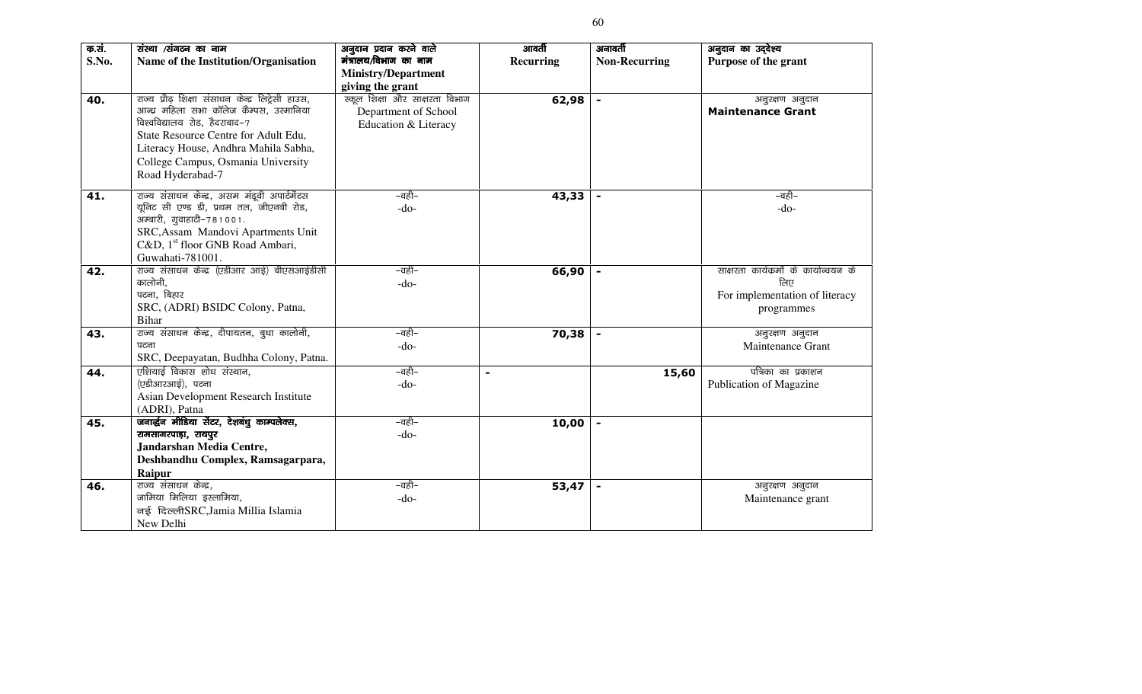| क.सं. | संस्था /संगठन का नाम                              | अनुदान प्रदान करने वाले        | आवर्ती         | अनावर्ती             | अनुदान का उद्देश्य                     |
|-------|---------------------------------------------------|--------------------------------|----------------|----------------------|----------------------------------------|
| S.No. | Name of the Institution/Organisation              | मंत्रालय/विभाग का नाम          | Recurring      | <b>Non-Recurring</b> | Purpose of the grant                   |
|       |                                                   | <b>Ministry/Department</b>     |                |                      |                                        |
|       |                                                   | giving the grant               |                |                      |                                        |
| 40.   | राज्य प्रौढ़ शिक्षा संसाधन केन्द्र लिट्रेसी हाउस, | स्कूल शिक्षा और साक्षरता विभाग | 62,98          | $\blacksquare$       | अनुरक्षण अनुदान                        |
|       | आन्ध्र महिला सभा कॉलेज कैम्पस, उस्मानिया          | Department of School           |                |                      | <b>Maintenance Grant</b>               |
|       | विश्वविद्यालय रोड, हैदराबाद-7                     | Education & Literacy           |                |                      |                                        |
|       | State Resource Centre for Adult Edu,              |                                |                |                      |                                        |
|       | Literacy House, Andhra Mahila Sabha,              |                                |                |                      |                                        |
|       | College Campus, Osmania University                |                                |                |                      |                                        |
|       | Road Hyderabad-7                                  |                                |                |                      |                                        |
|       |                                                   |                                |                |                      |                                        |
| 41.   | राज्य संसाधन केन्द्र, असम मंडूवी अपार्टमेंटस      | –वही–                          | 43,33          |                      | –वही–                                  |
|       | यूनिट सी एण्ड डी, प्रथम तल, जीएनबी रोड,           | $-do-$                         |                |                      | $-do-$                                 |
|       | अम्बारी, गुवाहाटी-781001.                         |                                |                |                      |                                        |
|       | SRC, Assam Mandovi Apartments Unit                |                                |                |                      |                                        |
|       | C&D, 1 <sup>st</sup> floor GNB Road Ambari,       |                                |                |                      |                                        |
|       | Guwahati-781001.                                  |                                |                |                      |                                        |
| 42.   | राज्य संसाधन केन्द्र (एडीआर आई) बीएसआईडीसी        | –वही–                          | 66,90          |                      | साक्षरता कार्यक्रमों के कार्यान्वयन के |
|       | कालोनी,                                           | $-do-$                         |                |                      | लिए                                    |
|       | पटना, बिहार                                       |                                |                |                      | For implementation of literacy         |
|       | SRC, (ADRI) BSIDC Colony, Patna,                  |                                |                |                      | programmes                             |
|       | Bihar                                             |                                |                |                      |                                        |
| 43.   | राज्य संसाधन केन्द्र, दीपायतन, बुधा कालोनी,       | –वही–                          | 70,38          | $\blacksquare$       | अनुरक्षण अनुदान                        |
|       | पटना                                              | $-do-$                         |                |                      | Maintenance Grant                      |
|       | SRC, Deepayatan, Budhha Colony, Patna.            |                                |                |                      |                                        |
| 44.   | एशियाई विकास शोध संस्थान,                         | –वही–                          | $\blacksquare$ | 15,60                | पत्रिका का प्रकाशन                     |
|       | (एडीआरआई), पटना                                   | $-do-$                         |                |                      | Publication of Magazine                |
|       | Asian Development Research Institute              |                                |                |                      |                                        |
|       | (ADRI), Patna                                     |                                |                |                      |                                        |
| 45.   | जनार्द्धन मीडिया सेंटर, देशबंधु काम्पलेक्स,       | –वही–                          | 10,00          |                      |                                        |
|       | रामसागरपाड़ा, रायपुर                              | $-do-$                         |                |                      |                                        |
|       | Jandarshan Media Centre,                          |                                |                |                      |                                        |
|       | Deshbandhu Complex, Ramsagarpara,                 |                                |                |                      |                                        |
|       | Raipur                                            |                                |                |                      |                                        |
| 46.   | राज्य संसाधन केन्द्र,                             | –वही–                          | 53,47          |                      | अनुरक्षण अनुदान                        |
|       | जामिया मिलिया इस्लामिया,                          | $-do-$                         |                |                      | Maintenance grant                      |
|       | नई दिल्लीSRC, Jamia Millia Islamia                |                                |                |                      |                                        |
|       | New Delhi                                         |                                |                |                      |                                        |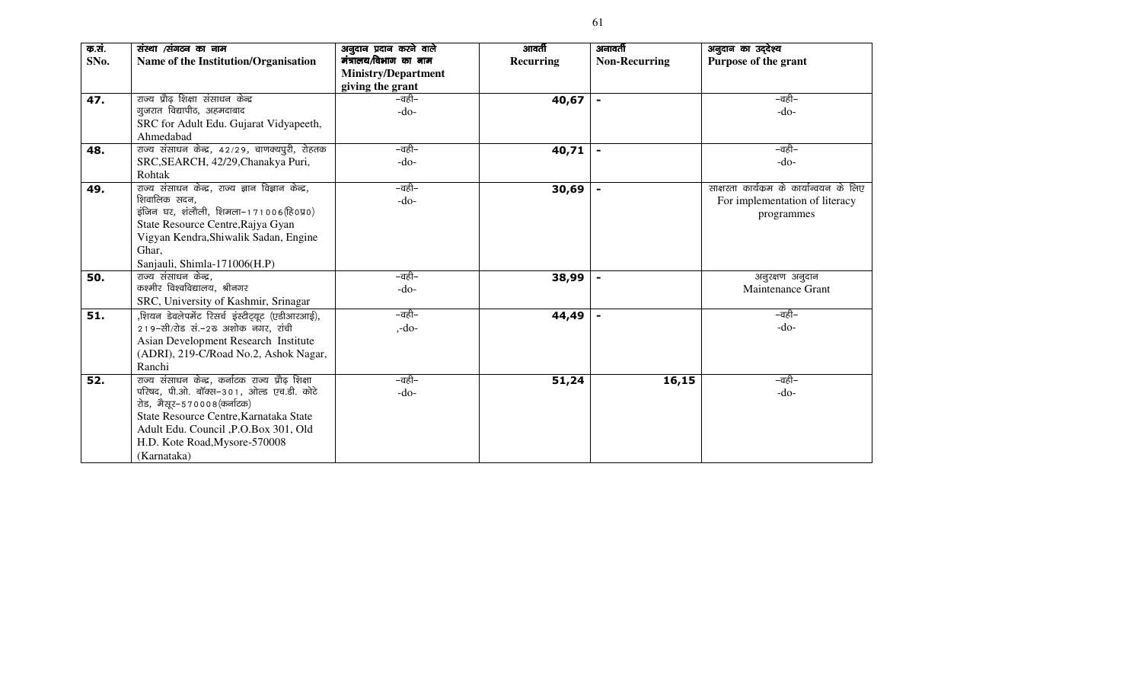| क.सं. | संस्था /संगठन का नाम                               | अनुदान प्रदान करने वाले    | आवर्ती    | अनावर्ती             | अनुदान का उद्देश्य                       |
|-------|----------------------------------------------------|----------------------------|-----------|----------------------|------------------------------------------|
| SNo.  | Name of the Institution/Organisation               | मंत्रालय/विभाग का नाम      | Recurring | <b>Non-Recurring</b> | Purpose of the grant                     |
|       |                                                    | <b>Ministry/Department</b> |           |                      |                                          |
|       |                                                    | giving the grant           |           |                      |                                          |
| 47.   | राज्य प्रौढ़ शिक्षा संसाधन केन्द्र                 | –वही–                      | 40,67     |                      | –वही–                                    |
|       | गुजरात विद्यापीठ, अहमदाबाद                         | $-do-$                     |           |                      | $-do-$                                   |
|       | SRC for Adult Edu. Gujarat Vidyapeeth,             |                            |           |                      |                                          |
|       | Ahmedabad                                          |                            |           |                      |                                          |
| 48.   | राज्य संसाधन केन्द्र, 42/29, चाणक्यपुरी, रोहतक     | –वही–                      | 40,71     |                      | –वही–                                    |
|       | SRC, SEARCH, 42/29, Chanakya Puri,                 | $-do-$                     |           |                      | $-do-$                                   |
|       | Rohtak                                             |                            |           |                      |                                          |
| 49.   | राज्य संसाधन केन्द्र, राज्य ज्ञान विज्ञान केन्द्र, | –वही–                      | 30,69     |                      | साक्षरता कार्यक्रम के कार्यान्वयन के लिए |
|       | शिवालिक सदन,                                       | $-do-$                     |           |                      | For implementation of literacy           |
|       | इंजिन घर, शंलौली, शिमला-171006(हि0प्र0)            |                            |           |                      | programmes                               |
|       | State Resource Centre, Rajya Gyan                  |                            |           |                      |                                          |
|       | Vigyan Kendra, Shiwalik Sadan, Engine              |                            |           |                      |                                          |
|       | Ghar,                                              |                            |           |                      |                                          |
|       | Sanjauli, Shimla-171006(H.P)                       |                            |           |                      |                                          |
| 50.   | राज्य संसाधन केन्द्र,                              | –वही–                      | 38,99     |                      | अनुरक्षण अनुदान                          |
|       | कश्मीर विश्वविद्यालय, श्रीनगर                      | -do-                       |           |                      | Maintenance Grant                        |
|       | SRC, University of Kashmir, Srinagar               |                            |           |                      |                                          |
| 51.   | ,शियन डेवलेपमेंट रिसर्च इंस्टीट्यूट (एडीआरआई),     | –वही–                      | 44,49     |                      | –वही–                                    |
|       | 219-सी/रोड सं.-2रु अशोक नगर, रांची                 | $, -do-$                   |           |                      | $-do-$                                   |
|       | Asian Development Research Institute               |                            |           |                      |                                          |
|       | (ADRI), 219-C/Road No.2, Ashok Nagar,              |                            |           |                      |                                          |
|       | Ranchi                                             |                            |           |                      |                                          |
| 52.   | राज्य संसाधन केन्द्र, कर्नाटक राज्य प्रौढ़ शिक्षा  | –वही–                      | 51,24     | 16,15                | –वही–                                    |
|       | परिषद, पी.ओ. बॉक्स-301, ओल्ड एच.डी. कोटे           | -do-                       |           |                      | $-do-$                                   |
|       | रोड, मैसूर-570008(कर्नाटक)                         |                            |           |                      |                                          |
|       | State Resource Centre, Karnataka State             |                            |           |                      |                                          |
|       | Adult Edu. Council , P.O.Box 301, Old              |                            |           |                      |                                          |
|       | H.D. Kote Road, Mysore-570008                      |                            |           |                      |                                          |
|       | (Karnataka)                                        |                            |           |                      |                                          |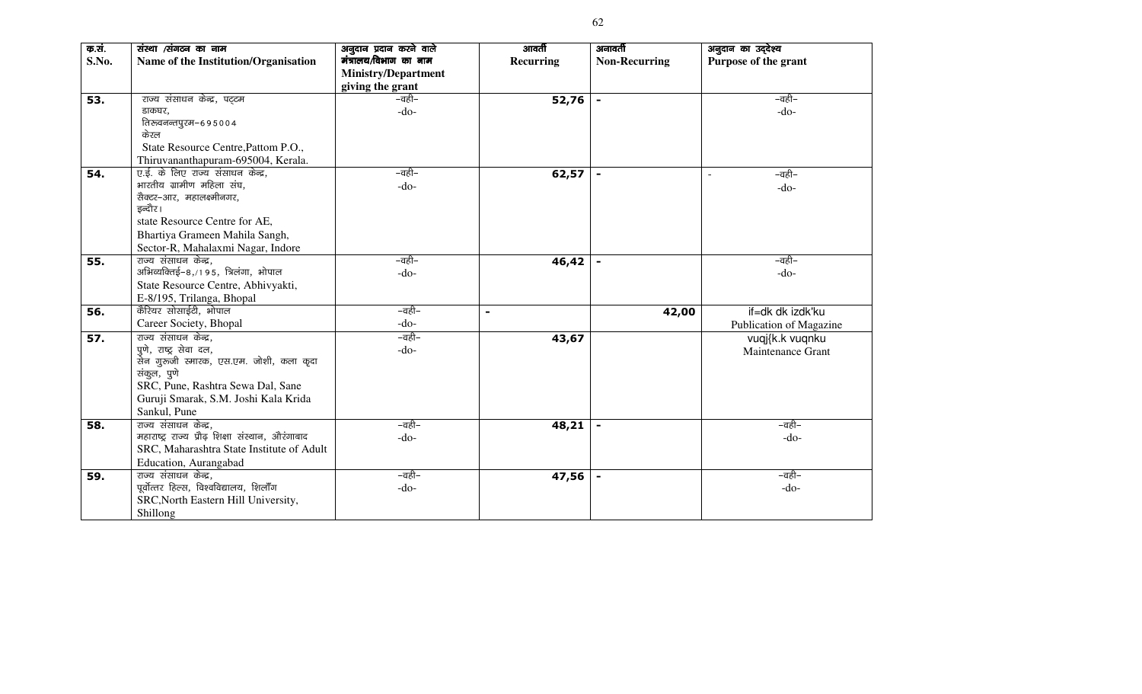| क.सं.<br>S.No. | संस्था /संगठन का नाम<br>Name of the Institution/Organisation | अनुदान प्रदान करने वाले<br>मंत्रालय/विभाग का नाम<br><b>Ministry/Department</b> | आवर्ती<br>Recurring | अनावर्ती<br><b>Non-Recurring</b> | अनुदान का उद्देश्य<br>Purpose of the grant |
|----------------|--------------------------------------------------------------|--------------------------------------------------------------------------------|---------------------|----------------------------------|--------------------------------------------|
|                |                                                              | giving the grant                                                               |                     |                                  |                                            |
| 53.            | राज्य संसाधन केन्द्र, पट्टम                                  | –वही–                                                                          | 52,76               | $\blacksquare$                   | –वही–                                      |
|                | डाकघर,                                                       | $-do-$                                                                         |                     |                                  | $-do-$                                     |
|                | तिरुवनन्तपुरम-695004                                         |                                                                                |                     |                                  |                                            |
|                | केरल                                                         |                                                                                |                     |                                  |                                            |
|                | State Resource Centre, Pattom P.O.,                          |                                                                                |                     |                                  |                                            |
|                | Thiruvananthapuram-695004, Kerala.                           |                                                                                |                     |                                  |                                            |
| 54.            | ए.ई. के लिए राज्य संसाधन केन्द्र,                            | –वही–                                                                          | 62,57               | $\blacksquare$                   | –वही–<br>$\blacksquare$                    |
|                | भारतीय ग्रामीण महिला संघ,                                    | $-do-$                                                                         |                     |                                  | $-do-$                                     |
|                | सैक्टर-आर, महालक्ष्मीनगर,                                    |                                                                                |                     |                                  |                                            |
|                | इन्दौर।                                                      |                                                                                |                     |                                  |                                            |
|                | state Resource Centre for AE,                                |                                                                                |                     |                                  |                                            |
|                | Bhartiya Grameen Mahila Sangh,                               |                                                                                |                     |                                  |                                            |
|                | Sector-R, Mahalaxmi Nagar, Indore                            |                                                                                |                     |                                  |                                            |
| 55.            | राज्य संसाधन केन्द्र,                                        | –वही–                                                                          | 46,42               |                                  | –वही–                                      |
|                | अभिव्यक्तिई-8,/195, त्रिलंगा, भोपाल                          | -do-                                                                           |                     |                                  | $-do-$                                     |
|                | State Resource Centre, Abhivyakti,                           |                                                                                |                     |                                  |                                            |
|                | E-8/195, Trilanga, Bhopal                                    |                                                                                |                     |                                  |                                            |
| 56.            | कैरियर सोसाईटी, भोपाल                                        | –वही–                                                                          | $\blacksquare$      | 42,00                            | if=dk dk izdk'ku                           |
|                | Career Society, Bhopal                                       | $-do-$                                                                         |                     |                                  | Publication of Magazine                    |
| 57.            | राज्य संसाधन केन्द्र,                                        | –वही–                                                                          | 43,67               |                                  | vuqj{k.k vuqnku                            |
|                | पुणे, राष्ट्र सेवा दल,                                       | $-do-$                                                                         |                     |                                  | Maintenance Grant                          |
|                | सेन गुरुजी स्मारक, एस.एम. जोशी, कला कूदा                     |                                                                                |                     |                                  |                                            |
|                | संकुल, पुणे                                                  |                                                                                |                     |                                  |                                            |
|                | SRC, Pune, Rashtra Sewa Dal, Sane                            |                                                                                |                     |                                  |                                            |
|                | Guruji Smarak, S.M. Joshi Kala Krida                         |                                                                                |                     |                                  |                                            |
|                | Sankul, Pune                                                 |                                                                                |                     |                                  |                                            |
| 58.            | राज्य संसाधन केन्द्र,                                        | –वही–                                                                          | 48,21               |                                  | –वही–                                      |
|                | महाराष्ट्र राज्य प्रौढ़ शिक्षा संस्थान, औरंगाबाद             | -do-                                                                           |                     |                                  | $-do-$                                     |
|                | SRC, Maharashtra State Institute of Adult                    |                                                                                |                     |                                  |                                            |
|                | Education, Aurangabad                                        |                                                                                |                     |                                  |                                            |
| 59.            | राज्य संसाधन केन्द्र,                                        | –वही–                                                                          | 47,56               |                                  | –वही–                                      |
|                | पूर्वोत्तर हिल्स, विश्वविद्यालय, शिलॉॅंग                     | $-do-$                                                                         |                     |                                  | $-do-$                                     |
|                | SRC, North Eastern Hill University,                          |                                                                                |                     |                                  |                                            |
|                | Shillong                                                     |                                                                                |                     |                                  |                                            |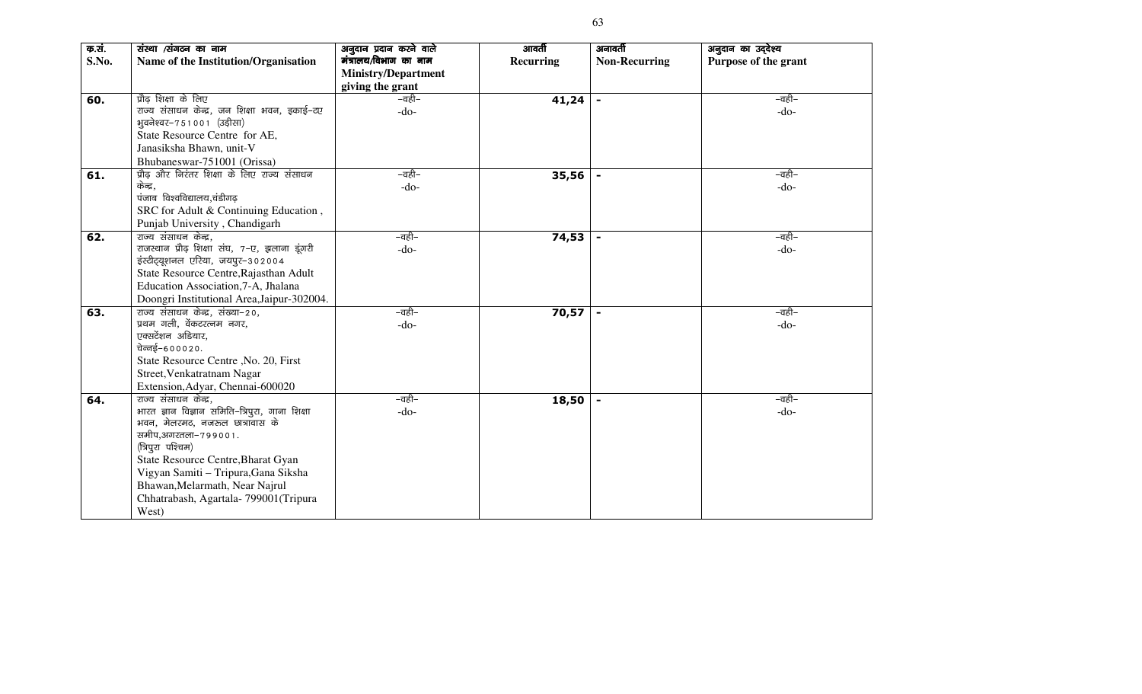| क.सं.<br>S.No. | संस्था /संगठन का नाम<br>Name of the Institution/Organisation                                                                                                                                                                                                                                                            | अनुदान प्रदान करने वाले<br>मंत्रालय/विभाग का नाम<br><b>Ministry/Department</b> | आवर्ती<br>Recurring | अनावर्ती<br><b>Non-Recurring</b> | अनुदान का उद्देश्य<br>Purpose of the grant |
|----------------|-------------------------------------------------------------------------------------------------------------------------------------------------------------------------------------------------------------------------------------------------------------------------------------------------------------------------|--------------------------------------------------------------------------------|---------------------|----------------------------------|--------------------------------------------|
|                |                                                                                                                                                                                                                                                                                                                         | giving the grant                                                               |                     |                                  |                                            |
| 60.            | प्रौढ़ शिक्षा के लिए<br>राज्य संसाधन केन्द्र, जन शिक्षा भवन, इकाई-टए<br>भुवनेश्वर-751001 (उड़ीसा)<br>State Resource Centre for AE,<br>Janasiksha Bhawn, unit-V<br>Bhubaneswar-751001 (Orissa)                                                                                                                           | –वही–<br>$-do-$                                                                | 41,24               |                                  | –वही–<br>$-do-$                            |
| 61.            | प्रौढ़ और निरंतर शिक्षा के लिए राज्य संसाधन<br>केन्द्र,<br>पंजाब विश्वविद्यालय,चंडीगढ़<br>SRC for Adult & Continuing Education,<br>Punjab University, Chandigarh                                                                                                                                                        | –वही–<br>$-do-$                                                                | 35,56               | $\blacksquare$                   | –वही–<br>$-do-$                            |
| 62.            | राज्य संसाधन केन्द्र,<br>राजस्थान प्रौढ़ शिक्षा संघ, 7-ए, झलाना इंगरी<br>इंस्टीट्यूशनल एरिया, जयपुर-302004<br>State Resource Centre, Rajasthan Adult<br>Education Association, 7-A, Jhalana<br>Doongri Institutional Area, Jaipur-302004.                                                                               | –वही–<br>$-do-$                                                                | 74,53               |                                  | –वही–<br>$-do-$                            |
| 63.            | राज्य संसाधन केन्द्र, संख्या-20,<br>प्रथम गली, वेंकटरत्नम नगर,<br>एक्सटेंशन अडियार,<br>चेन्नई-600020.<br>State Resource Centre , No. 20, First<br>Street, Venkatratnam Nagar<br>Extension, Adyar, Chennai-600020                                                                                                        | –वही–<br>$-do-$                                                                | 70,57               |                                  | –वही–<br>$-do-$                            |
| 64.            | राज्य संसाधन केन्द्र,<br>भारत ज्ञान विज्ञान समिति–त्रिपुरा, गाना शिक्षा<br>भवन, मेलरमठ, नजरुल छात्रावास के<br>समीप,अगरतला-799001.<br>(त्रिपुरा पश्चिम)<br>State Resource Centre, Bharat Gyan<br>Vigyan Samiti - Tripura, Gana Siksha<br>Bhawan, Melarmath, Near Najrul<br>Chhatrabash, Agartala-799001(Tripura<br>West) | –वही–<br>$-do-$                                                                | 18,50               |                                  | –वही–<br>$-do-$                            |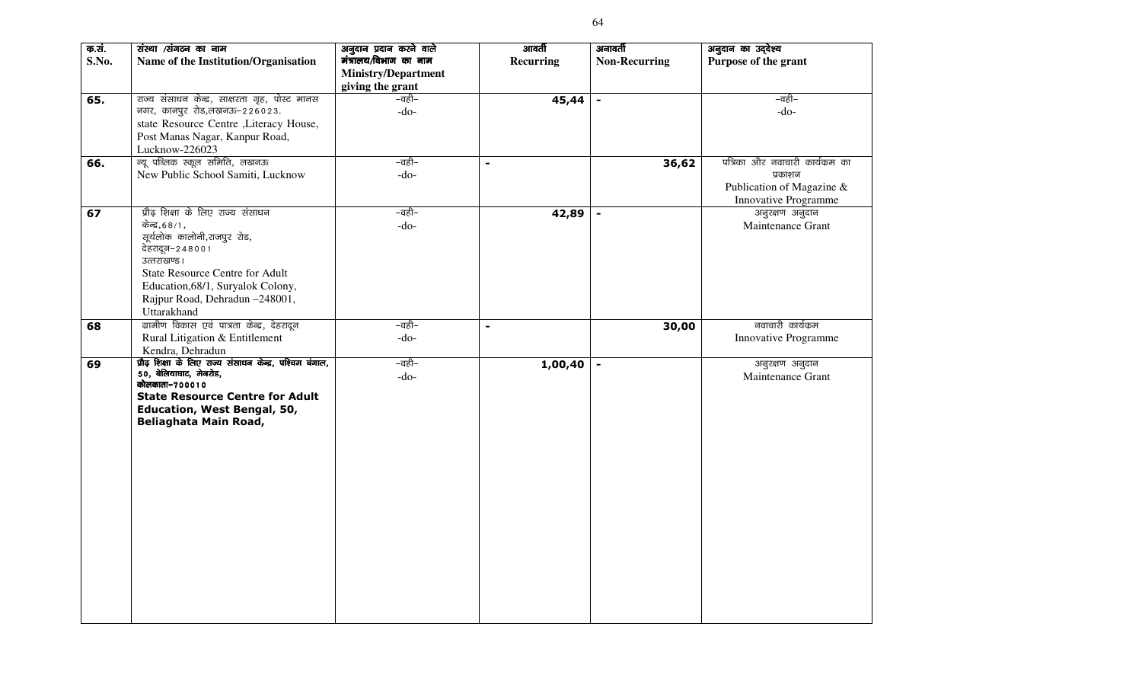| क.सं.<br>S.No. | संस्था /संगठन का नाम<br>Name of the Institution/Organisation                                                                                                                                                                                         | अनुदान प्रदान करने वाले<br>मंत्रालय/विभाग का नाम | आवर्ती<br><b>Recurring</b> | अनावर्ती<br><b>Non-Recurring</b> | अनुदान का उद्देश्य<br>Purpose of the grant                                                      |
|----------------|------------------------------------------------------------------------------------------------------------------------------------------------------------------------------------------------------------------------------------------------------|--------------------------------------------------|----------------------------|----------------------------------|-------------------------------------------------------------------------------------------------|
|                |                                                                                                                                                                                                                                                      | <b>Ministry/Department</b><br>giving the grant   |                            |                                  |                                                                                                 |
| 65.            | राज्य संसाधन केन्द्र, साक्षरता गृह, पोस्ट मानस<br>नगर, कानपुर रोड,लखनऊ-226023.<br>state Resource Centre ,Literacy House,<br>Post Manas Nagar, Kanpur Road,<br>Lucknow-226023                                                                         | –वही–<br>$-do-$                                  | 45,44                      | $\blacksquare$                   | –वही–<br>$-do-$                                                                                 |
| 66.            | न्यू पब्लिक स्कूल समिति, लखनऊ<br>New Public School Samiti, Lucknow                                                                                                                                                                                   | –वही–<br>$-do-$                                  | $\blacksquare$             | 36,62                            | पत्रिका और नवाचारी कार्यक्रम का<br>प्रकाशन<br>Publication of Magazine &<br>Innovative Programme |
| 67             | प्रौढ़ शिक्षा के लिए राज्य संसाधन<br>केन्द्र,68/1,<br>सूर्यलोक कालोनी,राजपुर रोड,<br>देहरादून-248001<br>उत्तराखण्ड ।<br><b>State Resource Centre for Adult</b><br>Education, 68/1, Suryalok Colony,<br>Rajpur Road, Dehradun -248001,<br>Uttarakhand | –वही–<br>$-do-$                                  | 42,89                      |                                  | अनुरक्षण अनुदान<br>Maintenance Grant                                                            |
| 68             | ग्रामीण विकास एवं पात्रता केन्द्र, देहरादून<br>Rural Litigation & Entitlement<br>Kendra, Dehradun                                                                                                                                                    | –वही–<br>$-do-$                                  | $\blacksquare$             | 30,00                            | नवाचारी कार्यक्रम<br>Innovative Programme                                                       |
| 69             | प्रौढ़ शिक्षा के लिए राज्य संसाधन केन्द्र, पश्चिम बंगाल,<br>50, बेलियाघाट, मेनरोड,<br>कोलकाता-700010<br><b>State Resource Centre for Adult</b><br>Education, West Bengal, 50,<br>Beliaghata Main Road,                                               | –वही–<br>$-do-$                                  | 1,00,40                    | $\blacksquare$                   | अनुरक्षण अनुदान<br>Maintenance Grant                                                            |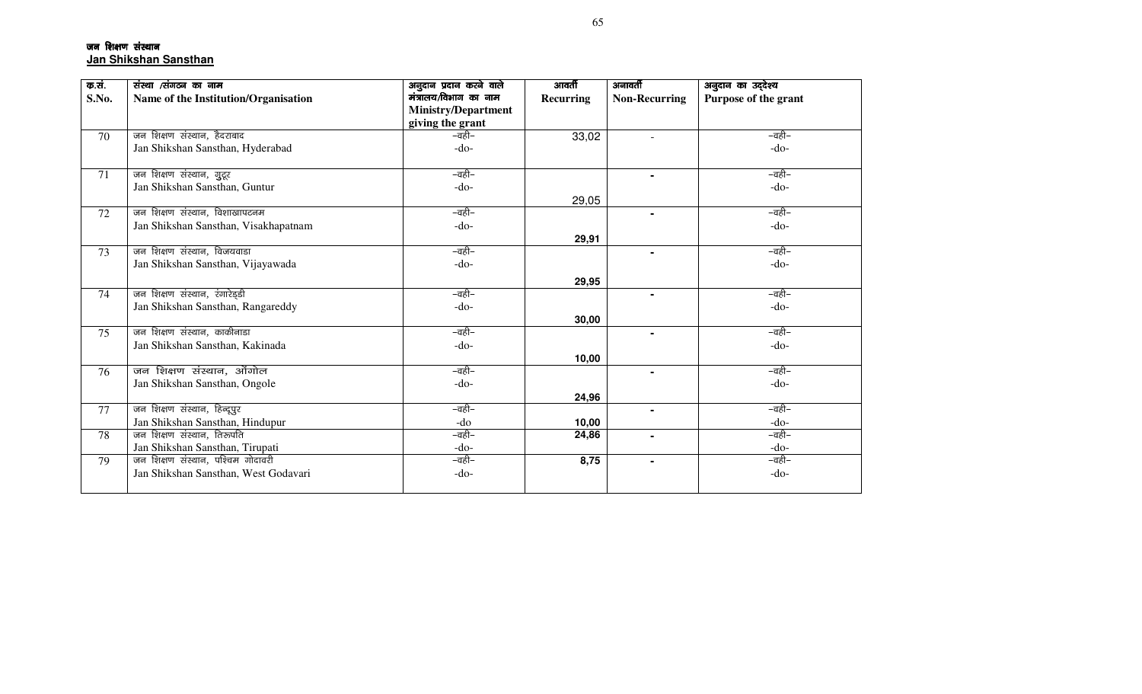जन शिक्षण संस्थान **Jan Shikshan Sansthan**

| क.सं. | संस्था /संगठन का नाम                 | अनुदान प्रदान करने वाले    | आवर्ती    | अनावर्ती             | अनुदान का उद्देश्य   |
|-------|--------------------------------------|----------------------------|-----------|----------------------|----------------------|
| S.No. | Name of the Institution/Organisation | मंत्रालय/विभाग का नाम      | Recurring | <b>Non-Recurring</b> | Purpose of the grant |
|       |                                      | <b>Ministry/Department</b> |           |                      |                      |
|       |                                      | giving the grant           |           |                      |                      |
| 70    | जन शिक्षण संस्थान, हैदराबाद          | –वही–                      | 33,02     |                      | –वही–                |
|       | Jan Shikshan Sansthan, Hyderabad     | $-do-$                     |           |                      | $-do-$               |
|       |                                      |                            |           |                      |                      |
| 71    | जन शिक्षण संस्थान, गुटूर             | –वही–                      |           | $\blacksquare$       | –वही–                |
|       | Jan Shikshan Sansthan, Guntur        | $-do-$                     |           |                      | $-do-$               |
|       |                                      |                            | 29,05     |                      |                      |
| 72    | जन शिक्षण संस्थान, विशाखापटनम        | –वही–                      |           | $\blacksquare$       | –वही–                |
|       | Jan Shikshan Sansthan, Visakhapatnam | $-do-$                     |           |                      | $-do-$               |
|       |                                      |                            | 29,91     |                      |                      |
| 73    | जन शिक्षण संस्थान, विजयवाडा          | –वही–                      |           | $\blacksquare$       | –वही–                |
|       | Jan Shikshan Sansthan, Vijayawada    | $-do-$                     |           |                      | $-do-$               |
|       |                                      |                            | 29,95     |                      |                      |
| 74    | जन शिक्षण संस्थान, रंगारेड्डी        | –वही–                      |           |                      | –वही–                |
|       | Jan Shikshan Sansthan, Rangareddy    | $-do-$                     |           |                      | $-do-$               |
|       |                                      |                            | 30,00     |                      |                      |
| 75    | जन शिक्षण संस्थान, काकीनाडा          | –वही–                      |           | $\blacksquare$       | –वही–                |
|       | Jan Shikshan Sansthan, Kakinada      | $-do-$                     |           |                      | $-do-$               |
|       |                                      |                            | 10,00     |                      |                      |
| 76    | जन शिक्षण संस्थान, ओंगोल             | –वही–                      |           |                      | –वही–                |
|       | Jan Shikshan Sansthan, Ongole        | $-do-$                     |           |                      | $-do-$               |
|       |                                      |                            | 24,96     |                      |                      |
| 77    | जन शिक्षण संस्थान, हिन्दूपुर         | –वही–                      |           |                      | –वही–                |
|       | Jan Shikshan Sansthan, Hindupur      | -do                        | 10,00     |                      | $-do-$               |
| 78    | जन शिक्षण संस्थान, तिरूपति           | –वही–                      | 24,86     | $\blacksquare$       | –वही–                |
|       | Jan Shikshan Sansthan, Tirupati      | $-do-$                     |           |                      | $-do-$               |
| 79    | जन शिक्षण संस्थान, पश्चिम गोदावरी    | –वही–                      | 8,75      |                      | –वही–                |
|       | Jan Shikshan Sansthan, West Godavari | $-do-$                     |           |                      | $-do-$               |
|       |                                      |                            |           |                      |                      |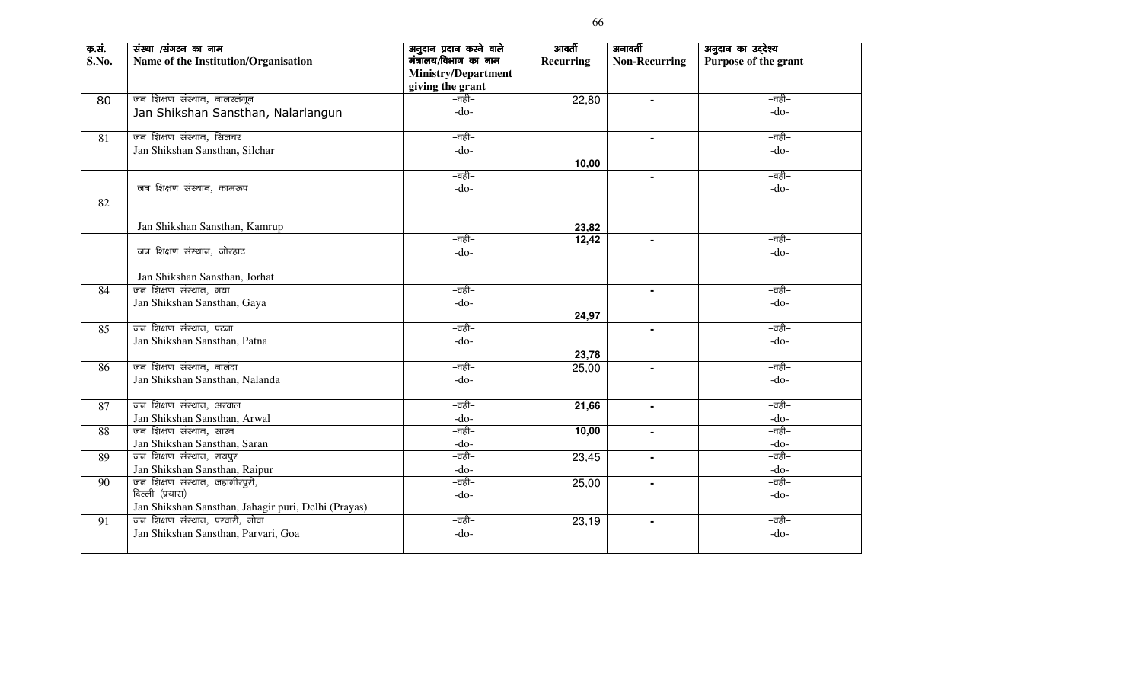| क.सं.<br>S.No. | संस्था /संगठन का नाम<br>Name of the Institution/Organisation | अनुदान प्रदान करने वाले<br>मंत्रालय/विभाग का नाम<br><b>Ministry/Department</b><br>giving the grant | आवर्ती<br><b>Recurring</b> | अनावर्ती<br><b>Non-Recurring</b> | अनुदान का उद्देश्य<br>Purpose of the grant |
|----------------|--------------------------------------------------------------|----------------------------------------------------------------------------------------------------|----------------------------|----------------------------------|--------------------------------------------|
| 80             | जन शिक्षण संस्थान, नालरलंगून                                 | –वही–                                                                                              | 22,80                      | $\blacksquare$                   | –वही–                                      |
|                | Jan Shikshan Sansthan, Nalarlangun                           | $-do-$                                                                                             |                            |                                  | $-do-$                                     |
| 81             | जन शिक्षण संस्थान, सिलचर                                     | –वही–                                                                                              |                            |                                  | –वही–                                      |
|                | Jan Shikshan Sansthan, Silchar                               | $-do-$                                                                                             |                            |                                  | $-do-$                                     |
|                |                                                              |                                                                                                    | 10,00                      |                                  |                                            |
|                |                                                              | –वही–                                                                                              |                            | $\blacksquare$                   | –वही–                                      |
|                | जन शिक्षण संस्थान, कामरूप                                    | $-do-$                                                                                             |                            |                                  | $-do-$                                     |
| 82             |                                                              |                                                                                                    |                            |                                  |                                            |
|                | Jan Shikshan Sansthan, Kamrup                                |                                                                                                    | 23,82                      |                                  |                                            |
|                |                                                              | –वही–                                                                                              | 12,42                      |                                  | –वही–                                      |
|                | जन शिक्षण संस्थान, जोरहाट                                    | $-do-$                                                                                             |                            |                                  | $-do-$                                     |
|                | Jan Shikshan Sansthan, Jorhat                                |                                                                                                    |                            |                                  |                                            |
| 84             | जन शिक्षण संस्थान, गया                                       | –वही–                                                                                              |                            | $\blacksquare$                   | –वही–                                      |
|                | Jan Shikshan Sansthan, Gaya                                  | $-do-$                                                                                             |                            |                                  | $-do-$                                     |
|                |                                                              |                                                                                                    | 24,97                      |                                  |                                            |
| 85             | जन शिक्षण संस्थान, पटना                                      | –वही–                                                                                              |                            |                                  | –वही–                                      |
|                | Jan Shikshan Sansthan, Patna                                 | $-do-$                                                                                             |                            |                                  | $-do-$                                     |
|                |                                                              |                                                                                                    | 23,78                      |                                  |                                            |
| 86             | जन शिक्षण संस्थान, नालंदा                                    | –वही–                                                                                              | 25,00                      | $\blacksquare$                   | –वही–                                      |
|                | Jan Shikshan Sansthan, Nalanda                               | $-do-$                                                                                             |                            |                                  | $-do-$                                     |
| 87             | जन शिक्षण संस्थान, अरवाल                                     | –वही–                                                                                              | 21,66                      | $\blacksquare$                   | –वही–                                      |
|                | Jan Shikshan Sansthan, Arwal                                 | $-do-$                                                                                             |                            |                                  | $-do-$                                     |
| 88             | जन शिक्षण संस्थान, सारन                                      | –वही–                                                                                              | 10,00                      |                                  | –वही–                                      |
|                | Jan Shikshan Sansthan, Saran                                 | $-do-$                                                                                             |                            |                                  | $-do-$                                     |
| 89             | जन शिक्षण संस्थान, रायपुर                                    | –वही–                                                                                              | 23,45                      | $\blacksquare$                   | –वही–                                      |
|                | Jan Shikshan Sansthan, Raipur                                | $-do-$                                                                                             |                            |                                  | $-do-$                                     |
| 90             | जन शिक्षण संस्थान, जहांगीरपुरी,                              | –वही–                                                                                              | 25,00                      | $\blacksquare$                   | –वही–                                      |
|                | दिल्ली (प्रयास)                                              | $-do-$                                                                                             |                            |                                  | $-do-$                                     |
|                | Jan Shikshan Sansthan, Jahagir puri, Delhi (Prayas)          |                                                                                                    |                            |                                  |                                            |
| 91             | जन शिक्षण संस्थान, परवारी, गोवा                              | –वही–                                                                                              | 23,19                      | $\blacksquare$                   | –वही–                                      |
|                | Jan Shikshan Sansthan, Parvari, Goa                          | $-do-$                                                                                             |                            |                                  | $-do-$                                     |
|                |                                                              |                                                                                                    |                            |                                  |                                            |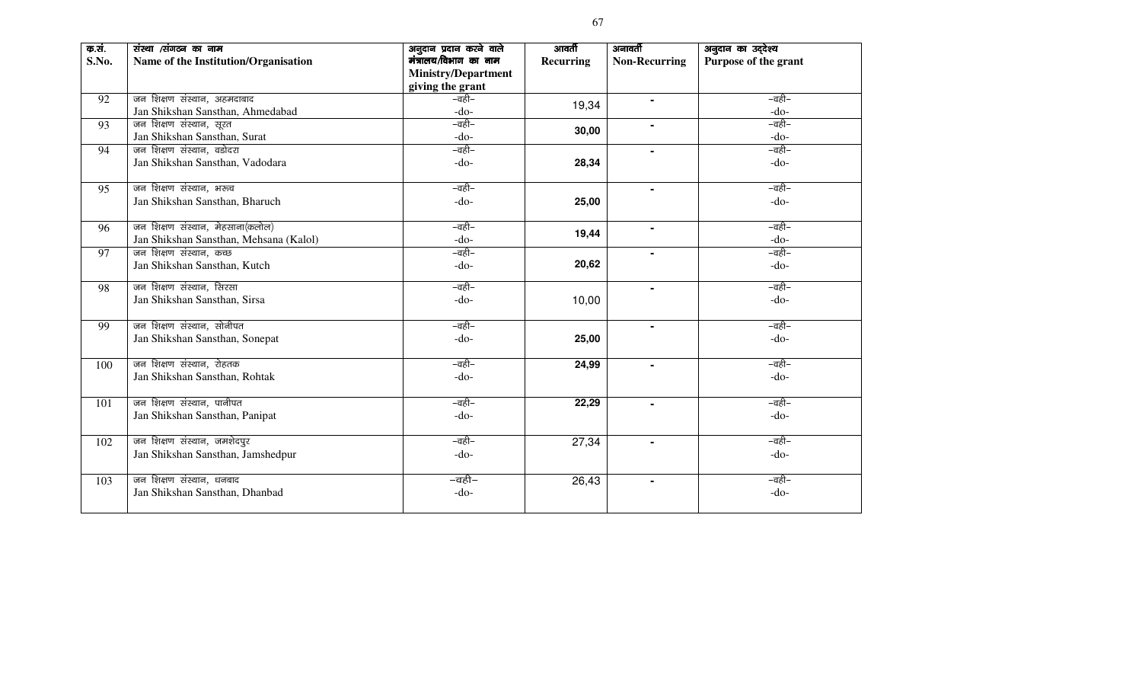| क.सं.<br>S.No. | संस्था /संगठन का नाम<br>Name of the Institution/Organisation | अनुदान प्रदान करने वाले<br>मंत्रालय/विभाग का नाम<br><b>Ministry/Department</b><br>giving the grant | आवर्ती<br><b>Recurring</b> | अनावर्ती<br><b>Non-Recurring</b> | अनुदान का उद्देश्य<br>Purpose of the grant |
|----------------|--------------------------------------------------------------|----------------------------------------------------------------------------------------------------|----------------------------|----------------------------------|--------------------------------------------|
| 92             | जन शिक्षण संस्थान, अहमदाबाद                                  | –वही–                                                                                              | 19,34                      |                                  | –वही–                                      |
|                | Jan Shikshan Sansthan, Ahmedabad                             | $-do-$                                                                                             |                            |                                  | $-do-$                                     |
| 93             | जन शिक्षण संस्थान, सूरत<br>Jan Shikshan Sansthan, Surat      | –वही–<br>$-do-$                                                                                    | 30,00                      |                                  | –वही–<br>$-do-$                            |
| 94             | जन शिक्षण संस्थान, वडोदरा                                    | –वही–                                                                                              |                            |                                  | –वही–                                      |
|                | Jan Shikshan Sansthan, Vadodara                              | $-do-$                                                                                             | 28,34                      |                                  | $-do-$                                     |
| 95             | जन शिक्षण संस्थान, भरूच                                      | –वही–<br>$-do-$                                                                                    |                            |                                  | –वही–<br>$-do-$                            |
|                | Jan Shikshan Sansthan, Bharuch                               |                                                                                                    | 25,00                      |                                  |                                            |
| 96             | जन शिक्षण संस्थान, मेहसाना(कलोल)                             | –वही–                                                                                              | 19,44                      | $\blacksquare$                   | –वही–                                      |
|                | Jan Shikshan Sansthan, Mehsana (Kalol)                       | $-do-$<br>–वही–                                                                                    |                            |                                  | $-do-$<br>–वही–                            |
| 97             | जन शिक्षण संस्थान, कच्छ<br>Jan Shikshan Sansthan, Kutch      | $-do-$                                                                                             | 20,62                      | $\blacksquare$                   | $-do-$                                     |
| 98             | जन शिक्षण संस्थान, सिरसा                                     | –वही–                                                                                              |                            |                                  | –वही–                                      |
|                | Jan Shikshan Sansthan, Sirsa                                 | $-do-$                                                                                             | 10,00                      |                                  | $-do-$                                     |
|                |                                                              |                                                                                                    |                            |                                  |                                            |
| 99             | जन शिक्षण संस्थान, सोनीपत                                    | –वही–                                                                                              |                            |                                  | –वही–                                      |
|                | Jan Shikshan Sansthan, Sonepat                               | $-do-$                                                                                             | 25,00                      |                                  | $-do-$                                     |
| 100            | जन शिक्षण संस्थान, रोहतक                                     | –वही–                                                                                              | 24,99                      |                                  | –वही–                                      |
|                | Jan Shikshan Sansthan, Rohtak                                | $-do-$                                                                                             |                            |                                  | $-do-$                                     |
| 101            | जन शिक्षण संस्थान, पानीपत                                    | –वही–                                                                                              | 22,29                      |                                  | –वही–                                      |
|                | Jan Shikshan Sansthan, Panipat                               | $-do-$                                                                                             |                            |                                  | $-do-$                                     |
| 102            | जन शिक्षण संस्थान, जमशेदपुर                                  | –वही–                                                                                              | 27,34                      | $\blacksquare$                   | –वही–                                      |
|                | Jan Shikshan Sansthan, Jamshedpur                            | $-do-$                                                                                             |                            |                                  | $-do-$                                     |
| 103            | जन शिक्षण संस्थान, धनबाद                                     | –वही–                                                                                              | 26,43                      | $\blacksquare$                   | –वही–                                      |
|                | Jan Shikshan Sansthan, Dhanbad                               | $-do-$                                                                                             |                            |                                  | $-do-$                                     |
|                |                                                              |                                                                                                    |                            |                                  |                                            |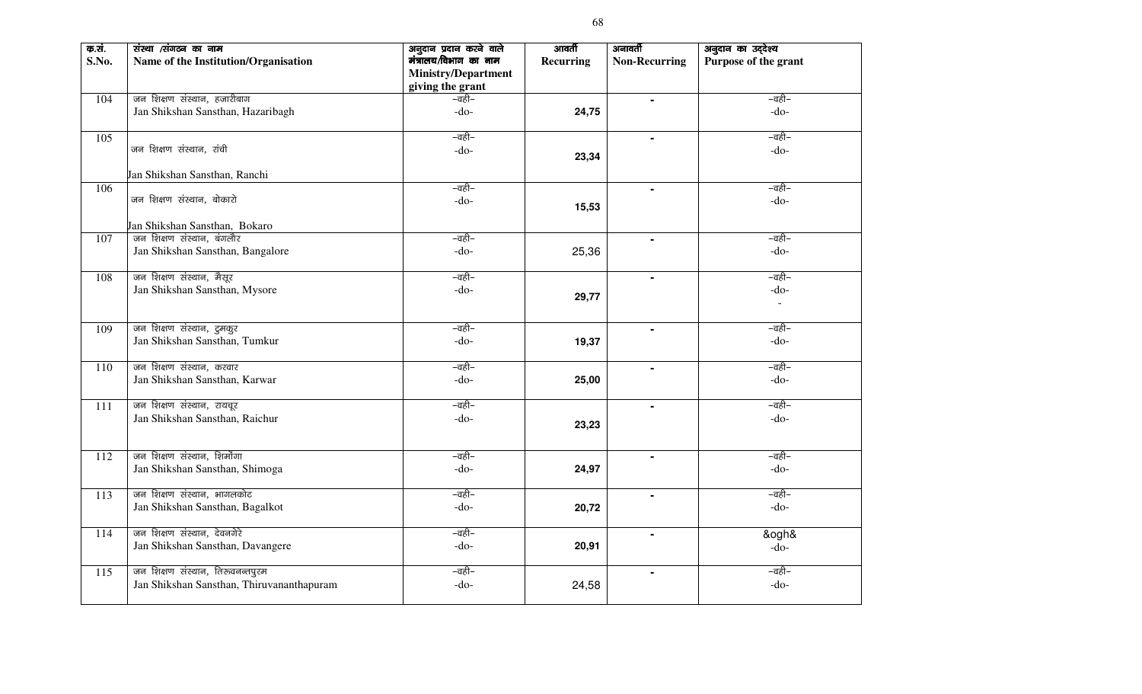| क.सं.<br>S.No. | संस्था /संगठन का नाम<br>Name of the Institution/Organisation     | अनुदान प्रदान करने वाले<br>मंत्रालय/विभाग का नाम<br><b>Ministry/Department</b><br>giving the grant | आवर्ती<br>Recurring | अनावर्ती<br><b>Non-Recurring</b> | अनुदान का उद्देश्य<br>Purpose of the grant |
|----------------|------------------------------------------------------------------|----------------------------------------------------------------------------------------------------|---------------------|----------------------------------|--------------------------------------------|
| 104            | जन शिक्षण संस्थान, हजारीबाग<br>Jan Shikshan Sansthan, Hazaribagh | –वही–<br>$-do-$                                                                                    | 24,75               | $\blacksquare$                   | –वही–<br>$-do-$                            |
| 105            |                                                                  | –वही–                                                                                              |                     | $\blacksquare$                   | –वही–                                      |
|                | जन शिक्षण संस्थान, रांची                                         | $-do-$                                                                                             | 23,34               |                                  | $-do-$                                     |
|                | Jan Shikshan Sansthan, Ranchi                                    |                                                                                                    |                     |                                  |                                            |
| 106            | जन शिक्षण संस्थान, बोकारो                                        | –वही–<br>$-do-$                                                                                    | 15,53               | $\blacksquare$                   | –वही–<br>$-do-$                            |
|                | Jan Shikshan Sansthan, Bokaro                                    |                                                                                                    |                     |                                  |                                            |
| 107            | जन शिक्षण संस्थान, बंगलौर<br>Jan Shikshan Sansthan, Bangalore    | –वही–<br>$-do-$                                                                                    | 25,36               | $\blacksquare$                   | –वही–<br>$-do-$                            |
| 108            | जन शिक्षण संस्थान, मैसूर                                         | –वही–                                                                                              |                     | $\blacksquare$                   | –वही–                                      |
|                | Jan Shikshan Sansthan, Mysore                                    | $-do-$                                                                                             | 29,77               |                                  | $-do-$<br>$\blacksquare$                   |
| 109            | जन शिक्षण संस्थान, दुमकुर                                        | –वही–                                                                                              |                     | $\blacksquare$                   | –वही–                                      |
|                | Jan Shikshan Sansthan, Tumkur                                    | $-do-$                                                                                             | 19,37               |                                  | $-do-$                                     |
| 110            | जन शिक्षण संस्थान, करवार                                         | –वही–                                                                                              |                     | $\blacksquare$                   | –वही–                                      |
|                | Jan Shikshan Sansthan, Karwar                                    | $-do-$                                                                                             | 25,00               |                                  | $-do-$                                     |
| 111            | जन शिक्षण संस्थान, रायचूर                                        | –वही–                                                                                              |                     | $\blacksquare$                   | –वही–                                      |
|                | Jan Shikshan Sansthan, Raichur                                   | $-do-$                                                                                             | 23,23               |                                  | $-do-$                                     |
| 112            | जन शिक्षण संस्थान, शिर्मोगा                                      | –वही–                                                                                              |                     |                                  | –वही–                                      |
|                | Jan Shikshan Sansthan, Shimoga                                   | $-do-$                                                                                             | 24,97               |                                  | $-do-$                                     |
| 113            | जन शिक्षण संस्थान, भागलकोट                                       | –वही–                                                                                              |                     | $\blacksquare$                   | –वही–                                      |
|                | Jan Shikshan Sansthan, Bagalkot                                  | $-do-$                                                                                             | 20,72               |                                  | $-do-$                                     |
| 114            | जन शिक्षण संस्थान, देवनगेरे                                      | –वही–                                                                                              |                     | $\blacksquare$                   | &ogh&                                      |
|                | Jan Shikshan Sansthan, Davangere                                 | $-do-$                                                                                             | 20,91               |                                  | $-do-$                                     |
| 115            | जन शिक्षण संस्थान, तिरुवनन्तपुरम                                 | –वही–                                                                                              |                     | $\blacksquare$                   | –वही–                                      |
|                | Jan Shikshan Sansthan, Thiruvananthapuram                        | $-do-$                                                                                             | 24,58               |                                  | $-do-$                                     |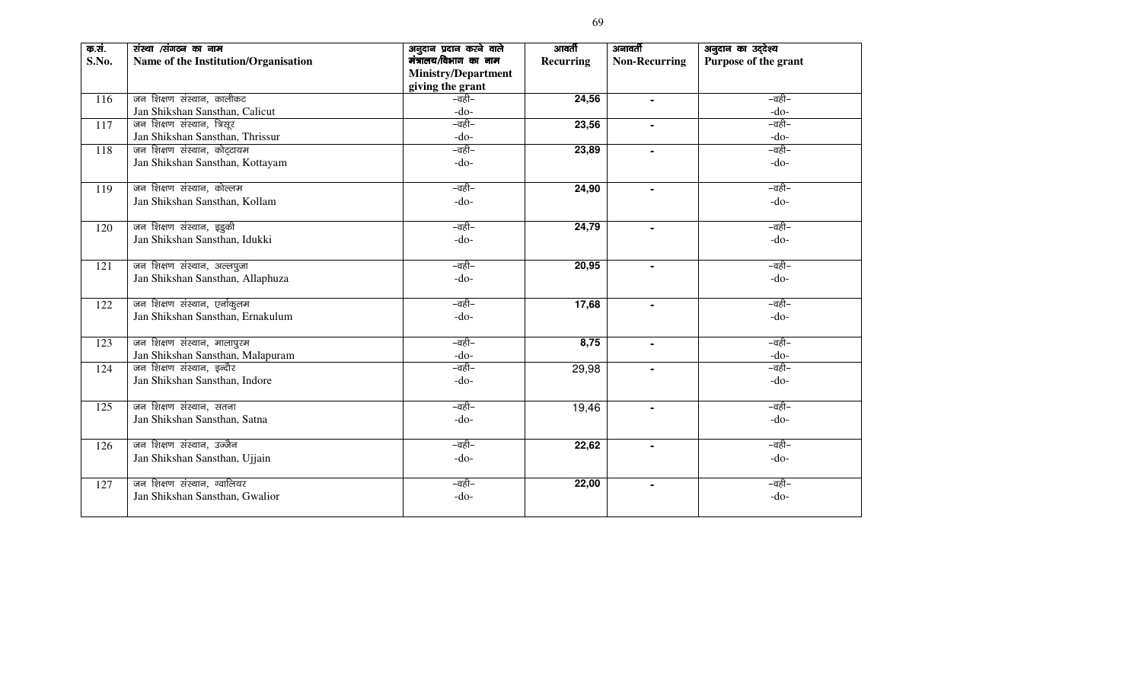| क.सं.<br>S.No. | संस्था /संगठन का नाम<br>Name of the Institution/Organisation | अनुदान प्रदान करने वाले<br>मंत्रालय/विभाग का नाम<br><b>Ministry/Department</b><br>giving the grant | आवर्ती<br><b>Recurring</b> | अनावर्ती<br><b>Non-Recurring</b> | अनुदान का उद्देश्य<br>Purpose of the grant |
|----------------|--------------------------------------------------------------|----------------------------------------------------------------------------------------------------|----------------------------|----------------------------------|--------------------------------------------|
| 116            | जन शिक्षण संस्थान, कालीकट                                    | –वही–                                                                                              | 24,56                      | $\blacksquare$                   | –वही–                                      |
|                | Jan Shikshan Sansthan, Calicut                               | $-do-$                                                                                             |                            |                                  | $-do-$                                     |
| 117            | जन शिक्षण संस्थान, त्रिसूर                                   | –वही–                                                                                              | 23,56                      | $\blacksquare$                   | –वही–                                      |
|                | Jan Shikshan Sansthan, Thrissur                              | $-do-$                                                                                             |                            |                                  | $-do-$                                     |
| 118            | जन शिक्षण संस्थान, कोट्टायम                                  | –वही–                                                                                              | 23,89                      |                                  | –वही–                                      |
|                | Jan Shikshan Sansthan, Kottayam                              | $-do-$                                                                                             |                            |                                  | $-do-$                                     |
| 119            | जन शिक्षण संस्थान, कोल्लम                                    | –वही–                                                                                              | 24,90                      |                                  | –वही–                                      |
|                | Jan Shikshan Sansthan, Kollam                                | $-do-$                                                                                             |                            |                                  | $-do-$                                     |
| 120            | जन शिक्षण संस्थान, इडुकी                                     | –वही–                                                                                              | 24,79                      |                                  | –वही–                                      |
|                | Jan Shikshan Sansthan, Idukki                                | $-do-$                                                                                             |                            |                                  | $-do-$                                     |
| 121            | जन शिक्षण संस्थान, अल्लपुजा                                  | –वही–                                                                                              | 20,95                      |                                  | –वही–                                      |
|                | Jan Shikshan Sansthan, Allaphuza                             | $-do-$                                                                                             |                            |                                  | $-do-$                                     |
| 122            | जन शिक्षण संस्थान, एर्नाकुलम                                 | –वही–                                                                                              | 17,68                      | $\blacksquare$                   | –वही–                                      |
|                | Jan Shikshan Sansthan, Ernakulum                             | $-do-$                                                                                             |                            |                                  | $-do-$                                     |
| 123            | जन शिक्षण संस्थान, मालापुरम                                  | –वही–                                                                                              | 8,75                       | $\blacksquare$                   | –वही–                                      |
|                | Jan Shikshan Sansthan, Malapuram                             | $-do-$                                                                                             |                            |                                  | $-do-$                                     |
| 124            | जन शिक्षण संस्थान, इन्दौर                                    | –वही–                                                                                              | 29,98                      |                                  | –वही–                                      |
|                | Jan Shikshan Sansthan, Indore                                | $-do-$                                                                                             |                            |                                  | $-do-$                                     |
| 125            | जन शिक्षण संस्थान, सतना                                      | –वही–                                                                                              | 19,46                      | $\blacksquare$                   | –वही–                                      |
|                | Jan Shikshan Sansthan, Satna                                 | $-do-$                                                                                             |                            |                                  | $-do-$                                     |
| 126            | जन शिक्षण संस्थान, उज्जैन                                    | –वही–                                                                                              | 22,62                      | $\blacksquare$                   | –वही–                                      |
|                | Jan Shikshan Sansthan, Ujjain                                | $-do-$                                                                                             |                            |                                  | $-do-$                                     |
| 127            | जन शिक्षण संस्थान, ग्वालियर                                  | –वही–                                                                                              | 22,00                      | $\blacksquare$                   | –वही–                                      |
|                | Jan Shikshan Sansthan, Gwalior                               | $-do-$                                                                                             |                            |                                  | $-do-$                                     |
|                |                                                              |                                                                                                    |                            |                                  |                                            |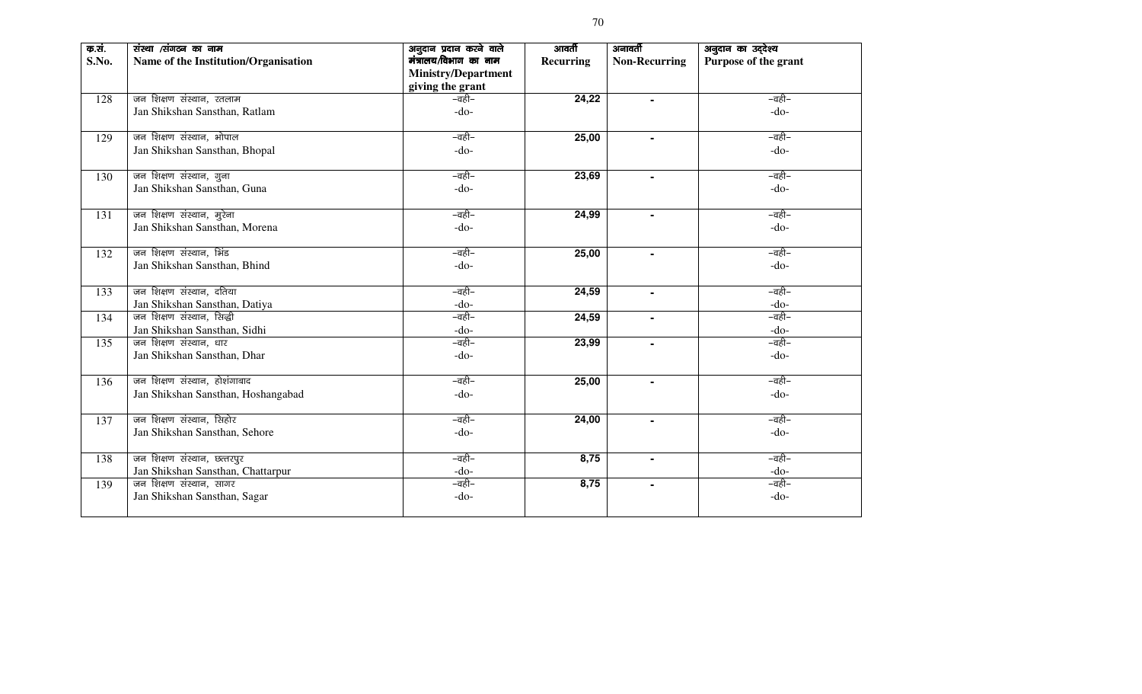| क.सं.<br>S.No. | संस्था /संगठन का नाम<br>Name of the Institution/Organisation | अनुदान प्रदान करने वाले<br>मंत्रालय/विभाग का नाम<br><b>Ministry/Department</b><br>giving the grant | आवर्ती<br><b>Recurring</b> | अनावर्ती<br><b>Non-Recurring</b> | अनुदान का उद्देश्य<br>Purpose of the grant |
|----------------|--------------------------------------------------------------|----------------------------------------------------------------------------------------------------|----------------------------|----------------------------------|--------------------------------------------|
| 128            | जन शिक्षण संस्थान, रतलाम                                     | –वही–                                                                                              | 24,22                      |                                  | –वही–                                      |
|                | Jan Shikshan Sansthan, Ratlam                                | $-do-$                                                                                             |                            |                                  | $-do-$                                     |
| 129            | जन शिक्षण संस्थान, भोपाल                                     | –वही–                                                                                              | 25,00                      |                                  | –वही–                                      |
|                | Jan Shikshan Sansthan, Bhopal                                | $-do-$                                                                                             |                            |                                  | $-do-$                                     |
| 130            | जन शिक्षण संस्थान, गुना                                      | –वही–                                                                                              | 23,69                      |                                  | –वही–                                      |
|                | Jan Shikshan Sansthan, Guna                                  | $-do-$                                                                                             |                            |                                  | $-do-$                                     |
| 131            | जन शिक्षण संस्थान, मुरेना                                    | –वही–                                                                                              | 24,99                      |                                  | –वही–                                      |
|                | Jan Shikshan Sansthan, Morena                                | $-do-$                                                                                             |                            |                                  | $-do-$                                     |
| 132            | जन शिक्षण संस्थान, भिंड                                      | –वही–                                                                                              | 25,00                      |                                  | –वही–                                      |
|                | Jan Shikshan Sansthan, Bhind                                 | $-do-$                                                                                             |                            |                                  | $-do-$                                     |
| 133            | जन शिक्षण संस्थान, दतिया                                     | –वही–                                                                                              | 24,59                      | $\blacksquare$                   | –वही–                                      |
|                | Jan Shikshan Sansthan, Datiya                                | $-do-$                                                                                             |                            |                                  | $-do-$                                     |
| 134            | जन शिक्षण संस्थान, सिद्धी                                    | –वही–                                                                                              | 24,59                      | $\blacksquare$                   | –वही–                                      |
|                | Jan Shikshan Sansthan, Sidhi                                 | $-do-$                                                                                             |                            |                                  | $-do-$                                     |
| 135            | जन शिक्षण संस्थान, धार                                       | –वही–                                                                                              | 23,99                      | ۰                                | –वही–                                      |
|                | Jan Shikshan Sansthan, Dhar                                  | $-do-$                                                                                             |                            |                                  | $-do-$                                     |
| 136            | जन शिक्षण संस्थान, होशंगाबाद                                 | –वही–                                                                                              | 25,00                      |                                  | –वही–                                      |
|                | Jan Shikshan Sansthan, Hoshangabad                           | $-do-$                                                                                             |                            |                                  | $-do-$                                     |
| 137            | जन शिक्षण संस्थान, सिहोर                                     | –वही–                                                                                              | 24,00                      | $\blacksquare$                   | –वही–                                      |
|                | Jan Shikshan Sansthan, Sehore                                | $-do-$                                                                                             |                            |                                  | $-do-$                                     |
| 138            | जन शिक्षण संस्थान, छत्तरपुर                                  | –वही–                                                                                              | 8,75                       | $\blacksquare$                   | –वही–                                      |
|                | Jan Shikshan Sansthan, Chattarpur                            | $-do-$                                                                                             |                            |                                  | $-do-$                                     |
| 139            | जन शिक्षण संस्थान, सागर                                      | –वही–                                                                                              | 8,75                       | $\blacksquare$                   | –वही–                                      |
|                | Jan Shikshan Sansthan, Sagar                                 | $-do-$                                                                                             |                            |                                  | $-do-$                                     |
|                |                                                              |                                                                                                    |                            |                                  |                                            |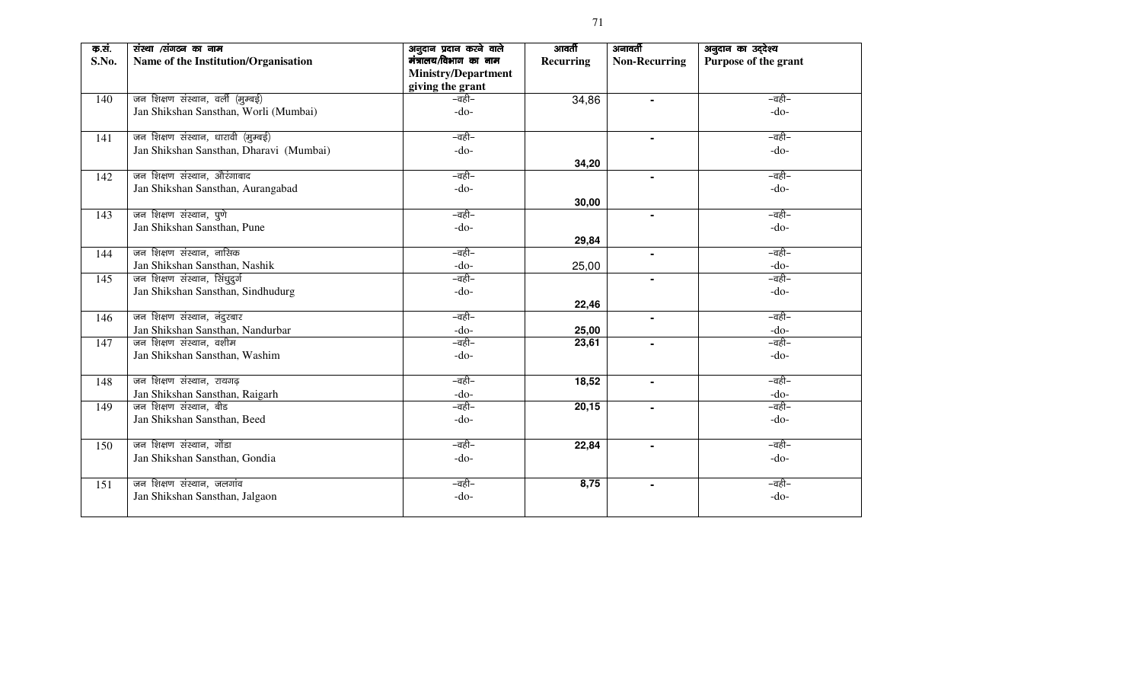| क.सं.<br>S.No. | संस्था /संगठन का नाम<br>Name of the Institution/Organisation | अनुदान प्रदान करने वाले<br>मंत्रालय/विभाग का नाम<br><b>Ministry/Department</b><br>giving the grant | आवर्ती<br><b>Recurring</b> | अनावर्ती<br><b>Non-Recurring</b> | अनुदान का उद्देश्य<br>Purpose of the grant |
|----------------|--------------------------------------------------------------|----------------------------------------------------------------------------------------------------|----------------------------|----------------------------------|--------------------------------------------|
| 140            | जन शिक्षण संस्थान, वर्ली (मुम्बई)                            | –वही–                                                                                              | 34,86                      |                                  | –वही–                                      |
|                | Jan Shikshan Sansthan, Worli (Mumbai)                        | $-do-$                                                                                             |                            |                                  | $-do-$                                     |
| 141            | जन शिक्षण संस्थान, धारावी (मुम्बई)                           | –वही–                                                                                              |                            |                                  | –वही–                                      |
|                | Jan Shikshan Sansthan, Dharavi (Mumbai)                      | $-do-$                                                                                             |                            |                                  | $-do-$                                     |
|                |                                                              |                                                                                                    | 34,20                      |                                  |                                            |
| 142            | जन शिक्षण संस्थान, औरंगाबाद                                  | –वही–                                                                                              |                            |                                  | –वही–                                      |
|                | Jan Shikshan Sansthan, Aurangabad                            | $-do-$                                                                                             |                            |                                  | $-do-$                                     |
|                |                                                              |                                                                                                    | 30,00                      |                                  |                                            |
| 143            | जन शिक्षण संस्थान, पुणे                                      | –वही–                                                                                              |                            |                                  | –वही–                                      |
|                | Jan Shikshan Sansthan, Pune                                  | $-do-$                                                                                             |                            |                                  | $-do-$                                     |
|                |                                                              |                                                                                                    | 29,84                      |                                  |                                            |
| 144            | जन शिक्षण संस्थान, नासिक                                     | –वही–                                                                                              |                            | $\blacksquare$                   | –वही–                                      |
|                | Jan Shikshan Sansthan, Nashik                                | $-do-$                                                                                             | 25,00                      |                                  | $-do-$                                     |
| 145            | जन शिक्षण संस्थान, सिंधुदुर्ग                                | –वही–                                                                                              |                            | $\blacksquare$                   | –वही–                                      |
|                | Jan Shikshan Sansthan, Sindhudurg                            | $-do-$                                                                                             |                            |                                  | $-do-$                                     |
|                |                                                              |                                                                                                    | 22,46                      |                                  |                                            |
| 146            | जन शिक्षण संस्थान, नंदुरबार                                  | –वही–                                                                                              |                            | $\blacksquare$                   | –वही–                                      |
|                | Jan Shikshan Sansthan, Nandurbar                             | $-do-$                                                                                             | 25,00                      |                                  | $-do-$                                     |
| 147            | जन शिक्षण संस्थान, वशीम                                      | –वही–                                                                                              | 23,61                      |                                  | –वही–                                      |
|                | Jan Shikshan Sansthan, Washim                                | $-do-$                                                                                             |                            |                                  | $-do-$                                     |
|                |                                                              |                                                                                                    |                            |                                  |                                            |
| 148            | जन शिक्षण संस्थान, रायगढ़                                    | –वही–                                                                                              | 18,52                      | $\blacksquare$                   | –वही–                                      |
|                | Jan Shikshan Sansthan, Raigarh                               | $-do-$                                                                                             |                            |                                  | $-do-$                                     |
| 149            | जन शिक्षण संस्थान, बीड                                       | –वही–                                                                                              | 20,15                      | $\blacksquare$                   | –वही–                                      |
|                | Jan Shikshan Sansthan, Beed                                  | $-do-$                                                                                             |                            |                                  | $-do-$                                     |
|                |                                                              |                                                                                                    |                            |                                  |                                            |
| 150            | जन शिक्षण संस्थान, गोंडा                                     | –वही–                                                                                              | 22,84                      |                                  | –वही–                                      |
|                | Jan Shikshan Sansthan, Gondia                                | $-do-$                                                                                             |                            |                                  | $-do-$                                     |
|                |                                                              |                                                                                                    |                            |                                  |                                            |
| 151            | जन शिक्षण संस्थान, जलगांव                                    | –वही–                                                                                              | 8,75                       | $\blacksquare$                   | –वही–                                      |
|                | Jan Shikshan Sansthan, Jalgaon                               | $-do-$                                                                                             |                            |                                  | $-do-$                                     |
|                |                                                              |                                                                                                    |                            |                                  |                                            |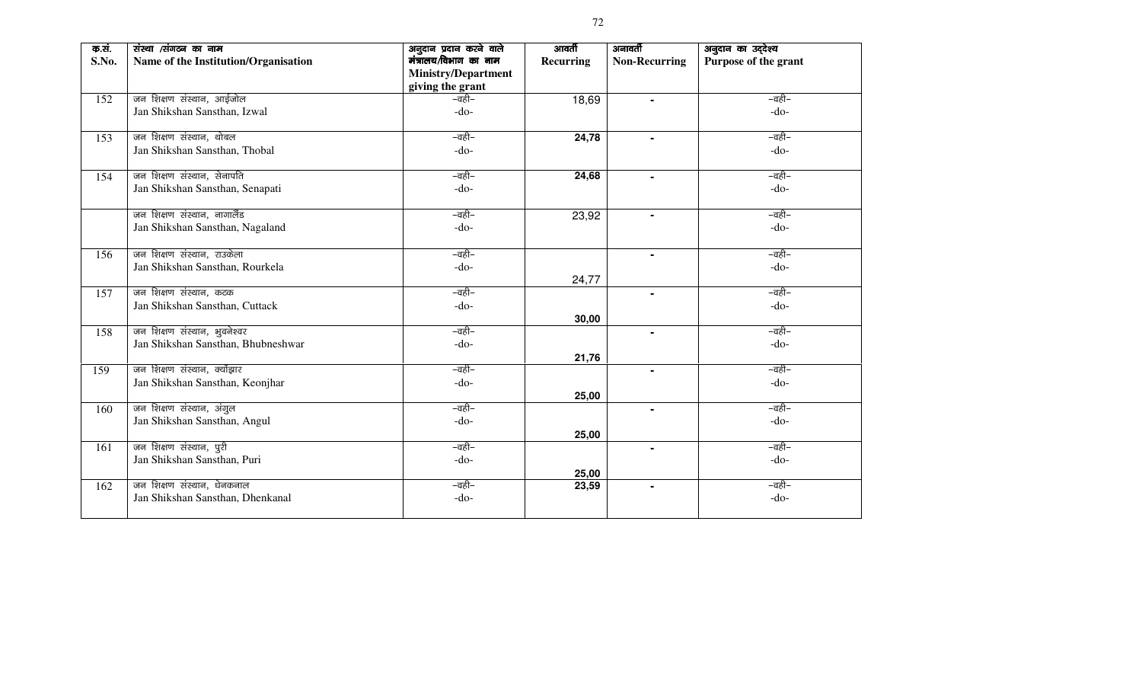| क.सं.<br>S.No. | संस्था /संगठन का नाम<br>Name of the Institution/Organisation | अनुदान प्रदान करने वाले<br>मंत्रालय/विभाग का नाम<br><b>Ministry/Department</b><br>giving the grant | आवर्ती<br><b>Recurring</b> | अनावर्ती<br><b>Non-Recurring</b> | अनुदान का उद्देश्य<br>Purpose of the grant |
|----------------|--------------------------------------------------------------|----------------------------------------------------------------------------------------------------|----------------------------|----------------------------------|--------------------------------------------|
| 152            | जन शिक्षण संस्थान, आईजोल                                     | –वही–                                                                                              | 18,69                      | $\blacksquare$                   | –वही–                                      |
|                | Jan Shikshan Sansthan, Izwal                                 | $-do-$                                                                                             |                            |                                  | $-do-$                                     |
| 153            | जन शिक्षण संस्थान, थोबल                                      | –वही–                                                                                              | 24,78                      | $\blacksquare$                   | –वही–                                      |
|                | Jan Shikshan Sansthan, Thobal                                | $-do-$                                                                                             |                            |                                  | $-do-$                                     |
| 154            | जन शिक्षण संस्थान, सेनापति                                   | –वही–                                                                                              | 24,68                      |                                  | –वही–                                      |
|                | Jan Shikshan Sansthan, Senapati                              | $-do-$                                                                                             |                            |                                  | $-do-$                                     |
|                | जन शिक्षण संस्थान, नागालैंड                                  | –वही–                                                                                              | 23,92                      |                                  | –वही–                                      |
|                | Jan Shikshan Sansthan, Nagaland                              | $-do-$                                                                                             |                            |                                  | $-do-$                                     |
| 156            | जन शिक्षण संस्थान, राउकेला                                   | –वही–                                                                                              |                            | $\blacksquare$                   | –वही–                                      |
|                | Jan Shikshan Sansthan, Rourkela                              | $-do-$                                                                                             | 24,77                      |                                  | $-do-$                                     |
| 157            | जन शिक्षण संस्थान, कटक                                       | –वही–                                                                                              |                            | $\blacksquare$                   | –वही–                                      |
|                | Jan Shikshan Sansthan, Cuttack                               | $-do-$                                                                                             | 30,00                      |                                  | $-do-$                                     |
| 158            | जन शिक्षण संस्थान, भुवनेश्वर                                 | –वही–                                                                                              |                            | $\blacksquare$                   | –वही–                                      |
|                | Jan Shikshan Sansthan, Bhubneshwar                           | $-do-$                                                                                             |                            |                                  | $-do-$                                     |
|                |                                                              |                                                                                                    | 21,76                      |                                  |                                            |
| 159            | जन शिक्षण संस्थान, क्योंझार                                  | –वही–                                                                                              |                            | $\blacksquare$                   | –वही–                                      |
|                | Jan Shikshan Sansthan, Keonjhar                              | $-do-$                                                                                             |                            |                                  | $-do-$                                     |
| 160            | जन शिक्षण संस्थान, अंगुल                                     | –वही–                                                                                              | 25,00                      | $\blacksquare$                   | –वही–                                      |
|                | Jan Shikshan Sansthan, Angul                                 | $-do-$                                                                                             |                            |                                  | $-do-$                                     |
|                |                                                              |                                                                                                    | 25,00                      |                                  |                                            |
| 161            | जन शिक्षण संस्थान, पुरी                                      | –वही–                                                                                              |                            | $\blacksquare$                   | –वही–                                      |
|                | Jan Shikshan Sansthan, Puri                                  | $-do-$                                                                                             |                            |                                  | $-do-$                                     |
|                |                                                              |                                                                                                    | 25,00                      |                                  |                                            |
| 162            | जन शिक्षण संस्थान, धेनकनाल                                   | –वही–                                                                                              | 23,59                      | $\blacksquare$                   | –वही–                                      |
|                | Jan Shikshan Sansthan, Dhenkanal                             | $-do-$                                                                                             |                            |                                  | $-do-$                                     |
|                |                                                              |                                                                                                    |                            |                                  |                                            |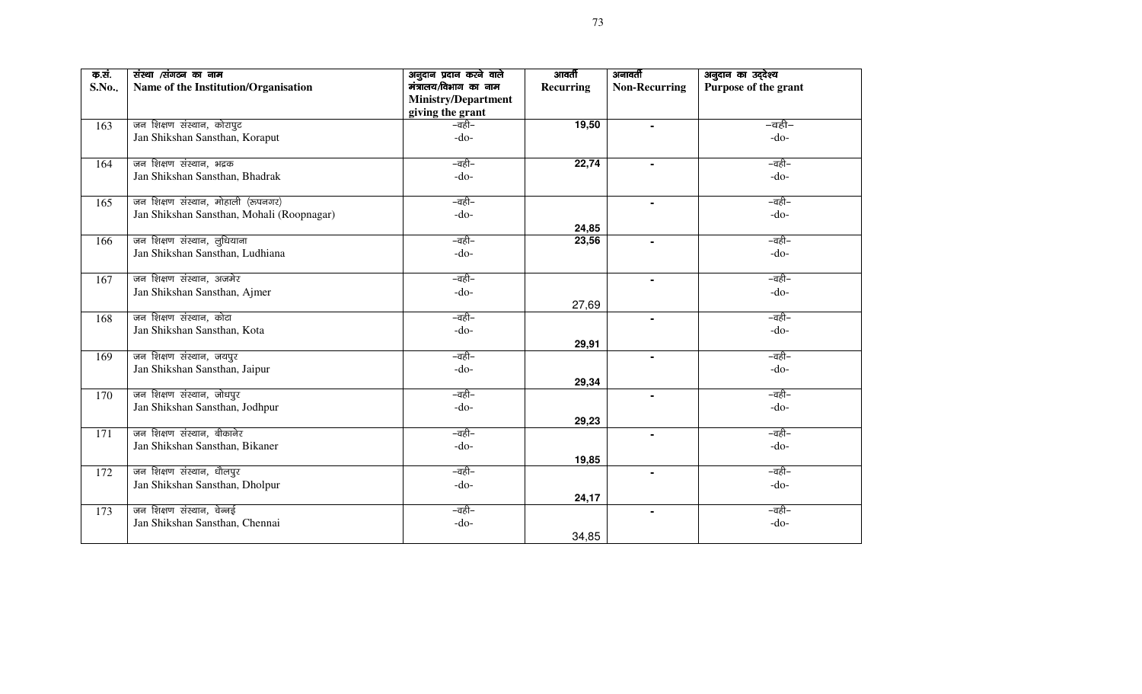| क.सं. | संस्था /संगठन का नाम                      | अनुदान प्रदान करने वाले    | आवर्ती    | अनावर्ती             | अनुदान का उद्देश्य   |
|-------|-------------------------------------------|----------------------------|-----------|----------------------|----------------------|
| S.No. | Name of the Institution/Organisation      | मंत्रालय/विभाग का नाम      | Recurring | <b>Non-Recurring</b> | Purpose of the grant |
|       |                                           | <b>Ministry/Department</b> |           |                      |                      |
|       |                                           | giving the grant           |           |                      |                      |
| 163   | जन शिक्षण संस्थान, कोरापुट                | –वही–                      | 19,50     |                      | –वही–                |
|       | Jan Shikshan Sansthan, Koraput            | $-do-$                     |           |                      | $-do-$               |
|       |                                           |                            |           |                      |                      |
| 164   | जन शिक्षण संस्थान, भद्रक                  | –वही–                      | 22,74     |                      | –वही–                |
|       | Jan Shikshan Sansthan, Bhadrak            | $-do-$                     |           |                      | $-do-$               |
|       |                                           |                            |           |                      |                      |
| 165   | जन शिक्षण संस्थान, मोहाली (रूपनगर)        | –वही–                      |           |                      | –वही–                |
|       | Jan Shikshan Sansthan, Mohali (Roopnagar) | $-do-$                     |           |                      | $-do-$               |
|       |                                           |                            | 24,85     |                      |                      |
| 166   | जन शिक्षण संस्थान, लुधियाना               | –वही–                      | 23,56     |                      | –वही–                |
|       | Jan Shikshan Sansthan, Ludhiana           | $-do-$                     |           |                      | $-do-$               |
|       |                                           |                            |           |                      |                      |
| 167   | जन शिक्षण संस्थान, अजमेर                  | –वही–                      |           |                      | –वही–                |
|       | Jan Shikshan Sansthan, Ajmer              | $-do-$                     |           |                      | $-do-$               |
|       |                                           |                            | 27,69     |                      |                      |
| 168   | जन शिक्षण संस्थान, कोटा                   | –वही–                      |           | $\blacksquare$       | –वही–                |
|       | Jan Shikshan Sansthan, Kota               | $-do-$                     |           |                      | $-do-$               |
|       |                                           |                            | 29,91     |                      |                      |
| 169   | जन शिक्षण संस्थान, जयपुर                  | –वही–                      |           | $\blacksquare$       | –वही–                |
|       | Jan Shikshan Sansthan, Jaipur             | $-do-$                     |           |                      | $-do-$               |
|       |                                           |                            | 29,34     |                      |                      |
| 170   | जन शिक्षण संस्थान, जोधपुर                 | –वही–                      |           | $\blacksquare$       | –वही–                |
|       | Jan Shikshan Sansthan, Jodhpur            | $-do-$                     |           |                      | $-do-$               |
|       |                                           |                            | 29,23     |                      |                      |
| 171   | जन शिक्षण संस्थान, बीकानेर                | –वही–                      |           | $\blacksquare$       | –वही–                |
|       | Jan Shikshan Sansthan, Bikaner            | $-do-$                     |           |                      | $-do-$               |
|       |                                           |                            | 19,85     |                      |                      |
| 172   | जन शिक्षण संस्थान, धौलपुर                 | –वही–                      |           | $\blacksquare$       | –वही–                |
|       | Jan Shikshan Sansthan, Dholpur            | $-do-$                     |           |                      | $-do-$               |
|       |                                           |                            | 24,17     |                      |                      |
| 173   | जन शिक्षण संस्थान, चेन्नई                 | –वही–                      |           |                      | –वही–                |
|       | Jan Shikshan Sansthan, Chennai            | $-do-$                     |           |                      | $-do-$               |
|       |                                           |                            | 34,85     |                      |                      |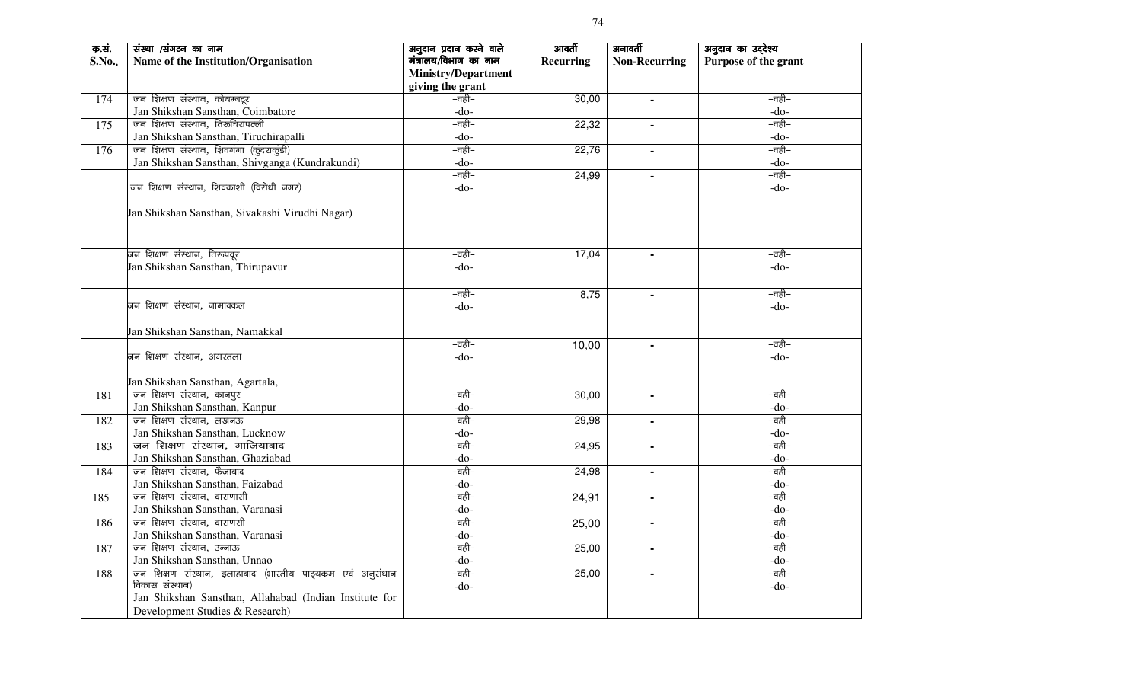| क.सं. | संस्था /संगठन का नाम                                       | अनुदान प्रदान करने वाले    | आवर्ती    | अनावर्ती             | अनुदान का उद्देश्य   |  |
|-------|------------------------------------------------------------|----------------------------|-----------|----------------------|----------------------|--|
| S.No. | Name of the Institution/Organisation                       | मंत्रालय/विभाग का नाम      | Recurring | <b>Non-Recurring</b> | Purpose of the grant |  |
|       |                                                            | <b>Ministry/Department</b> |           |                      |                      |  |
|       |                                                            | giving the grant           |           |                      |                      |  |
| 174   | जन शिक्षण संस्थान, कोयम्बटूर                               | –वही–                      | 30,00     | $\blacksquare$       | –वही–                |  |
|       | Jan Shikshan Sansthan, Coimbatore                          | $-do-$                     |           |                      | $-do-$               |  |
| 175   | जन शिक्षण संस्थान, तिरूचिरापल्ली                           | –वही–                      | 22,32     | $\blacksquare$       | –वही–                |  |
|       | Jan Shikshan Sansthan, Tiruchirapalli                      | -do-                       |           |                      | $-do-$               |  |
| 176   | जन शिक्षण संस्थान, शिवगंगा (कुंदराकुंडी)                   | –वही–                      | 22,76     |                      | –वही–                |  |
|       | Jan Shikshan Sansthan, Shivganga (Kundrakundi)             | $-do-$                     |           |                      | $-do-$               |  |
|       |                                                            | –वही–                      | 24,99     |                      | –वही–                |  |
|       | जन शिक्षण संस्थान, शिवकाशी (विरोधी नगर)                    | $-do-$                     |           |                      | $-do-$               |  |
|       |                                                            |                            |           |                      |                      |  |
|       | Jan Shikshan Sansthan, Sivakashi Virudhi Nagar)            |                            |           |                      |                      |  |
|       |                                                            |                            |           |                      |                      |  |
|       |                                                            |                            |           |                      |                      |  |
|       | जन शिक्षण संस्थान, तिरूपवूर                                | –वही–                      | 17,04     |                      | –वही–                |  |
|       | Jan Shikshan Sansthan, Thirupavur                          | $-do-$                     |           |                      | $-do-$               |  |
|       |                                                            |                            |           |                      |                      |  |
|       |                                                            | –वही–                      | 8,75      |                      | –वही–                |  |
|       | जन शिक्षण संस्थान, नामाक्कल                                | $-do-$                     |           |                      | $-do-$               |  |
|       |                                                            |                            |           |                      |                      |  |
|       | Jan Shikshan Sansthan, Namakkal                            |                            |           |                      |                      |  |
|       |                                                            | –वही–                      | 10,00     |                      | –वही–                |  |
|       | जन शिक्षण संस्थान, अगरतला                                  | $-do-$                     |           |                      | $-do-$               |  |
|       |                                                            |                            |           |                      |                      |  |
|       | Jan Shikshan Sansthan, Agartala,                           |                            |           |                      |                      |  |
| 181   | जन शिक्षण संस्थान, कानपुर                                  | –वही–                      | 30,00     |                      | –वही–                |  |
|       | Jan Shikshan Sansthan, Kanpur                              | $-do-$                     |           |                      | $-do-$               |  |
| 182   | जन शिक्षण संस्थान, लखनऊ                                    | –वही–                      | 29,98     |                      | –वही–                |  |
|       | Jan Shikshan Sansthan, Lucknow                             | $-do-$                     |           |                      | $-do-$               |  |
| 183   | जन शिक्षण संस्थान, गाजियाबाद                               | –वही–                      | 24,95     | $\blacksquare$       | –वही–                |  |
|       | Jan Shikshan Sansthan, Ghaziabad                           | -do-                       |           |                      | $-do-$               |  |
| 184   | जन शिक्षण संस्थान, फैजाबाद                                 | –वही–                      | 24,98     |                      | –वही–                |  |
|       | Jan Shikshan Sansthan, Faizabad                            | $-do-$                     |           |                      | $-do-$               |  |
| 185   | जन शिक्षण संस्थान, वाराणासी                                | –वही–                      | 24,91     | $\blacksquare$       | –वही–                |  |
|       | Jan Shikshan Sansthan, Varanasi                            | $-do-$                     |           |                      | $-do-$               |  |
| 186   | जन शिक्षण संस्थान, वाराणसी                                 | –वही–                      | 25,00     | $\blacksquare$       | –वही–                |  |
|       | Jan Shikshan Sansthan, Varanasi                            | $-do-$                     |           |                      | $-do-$               |  |
| 187   | जन शिक्षण संस्थान, उन्नाऊ                                  | –वही–                      | 25,00     |                      | –वही–                |  |
|       | Jan Shikshan Sansthan, Unnao                               | $-do-$                     |           |                      | $-do-$               |  |
| 188   | जन शिक्षण संस्थान, इलाहाबाद (भारतीय पाठ्यक्रम एवं अनुसंधान | –वही–                      | 25,00     | $\blacksquare$       | –वही–                |  |
|       | विकास संस्थान)                                             | $-do-$                     |           |                      | $-do-$               |  |
|       | Jan Shikshan Sansthan, Allahabad (Indian Institute for     |                            |           |                      |                      |  |
|       | Development Studies & Research)                            |                            |           |                      |                      |  |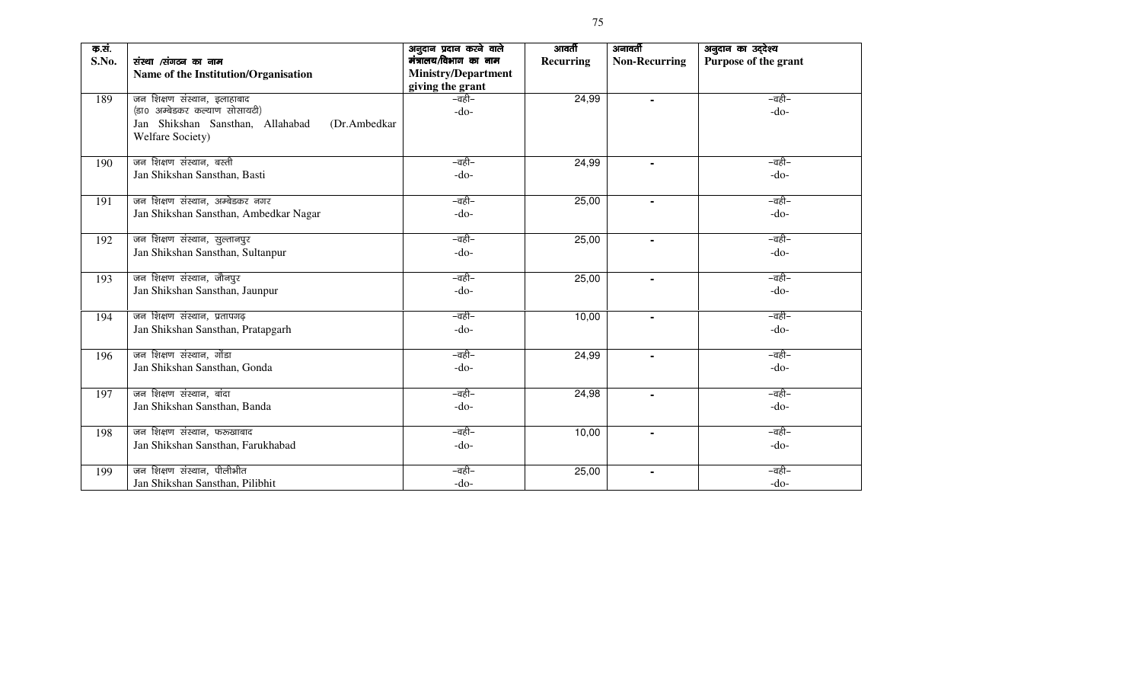| क.सं.<br>S.No. | संस्था /संगठन का नाम                                                                                  | अनुदान प्रदान करने वाले<br>मंत्रालय/विभाग का नाम | आवर्ती<br><b>Recurring</b> | अनावर्ती<br><b>Non-Recurring</b> | अनुदान का उद्देश्य<br>Purpose of the grant |  |
|----------------|-------------------------------------------------------------------------------------------------------|--------------------------------------------------|----------------------------|----------------------------------|--------------------------------------------|--|
|                | Name of the Institution/Organisation                                                                  | <b>Ministry/Department</b><br>giving the grant   |                            |                                  |                                            |  |
| 189            | जन शिक्षण संस्थान, इलाहाबाद                                                                           | –वही–                                            | 24,99                      | $\blacksquare$                   | –वही–                                      |  |
|                | (डा0 अम्बेडकर कल्याण सोसायटी)<br>Jan Shikshan Sansthan, Allahabad<br>(Dr.Ambedkar<br>Welfare Society) | $-do-$                                           |                            |                                  | $-do-$                                     |  |
| 190            | जन शिक्षण संस्थान, बस्ती                                                                              | –वही–                                            | 24,99                      |                                  | –वही–                                      |  |
|                | Jan Shikshan Sansthan, Basti                                                                          | $-do-$                                           |                            |                                  | $-do-$                                     |  |
| 191            | जन शिक्षण संस्थान, अम्बेडकर नगर                                                                       | –वही–                                            | 25,00                      | $\blacksquare$                   | –वही–                                      |  |
|                | Jan Shikshan Sansthan, Ambedkar Nagar                                                                 | $-do-$                                           |                            |                                  | $-do-$                                     |  |
| 192            | जन शिक्षण संस्थान, सुल्तानपुर                                                                         | –वही–                                            | 25,00                      | $\blacksquare$                   | –वही–                                      |  |
|                | Jan Shikshan Sansthan, Sultanpur                                                                      | $-do-$                                           |                            |                                  | $-do-$                                     |  |
| 193            | जन शिक्षण संस्थान, जौनपुर                                                                             | –वही–                                            | 25,00                      | Ξ.                               | –वही–                                      |  |
|                | Jan Shikshan Sansthan, Jaunpur                                                                        | $-do-$                                           |                            |                                  | $-do-$                                     |  |
| 194            | जन शिक्षण संस्थान, प्रतापगढ़                                                                          | –वही–                                            | 10,00                      | $\blacksquare$                   | –वही–                                      |  |
|                | Jan Shikshan Sansthan, Pratapgarh                                                                     | $-do-$                                           |                            |                                  | $-do-$                                     |  |
| 196            | जन शिक्षण संस्थान, गोंडा                                                                              | –वही–                                            | 24,99                      | $\blacksquare$                   | –वही–                                      |  |
|                | Jan Shikshan Sansthan, Gonda                                                                          | $-do-$                                           |                            |                                  | $-do-$                                     |  |
| 197            | जन शिक्षण संस्थान, बांदा                                                                              | –वही–                                            | 24,98                      | $\blacksquare$                   | –वही–                                      |  |
|                | Jan Shikshan Sansthan, Banda                                                                          | $-do-$                                           |                            |                                  | $-do-$                                     |  |
| 198            | जन शिक्षण संस्थान, फरुखाबाद                                                                           | –वही–                                            | 10,00                      |                                  | –वही–                                      |  |
|                | Jan Shikshan Sansthan, Farukhabad                                                                     | $-do-$                                           |                            |                                  | $-do-$                                     |  |
| 199            | जन शिक्षण संस्थान, पीलीभीत                                                                            | –वही–                                            | 25,00                      | $\blacksquare$                   | –वही–                                      |  |
|                | Jan Shikshan Sansthan, Pilibhit                                                                       | $-do-$                                           |                            |                                  | $-do-$                                     |  |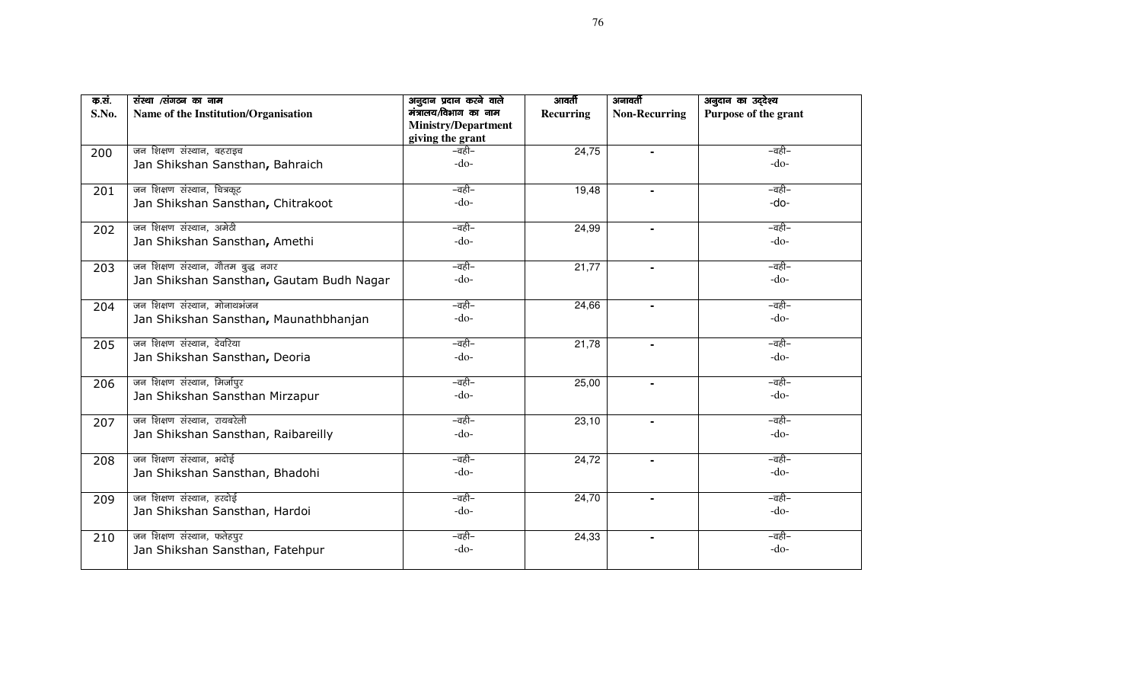| क.सं. | संस्था /संगठन का नाम                     | अनुदान प्रदान करने वाले    | आवर्ती           | अनावर्ती             | अनुदान का उद्देश्य   |
|-------|------------------------------------------|----------------------------|------------------|----------------------|----------------------|
| S.No. | Name of the Institution/Organisation     | मंत्रालय/विभाग का नाम      | <b>Recurring</b> | <b>Non-Recurring</b> | Purpose of the grant |
|       |                                          | <b>Ministry/Department</b> |                  |                      |                      |
|       |                                          | giving the grant           |                  |                      |                      |
| 200   | जन शिक्षण संस्थान, बहराइच                | –वही–                      | 24,75            |                      | –वही–                |
|       | Jan Shikshan Sansthan, Bahraich          | $-do-$                     |                  |                      | $-do-$               |
|       |                                          |                            |                  |                      |                      |
| 201   | जन शिक्षण संस्थान, चित्रकूट              | –वही–                      | 19,48            |                      | –वही–                |
|       | Jan Shikshan Sansthan, Chitrakoot        | $-do-$                     |                  |                      | -do-                 |
|       |                                          |                            |                  |                      |                      |
| 202   | जन शिक्षण संस्थान, अमेठी                 | –वही–                      | 24,99            |                      | –वही–                |
|       | Jan Shikshan Sansthan, Amethi            | $-do-$                     |                  |                      | $-do-$               |
|       |                                          |                            |                  |                      |                      |
| 203   | जन शिक्षण संस्थान, गौतम बुद्ध नगर        | –वही–                      | 21,77            |                      | –वही–                |
|       | Jan Shikshan Sansthan, Gautam Budh Nagar | $-do-$                     |                  |                      | $-do-$               |
|       |                                          |                            |                  |                      |                      |
| 204   | जन शिक्षण संस्थान, मोनाथभंजन             | –वही–                      | 24,66            |                      | –वही–                |
|       | Jan Shikshan Sansthan, Maunathbhanjan    | $-do-$                     |                  |                      | $-do-$               |
|       |                                          |                            |                  |                      |                      |
| 205   | जन शिक्षण संस्थान, देवरिया               | –वही–                      | 21,78            |                      | –वही–                |
|       | Jan Shikshan Sansthan, Deoria            | $-do-$                     |                  |                      | $-do-$               |
|       |                                          |                            |                  |                      |                      |
| 206   | जन शिक्षण संस्थान, मिर्जापुर             | –वही–                      | 25,00            |                      | –वही–                |
|       | Jan Shikshan Sansthan Mirzapur           | $-do-$                     |                  |                      | $-do-$               |
|       |                                          |                            |                  |                      |                      |
| 207   | जन शिक्षण संस्थान, रायबरेली              | –वही–                      | 23,10            |                      | –वही–                |
|       | Jan Shikshan Sansthan, Raibareilly       | $-do-$                     |                  |                      | $-do-$               |
|       |                                          |                            |                  |                      |                      |
| 208   | जन शिक्षण संस्थान, भदोई                  | –वही–                      | 24,72            |                      | –वही–                |
|       | Jan Shikshan Sansthan, Bhadohi           | $-do-$                     |                  |                      | $-do-$               |
|       |                                          |                            |                  |                      |                      |
| 209   | जन शिक्षण संस्थान, हरदोई                 | –वही–                      | 24,70            | $\blacksquare$       | –वही–                |
|       | Jan Shikshan Sansthan, Hardoi            | $-do-$                     |                  |                      | $-do-$               |
|       |                                          | –वही–                      |                  |                      | –वही–                |
| 210   | जन शिक्षण संस्थान, फतेहपुर               |                            | 24,33            |                      |                      |
|       | Jan Shikshan Sansthan, Fatehpur          | $-do-$                     |                  |                      | $-do-$               |
|       |                                          |                            |                  |                      |                      |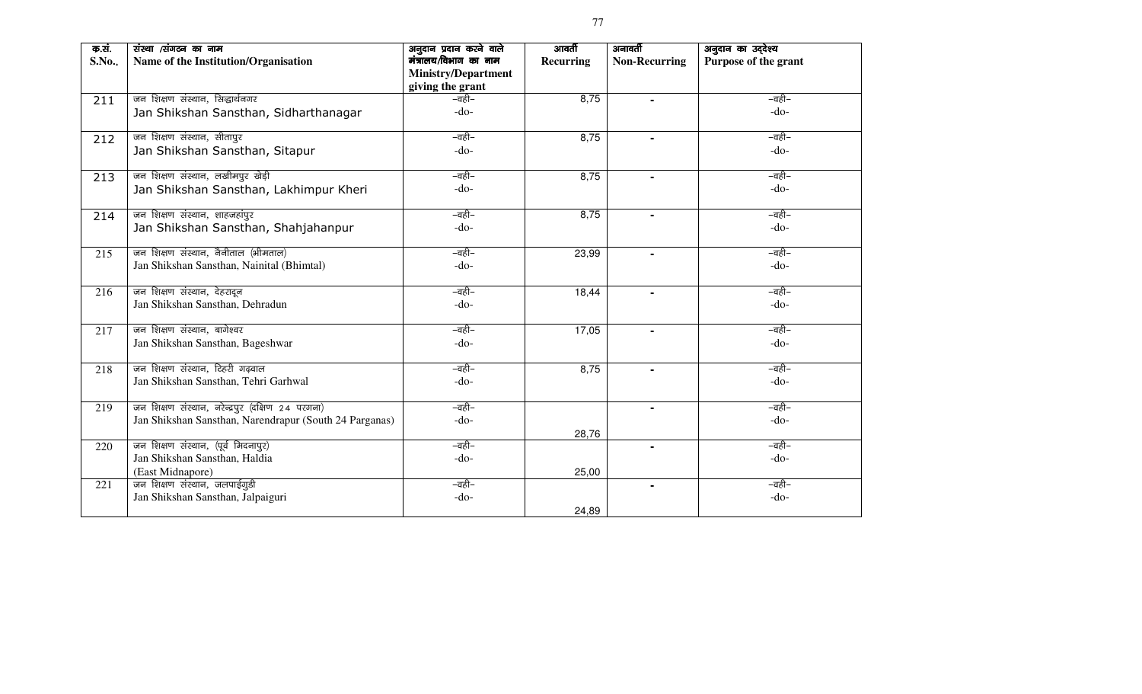| क.सं.<br>S.No | संस्था /संगठन का नाम<br>Name of the Institution/Organisation         | अनुदान प्रदान करने वाले<br>मंत्रालय/विभाग का नाम<br><b>Ministry/Department</b><br>giving the grant | आवर्ती<br>Recurring | अनावर्ती<br><b>Non-Recurring</b> | अनुदान का उद्देश्य<br>Purpose of the grant |
|---------------|----------------------------------------------------------------------|----------------------------------------------------------------------------------------------------|---------------------|----------------------------------|--------------------------------------------|
| 211           | जन शिक्षण संस्थान, सिद्धार्थनगर                                      | –वही–                                                                                              | 8,75                | ÷.                               | –वही–                                      |
|               | Jan Shikshan Sansthan, Sidharthanagar                                | $-do-$                                                                                             |                     |                                  | $-do-$                                     |
| 212           | जन शिक्षण संस्थान, सीतापुर                                           | –वही–                                                                                              | 8,75                |                                  | –वही–                                      |
|               | Jan Shikshan Sansthan, Sitapur                                       | $-do-$                                                                                             |                     |                                  | $-do-$                                     |
| 213           | जन शिक्षण संस्थान, लखीमपुर खेड़ी                                     | –वही–                                                                                              | 8,75                |                                  | –वही–                                      |
|               | Jan Shikshan Sansthan, Lakhimpur Kheri                               | $-do-$                                                                                             |                     |                                  | $-do-$                                     |
| 214           | जन शिक्षण संस्थान, शाहजहांपुर                                        | –वही–                                                                                              | 8,75                |                                  | –वही–                                      |
|               | Jan Shikshan Sansthan, Shahjahanpur                                  | $-do-$                                                                                             |                     |                                  | $-do-$                                     |
| 215           | जन शिक्षण संस्थान, नैनीताल (भीमताल)                                  | –वही–                                                                                              | 23,99               |                                  | –वही–                                      |
|               | Jan Shikshan Sansthan, Nainital (Bhimtal)                            | $-do-$                                                                                             |                     |                                  | $-do-$                                     |
| 216           | जन शिक्षण संस्थान, देहरादून                                          | –वही–                                                                                              | 18,44               | $\blacksquare$                   | –वही–                                      |
|               | Jan Shikshan Sansthan, Dehradun                                      | $-do-$                                                                                             |                     |                                  | $-do-$                                     |
| 217           | जन शिक्षण संस्थान, बागेश्वर                                          | –वही–                                                                                              | 17,05               | $\blacksquare$                   | –वही–                                      |
|               | Jan Shikshan Sansthan, Bageshwar                                     | $-do-$                                                                                             |                     |                                  | $-do-$                                     |
| 218           | जन शिक्षण संस्थान, टिहरी गढ़वाल                                      | –वही–                                                                                              | 8,75                |                                  | –वही–                                      |
|               | Jan Shikshan Sansthan, Tehri Garhwal                                 | $-do-$                                                                                             |                     |                                  | $-do-$                                     |
| 219           | जन शिक्षण संस्थान, नरेन्द्रपुर (दक्षिण 24 परगना)                     | –वही–                                                                                              |                     | $\blacksquare$                   | –वही–                                      |
|               | Jan Shikshan Sansthan, Narendrapur (South 24 Parganas)               | $-do-$                                                                                             |                     |                                  | $-do-$                                     |
|               |                                                                      |                                                                                                    | 28,76               |                                  |                                            |
| 220           | जन शिक्षण संस्थान, (पूर्व मिदनापुर)<br>Jan Shikshan Sansthan, Haldia | –वही–<br>$-do-$                                                                                    |                     | $\blacksquare$                   | –वही–<br>$-do-$                            |
|               | (East Midnapore)                                                     |                                                                                                    | 25,00               |                                  |                                            |
| 221           | जन शिक्षण संस्थान, जलपाईगुडी                                         | –वही–                                                                                              |                     | $\blacksquare$                   | –वही–                                      |
|               | Jan Shikshan Sansthan, Jalpaiguri                                    | $-do-$                                                                                             |                     |                                  | $-do-$                                     |
|               |                                                                      |                                                                                                    | 24,89               |                                  |                                            |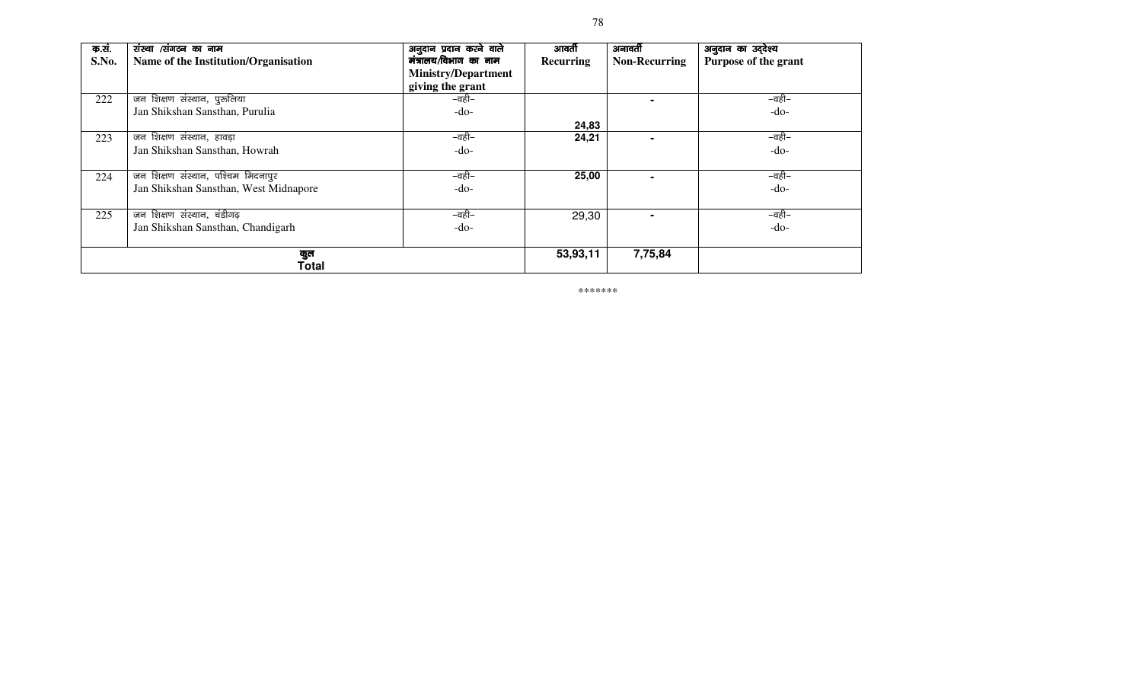| क.सं. | संस्था /संगठन का नाम                  | अनुदान प्रदान करने वाले    | आवर्ती           | अनावर्ती             | अनुदान का उद्देश्य   |
|-------|---------------------------------------|----------------------------|------------------|----------------------|----------------------|
| S.No. | Name of the Institution/Organisation  | मंत्रालय/विभाग का नाम      | <b>Recurring</b> | <b>Non-Recurring</b> | Purpose of the grant |
|       |                                       | <b>Ministry/Department</b> |                  |                      |                      |
|       |                                       | giving the grant           |                  |                      |                      |
| 222   | जन शिक्षण संस्थान, पुरुलिया           | –वही–                      |                  |                      | –वही–                |
|       | Jan Shikshan Sansthan, Purulia        | -do-                       |                  |                      | $-do-$               |
|       |                                       |                            | 24,83            |                      |                      |
| 223   | जन शिक्षण संस्थान, हावड़ा             | –वही–                      | 24,21            |                      | –वही–                |
|       | Jan Shikshan Sansthan, Howrah         | $-do-$                     |                  |                      | $-do-$               |
|       |                                       |                            |                  |                      |                      |
| 224   | जन शिक्षण संस्थान, पश्चिम मिदनापुर    | –वही–                      | 25,00            |                      | –वही–                |
|       | Jan Shikshan Sansthan, West Midnapore | -do-                       |                  |                      | $-do-$               |
|       |                                       |                            |                  |                      |                      |
| 225   | जन शिक्षण संस्थान, चंडीगढ़            | –वही–                      | 29,30            |                      | –वही–                |
|       | Jan Shikshan Sansthan, Chandigarh     | -do-                       |                  |                      | $-do-$               |
|       |                                       |                            |                  |                      |                      |
|       | कुल                                   |                            | 53,93,11         | 7,75,84              |                      |
|       | Total                                 |                            |                  |                      |                      |

\*\*\*\*\*\*\*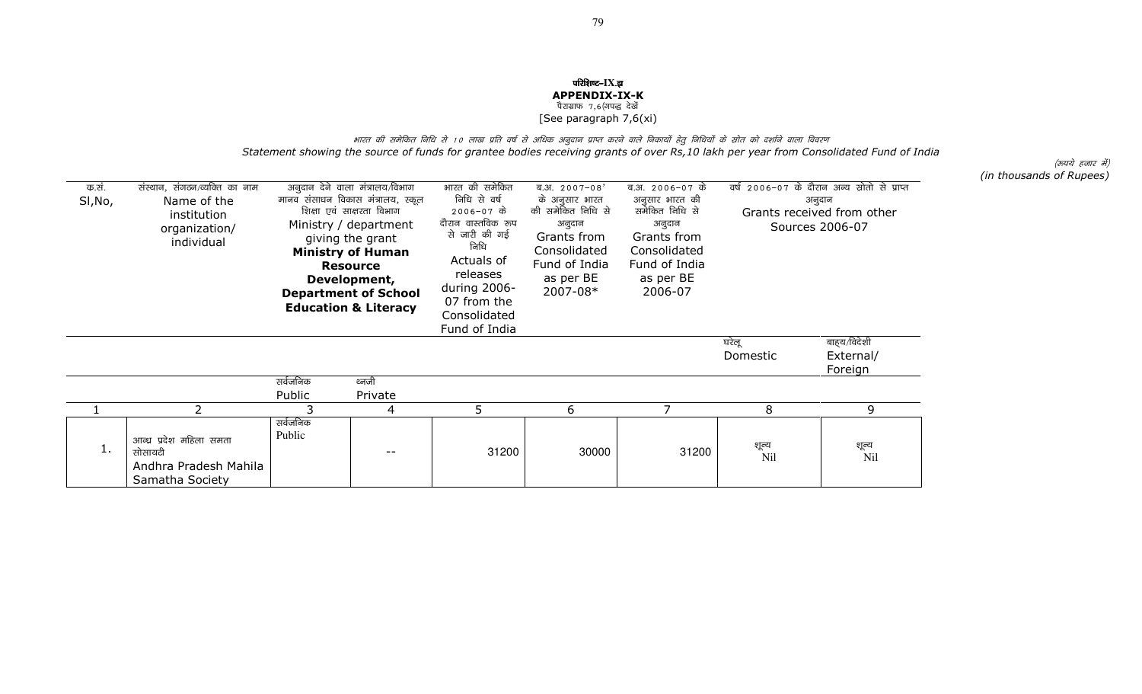## परिशिष्ट–IX.झ APPENDIX-IX-K<br>ौराग्राफ 7,6(गपद्ध देखें<br>ssansarearch 7.6(; [See paragraph 7,6(xi)

भारत की समेकित निधि से 10 लाख प्रति वर्ष से अधिक अनुदान प्राप्त करने वाले निकायों हेतु निधियों के स्रोत को दर्शाने वाला विवरण Statement showing the source of funds for grantee bodies receiving grants of over Rs,10 lakh per year from Consolidated Fund of India

(रूपये हजार में) (in thousands of Rupees)

| क.सं.<br>SI, No, | संस्थान, संगठन/व्यक्ति का नाम<br>Name of the<br>institution<br>organization/<br>individual |                    | अनुदान देने वाला मंत्रालय/विभाग<br>मानव संसाधन विकास मंत्रालय, स्कूल<br>शिक्षा एवं साक्षरता विभाग<br>Ministry / department<br>giving the grant<br><b>Ministry of Human</b><br><b>Resource</b><br>Development,<br><b>Department of School</b><br><b>Education &amp; Literacy</b> | भारत की समेकित<br>निधि से वर्ष<br>2006-07 के<br>दौरान वास्तविक रूप<br>से जारी की गई<br>निधि<br>Actuals of<br>releases<br>during 2006-<br>07 from the<br>Consolidated | ब.अ. $2007 - 08'$<br>के अनूसार भारत<br>की समेकित निधि से<br>अनुदान<br>Grants from<br>Consolidated<br>Fund of India<br>as per BE<br>2007-08* | ब.अ. 2006-07 के<br>अनुसार भारत की<br>समेकित निधि से<br>अनुदान<br>Grants from<br>Consolidated<br>Fund of India<br>as per BE<br>2006-07 | वर्ष 2006-07 के दौरान अन्य स्रोतो से प्राप्त<br>अनुदान<br>Grants received from other<br>Sources 2006-07 |                                     |
|------------------|--------------------------------------------------------------------------------------------|--------------------|---------------------------------------------------------------------------------------------------------------------------------------------------------------------------------------------------------------------------------------------------------------------------------|----------------------------------------------------------------------------------------------------------------------------------------------------------------------|---------------------------------------------------------------------------------------------------------------------------------------------|---------------------------------------------------------------------------------------------------------------------------------------|---------------------------------------------------------------------------------------------------------|-------------------------------------|
|                  |                                                                                            |                    |                                                                                                                                                                                                                                                                                 | Fund of India                                                                                                                                                        |                                                                                                                                             |                                                                                                                                       |                                                                                                         |                                     |
|                  |                                                                                            |                    |                                                                                                                                                                                                                                                                                 |                                                                                                                                                                      |                                                                                                                                             |                                                                                                                                       | घरेलू<br>Domestic                                                                                       | बाहय/विदेशी<br>External/<br>Foreign |
|                  |                                                                                            | सर्वजनिक           | ध्वजी                                                                                                                                                                                                                                                                           |                                                                                                                                                                      |                                                                                                                                             |                                                                                                                                       |                                                                                                         |                                     |
|                  |                                                                                            | Public             | Private                                                                                                                                                                                                                                                                         |                                                                                                                                                                      |                                                                                                                                             |                                                                                                                                       |                                                                                                         |                                     |
|                  | $\overline{\phantom{a}}$                                                                   | 3                  | 4                                                                                                                                                                                                                                                                               | 5                                                                                                                                                                    | 6                                                                                                                                           | $\overline{7}$                                                                                                                        | 8                                                                                                       | 9                                   |
| 1.               | आन्ध्र प्रदेश महिला समता<br>सोसायटी<br>Andhra Pradesh Mahila<br>Samatha Society            | सर्वजनिक<br>Public |                                                                                                                                                                                                                                                                                 | 31200                                                                                                                                                                | 30000                                                                                                                                       | 31200                                                                                                                                 | शून्य<br>N <sub>il</sub>                                                                                | शूल्य<br>Nil                        |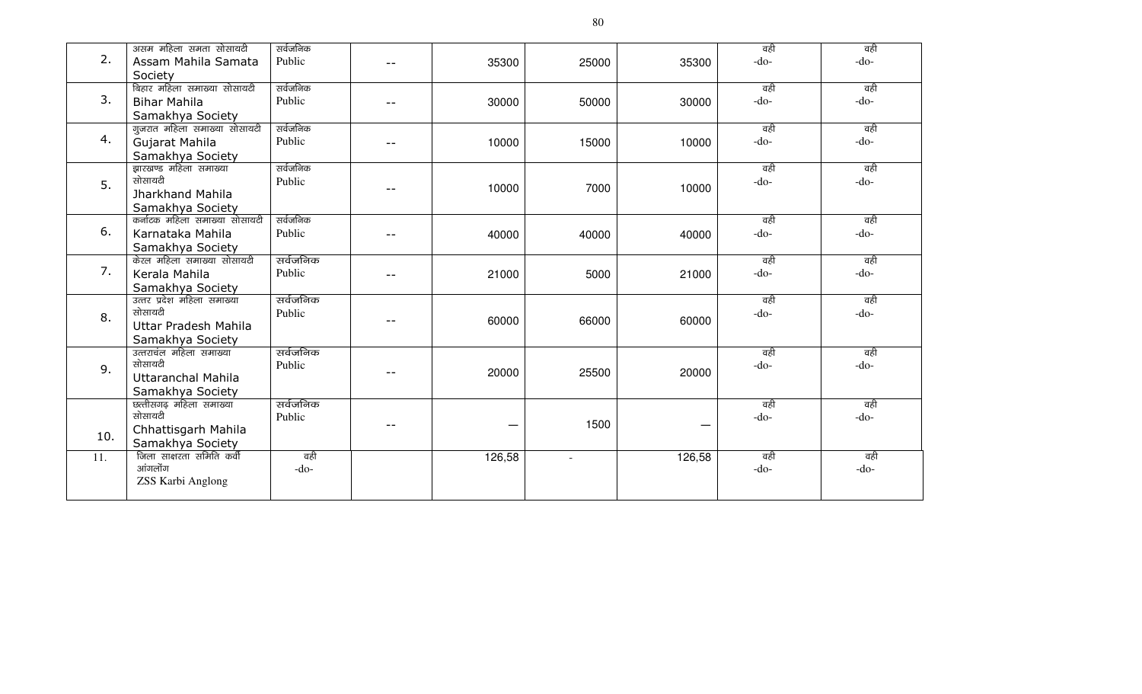|     | असम महिला समता सोसायटी        | सर्वजनिक |       |        |        |        | वही    | वही    |
|-----|-------------------------------|----------|-------|--------|--------|--------|--------|--------|
| 2.  | Assam Mahila Samata           | Public   | $- -$ | 35300  | 25000  | 35300  | $-do-$ | $-do-$ |
|     | Society                       |          |       |        |        |        |        |        |
|     | बिहार महिला समाख्या सोसायटी   | सर्वजनिक |       |        |        |        | वही    | वही    |
| 3.  | <b>Bihar Mahila</b>           | Public   | $-$   | 30000  | 50000  | 30000  | $-do-$ | $-do-$ |
|     | Samakhya Society              |          |       |        |        |        |        |        |
|     | गुजरात महिला समाख्या सोसायटी  | सर्वजनिक |       |        |        |        | वही    | वही    |
| 4.  | Gujarat Mahila                | Public   |       | 10000  | 15000  | 10000  | $-do-$ | $-do-$ |
|     | Samakhya Society              |          |       |        |        |        |        |        |
|     | झारखण्ड महिला समाख्या         | सर्वजनिक |       |        |        |        | वही    | वही    |
|     | सोसायटी                       | Public   |       |        |        |        | $-do-$ | $-do-$ |
| 5.  | Jharkhand Mahila              |          | $-$   | 10000  | 7000   | 10000  |        |        |
|     | Samakhya Society              |          |       |        |        |        |        |        |
|     | कर्नाटक महिला समाख्या सोसायटी | सर्वजनिक |       |        |        |        | वही    | वही    |
| 6.  | Karnataka Mahila              | Public   |       | 40000  | 40000  | 40000  | $-do-$ | $-do-$ |
|     |                               |          | $- -$ |        |        |        |        |        |
|     | Samakhya Society              | सर्वजनिक |       |        |        |        |        | वही    |
| 7.  | केरल महिला समाख्या सोसायटी    |          |       |        |        |        | वही    |        |
|     | Kerala Mahila                 | Public   |       | 21000  | 5000   | 21000  | $-do-$ | $-do-$ |
|     | Samakhya Society              |          |       |        |        |        |        |        |
|     | उत्तर प्रदेश महिला समाख्या    | सर्वजनिक |       |        |        |        | वही    | वही    |
| 8.  | सोसायटी                       | Public   | $-$   | 60000  | 66000  | 60000  | $-do-$ | $-do-$ |
|     | Uttar Pradesh Mahila          |          |       |        |        |        |        |        |
|     | Samakhya Society              |          |       |        |        |        |        |        |
|     | उत्तराचंल महिला समाख्या       | सर्वजनिक |       |        |        |        | वही    | वही    |
| 9.  | सोसायटी                       | Public   |       | 20000  | 25500  | 20000  | $-do-$ | $-do-$ |
|     | <b>Uttaranchal Mahila</b>     |          |       |        |        |        |        |        |
|     | Samakhya Society              |          |       |        |        |        |        |        |
|     | छत्तीसगढ़ महिला समाख्या       | सर्वजनिक |       |        |        |        | वही    | वही    |
|     | सोसायटी                       | Public   | $ -$  |        | 1500   |        | $-do-$ | $-do-$ |
| 10. | Chhattisgarh Mahila           |          |       |        |        |        |        |        |
|     | Samakhya Society              |          |       |        |        |        |        |        |
| 11. | जिला साक्षरता समिति कर्वी     | वही      |       | 126,58 | $\sim$ | 126,58 | वही    | वही    |
|     | आंगलोंग                       | $-do-$   |       |        |        |        | $-do-$ | $-do-$ |
|     | ZSS Karbi Anglong             |          |       |        |        |        |        |        |
|     |                               |          |       |        |        |        |        |        |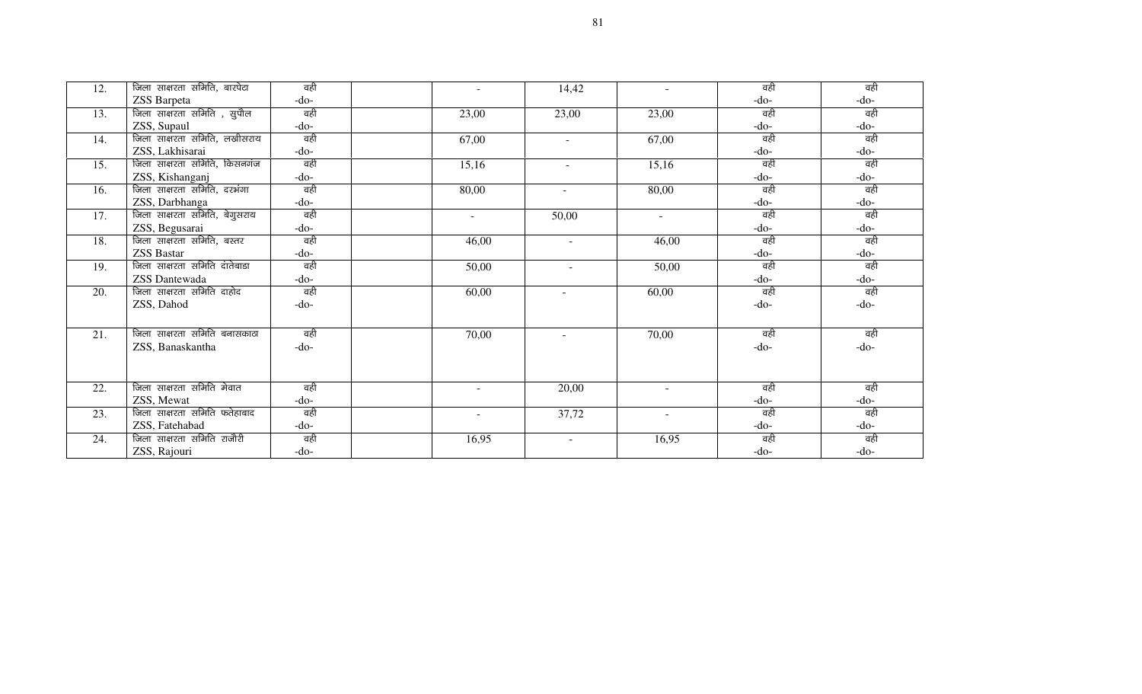| 12. | जिला साक्षरता समिति, बारपेटा  | वही    | $\sim$ | 14,42                    | $\overline{\phantom{a}}$ | वही    | वही    |
|-----|-------------------------------|--------|--------|--------------------------|--------------------------|--------|--------|
|     | ZSS Barpeta                   | -do-   |        |                          |                          | $-do-$ | $-do-$ |
| 13. | जिला साक्षरता समिति , सुपौल   | वही    | 23,00  | 23,00                    | 23,00                    | वही    | वही    |
|     | ZSS, Supaul                   | -do-   |        |                          |                          | $-do-$ | $-do-$ |
| 14. | जिला साक्षरता समिति, लखीसराय  | वही    | 67,00  | $\sim$                   | 67,00                    | वही    | वही    |
|     | ZSS, Lakhisarai               | -do-   |        |                          |                          | $-do-$ | $-do-$ |
| 15. | जिला साक्षरता समिति, किसनगंज  | वही    | 15,16  | $\sim$                   | 15,16                    | वही    | वही    |
|     | ZSS, Kishanganj               | $-do-$ |        |                          |                          | $-do-$ | -do-   |
| 16. | जिला साक्षरता समिति, दरभंगा   | वही    | 80,00  | $\overline{\phantom{a}}$ | 80,00                    | वही    | वही    |
|     | ZSS, Darbhanga                | -do-   |        |                          |                          | $-do-$ | $-do-$ |
| 17. | जिला साक्षरता समिति, बेगुसराय | वही    | $\sim$ | 50,00                    | $\sim$                   | वही    | वही    |
|     | ZSS, Begusarai                | -do-   |        |                          |                          | $-do-$ | -do-   |
| 18. | जिला साक्षरता समिति, बस्तर    | वही    | 46,00  | $\sim$                   | 46,00                    | वही    | वही    |
|     | <b>ZSS Bastar</b>             | -do-   |        |                          |                          | $-do-$ | $-do-$ |
| 19. | जिला साक्षरता समिति दातेबाडा  | वही    | 50,00  | $\blacksquare$           | 50,00                    | वही    | वही    |
|     | ZSS Dantewada                 | -do-   |        |                          |                          | $-do-$ | $-do-$ |
| 20. | जिला साक्षरता समिति दाहोद     | वही    | 60,00  | $\sim$                   | 60,00                    | वही    | वही    |
|     | ZSS, Dahod                    | $-do-$ |        |                          |                          | $-do-$ | $-do-$ |
|     |                               |        |        |                          |                          |        |        |
| 21. | जिला साक्षरता समिति बनासकाठा  | वही    | 70,00  | $\sim$                   | 70,00                    | वही    | वही    |
|     | ZSS, Banaskantha              | $-do-$ |        |                          |                          | $-do-$ | $-do-$ |
|     |                               |        |        |                          |                          |        |        |
|     |                               |        |        |                          |                          |        |        |
| 22. | जिला साक्षरता समिति मेवात     | वही    | $\sim$ | 20,00                    | $\sim$                   | वही    | वही    |
|     | ZSS, Mewat                    | -do-   |        |                          |                          | $-do-$ | $-do-$ |
| 23. | जिला साक्षरता समिति फतेहाबाद  | वही    | $\sim$ | 37,72                    | $\sim$                   | वही    | वही    |
|     | ZSS, Fatehabad                | -do-   |        |                          |                          | $-do-$ | $-do-$ |
| 24. | जिला साक्षरता समिति राजौरी    | वही    | 16,95  | $\sim$                   | 16,95                    | वही    | वही    |
|     | ZSS, Rajouri                  | $-do-$ |        |                          |                          | $-do-$ | $-do-$ |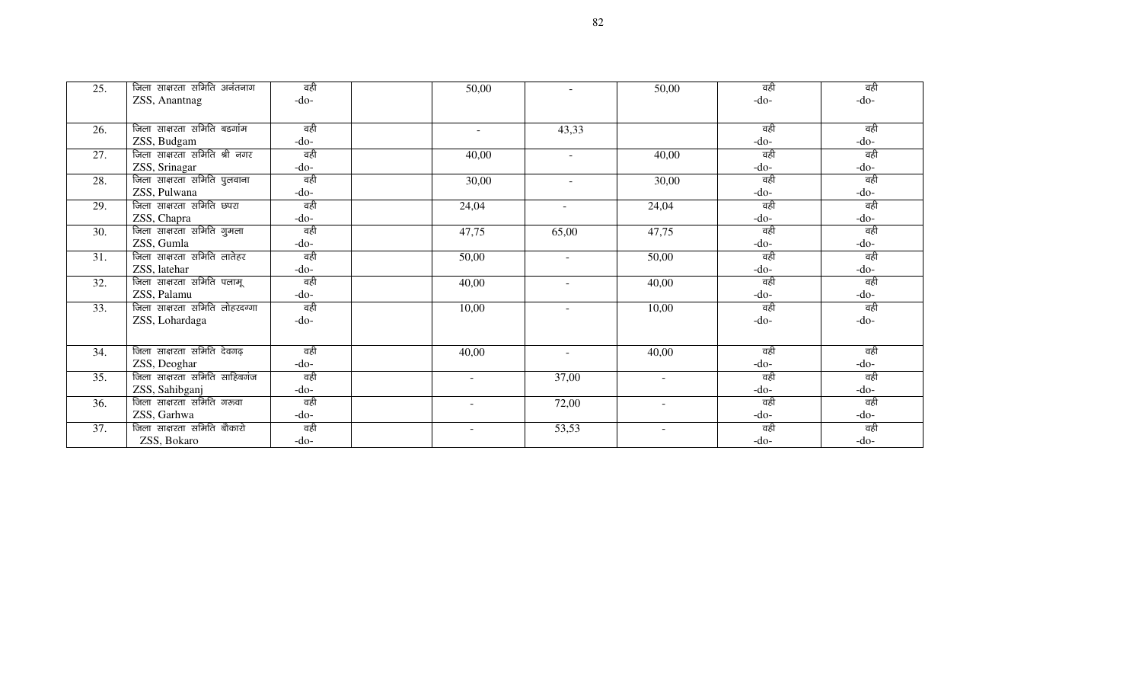| 25. | जिला साक्षरता समिति अनंतनाग   | वही    | 50,00  | $\equiv$                 | 50,00                    | वही    | वही    |
|-----|-------------------------------|--------|--------|--------------------------|--------------------------|--------|--------|
|     | ZSS, Anantnag                 | $-do-$ |        |                          |                          | $-do-$ | $-do-$ |
|     |                               |        |        |                          |                          |        |        |
| 26. | जिला साक्षरता समिति बडगांम    | वही    | $\sim$ | 43,33                    |                          | वही    | वही    |
|     | ZSS, Budgam                   | -do-   |        |                          |                          | $-do-$ | $-do-$ |
| 27. | जिला साक्षरता समिति श्री नगर  | वही    | 40,00  | $\sim$                   | 40,00                    | वही    | वही    |
|     | ZSS, Srinagar                 | $-do-$ |        |                          |                          | $-do-$ | $-do-$ |
| 28. | जिला साक्षरता समिति पुलवाना   | वही    | 30,00  | $\sim$                   | 30,00                    | वही    | वही    |
|     | ZSS, Pulwana                  | $-do-$ |        |                          |                          | $-do-$ | $-do-$ |
| 29. | जिला साक्षरता समिति छपरा      | वही    | 24,04  | $\sim$                   | 24,04                    | वही    | वही    |
|     | ZSS, Chapra                   | $-do-$ |        |                          |                          | $-do-$ | $-do-$ |
| 30. | जिला साक्षरता समिति गुमला     | वही    | 47,75  | 65,00                    | 47,75                    | वही    | वही    |
|     | ZSS, Gumla                    | -do-   |        |                          |                          | $-do-$ | $-do-$ |
| 31. | जिला साक्षरता समिति लातेहर    | वही    | 50,00  | $\overline{\phantom{a}}$ | 50,00                    | वही    | वही    |
|     | ZSS, latehar                  | $-do-$ |        |                          |                          | $-do-$ | $-do-$ |
| 32. | जिला साक्षरता समिति पलामू     | वही    | 40,00  | $\sim$                   | 40,00                    | वही    | वही    |
|     | ZSS, Palamu                   | $-do-$ |        |                          |                          | $-do-$ | $-do-$ |
| 33. | जिला साक्षरता समिति लोहरदग्गा | वही    | 10,00  | $\sim$                   | 10,00                    | वही    | वही    |
|     | ZSS, Lohardaga                | $-do-$ |        |                          |                          | $-do-$ | $-do-$ |
|     |                               |        |        |                          |                          |        |        |
| 34. | जिला साक्षरता समिति देवगढ़    | वही    | 40,00  | $\sim$                   | 40,00                    | वही    | वही    |
|     | ZSS, Deoghar                  | -do-   |        |                          |                          | $-do-$ | $-do-$ |
| 35. | जिला साक्षरता समिति साहिबगंज  | वही    | $\sim$ | 37,00                    | $\sim$                   | वही    | वही    |
|     | ZSS, Sahibganj                | $-do-$ |        |                          |                          | $-do-$ | $-do-$ |
| 36. | जिला साक्षरता समिति गरूवा     | वही    |        | 72,00                    | $\sim$                   | वही    | वही    |
|     | ZSS, Garhwa                   | $-do-$ |        |                          |                          | $-do-$ | $-do-$ |
| 37. | जिला साक्षरता समिति बौकारो    | वही    | $\sim$ | 53,53                    | $\overline{\phantom{a}}$ | वही    | वही    |
|     | ZSS, Bokaro                   | $-do-$ |        |                          |                          | $-do-$ | $-do-$ |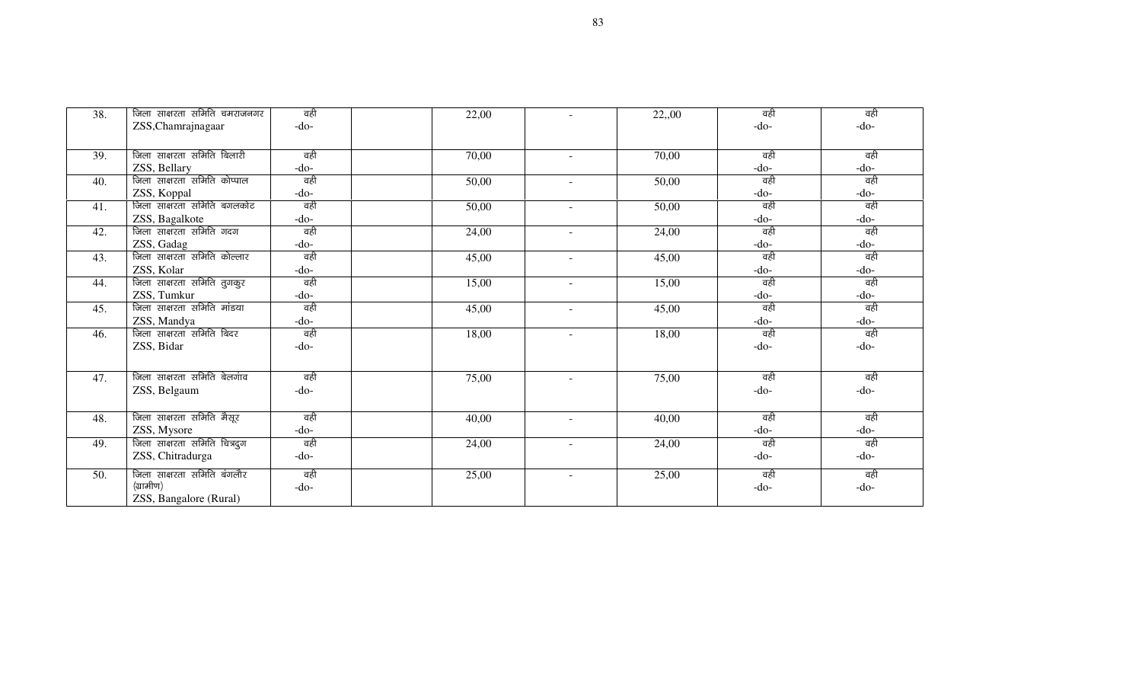| 38. | जिला साक्षरता समिति चमराजनगर | वही    | 22,00 |        | 22,00 | वही    | वही    |
|-----|------------------------------|--------|-------|--------|-------|--------|--------|
|     | ZSS, Chamrajnagaar           | $-do-$ |       |        |       | $-do-$ | $-do-$ |
|     |                              |        |       |        |       |        |        |
| 39. | जिला साक्षरता समिति बिलारी   | वही    | 70,00 | $\sim$ | 70,00 | वही    | वही    |
|     | ZSS, Bellary                 | -do-   |       |        |       | $-do-$ | $-do-$ |
| 40. | जिला साक्षरता समिति कोप्पाल  | वही    | 50,00 |        | 50,00 | वही    | वही    |
|     | ZSS, Koppal                  | -do-   |       |        |       | $-do-$ | $-do-$ |
| 41. | जिला साक्षरता समिति बगलकोट   | वही    | 50,00 | $\sim$ | 50,00 | वही    | वही    |
|     | ZSS, Bagalkote               | -do-   |       |        |       | $-do-$ | $-do-$ |
| 42. | जिला साक्षरता समिति गदग      | वही    | 24,00 | $\sim$ | 24,00 | वही    | वही    |
|     | ZSS, Gadag                   | -do-   |       |        |       | $-do-$ | $-do-$ |
| 43. | जिला साक्षरता समिति कोल्लार  | वही    | 45,00 | $\sim$ | 45,00 | वही    | वही    |
|     | ZSS, Kolar                   | -do-   |       |        |       | $-do-$ | $-do-$ |
| 44. | जिला साक्षरता समिति तुगकुर   | वही    | 15,00 | $\sim$ | 15,00 | वही    | वही    |
|     | ZSS, Tumkur                  | -do-   |       |        |       | $-do-$ | $-do-$ |
| 45. | जिला साक्षरता समिति मांडया   | वही    | 45,00 | $\sim$ | 45,00 | वही    | वही    |
|     | ZSS, Mandya                  | -do-   |       |        |       | $-do-$ | $-do-$ |
| 46. | जिला साक्षरता समिति बिदर     | वही    | 18,00 |        | 18,00 | वही    | वही    |
|     | ZSS, Bidar                   | $-do-$ |       |        |       | $-do-$ | $-do-$ |
|     |                              |        |       |        |       |        |        |
| 47. | जिला साक्षरता समिति बेलगांव  | वही    | 75,00 |        | 75,00 | वही    | वही    |
|     | ZSS, Belgaum                 | $-do-$ |       |        |       | $-do-$ | $-do-$ |
|     |                              |        |       |        |       |        |        |
| 48. | जिला साक्षरता समिति मैसूर    | वही    | 40,00 | $\sim$ | 40,00 | वही    | वही    |
|     | ZSS, Mysore                  | -do-   |       |        |       | $-do-$ | $-do-$ |
| 49. | जिला साक्षरता समिति चित्रदुग | वही    | 24,00 |        | 24,00 | वही    | वही    |
|     | ZSS, Chitradurga             | -do-   |       |        |       | $-do-$ | $-do-$ |
|     |                              |        |       |        |       |        |        |
| 50. | जिला साक्षरता समिति बंगलौर   | वही    | 25,00 | $\sim$ | 25,00 | वही    | वही    |
|     | (ग्रामीण)                    | $-do-$ |       |        |       | $-do-$ | $-do-$ |
|     | ZSS, Bangalore (Rural)       |        |       |        |       |        |        |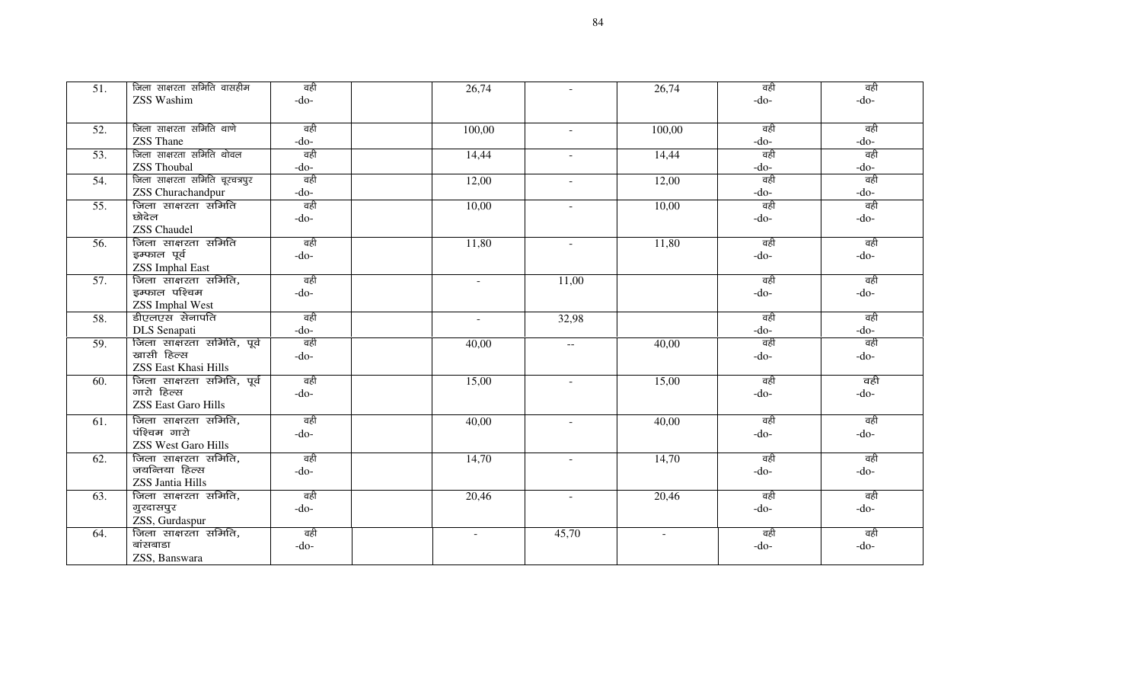| 51. | जिला साक्षरता समिति वासहीम     | वही    | 26,74  |          | 26,74  | वही    | वही    |
|-----|--------------------------------|--------|--------|----------|--------|--------|--------|
|     | ZSS Washim                     | $-do-$ |        |          |        | $-do-$ | $-do-$ |
|     |                                |        |        |          |        |        |        |
| 52. | जिला साक्षरता समिति थाणे       | वही    | 100,00 | $\sim$   | 100,00 | वही    | वही    |
|     | ZSS Thane                      | $-do-$ |        |          |        | $-do-$ | -do-   |
| 53. | जिला साक्षरता समिति थोवल       | वही    | 14,44  |          | 14,44  | वही    | वही    |
|     | <b>ZSS Thoubal</b>             | $-do-$ |        |          |        | $-do-$ | -do-   |
| 54. | जिला साक्षरता समिति चूरचत्रपुर | वही    | 12,00  | $\sim$   | 12,00  | वही    | वही    |
|     | ZSS Churachandpur              | $-do-$ |        |          |        | $-do-$ | $-do-$ |
| 55. | जिला साक्षरता समिति            | वही    | 10,00  | $\sim$ . | 10,00  | वही    | वही    |
|     | छोदेल                          | $-do-$ |        |          |        | $-do-$ | $-do-$ |
|     | <b>ZSS</b> Chaudel             |        |        |          |        |        |        |
| 56. | जिला साक्षरता समिति            | वही    | 11,80  | $\sim$   | 11,80  | वही    | वही    |
|     | इम्फाल पूर्व                   | $-do-$ |        |          |        | $-do-$ | -do-   |
|     | <b>ZSS Imphal East</b>         |        |        |          |        |        |        |
| 57. | जिला साक्षरता समिति,           | वही    | $\sim$ | 11,00    |        | वही    | वही    |
|     | इम्फाल पश्चिम                  | $-do-$ |        |          |        | $-do-$ | $-do-$ |
|     | <b>ZSS Imphal West</b>         |        |        |          |        |        |        |
| 58. | डीएलएस सेनापति                 | वही    | $\sim$ | 32,98    |        | वही    | वही    |
|     | DLS Senapati                   | $-do-$ |        |          |        | $-do-$ | -do-   |
| 59. | जिला साक्षरता समिति, पूर्व     | वही    | 40,00  | $- -$    | 40,00  | वही    | वही    |
|     | खासी हिल्स                     | $-do-$ |        |          |        | $-do-$ | $-do-$ |
|     | ZSS East Khasi Hills           |        |        |          |        |        |        |
| 60. | जिला साक्षरता समिति, पूर्व     | वही    | 15,00  | $\sim$   | 15,00  | वही    | वही    |
|     | गारो हिल्स                     | $-do-$ |        |          |        | $-do-$ | $-do-$ |
|     | <b>ZSS East Garo Hills</b>     |        |        |          |        |        |        |
| 61. | जिला साक्षरता समिति,           | वही    | 40,00  | $\sim$   | 40,00  | वही    | वही    |
|     | पंश्चिम गारो                   | $-do-$ |        |          |        | $-do-$ | $-do-$ |
|     | <b>ZSS West Garo Hills</b>     |        |        |          |        |        |        |
| 62. | जिला साक्षरता समिति,           | वही    | 14,70  | $\sim$   | 14,70  | वही    | वही    |
|     | जयन्तिया हिल्स                 | $-do-$ |        |          |        | $-do-$ | -do-   |
|     | <b>ZSS Jantia Hills</b>        |        |        |          |        |        |        |
| 63. | जिला साक्षरता समिति,           | वही    | 20,46  | $\sim$   | 20,46  | वही    | वही    |
|     | गुरदासपुर                      | $-do-$ |        |          |        | $-do-$ | -do-   |
|     | ZSS, Gurdaspur                 |        |        |          |        |        |        |
| 64. | जिला साक्षरता समिति,           | वही    | $\sim$ | 45,70    | $\sim$ | वही    | वही    |
|     | बांसबाडा                       | $-do-$ |        |          |        | $-do-$ | $-do-$ |
|     | ZSS, Banswara                  |        |        |          |        |        |        |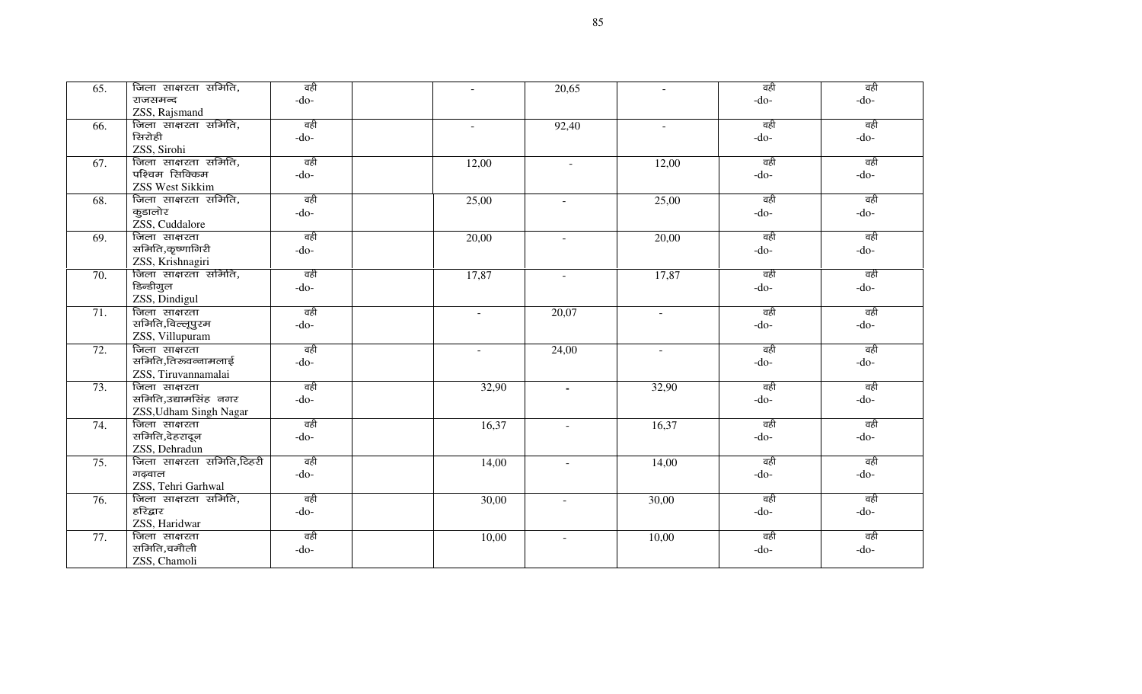| 65. | जिला साक्षरता समिति,      | वही    | $\sim$         | 20,65                    |          | वही    | वही    |
|-----|---------------------------|--------|----------------|--------------------------|----------|--------|--------|
|     | राजसमन्द                  | $-do-$ |                |                          |          | $-do-$ | $-do-$ |
|     | ZSS, Rajsmand             |        |                |                          |          |        |        |
| 66. | जिला साक्षरता समिति,      | वही    | $\blacksquare$ | 92,40                    | $\sim$   | वही    | वही    |
|     | रिनरोही                   | -do-   |                |                          |          | $-do-$ | $-do-$ |
|     | ZSS, Sirohi               |        |                |                          |          |        |        |
| 67. | जिला साक्षरता समिति,      | वही    | 12,00          | $\sim$                   | 12,00    | वही    | वही    |
|     | पश्चिम सिक्किम            | $-do-$ |                |                          |          | $-do-$ | $-do-$ |
|     | <b>ZSS West Sikkim</b>    |        |                |                          |          |        |        |
| 68. | जिला साक्षरता समिति,      | वही    | 25,00          | $\sim$                   | 25,00    | वही    | वही    |
|     | कुडालोर                   | $-do-$ |                |                          |          | $-do-$ | $-do-$ |
|     | ZSS, Cuddalore            |        |                |                          |          |        |        |
| 69. | जिला साक्षरता             | वही    | 20,00          | $\blacksquare$           | 20,00    | वही    | वही    |
|     | समिति,कृष्णागिरी          | $-do-$ |                |                          |          | $-do-$ | $-do-$ |
|     | ZSS, Krishnagiri          |        |                |                          |          |        |        |
| 70. | जिला साक्षरता समिति,      | वही    | 17,87          | $\sim$                   | 17,87    | वही    | वही    |
|     | डिन्डीगुल                 | $-do-$ |                |                          |          | $-do-$ | $-do-$ |
|     | ZSS, Dindigul             |        |                |                          |          |        |        |
| 71. | जिला साक्षरता             | वही    | $\equiv$       | 20,07                    | $\omega$ | वही    | वही    |
|     | समिति,विल्लूपुरम          | $-do-$ |                |                          |          | $-do-$ | $-do-$ |
|     | ZSS, Villupuram           |        |                |                          |          |        |        |
| 72. | जिला साक्षरता             | वही    | $\sim$         | 24,00                    | $\omega$ | वही    | वही    |
|     | समिति,तिरुवन्नामलाई       | $-do-$ |                |                          |          | $-do-$ | $-do-$ |
|     | ZSS, Tiruvannamalai       |        |                |                          |          |        |        |
| 73. | जिला साक्षरता             | वही    | 32,90          | $\blacksquare$           | 32,90    | वही    | वही    |
|     | समिति,उद्यामसिंह नगर      | $-do-$ |                |                          |          | $-do-$ | $-do-$ |
|     | ZSS, Udham Singh Nagar    |        |                |                          |          |        |        |
| 74. | जिला साक्षरता             | वही    | 16,37          | $\overline{\phantom{a}}$ | 16,37    | वही    | वही    |
|     | समिति,देहरादून            | $-do-$ |                |                          |          | $-do-$ | $-do-$ |
|     | ZSS, Dehradun             |        |                |                          |          |        |        |
| 75. | जिला साक्षरता समिति,टिहरी | वही    | 14,00          | $\sim$                   | 14,00    | वही    | वही    |
|     | गढ़वाल                    | $-do-$ |                |                          |          | $-do-$ | $-do-$ |
|     | ZSS, Tehri Garhwal        |        |                |                          |          |        |        |
| 76. | जिला साक्षरता समिति,      | वही    | 30,00          | $\overline{a}$           | 30,00    | वही    | वही    |
|     | हरिद्वार                  | $-do-$ |                |                          |          | $-do-$ | $-do-$ |
|     | ZSS, Haridwar             |        |                |                          |          |        |        |
| 77. | जिला साक्षरता             | वही    | 10,00          | $\blacksquare$           | 10,00    | वही    | वही    |
|     | समिति,चमौली               | $-do-$ |                |                          |          | $-do-$ | $-do-$ |
|     | ZSS, Chamoli              |        |                |                          |          |        |        |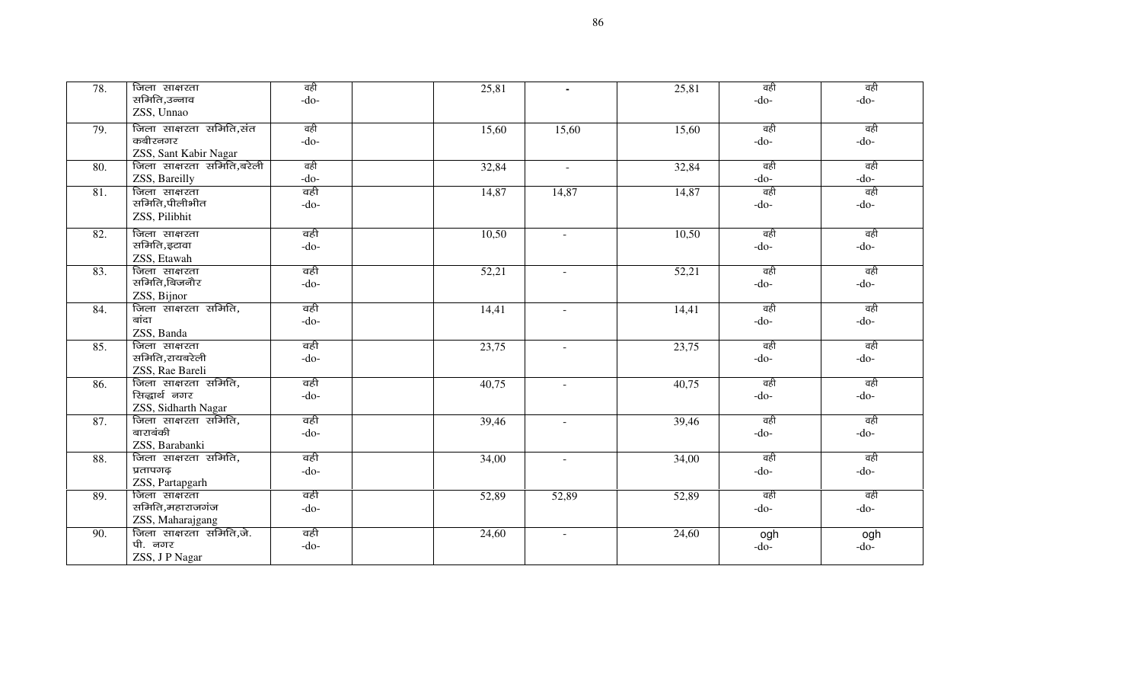| 78. | जिला साक्षरता<br>समिति,उन्नाव<br>ZSS, Unnao                  | वही<br>$-do-$ | 25,81 | $\blacksquare$ | 25,81 | वही<br>$-do-$ | वही<br>$-do-$ |
|-----|--------------------------------------------------------------|---------------|-------|----------------|-------|---------------|---------------|
| 79. | जिला साक्षरता समिति,संत<br>कबीरनगर<br>ZSS, Sant Kabir Nagar  | वही<br>$-do-$ | 15,60 | 15,60          | 15,60 | वही<br>$-do-$ | वही<br>$-do-$ |
| 80. | जिला साक्षरता समिति,बरेली<br>ZSS, Bareilly                   | वही<br>$-do-$ | 32,84 | $\sim$         | 32,84 | वही<br>$-do-$ | वही<br>$-do-$ |
| 81. | जिला साक्षरता<br>समिति,पीलीभीत<br>ZSS, Pilibhit              | वही<br>$-do-$ | 14,87 | 14,87          | 14,87 | वही<br>$-do-$ | वही<br>$-do-$ |
| 82. | जिला साक्षरता<br>समिति,इटावा<br>ZSS, Etawah                  | वही<br>$-do-$ | 10,50 | $\sim$         | 10,50 | वही<br>$-do-$ | वही<br>$-do-$ |
| 83. | जिला साक्षरता<br>समिति,बिजनौर<br>ZSS, Bijnor                 | वही<br>$-do-$ | 52,21 | $\sim$         | 52,21 | वही<br>$-do-$ | वही<br>$-do-$ |
| 84. | जिला साक्षरता समिति,<br>बांदा<br>ZSS, Banda                  | वही<br>$-do-$ | 14,41 | $\blacksquare$ | 14,41 | वही<br>$-do-$ | वही<br>$-do-$ |
| 85. | जिला साक्षरता<br>समिति,रायबरेली<br>ZSS, Rae Bareli           | वही<br>$-do-$ | 23,75 | $\blacksquare$ | 23,75 | वही<br>$-do-$ | वही<br>$-do-$ |
| 86. | जिला साक्षरता समिति,<br>सिद्धार्थ नगर<br>ZSS, Sidharth Nagar | वही<br>$-do-$ | 40,75 | $\sim$         | 40,75 | वही<br>$-do-$ | वही<br>$-do-$ |
| 87. | जिला साक्षरता समिति,<br>बाराबंकी<br>ZSS, Barabanki           | वही<br>$-do-$ | 39,46 | $\sim$         | 39,46 | वही<br>$-do-$ | वही<br>$-do-$ |
| 88. | जिला साक्षरता समिति,<br>प्रतापगढ़<br>ZSS, Partapgarh         | वही<br>$-do-$ | 34,00 | $\blacksquare$ | 34,00 | वही<br>$-do-$ | वही<br>$-do-$ |
| 89. | जिला साक्षरता<br>समिति,महाराजगंज<br>ZSS, Maharajgang         | वही<br>$-do-$ | 52,89 | 52,89          | 52,89 | वही<br>$-do-$ | वही<br>$-do-$ |
| 90. | जिला साक्षरता समिति,जे.<br>पी. नगर<br>ZSS, JP Nagar          | वही<br>$-do-$ | 24,60 | $\blacksquare$ | 24,60 | ogh<br>$-do-$ | ogh<br>$-do-$ |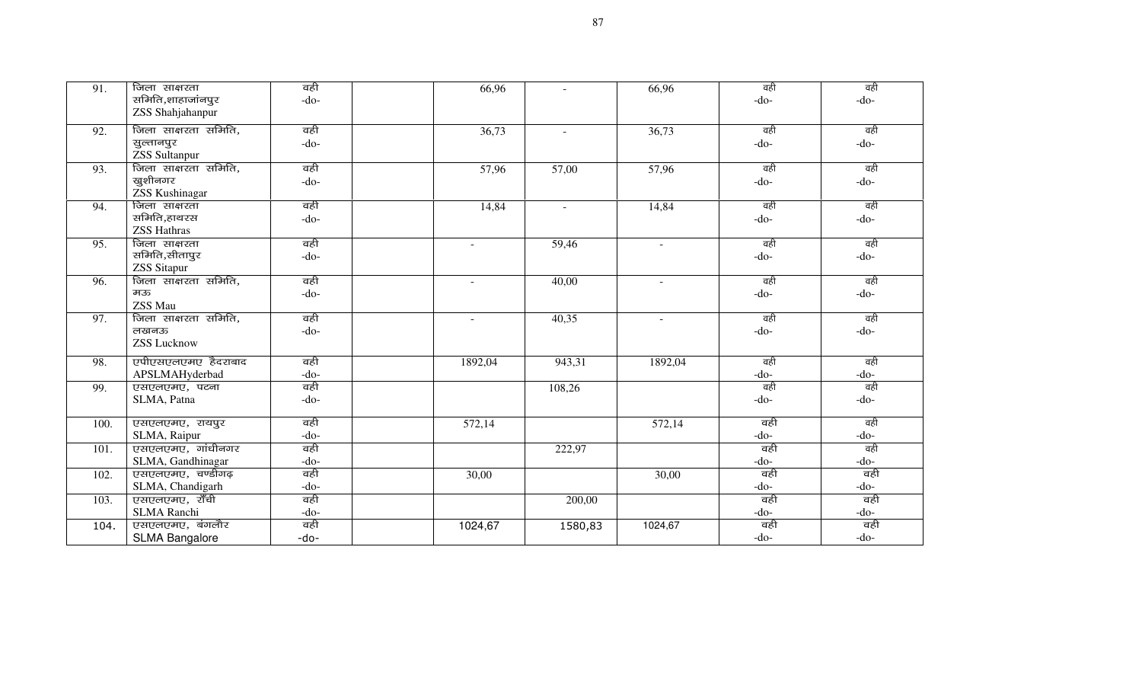| $\overline{91}$ . | जिला साक्षरता         | वही    | 66,96   |          | 66,96                    | वही    | वही    |
|-------------------|-----------------------|--------|---------|----------|--------------------------|--------|--------|
|                   | समिति,शाहाजांनपुर     | $-do-$ |         |          |                          | $-do-$ | $-do-$ |
|                   | ZSS Shahjahanpur      |        |         |          |                          |        |        |
| 92.               | जिला साक्षरता समिति,  | वही    | 36,73   | $\sim$   | 36,73                    | वही    | वही    |
|                   | सुल्तानपुर            | $-do-$ |         |          |                          | $-do-$ | $-do-$ |
|                   | <b>ZSS</b> Sultanpur  |        |         |          |                          |        |        |
| 93.               | जिला साक्षरता समिति,  | वही    | 57,96   | 57,00    | 57,96                    | वही    | वही    |
|                   | खुशीनगर               | $-do-$ |         |          |                          | $-do-$ | $-do-$ |
|                   | <b>ZSS Kushinagar</b> |        |         |          |                          |        |        |
| 94.               | जिला साक्षरता         | वही    | 14,84   | $\omega$ | 14,84                    | वही    | वही    |
|                   | समिति,हाथरस           | $-do-$ |         |          |                          | $-do-$ | $-do-$ |
|                   | <b>ZSS Hathras</b>    |        |         |          |                          |        |        |
| 95.               | जिला साक्षरता         | वही    | $\sim$  | 59,46    | $\sim$                   | वही    | वही    |
|                   | समिति,सीतापुर         | $-do-$ |         |          |                          | $-do-$ | $-do-$ |
|                   | <b>ZSS</b> Sitapur    |        |         |          |                          |        |        |
| 96.               | जिला साक्षरता समिति,  | वही    | $\sim$  | 40,00    | $\sim$                   | वही    | वही    |
|                   | मऊ                    | $-do-$ |         |          |                          | $-do-$ | $-do-$ |
|                   | ZSS Mau               |        |         |          |                          |        |        |
| 97.               | जिला साक्षरता समिति,  | वही    | $\sim$  | 40,35    | $\overline{\phantom{a}}$ | वही    | वही    |
|                   | लखनऊ                  | $-do-$ |         |          |                          | $-do-$ | $-do-$ |
|                   | <b>ZSS Lucknow</b>    |        |         |          |                          |        |        |
| 98.               | एपीएसएलएमए हैदराबाद   | वही    | 1892,04 | 943,31   | 1892,04                  | वही    | वही    |
|                   | APSLMAHyderbad        | $-do-$ |         |          |                          | $-do-$ | $-do-$ |
| 99.               | एसएलएमए, पटना         | वही    |         | 108,26   |                          | वही    | वही    |
|                   | SLMA, Patna           | $-do-$ |         |          |                          | $-do-$ | $-do-$ |
|                   |                       |        |         |          |                          |        |        |
| 100.              | एसएलएमए, रायपुर       | वही    | 572,14  |          | 572,14                   | वही    | वही    |
|                   | SLMA, Raipur          | $-do-$ |         |          |                          | $-do-$ | $-do-$ |
| 101.              | एसएलएमए, गांधीनगर     | वही    |         | 222,97   |                          | वही    | वही    |
|                   | SLMA, Gandhinagar     | $-do-$ |         |          |                          | $-do-$ | $-do-$ |
| 102.              | एसएलएमए, चण्डीगढ़     | वही    | 30,00   |          | 30,00                    | वही    | वही    |
|                   | SLMA, Chandigarh      | $-do-$ |         |          |                          | $-do-$ | $-do-$ |
| 103.              | एसएलएमए, राँची        | वही    |         | 200,00   |                          | वही    | वही    |
|                   | SLMA Ranchi           | $-do-$ |         |          |                          | $-do-$ | $-do-$ |
| 104.              | एसएलएमए, बंगलौर       | वही    | 1024,67 | 1580,83  | 1024,67                  | वही    | वही    |
|                   | <b>SLMA Bangalore</b> | -do-   |         |          |                          | $-do-$ | $-do-$ |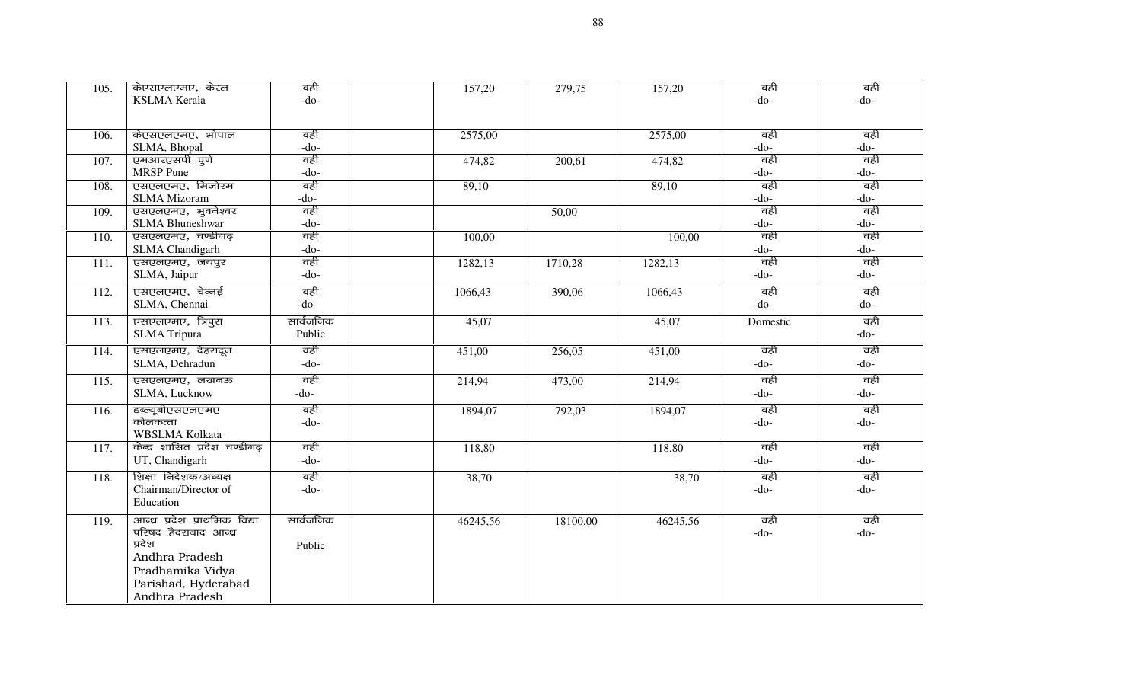| 105. | केएसएलएमए, केरल               | वही       | 157,20   | 279,75   | 157,20   | वही      | वही    |
|------|-------------------------------|-----------|----------|----------|----------|----------|--------|
|      | <b>KSLMA</b> Kerala           | $-do-$    |          |          |          | $-do-$   | -do-   |
|      |                               |           |          |          |          |          |        |
| 106. | केएसएलएमए, भोपाल              | वही       | 2575,00  |          | 2575,00  | वही      | वही    |
|      | SLMA, Bhopal                  | $-do-$    |          |          |          | $-do-$   | $-do-$ |
| 107. | एमआरएसपी पुणे                 | वही       | 474,82   | 200,61   | 474,82   | वही      | वही    |
|      | MRSP Pune                     | $-do-$    |          |          |          | $-do-$   | -do-   |
| 108. | एसएलएमए, मिजोरम               | वही       | 89,10    |          | 89,10    | वही      | वही    |
|      | SLMA Mizoram                  | $-do-$    |          |          |          | $-do-$   | $-do-$ |
| 109. | एसएलएमए, भुवनेश्वर            | वही       |          | 50,00    |          | वही      | वही    |
|      | <b>SLMA</b> Bhuneshwar        | $-do-$    |          |          |          | $-do-$   | $-do-$ |
| 110. | एसएलएमए, चण्डीगढ़             | वही       | 100,00   |          | 100,00   | वही      | वही    |
|      | <b>SLMA</b> Chandigarh        | $-do-$    |          |          |          | $-do-$   | -do-   |
| 111. | एसएलएमए, जयपुर                | वही       | 1282,13  | 1710,28  | 1282,13  | वही      | वही    |
|      | SLMA, Jaipur                  | $-do-$    |          |          |          | $-do-$   | -do-   |
| 112. | एसएलएमए, चेन्नई               | वही       | 1066,43  | 390,06   | 1066,43  | वही      | वही    |
|      | SLMA, Chennai                 | $-do-$    |          |          |          | $-do-$   | -do-   |
| 113. | एसएलएमए, त्रिपुरा             | सार्वजनिक | 45,07    |          | 45,07    | Domestic | वही    |
|      | <b>SLMA</b> Tripura           | Public    |          |          |          |          | -do-   |
| 114. | एसएलएमए, देहरादून             | वही       | 451,00   | 256,05   | 451,00   | वही      | वही    |
|      | SLMA, Dehradun                | $-do-$    |          |          |          | $-do-$   | $-do-$ |
| 115. | एसएलएमए, लखनऊ                 | वही       | 214,94   | 473,00   | 214,94   | वही      | वही    |
|      | SLMA, Lucknow                 | $-do-$    |          |          |          | $-do-$   | $-do-$ |
| 116. | डब्ल्यूबीएसएलएमए              | वही       | 1894,07  | 792,03   | 1894,07  | वही      | वही    |
|      | कोलकत्ता                      | $-do-$    |          |          |          | $-do-$   | $-do-$ |
|      | WBSLMA Kolkata                |           |          |          |          |          |        |
| 117. | केन्द्र शासित प्रदेश चण्डीगढ़ | वही       | 118,80   |          | 118,80   | वही      | वही    |
|      | UT, Chandigarh                | $-do-$    |          |          |          | $-do-$   | $-do-$ |
| 118. | शिक्षा निदेशक/अध्यक्ष         | वही       | 38,70    |          | 38,70    | वही      | वही    |
|      | Chairman/Director of          | $-do-$    |          |          |          | $-do-$   | -do-   |
|      | Education                     |           |          |          |          |          |        |
| 119. | आन्ध्र प्रदेश प्राथमिक विद्या | सार्वजनिक | 46245,56 | 18100,00 | 46245,56 | वही      | वही    |
|      | परिषद हैदराबाद आन्ध्र         |           |          |          |          | $-do-$   | $-do-$ |
|      | प्रदेश                        | Public    |          |          |          |          |        |
|      | Andhra Pradesh                |           |          |          |          |          |        |
|      | Pradhamika Vidya              |           |          |          |          |          |        |
|      | Parishad, Hyderabad           |           |          |          |          |          |        |
|      | Andhra Pradesh                |           |          |          |          |          |        |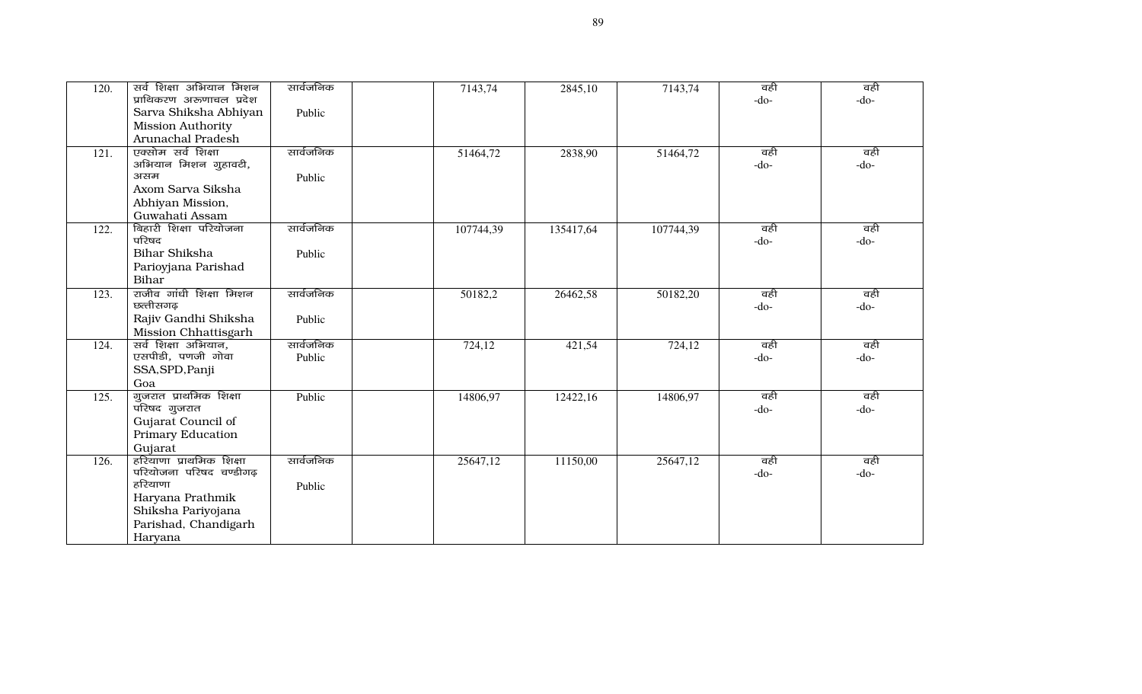| 120.               | सर्व शिक्षा अभियान मिशन                     | सार्वजनिक | 7143,74   | 2845,10   | 7143,74   | वही    | वही    |
|--------------------|---------------------------------------------|-----------|-----------|-----------|-----------|--------|--------|
|                    | प्राथिकरण अरुणाचल प्रदेश                    |           |           |           |           | $-do-$ | $-do-$ |
|                    | Sarva Shiksha Abhiyan                       | Public    |           |           |           |        |        |
|                    | <b>Mission Authority</b>                    |           |           |           |           |        |        |
|                    | Arunachal Pradesh                           |           |           |           |           |        |        |
| $\overline{121}$ . | एक्सोम सर्व शिक्षा                          | सार्वजनिक | 51464,72  | 2838,90   | 51464,72  | वही    | वही    |
|                    | अभियान मिशन गुहावटी,                        |           |           |           |           | $-do-$ | $-do-$ |
|                    | असम                                         | Public    |           |           |           |        |        |
|                    | Axom Sarva Siksha                           |           |           |           |           |        |        |
|                    | Abhiyan Mission,                            |           |           |           |           |        |        |
|                    | Guwahati Assam                              |           |           |           |           |        |        |
| 122.               | बिहारी शिक्षा परियोजना<br>परिषद             | सार्वजनिक | 107744,39 | 135417,64 | 107744,39 | वही    | वही    |
|                    | <b>Bihar Shiksha</b>                        |           |           |           |           | $-do-$ | $-do-$ |
|                    |                                             | Public    |           |           |           |        |        |
|                    | Parioyjana Parishad                         |           |           |           |           |        |        |
|                    | Bihar                                       |           |           |           |           |        |        |
| 123.               | राजीव गांधी शिक्षा मिशन<br>छत्तीसगढ़        | सार्वजनिक | 50182,2   | 26462,58  | 50182,20  | वही    | वही    |
|                    |                                             |           |           |           |           | $-do-$ | $-do-$ |
|                    | Rajiv Gandhi Shiksha                        | Public    |           |           |           |        |        |
| 124.               | Mission Chhattisgarh<br>सर्व शिक्षा अभियान, | सार्वजनिक | 724,12    |           | 724,12    | वही    | वही    |
|                    | एसपीडी, पणजी गोवा                           | Public    |           | 421,54    |           | $-do-$ | $-do-$ |
|                    | SSA, SPD, Panji                             |           |           |           |           |        |        |
|                    | Goa                                         |           |           |           |           |        |        |
| 125.               | गुजरात प्राथमिक शिक्षा                      | Public    | 14806,97  | 12422,16  | 14806,97  | वही    | वही    |
|                    | परिषद गुजरात                                |           |           |           |           | $-do-$ | $-do-$ |
|                    | Gujarat Council of                          |           |           |           |           |        |        |
|                    | <b>Primary Education</b>                    |           |           |           |           |        |        |
|                    | Gujarat                                     |           |           |           |           |        |        |
| 126.               | हरियाणा प्राथमिक शिक्षा                     | सार्वजनिक | 25647,12  | 11150,00  | 25647,12  | वही    | वही    |
|                    | परियोजना परिषद चण्डीगढ़                     |           |           |           |           | $-do-$ | $-do-$ |
|                    | हरियाणा                                     | Public    |           |           |           |        |        |
|                    | Haryana Prathmik                            |           |           |           |           |        |        |
|                    | Shiksha Pariyojana                          |           |           |           |           |        |        |
|                    | Parishad, Chandigarh                        |           |           |           |           |        |        |
|                    | Haryana                                     |           |           |           |           |        |        |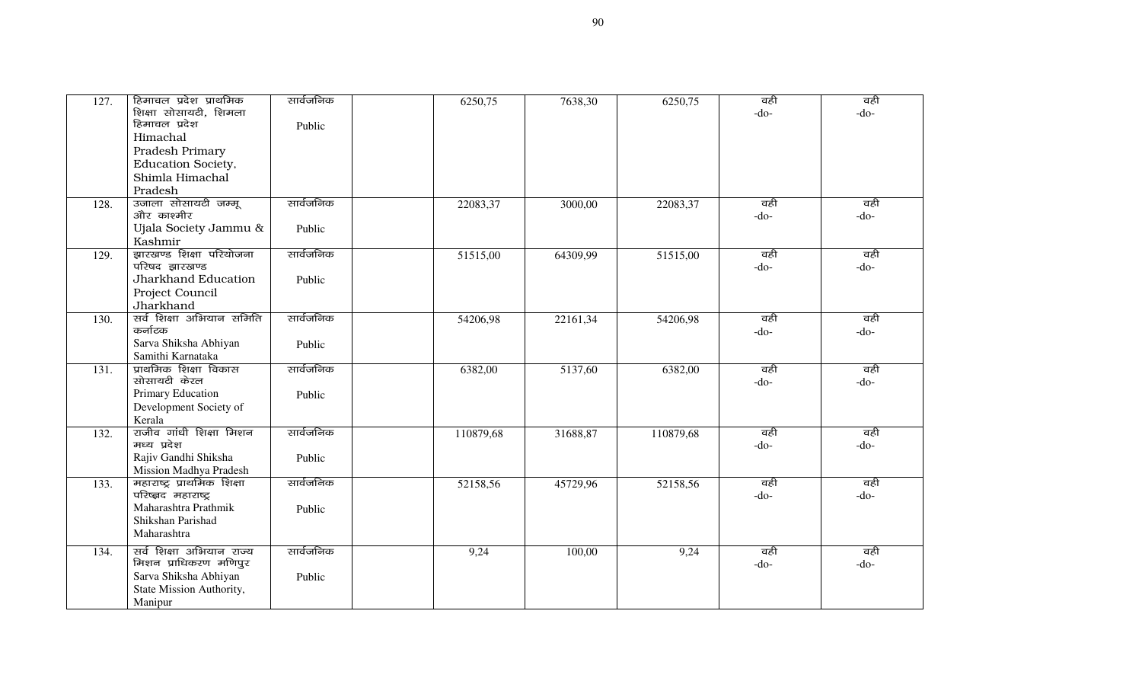| 127. | हिमाचल प्रदेश प्राथमिक                     | सार्वजनिक | 6250,75   | 7638,30  | 6250,75   | वही    | वही           |
|------|--------------------------------------------|-----------|-----------|----------|-----------|--------|---------------|
|      | शिक्षा सोसायटी, शिमला                      |           |           |          |           | -do-   | $-do-$        |
|      | हिमाचल प्रदेश                              | Public    |           |          |           |        |               |
|      | Himachal                                   |           |           |          |           |        |               |
|      | Pradesh Primary                            |           |           |          |           |        |               |
|      | Education Society,                         |           |           |          |           |        |               |
|      | Shimla Himachal                            |           |           |          |           |        |               |
|      | Pradesh                                    |           |           |          |           |        |               |
| 128. | उजाला सोसायटी जम्मू                        | सार्वजनिक | 22083,37  | 3000,00  | 22083,37  | वही    | वही           |
|      | और काश्मीर                                 |           |           |          |           | $-do-$ | $-do-$        |
|      | Ujala Society Jammu &                      | Public    |           |          |           |        |               |
|      | Kashmir                                    |           |           |          |           |        |               |
| 129. | झारखण्ड शिक्षा परियोजना                    | सार्वजनिक | 51515,00  | 64309,99 | 51515,00  | वही    | वही           |
|      | परिषद झारखण्ड                              |           |           |          |           | $-do-$ | $-do-$        |
|      | Jharkhand Education                        | Public    |           |          |           |        |               |
|      | Project Council                            |           |           |          |           |        |               |
|      | Jharkhand                                  |           |           |          |           |        |               |
| 130. | सर्व शिक्षा अभियान समिति                   | सार्वजनिक | 54206,98  | 22161,34 | 54206,98  | वही    | वही           |
|      | कर्नाटक                                    |           |           |          |           | -do-   | $-do-$        |
|      | Sarva Shiksha Abhiyan                      | Public    |           |          |           |        |               |
|      | Samithi Karnataka<br>प्राथमिक शिक्षा विकास | सार्वजनिक |           |          |           | वही    |               |
| 131. | सोसायटी केरल                               |           | 6382,00   | 5137,60  | 6382,00   | $-do-$ | वही<br>$-do-$ |
|      | Primary Education                          | Public    |           |          |           |        |               |
|      | Development Society of                     |           |           |          |           |        |               |
|      | Kerala                                     |           |           |          |           |        |               |
| 132. | राजीव गांधी शिक्षा मिशन                    | सार्वजनिक | 110879,68 | 31688,87 | 110879,68 | वही    | वही           |
|      | मध्य प्रदेश                                |           |           |          |           | $-do-$ | $-do-$        |
|      | Rajiv Gandhi Shiksha                       | Public    |           |          |           |        |               |
|      | Mission Madhya Pradesh                     |           |           |          |           |        |               |
| 133. | महाराष्ट्र प्राथमिक शिक्षा                 | सार्वजनिक | 52158,56  | 45729,96 | 52158,56  | वही    | वही           |
|      | परिष्क्षद महाराष्ट्र                       |           |           |          |           | -do-   | $-do-$        |
|      | Maharashtra Prathmik                       | Public    |           |          |           |        |               |
|      | Shikshan Parishad                          |           |           |          |           |        |               |
|      | Maharashtra                                |           |           |          |           |        |               |
| 134. | सर्व शिक्षा अभियान राज्य                   | सार्वजनिक | 9,24      | 100,00   | 9,24      | वही    | वही           |
|      | मिशन प्राधिकरण मणिपुर                      |           |           |          |           | $-do-$ | $-do-$        |
|      | Sarva Shiksha Abhiyan                      | Public    |           |          |           |        |               |
|      | State Mission Authority,                   |           |           |          |           |        |               |
|      | Manipur                                    |           |           |          |           |        |               |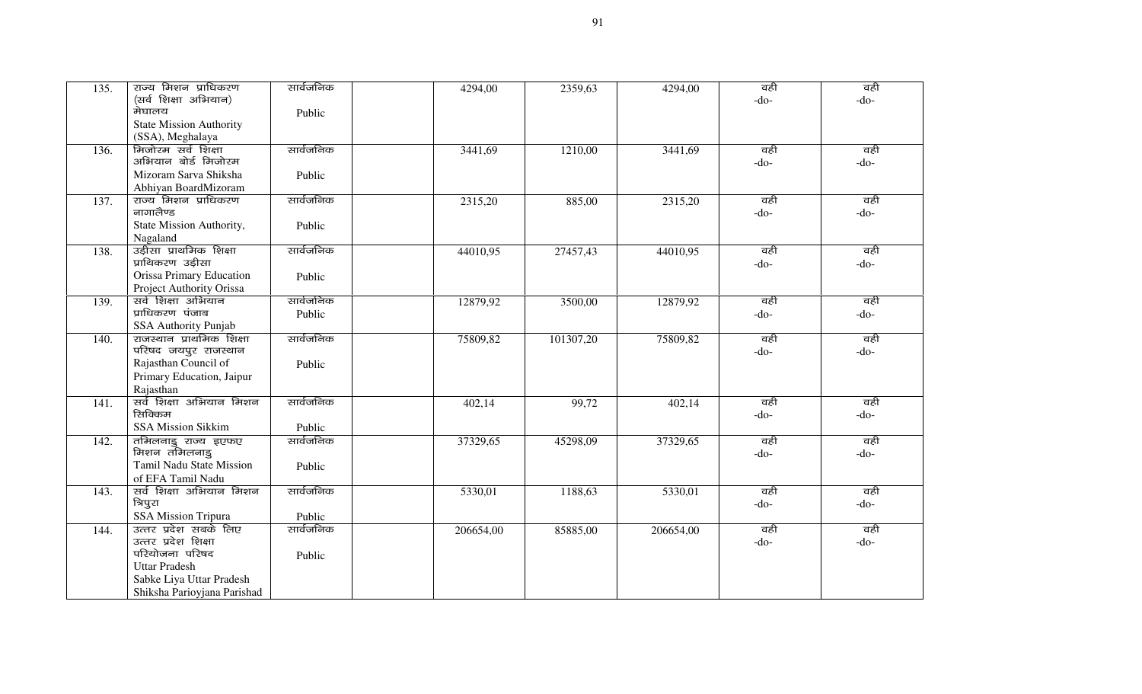| 135. | राज्य मिशन प्राधिकरण           | सार्वजनिक | 4294,00   | 2359,63   | 4294,00   | वही    | वही    |
|------|--------------------------------|-----------|-----------|-----------|-----------|--------|--------|
|      | (सर्व शिक्षा अभियान)           |           |           |           |           | $-do-$ | $-do-$ |
|      | मेघालय                         | Public    |           |           |           |        |        |
|      | <b>State Mission Authority</b> |           |           |           |           |        |        |
|      | (SSA), Meghalaya               |           |           |           |           |        |        |
| 136. | मिजोरम सर्व शिक्षा             | सार्वजनिक | 3441,69   | 1210,00   | 3441,69   | वही    | वही    |
|      | अभियान बोर्ड मिजोरम            |           |           |           |           | $-do-$ | $-do-$ |
|      | Mizoram Sarva Shiksha          | Public    |           |           |           |        |        |
|      | Abhiyan BoardMizoram           |           |           |           |           |        |        |
| 137. | राज्य मिशन प्राधिकरण           | सार्वजनिक | 2315,20   | 885,00    | 2315,20   | वही    | वही    |
|      | नागालैण्ड                      |           |           |           |           | $-do-$ | $-do-$ |
|      | State Mission Authority,       | Public    |           |           |           |        |        |
|      | Nagaland                       |           |           |           |           |        |        |
| 138. | उड़ीसा प्राथमिक शिक्षा         | सार्वजनिक | 44010,95  | 27457,43  | 44010,95  | वही    | वही    |
|      | प्राथिकरण उड़ीसा               |           |           |           |           | $-do-$ | $-do-$ |
|      | Orissa Primary Education       | Public    |           |           |           |        |        |
|      | Project Authority Orissa       |           |           |           |           |        |        |
| 139. | सर्व शिक्षा अभियान             | सार्वजनिक | 12879,92  | 3500,00   | 12879,92  | वही    | वही    |
|      | प्राधिकरण पंजाब                | Public    |           |           |           | $-do-$ | $-do-$ |
|      | SSA Authority Punjab           |           |           |           |           |        |        |
| 140. | राजस्थान प्राथमिक शिक्षा       | सार्वजनिक | 75809,82  | 101307,20 | 75809,82  | वही    | वही    |
|      | परिषद जयपुर राजस्थान           |           |           |           |           | $-do-$ | $-do-$ |
|      | Rajasthan Council of           | Public    |           |           |           |        |        |
|      | Primary Education, Jaipur      |           |           |           |           |        |        |
|      | Rajasthan                      |           |           |           |           |        |        |
| 141. | सर्व शिक्षा अभियान मिशन        | सार्वजनिक | 402,14    | 99,72     | 402,14    | वही    | वही    |
|      | रिनक्किम                       |           |           |           |           | $-do-$ | $-do-$ |
|      | <b>SSA Mission Sikkim</b>      | Public    |           |           |           |        |        |
| 142. | तमिलनाडु राज्य इएफए            | सार्वजनिक | 37329,65  | 45298,09  | 37329,65  | वही    | वही    |
|      | मिशन तमिलनाडु                  |           |           |           |           | $-do-$ | $-do-$ |
|      | Tamil Nadu State Mission       | Public    |           |           |           |        |        |
|      | of EFA Tamil Nadu              |           |           |           |           |        |        |
| 143. | सर्व शिक्षा अभियान मिशन        | सार्वजनिक | 5330,01   | 1188,63   | 5330,01   | वही    | वही    |
|      | त्रिपुरा                       |           |           |           |           | $-do-$ | $-do-$ |
|      | <b>SSA Mission Tripura</b>     | Public    |           |           |           |        |        |
| 144. | उत्तर प्रदेश सबके लिए          | सार्वजनिक | 206654,00 | 85885,00  | 206654,00 | वही    | वही    |
|      | उत्तर प्रदेश शिक्षा            |           |           |           |           | $-do-$ | $-do-$ |
|      | परियोजना परिषद                 | Public    |           |           |           |        |        |
|      | <b>Uttar Pradesh</b>           |           |           |           |           |        |        |
|      | Sabke Liya Uttar Pradesh       |           |           |           |           |        |        |
|      | Shiksha Parioyjana Parishad    |           |           |           |           |        |        |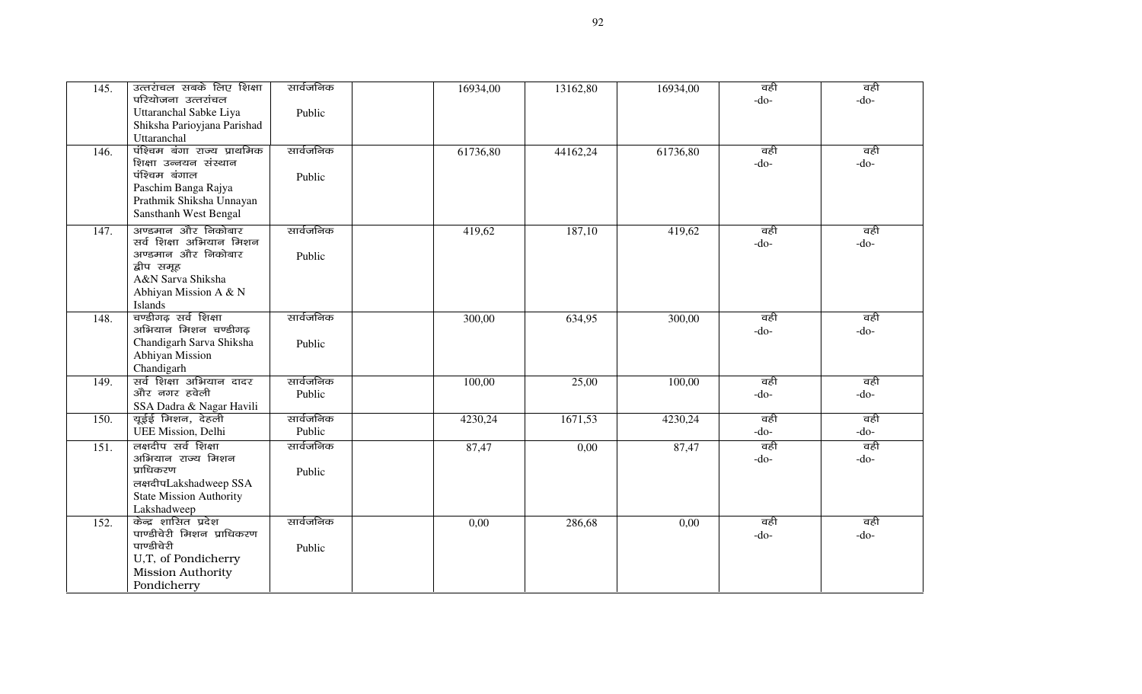| 145. | उत्तरांचल सबके लिए शिक्षा           | सार्वजनिक | 16934,00 | 13162,80 | 16934,00 | वही    | वही    |
|------|-------------------------------------|-----------|----------|----------|----------|--------|--------|
|      | परियोजना उत्तरांचल                  |           |          |          |          | $-do-$ | $-do-$ |
|      | Uttaranchal Sabke Liya              | Public    |          |          |          |        |        |
|      | Shiksha Parioyjana Parishad         |           |          |          |          |        |        |
|      | Uttaranchal                         |           |          |          |          |        |        |
| 146. | पंश्चिम बंगा राज्य प्राथमिक         | सार्वजनिक | 61736,80 | 44162,24 | 61736,80 | वही    | वही    |
|      | शिक्षा उन्नयन संस्थान               |           |          |          |          | $-do-$ | -do-   |
|      | पंश्चिम बंगाल                       | Public    |          |          |          |        |        |
|      | Paschim Banga Rajya                 |           |          |          |          |        |        |
|      | Prathmik Shiksha Unnayan            |           |          |          |          |        |        |
|      | Sansthanh West Bengal               |           |          |          |          |        |        |
| 147. | अण्डमान और निकोबार                  | सार्वजनिक | 419,62   | 187,10   | 419,62   | वही    | वही    |
|      | सर्व शिक्षा अभियान मिशन             |           |          |          |          | $-do-$ | -do-   |
|      | अण्डमान और निकोबार                  | Public    |          |          |          |        |        |
|      | द्वीप समूह                          |           |          |          |          |        |        |
|      | A&N Sarva Shiksha                   |           |          |          |          |        |        |
|      | Abhiyan Mission A & N               |           |          |          |          |        |        |
|      | Islands                             |           |          |          |          |        |        |
| 148. | चण्डीगढ़ सर्व शिक्षा                | सार्वजनिक | 300,00   | 634,95   | 300,00   | वही    | वही    |
|      | अभियान मिशन चण्डीगढ़                |           |          |          |          | $-do-$ | $-do-$ |
|      | Chandigarh Sarva Shiksha            | Public    |          |          |          |        |        |
|      | Abhiyan Mission                     |           |          |          |          |        |        |
|      | Chandigarh                          |           |          |          |          |        |        |
| 149. | सर्व शिक्षा अभियान दादर             | सार्वजनिक | 100,00   | 25,00    | 100,00   | वही    | वही    |
|      | और नगर हवेली                        | Public    |          |          |          | $-do-$ | $-do-$ |
|      | SSA Dadra & Nagar Havili            |           |          |          |          |        |        |
| 150. | यूईई मिशन, देहली                    | सार्वजनिक | 4230,24  | 1671,53  | 4230,24  | वही    | वही    |
|      | <b>UEE Mission</b> , Delhi          | Public    |          |          |          | $-do-$ | -do-   |
| 151. | लक्षदीप सर्व शिक्षा                 | सार्वजनिक | 87,47    | 0,00     | 87,47    | वही    | वही    |
|      | अभियान राज्य मिशन                   |           |          |          |          | $-do-$ | $-do-$ |
|      | प्राधिकरण                           | Public    |          |          |          |        |        |
|      | लक्षदीपLakshadweep SSA              |           |          |          |          |        |        |
|      | <b>State Mission Authority</b>      |           |          |          |          |        |        |
|      | Lakshadweep<br>केन्द्र शासित प्रदेश | सार्वजनिक |          |          |          |        |        |
| 152. | पाण्डीचेरी मिशन प्राधिकरण           |           | 0,00     | 286,68   | 0,00     | वही    | वही    |
|      | पाण्डीचेरी                          |           |          |          |          | $-do-$ | $-do-$ |
|      | U,T, of Pondicherry                 | Public    |          |          |          |        |        |
|      | <b>Mission Authority</b>            |           |          |          |          |        |        |
|      | Pondicherry                         |           |          |          |          |        |        |
|      |                                     |           |          |          |          |        |        |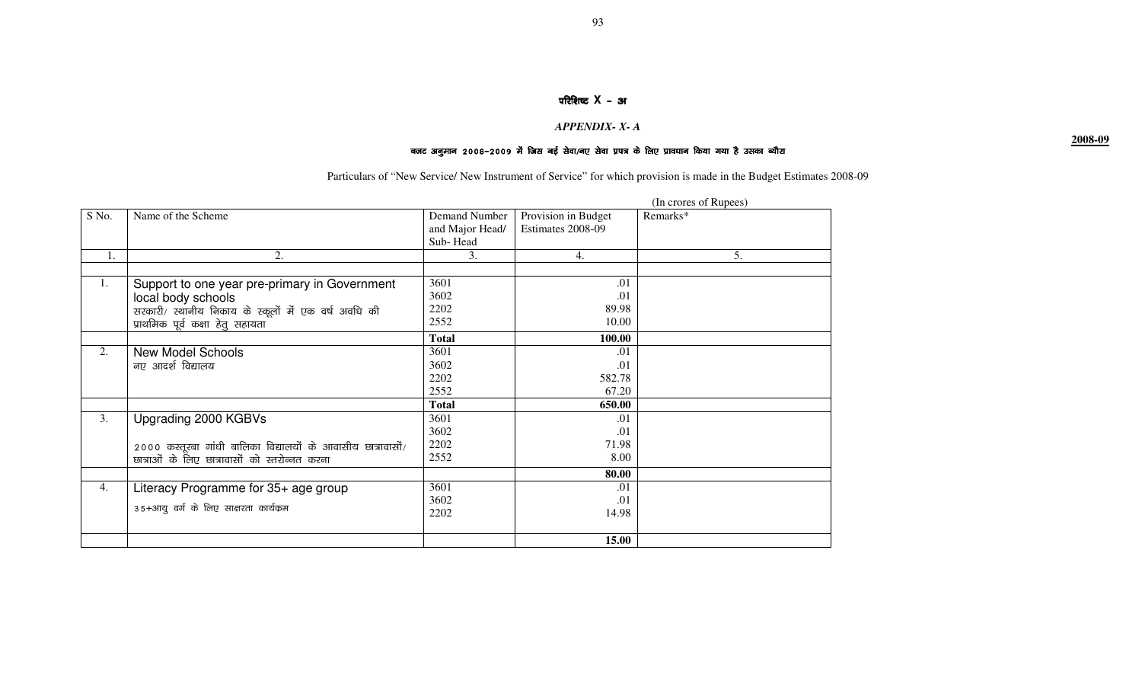### परिशिष्ट **X** – अ

### *APPENDIX- X- A*

## बजट अनुमान 2008–2009 में जिस नई सेवा/नए सेवा प्रपत्र के लिए प्रावधान किया गया है उसका ब्यौरा

Particulars of "New Service/ New Instrument of Service" for which provision is made in the Budget Estimates 2008-09

|       |                                                                |                 |                     | (In crores of Rupees) |
|-------|----------------------------------------------------------------|-----------------|---------------------|-----------------------|
| S No. | Name of the Scheme                                             | Demand Number   | Provision in Budget | Remarks*              |
|       |                                                                | and Major Head/ | Estimates 2008-09   |                       |
|       |                                                                | Sub-Head        |                     |                       |
| 1.    | 2.                                                             | 3.              | 4.                  | 5.                    |
|       |                                                                |                 |                     |                       |
| 1.    | Support to one year pre-primary in Government                  | 3601            | .01                 |                       |
|       | local body schools                                             | 3602            | .01                 |                       |
|       | सरकारी/ स्थानीय निकाय के स्कूलों में एक वर्ष अवधि की           | 2202            | 89.98               |                       |
|       | प्राथमिक पूर्व कक्षा हेतु सहायता                               | 2552            | 10.00               |                       |
|       |                                                                | <b>Total</b>    | 100.00              |                       |
| 2.    | <b>New Model Schools</b>                                       | 3601            | .01                 |                       |
|       | नए आदर्श विद्यालय                                              | 3602            | .01                 |                       |
|       |                                                                | 2202            | 582.78              |                       |
|       |                                                                | 2552            | 67.20               |                       |
|       |                                                                | <b>Total</b>    | 650.00              |                       |
| 3.    | Upgrading 2000 KGBVs                                           | 3601            | .01                 |                       |
|       |                                                                | 3602            | .01                 |                       |
|       | $2000$ कस्तूरबा गांधी बालिका विद्यालयों के आवासीय छात्रावासों/ | 2202            | 71.98               |                       |
|       | छात्राओं के लिए छात्रावासों को स्तरोन्नत करना                  | 2552            | 8.00                |                       |
|       |                                                                |                 | 80.00               |                       |
| 4.    | Literacy Programme for 35+ age group                           | 3601            | .01                 |                       |
|       |                                                                | 3602            | .01                 |                       |
|       | 35+आयु वर्ग के लिए साक्षरता कार्यक्रम                          | 2202            | 14.98               |                       |
|       |                                                                |                 |                     |                       |
|       |                                                                |                 | 15.00               |                       |

**2008-09**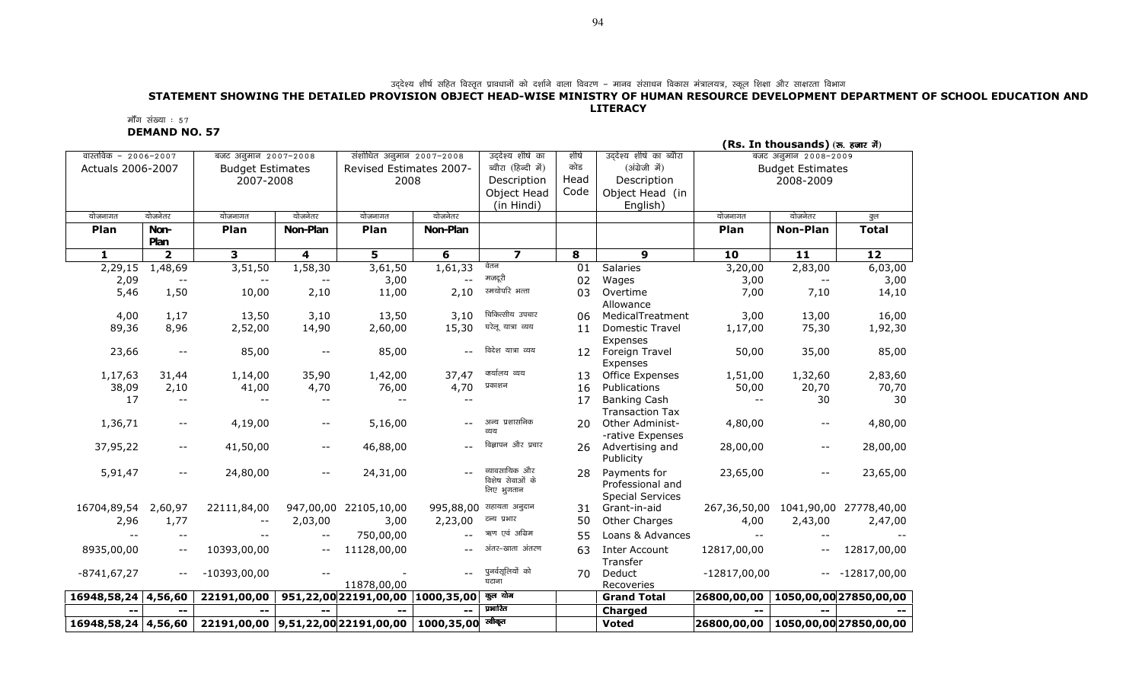## उद्देश्य शीर्ष सहित विस्तृत प्रावानि का बद्ध आप का सहित पर का बाज कि उसके बाला विवरण - मानव संसाधन विकास मंत्रालयत्र, स्कूल शिक्षा और साक्षरता विभाग<br>STATEMENT SHOWING THE DETAILED PROVISION OBJECT HEAD-WISE MINISTRY OF HU LITERACY

मॉॅंग संख्या ः ५७

DEMAND NO. 57

| (Rs. In thousands) (रु. हजार में) |               |                                               |                          |                                  |           |                         |       |                                               |                          |                         |                        |
|-----------------------------------|---------------|-----------------------------------------------|--------------------------|----------------------------------|-----------|-------------------------|-------|-----------------------------------------------|--------------------------|-------------------------|------------------------|
| वास्तविक – 2006–2007              |               | बजट अनुमान 2007-2008                          |                          | संशोधित अनुमान 2007-2008         |           | उद्देश्य शीर्ष का       | शीर्ष | उददेश्य शीर्ष का ब्यौरा                       |                          | बजट अनुमान 2008-2009    |                        |
| Actuals 2006-2007                 |               | <b>Budget Estimates</b>                       |                          | Revised Estimates 2007-          |           | ब्यौरा (हिन्दी में)     | कोड   | (अंग्रेजी में)                                |                          | <b>Budget Estimates</b> |                        |
|                                   |               | 2007-2008                                     |                          | 2008                             |           | Description             | Head  | Description                                   |                          | 2008-2009               |                        |
|                                   |               |                                               |                          |                                  |           | Object Head             | Code  | Object Head (in                               |                          |                         |                        |
|                                   |               |                                               |                          |                                  |           | (in Hindi)              |       | English)                                      |                          |                         |                        |
| योजनागत                           | योजनेतर       | योजनागत                                       | योजनेतर                  | योजनागत                          | योजनेतर   |                         |       |                                               | योजनागत                  | योजनेतर                 | कुल                    |
| Plan                              | Non-          | Plan                                          | Non-Plan                 | Plan                             | Non-Plan  |                         |       |                                               | Plan                     | <b>Non-Plan</b>         | <b>Total</b>           |
|                                   | Plan          |                                               |                          |                                  |           |                         |       |                                               |                          |                         |                        |
| 1                                 | $\mathbf{2}$  | 3                                             | 4                        | 5                                | 6         | $\overline{\mathbf{z}}$ | 8     | $\boldsymbol{9}$                              | 10                       | 11                      | 12                     |
| 2,29,15                           | 1,48,69       | 3,51,50                                       | 1,58,30                  | 3,61,50                          | 1,61,33   | वेतन                    | 01    | Salaries                                      | 3,20,00                  | 2,83,00                 | 6,03,00                |
| 2,09                              |               |                                               |                          | 3,00                             | $-$       | मजदूरी                  | 02    | Wages                                         | 3,00                     |                         | 3,00                   |
| 5,46                              | 1,50          | 10,00                                         | 2,10                     | 11,00                            | 2,10      | स्मयोपरि भत्ता          | 03    | Overtime                                      | 7,00                     | 7,10                    | 14,10                  |
|                                   |               |                                               |                          |                                  |           |                         |       | Allowance                                     |                          |                         |                        |
| 4,00                              | 1,17          | 13,50                                         | 3,10                     | 13,50                            | 3,10      | चिकित्सीय उपचार         | 06    | MedicalTreatment                              | 3,00                     | 13,00                   | 16,00                  |
| 89,36                             | 8,96          | 2,52,00                                       | 14,90                    | 2,60,00                          | 15,30     | घरेलू यात्रा व्यय       | 11    | <b>Domestic Travel</b>                        | 1,17,00                  | 75,30                   | 1,92,30                |
|                                   |               |                                               |                          |                                  |           |                         |       | Expenses                                      |                          |                         |                        |
| 23,66                             | $ -$          | 85,00                                         | $-\,-$                   | 85,00                            |           | विदेश यात्रा व्यय       | 12    | Foreign Travel                                | 50,00                    | 35,00                   | 85,00                  |
|                                   |               |                                               |                          |                                  |           |                         |       | Expenses                                      |                          |                         |                        |
| 1,17,63                           | 31,44         | 1,14,00                                       | 35,90                    | 1,42,00                          | 37,47     | क्र्यालय व्यय           | 13    | Office Expenses                               | 1,51,00                  | 1,32,60                 | 2,83,60                |
| 38,09                             | 2,10          | 41,00                                         | 4,70                     | 76,00                            | 4,70      | प्रकाशन                 | 16    | Publications                                  | 50,00                    | 20,70                   | 70,70                  |
| 17                                | $- -$         | $- -$                                         | $- -$                    | $- -$                            | $-$       |                         | 17    | <b>Banking Cash</b><br><b>Transaction Tax</b> | $\overline{\phantom{m}}$ | 30                      | 30                     |
| 1,36,71                           | $- -$         | 4,19,00                                       | $- -$                    | 5,16,00                          |           | अन्य प्रशासनिक          | 20    | Other Administ-                               | 4,80,00                  | $--$                    | 4,80,00                |
|                                   |               |                                               |                          |                                  |           | व्यय                    |       | -rative Expenses                              |                          |                         |                        |
| 37,95,22                          | $ -$          | 41,50,00                                      | $- -$                    | 46,88,00                         | $-$       | विज्ञापन और प्रचार      | 26    | Advertising and                               | 28,00,00                 | $- -$                   | 28,00,00               |
|                                   |               |                                               |                          |                                  |           |                         |       | Publicity                                     |                          |                         |                        |
| 5,91,47                           | $\sim$ $\sim$ | 24,80,00                                      | $- -$                    | 24,31,00                         |           | व्यावसायिक और           | 28    | Payments for                                  | 23,65,00                 | $- -$                   | 23,65,00               |
|                                   |               |                                               |                          |                                  |           | विशेष सेवाओं के         |       | Professional and                              |                          |                         |                        |
|                                   |               |                                               |                          |                                  |           | लिए भुगतान              |       | <b>Special Services</b>                       |                          |                         |                        |
| 16704,89,54                       | 2,60,97       | 22111,84,00                                   |                          | 947,00,00 22105,10,00            | 995,88,00 | सहायता अनुदान           | 31    | Grant-in-aid                                  | 267,36,50,00             |                         | 1041,90,00 27778,40,00 |
| 2,96                              | 1,77          |                                               | 2,03,00                  | 3,00                             | 2,23,00   | टन्य प्रभार             | 50    | Other Charges                                 | 4,00                     | 2,43,00                 | 2,47,00                |
| $\overline{\phantom{a}}$          | $--$          |                                               | $\overline{\phantom{a}}$ | 750,00,00                        |           | ऋण एवं अग्रिम           | 55    | Loans & Advances                              | $\overline{\phantom{a}}$ |                         |                        |
|                                   |               |                                               |                          |                                  |           | अंतर-खाता अंतरण         |       |                                               |                          |                         |                        |
| 8935,00,00                        | $ -$          | 10393,00,00                                   | $- -$                    | 11128,00,00                      |           |                         | 63    | <b>Inter Account</b>                          | 12817,00,00              | $ -$                    | 12817,00,00            |
|                                   |               |                                               |                          |                                  | $- -$     | पुनर्वसूलियों को        |       | Transfer                                      |                          |                         |                        |
| $-8741, 67, 27$                   | $\sim$ $-$    | $-10393,00,00$                                |                          | 11878,00,00                      |           | घटाना                   | 70    | Deduct<br>Recoveries                          | $-12817,00,00$           |                         | $-- -12817,00,00$      |
| 16948,58,24 4,56,60               |               | 22191,00,00                                   |                          | 951,22,00 22191,00,00 1000,35,00 |           | कुल योग                 |       | <b>Grand Total</b>                            | 26800,00,00              |                         | 1050,00,00 27850,00,00 |
|                                   |               |                                               |                          |                                  |           | प्रभारित                |       | Charged                                       |                          |                         |                        |
|                                   |               |                                               |                          |                                  |           | स्वीकृत                 |       | <b>Voted</b>                                  |                          |                         |                        |
| 16948,58,24 4,56,60               |               | 22191,00,00 9,51,22,00 22191,00,00 1000,35,00 |                          |                                  |           |                         |       |                                               | 26800,00,00              |                         | 1050,00,00 27850,00,00 |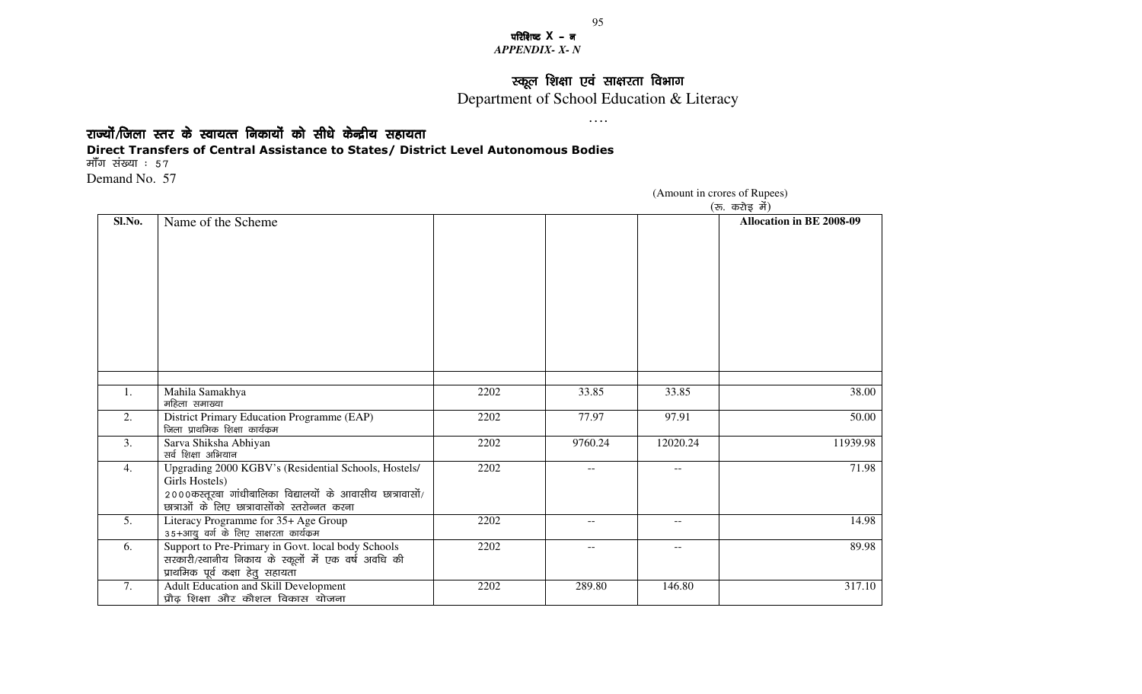परिशिष्ट X – **न** *APPENDIX- X- N* 

## स्कूल शिक्षा एवं साक्षरता विभाग<br>बाह्य कर्ने

Department of School Education & Literacy ….

राज्यों/जिला स्तर के स्वायत्त निकायों को सीधे केन्द्रीय सहायता

## Direct Transfers of Central Assistance to States/ District Level Autonomous Bodies

मॉॅंग संख्या ः ५७

Demand No. 57

|        |                                                                                                                                                                                      |      |         |                          | (रु. करोइ में)           |
|--------|--------------------------------------------------------------------------------------------------------------------------------------------------------------------------------------|------|---------|--------------------------|--------------------------|
| Sl.No. | Name of the Scheme                                                                                                                                                                   |      |         |                          | Allocation in BE 2008-09 |
| 1.     | Mahila Samakhya<br>महिला समाख्या                                                                                                                                                     | 2202 | 33.85   | 33.85                    | 38.00                    |
| 2.     | District Primary Education Programme (EAP)<br>जिला प्राथमिक शिक्षा कार्यक्रम                                                                                                         | 2202 | 77.97   | 97.91                    | 50.00                    |
| 3.     | Sarva Shiksha Abhiyan<br>सर्व शिक्षा अभियान                                                                                                                                          | 2202 | 9760.24 | 12020.24                 | 11939.98                 |
| 4.     | Upgrading 2000 KGBV's (Residential Schools, Hostels/<br>Girls Hostels)<br>2000कस्तूरबा गांधीबालिका विद्यालयों के आवासीय छात्रावासों/<br>छात्राओं के लिए छात्रावासोंको स्तरोन्नत करना | 2202 |         | $- -$                    | 71.98                    |
| 5.     | Literacy Programme for 35+ Age Group<br>35+आयु वर्ग के लिए साक्षरता कार्यक्रम                                                                                                        | 2202 | $-$     | $- -$                    | 14.98                    |
| 6.     | Support to Pre-Primary in Govt. local body Schools<br>सरकारी/स्थानीय निकाय के स्कूलों में एक वर्ष अवधि की<br>प्राथमिक पूर्व कक्षा हेतु सहायता                                        | 2202 | $- -$   | $\overline{\phantom{a}}$ | 89.98                    |
| 7.     | Adult Education and Skill Development<br>प्रौढ़ शिक्षा और कौशल विकास योजना                                                                                                           | 2202 | 289.80  | 146.80                   | 317.10                   |

(Amount in crores of Rupees)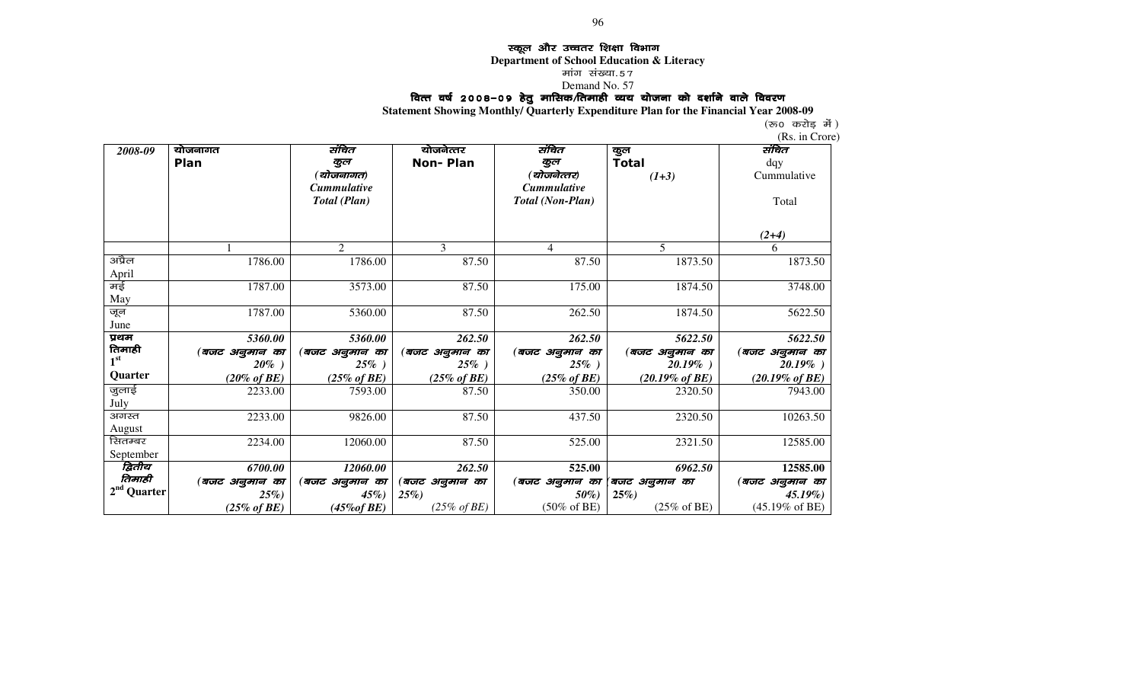## Edga और उच्चतर शिक्षा विभाग<br>Department of School Founction & L

**Department of School Education & Literacy** 

मांग संख्या.57

# Demand No. 57<br>वित्त वर्ष 2008–0<mark>9 हेतु मासिक/तिमाही व्यय योजना को दर्शाने वाले विवरण</mark>

**Statement Showing Monthly/ Quarterly Expenditure Plan for the Financial Year 2008-09**

(रू० करोड़ में )

|                 |                         |                         |                         |                         |                            | (Rs. in Crore)             |
|-----------------|-------------------------|-------------------------|-------------------------|-------------------------|----------------------------|----------------------------|
| 2008-09         | योजनागत                 | संचित                   | योजनेत्तर               | संचित                   | कुल                        | संचित                      |
|                 | Plan                    | कूल                     | <b>Non-Plan</b>         | कूल                     | <b>Total</b>               | dqy                        |
|                 |                         | (योजनागत)               |                         | (योजनेत्तर)             | $(1+3)$                    | Cummulative                |
|                 |                         | <b>Cummulative</b>      |                         | <b>Cummulative</b>      |                            |                            |
|                 |                         | Total (Plan)            |                         | Total (Non-Plan)        |                            | Total                      |
|                 |                         |                         |                         |                         |                            |                            |
|                 |                         |                         |                         |                         |                            | $(2+4)$                    |
|                 |                         | 2                       | 3                       | $\overline{4}$          | 5                          | 6                          |
| अप्रैल          | 1786.00                 | 1786.00                 | 87.50                   | 87.50                   | 1873.50                    | 1873.50                    |
| April           |                         |                         |                         |                         |                            |                            |
| मई              | 1787.00                 | 3573.00                 | 87.50                   | 175.00                  | 1874.50                    | 3748.00                    |
| May             |                         |                         |                         |                         |                            |                            |
| जून             | 1787.00                 | 5360.00                 | 87.50                   | 262.50                  | 1874.50                    | 5622.50                    |
| June            |                         |                         |                         |                         |                            |                            |
| प्रथम           | 5360.00                 | 5360.00                 | 262.50                  | 262.50                  | 5622.50                    | 5622.50                    |
| तिमाही          | (बजट अनुमान का          | (बजट अनुमान का          | (बजट अनुमान का          | (बजट अनुमान का          | (बजट अनुमान का             | (बजट अनुमान का             |
| 1 <sup>st</sup> | $20\%$ )                | $25\%$ )                | $25\%$ )                | $25\%$ )                | $20.19\%$ )                | $20.19\%$ )                |
| Quarter         | $(20\% \text{ of } BE)$ | $(25\% \text{ of } BE)$ | $(25\% \text{ of } BE)$ | $(25\% \text{ of } BE)$ | $(20.19\% \text{ of } BE)$ | $(20.19\% \text{ of } BE)$ |
| जुलाई           | 2233.00                 | 7593.00                 | 87.50                   | 350.00                  | 2320.50                    | 7943.00                    |
| July            |                         |                         |                         |                         |                            |                            |
| अगस्त           | 2233.00                 | 9826.00                 | 87.50                   | 437.50                  | 2320.50                    | 10263.50                   |
| August          |                         |                         |                         |                         |                            |                            |
| सितम्बर         | 2234.00                 | 12060.00                | 87.50                   | 525.00                  | 2321.50                    | 12585.00                   |
| September       |                         |                         |                         |                         |                            |                            |
| द्वितीय         | 6700.00                 | 12060.00                | 262.50                  | 525.00                  | 6962.50                    | 12585.00                   |
| तिमाही          | (बजट अनुमान का          | (बजट अनुमान का          | (बजट अनुमान का          | (बजट अनुमान का          | (बजट अनुमान का             | (बजट अनुमान का             |
| $2nd$ Quarter   | $25\%)$                 | $45\%$                  | $25\%)$                 | $50\%$                  | $25\%)$                    | $45.19\%)$                 |
|                 | $(25\% \text{ of } BE)$ | $(45\% of BE)$          | $(25\% \text{ of } BE)$ | $(50\% \text{ of BE})$  | $(25\% \text{ of BE})$     | $(45.19\% \text{ of BE})$  |